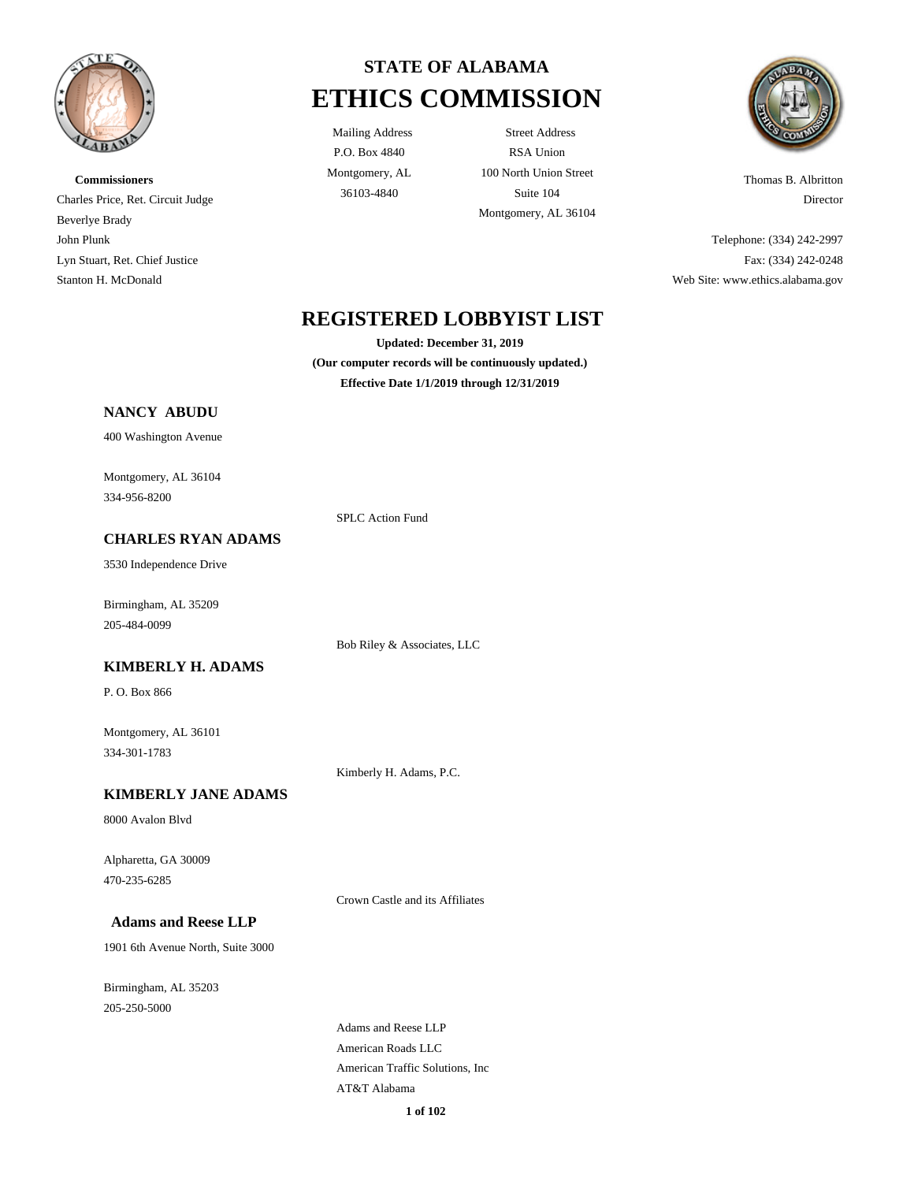

**Commissioners** Charles Price, Ret. Circuit Judge Beverlye Brady John Plunk Lyn Stuart, Ret. Chief Justice Stanton H. McDonald



P.O. Box 4840 Montgomery, AL

Mailing Address Street Address RSA Union 100 North Union Street 36103-4840 Suite 104 Montgomery, AL 36104



Thomas B. Albritton Director

Telephone: (334) 242-2997 Fax: (334) 242-0248 Web Site: www.ethics.alabama.gov

# **REGISTERED LOBBYIST LIST**

**Updated: December 31, 2019**

**(Our computer records will be continuously updated.) Effective Date 1/1/2019 through 12/31/2019**

### **NANCY ABUDU**

400 Washington Avenue

Montgomery, AL 36104 334-956-8200

#### **CHARLES RYAN ADAMS**

3530 Independence Drive

Birmingham, AL 35209 205-484-0099

**KIMBERLY H. ADAMS**

P. O. Box 866

Montgomery, AL 36101 334-301-1783

Kimberly H. Adams, P.C.

SPLC Action Fund

Bob Riley & Associates, LLC

**KIMBERLY JANE ADAMS**

8000 Avalon Blvd

Alpharetta, GA 30009 470-235-6285

Crown Castle and its Affiliates

### **Adams and Reese LLP**

1901 6th Avenue North, Suite 3000

Birmingham, AL 35203 205-250-5000

> Adams and Reese LLP American Roads LLC American Traffic Solutions, Inc AT&T Alabama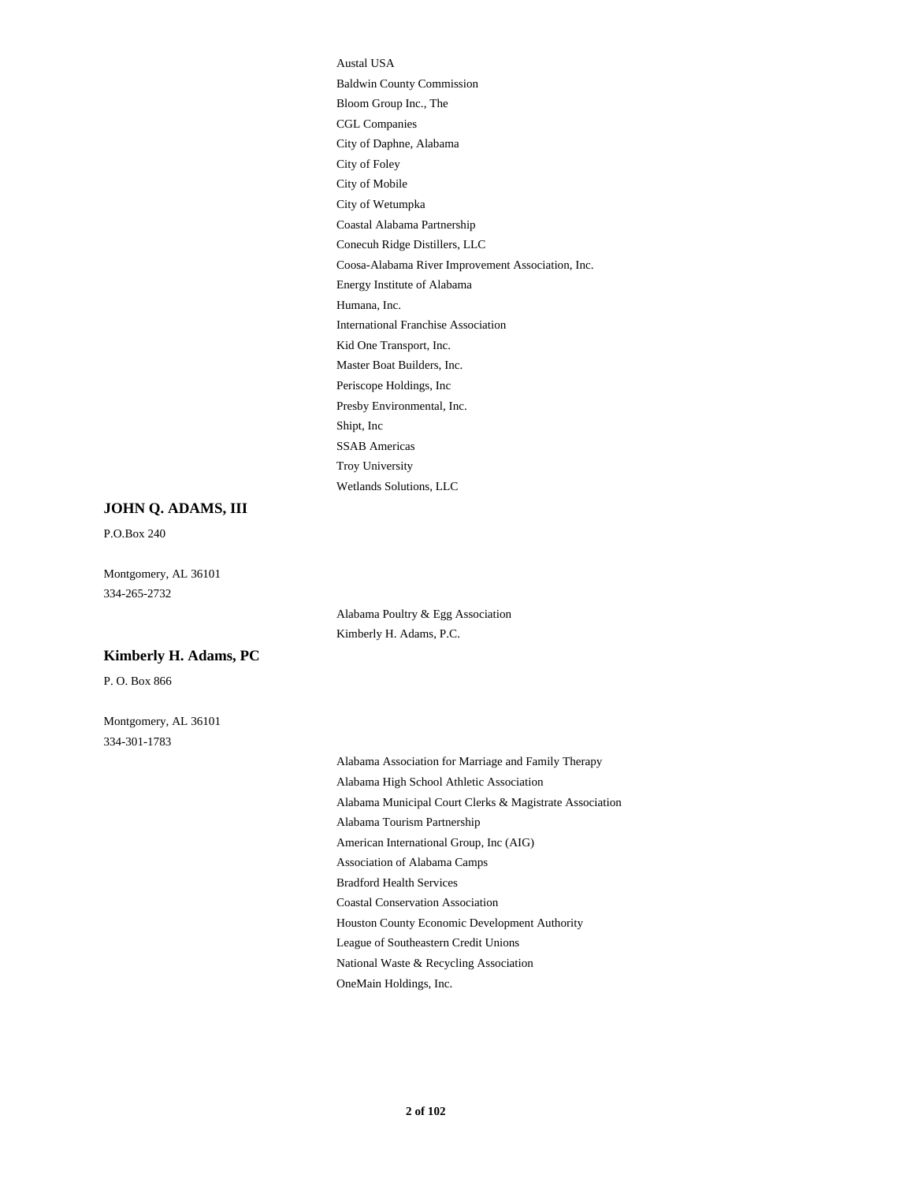Austal USA Baldwin County Commission Bloom Group Inc., The CGL Companies City of Daphne, Alabama City of Foley City of Mobile City of Wetumpka Coastal Alabama Partnership Conecuh Ridge Distillers, LLC Coosa-Alabama River Improvement Association, Inc. Energy Institute of Alabama Humana, Inc. International Franchise Association Kid One Transport, Inc. Master Boat Builders, Inc. Periscope Holdings, Inc Presby Environmental, Inc. Shipt, Inc SSAB Americas Troy University Wetlands Solutions, LLC

#### **JOHN Q. ADAMS, III**

P.O.Box 240

Montgomery, AL 36101 334-265-2732

#### **Kimberly H. Adams, PC**

P. O. Box 866

Montgomery, AL 36101 334-301-1783

Alabama Poultry & Egg Association Kimberly H. Adams, P.C.

Alabama Association for Marriage and Family Therapy Alabama High School Athletic Association Alabama Municipal Court Clerks & Magistrate Association Alabama Tourism Partnership American International Group, Inc (AIG) Association of Alabama Camps Bradford Health Services Coastal Conservation Association Houston County Economic Development Authority League of Southeastern Credit Unions National Waste & Recycling Association OneMain Holdings, Inc.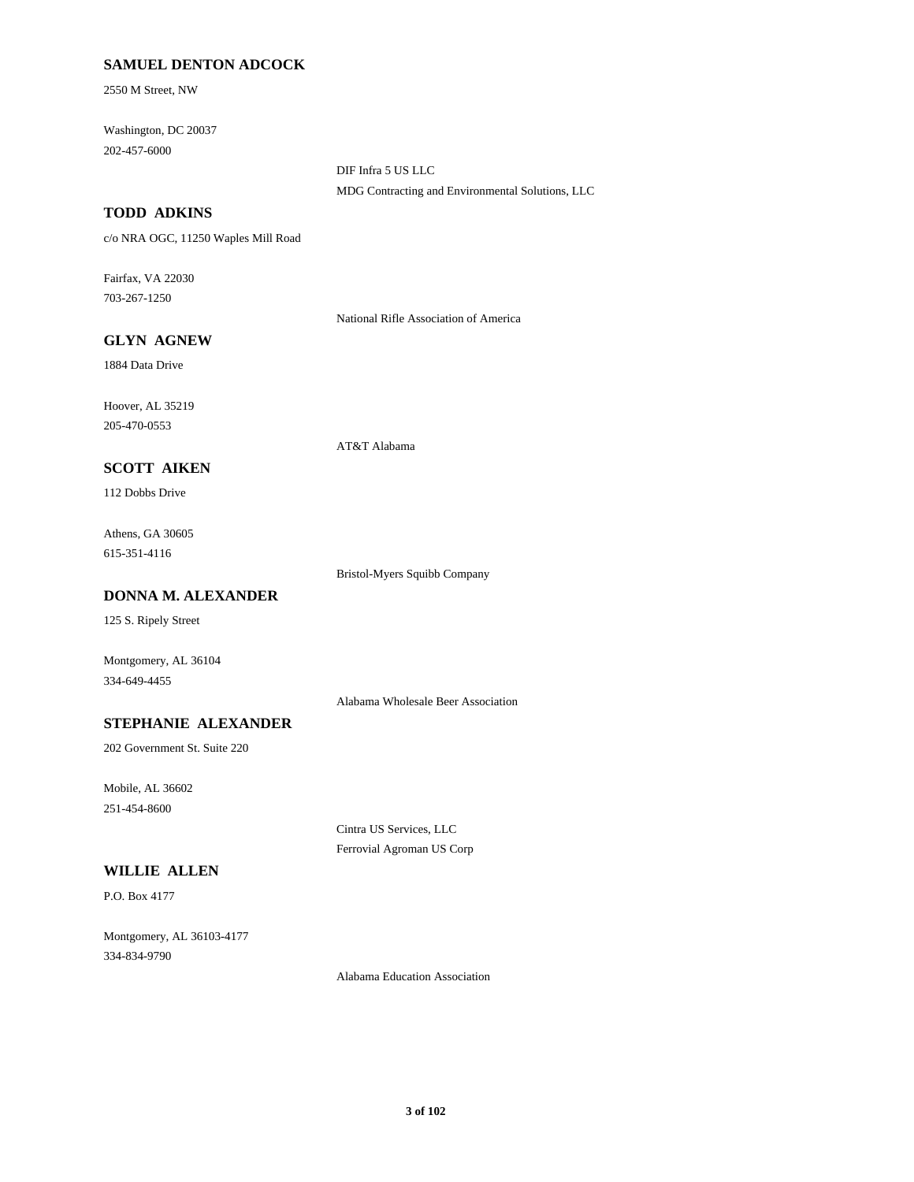### **SAMUEL DENTON ADCOCK**

2550 M Street, NW

Washington, DC 20037 202-457-6000

> DIF Infra 5 US LLC MDG Contracting and Environmental Solutions, LLC

### **TODD ADKINS**

c/o NRA OGC, 11250 Waples Mill Road

Fairfax, VA 22030 703-267-1250

National Rifle Association of America

### **GLYN AGNEW**

1884 Data Drive

Hoover, AL 35219 205-470-0553

AT&T Alabama

# **SCOTT AIKEN**

112 Dobbs Drive

Athens, GA 30605 615-351-4116

Bristol-Myers Squibb Company

### **DONNA M. ALEXANDER**

125 S. Ripely Street

Montgomery, AL 36104 334-649-4455

Alabama Wholesale Beer Association

### **STEPHANIE ALEXANDER**

202 Government St. Suite 220

Mobile, AL 36602 251-454-8600

> Cintra US Services, LLC Ferrovial Agroman US Corp

# **WILLIE ALLEN**

P.O. Box 4177

Montgomery, AL 36103-4177 334-834-9790

Alabama Education Association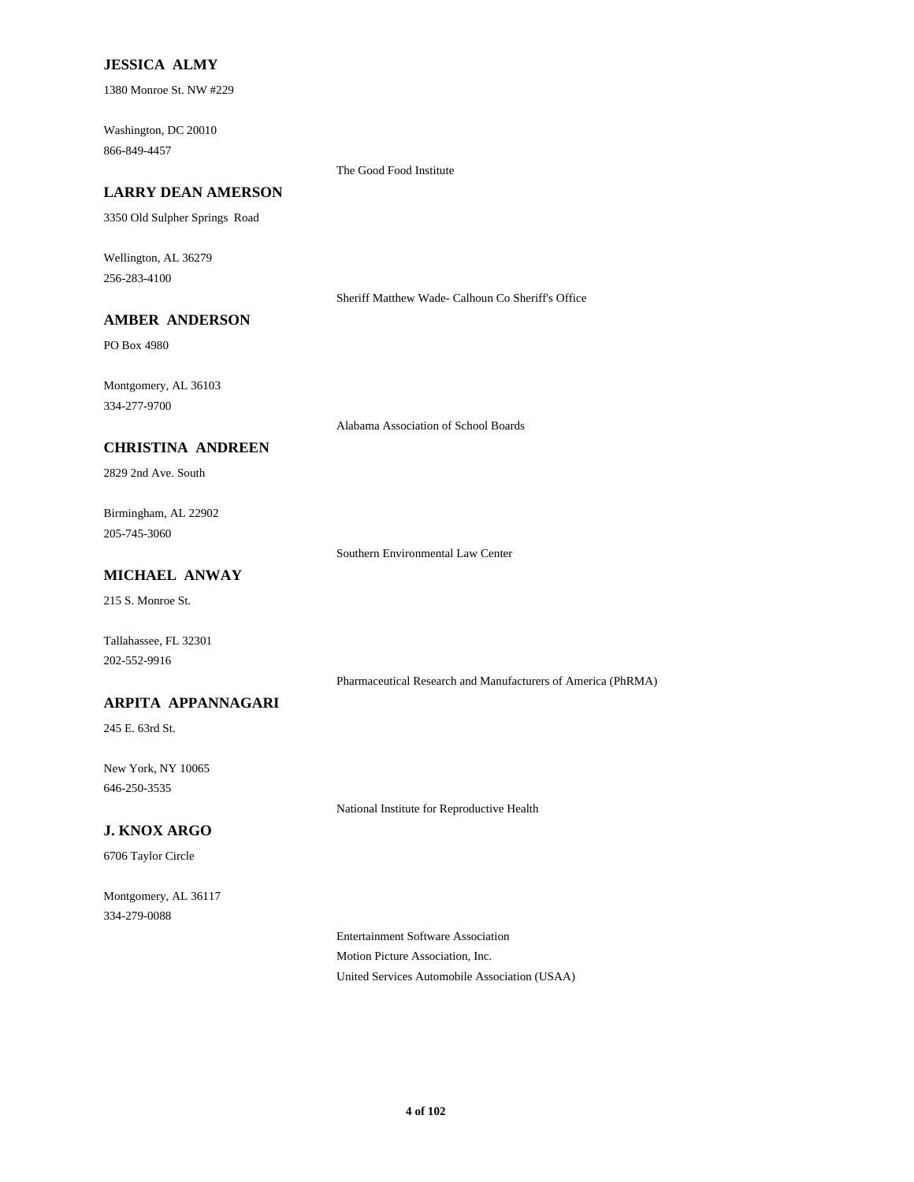### **JESSICA ALMY**

1380 Monroe St. NW #229

Washington, DC 20010 866-849-4457

#### The Good Food Institute

### **LARRY DEAN AMERSON**

3350 Old Sulpher Springs Road

Wellington, AL 36279 256-283-4100

Sheriff Matthew Wade- Calhoun Co Sheriff's Office

# **AMBER ANDERSON**

PO Box 4980

Montgomery, AL 36103 334-277-9700

Alabama Association of School Boards

### **CHRISTINA ANDREEN**

2829 2nd Ave. South

Birmingham, AL 22902 205-745-3060

Southern Environmental Law Center

### **MICHAEL ANWAY**

215 S. Monroe St.

Tallahassee, FL 32301 202-552-9916

Pharmaceutical Research and Manufacturers of America (PhRMA)

### **ARPITA APPANNAGARI**

245 E. 63rd St.

New York, NY 10065 646-250-3535

National Institute for Reproductive Health

### **J. KNOX ARGO**

6706 Taylor Circle

Montgomery, AL 36117 334-279-0088

> Entertainment Software Association Motion Picture Association, Inc. United Services Automobile Association (USAA)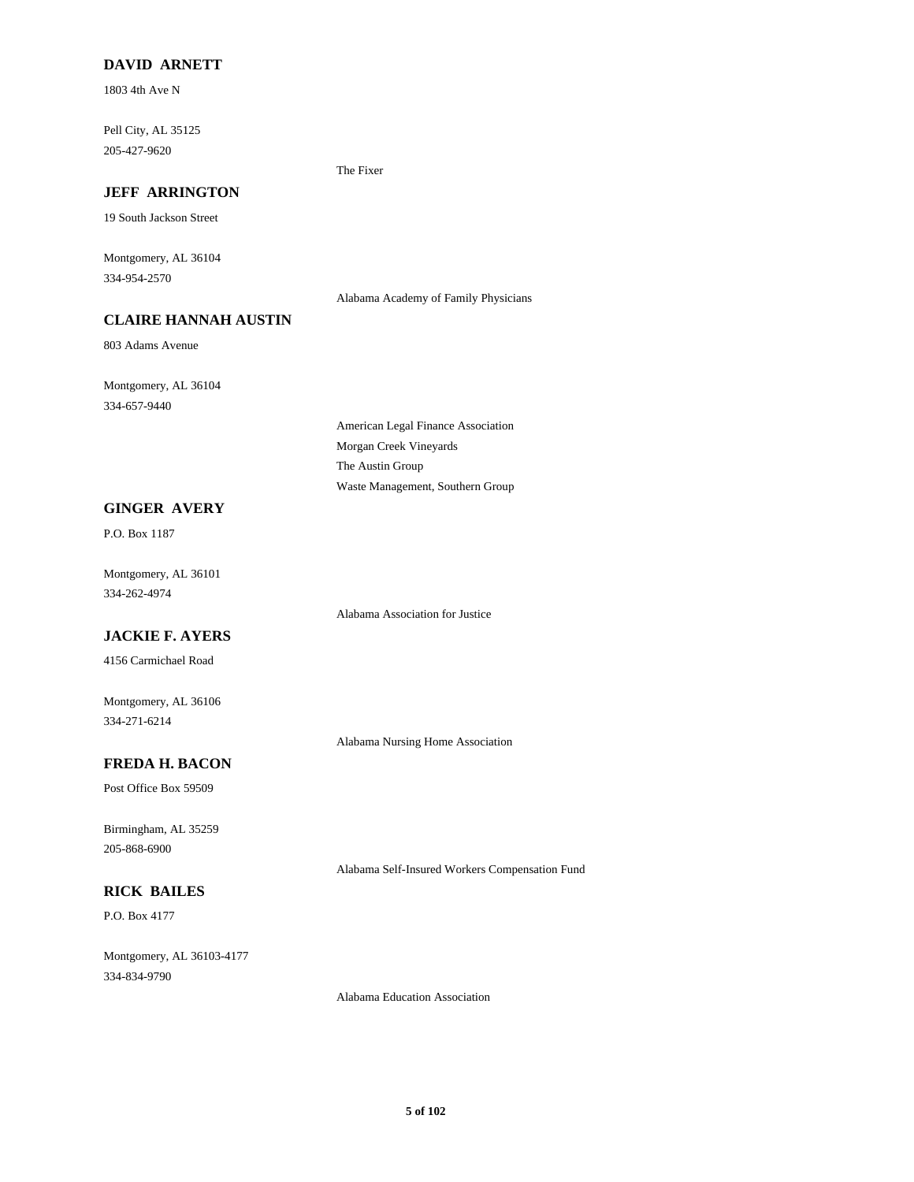### **DAVID ARNETT**

1803 4th Ave N

Pell City, AL 35125 205-427-9620

### **JEFF ARRINGTON**

19 South Jackson Street

Montgomery, AL 36104 334-954-2570

Alabama Academy of Family Physicians

The Fixer

# **CLAIRE HANNAH AUSTIN**

803 Adams Avenue

Montgomery, AL 36104 334-657-9440

# **GINGER AVERY**

P.O. Box 1187

Montgomery, AL 36101 334-262-4974

### **JACKIE F. AYERS**

4156 Carmichael Road

Montgomery, AL 36106 334-271-6214

Alabama Nursing Home Association

Alabama Self-Insured Workers Compensation Fund

# **FREDA H. BACON**

Post Office Box 59509

Birmingham, AL 35259 205-868-6900

### **RICK BAILES**

P.O. Box 4177

Montgomery, AL 36103-4177 334-834-9790

Alabama Education Association

### American Legal Finance Association Morgan Creek Vineyards The Austin Group

Waste Management, Southern Group

Alabama Association for Justice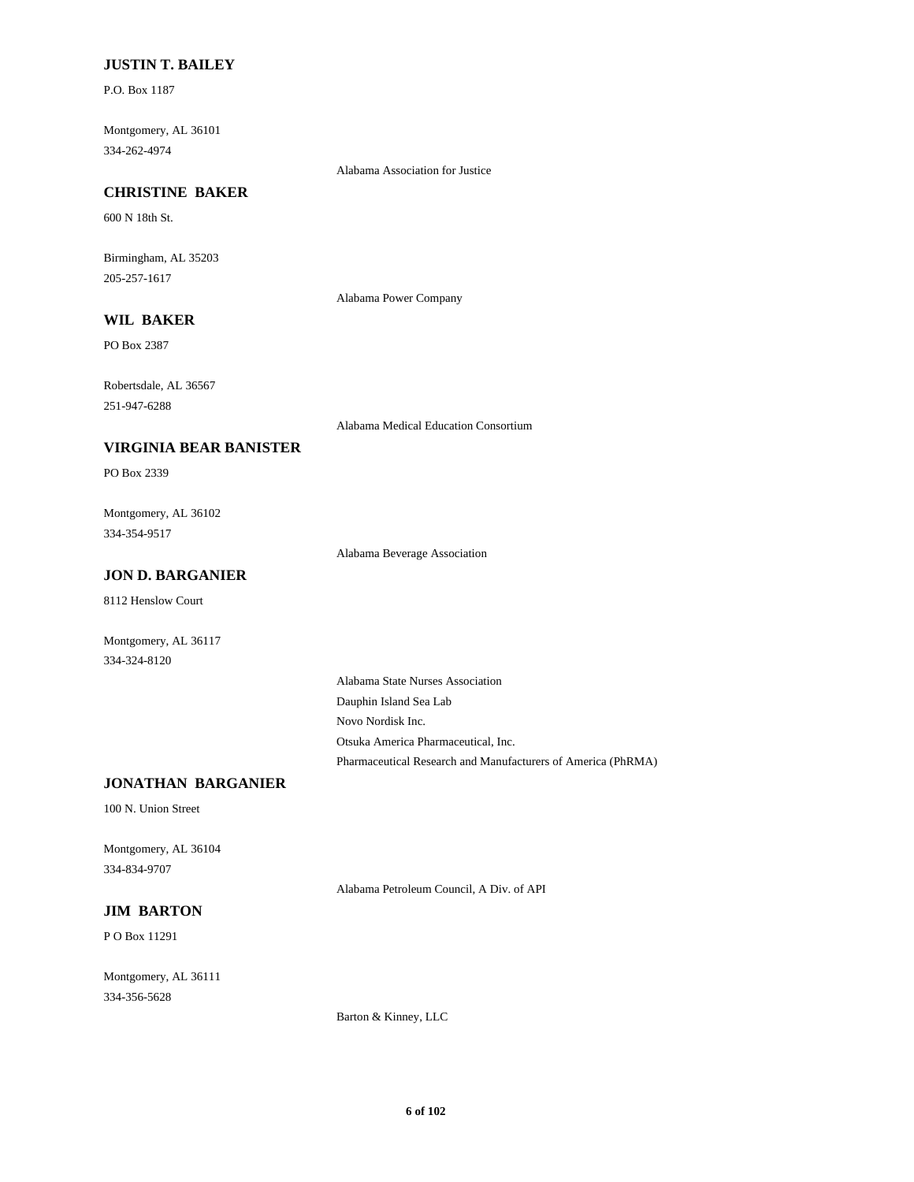#### **JUSTIN T. BAILEY**

P.O. Box 1187

Montgomery, AL 36101 334-262-4974

Alabama Association for Justice

### **CHRISTINE BAKER**

600 N 18th St.

Birmingham, AL 35203 205-257-1617

Alabama Power Company

# **WIL BAKER**

PO Box 2387

Robertsdale, AL 36567 251-947-6288

Alabama Medical Education Consortium

#### **VIRGINIA BEAR BANISTER**

PO Box 2339

Montgomery, AL 36102 334-354-9517

Alabama Beverage Association

### **JON D. BARGANIER**

8112 Henslow Court

Montgomery, AL 36117 334-324-8120

> Alabama State Nurses Association Dauphin Island Sea Lab Novo Nordisk Inc. Otsuka America Pharmaceutical, Inc. Pharmaceutical Research and Manufacturers of America (PhRMA)

### **JONATHAN BARGANIER**

100 N. Union Street

Montgomery, AL 36104 334-834-9707

Alabama Petroleum Council, A Div. of API

# **JIM BARTON**

P O Box 11291

Montgomery, AL 36111 334-356-5628

Barton & Kinney, LLC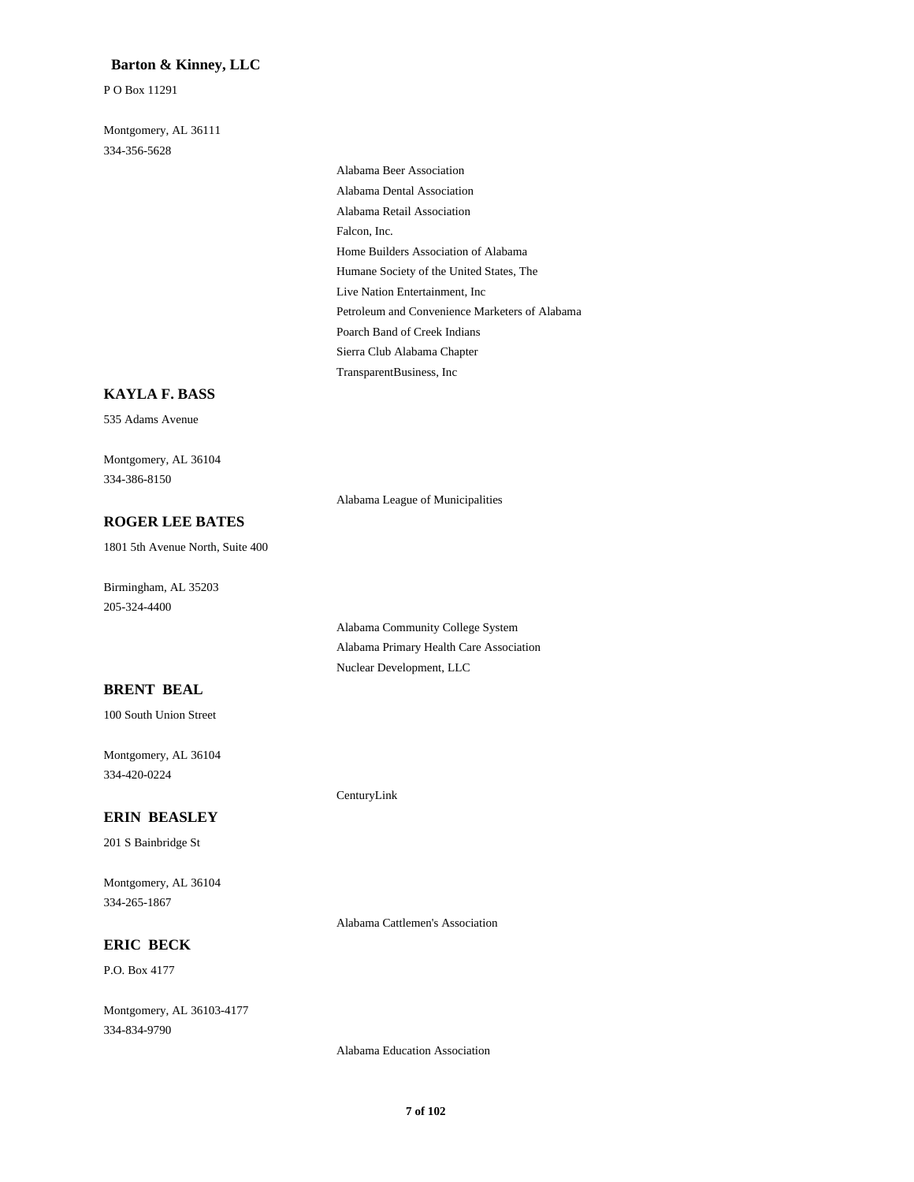### **Barton & Kinney, LLC**

P O Box 11291

Montgomery, AL 36111 334-356-5628

> Alabama Beer Association Alabama Dental Association Alabama Retail Association Falcon, Inc. Home Builders Association of Alabama Humane Society of the United States, The Live Nation Entertainment, Inc Petroleum and Convenience Marketers of Alabama Poarch Band of Creek Indians Sierra Club Alabama Chapter TransparentBusiness, Inc

### **KAYLA F. BASS**

535 Adams Avenue

Montgomery, AL 36104 334-386-8150

Alabama League of Municipalities

Alabama Community College System Alabama Primary Health Care Association

Nuclear Development, LLC

CenturyLink

### **ROGER LEE BATES**

1801 5th Avenue North, Suite 400

Birmingham, AL 35203 205-324-4400

### **BRENT BEAL**

100 South Union Street

Montgomery, AL 36104 334-420-0224

#### **ERIN BEASLEY**

201 S Bainbridge St

Montgomery, AL 36104 334-265-1867

Alabama Cattlemen's Association

### **ERIC BECK**

P.O. Box 4177

Montgomery, AL 36103-4177 334-834-9790

Alabama Education Association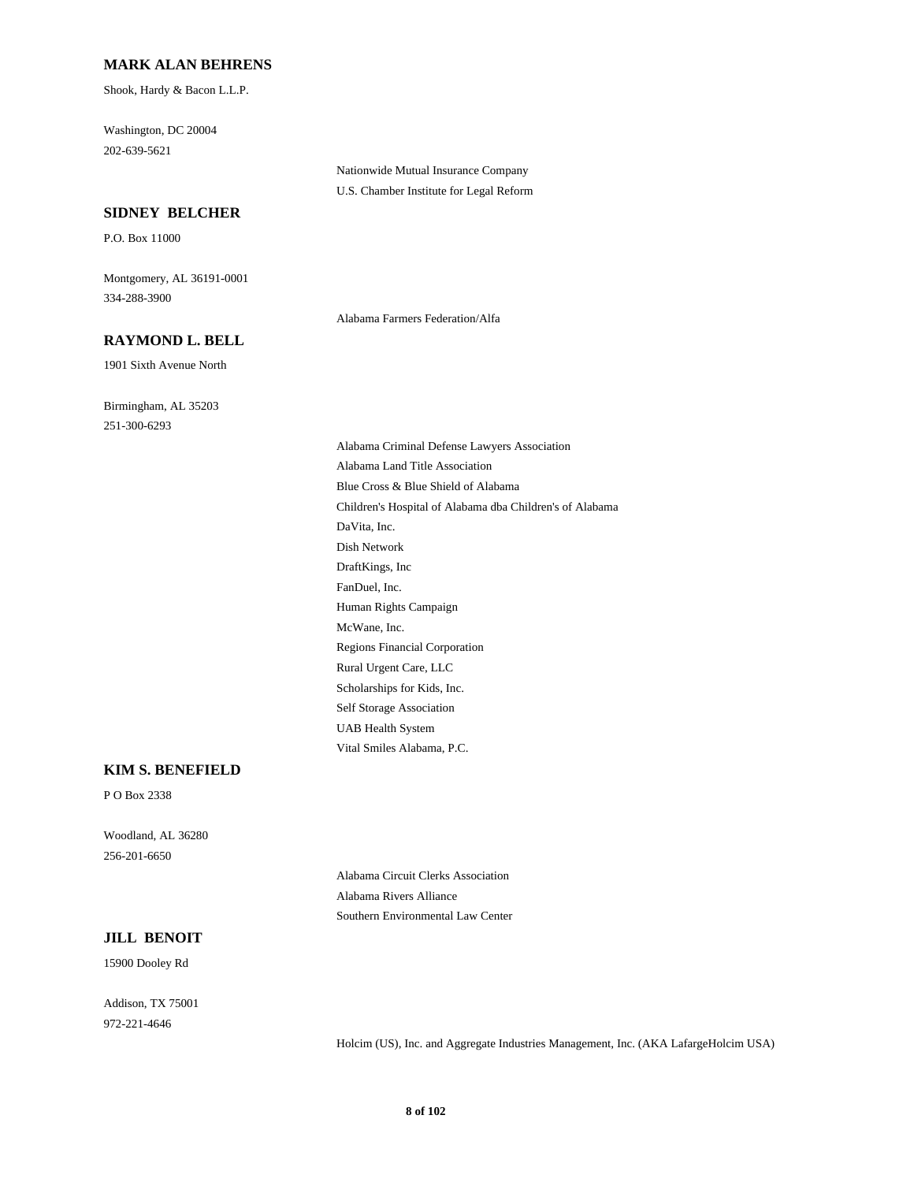#### **MARK ALAN BEHRENS**

Shook, Hardy & Bacon L.L.P.

Washington, DC 20004 202-639-5621

#### **SIDNEY BELCHER**

P.O. Box 11000

Montgomery, AL 36191-0001 334-288-3900

#### **RAYMOND L. BELL**

1901 Sixth Avenue North

Birmingham, AL 35203 251-300-6293

Nationwide Mutual Insurance Company U.S. Chamber Institute for Legal Reform

Alabama Farmers Federation/Alfa

Alabama Criminal Defense Lawyers Association Alabama Land Title Association Blue Cross & Blue Shield of Alabama Children's Hospital of Alabama dba Children's of Alabama DaVita, Inc. Dish Network DraftKings, Inc FanDuel, Inc. Human Rights Campaign McWane, Inc. Regions Financial Corporation Rural Urgent Care, LLC Scholarships for Kids, Inc. Self Storage Association UAB Health System Vital Smiles Alabama, P.C.

#### **KIM S. BENEFIELD**

P O Box 2338

Woodland, AL 36280 256-201-6650

> Alabama Circuit Clerks Association Alabama Rivers Alliance Southern Environmental Law Center

#### **JILL BENOIT**

15900 Dooley Rd

Addison, TX 75001 972-221-4646

Holcim (US), Inc. and Aggregate Industries Management, Inc. (AKA LafargeHolcim USA)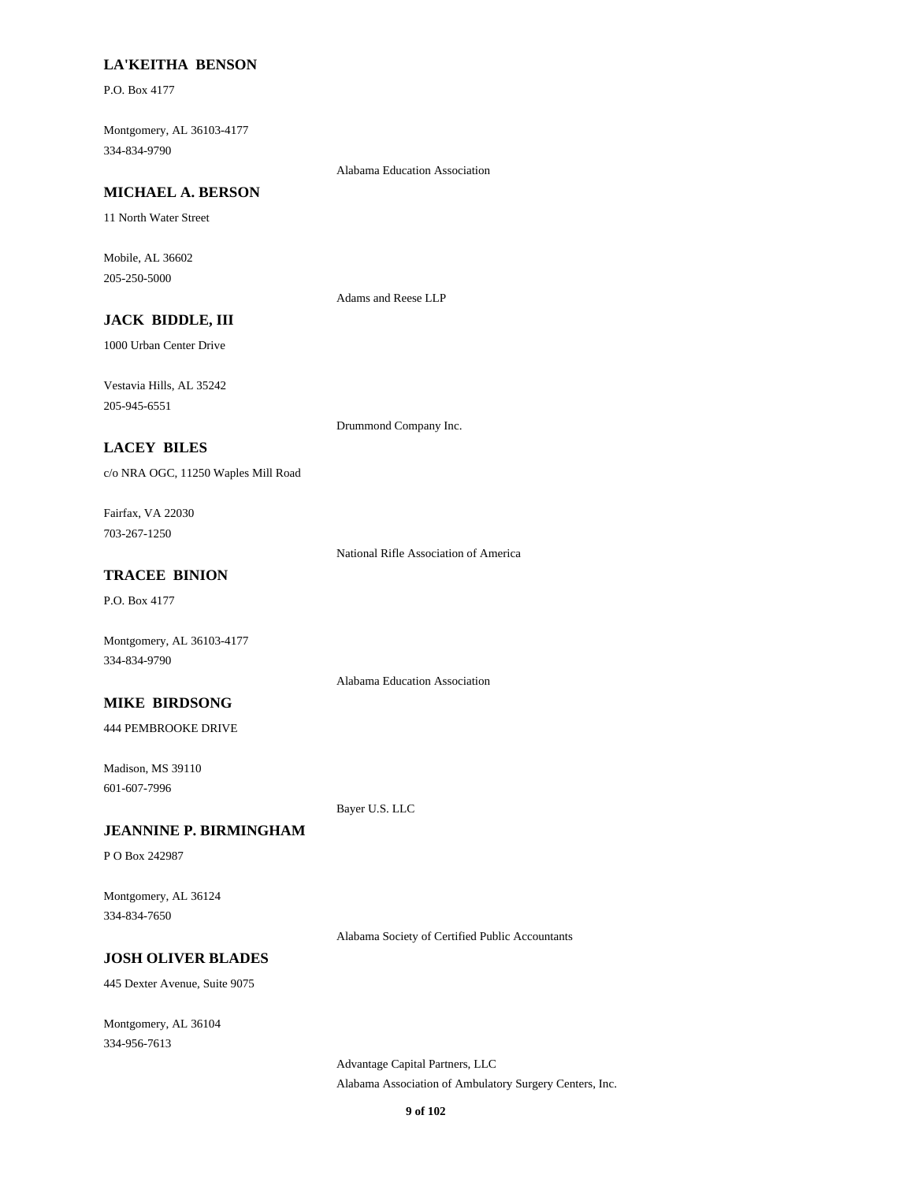#### **LA'KEITHA BENSON**

P.O. Box 4177

Montgomery, AL 36103-4177 334-834-9790

Alabama Education Association

#### **MICHAEL A. BERSON**

11 North Water Street

Mobile, AL 36602 205-250-5000

Adams and Reese LLP

# **JACK BIDDLE, III**

1000 Urban Center Drive

Vestavia Hills, AL 35242 205-945-6551

Drummond Company Inc.

### **LACEY BILES**

c/o NRA OGC, 11250 Waples Mill Road

Fairfax, VA 22030 703-267-1250

National Rifle Association of America

### **TRACEE BINION**

P.O. Box 4177

Montgomery, AL 36103-4177 334-834-9790

Alabama Education Association

#### **MIKE BIRDSONG**

444 PEMBROOKE DRIVE

Madison, MS 39110 601-607-7996

Bayer U.S. LLC

### **JEANNINE P. BIRMINGHAM**

P O Box 242987

Montgomery, AL 36124 334-834-7650

Alabama Society of Certified Public Accountants

#### **JOSH OLIVER BLADES**

445 Dexter Avenue, Suite 9075

Montgomery, AL 36104 334-956-7613

> Advantage Capital Partners, LLC Alabama Association of Ambulatory Surgery Centers, Inc.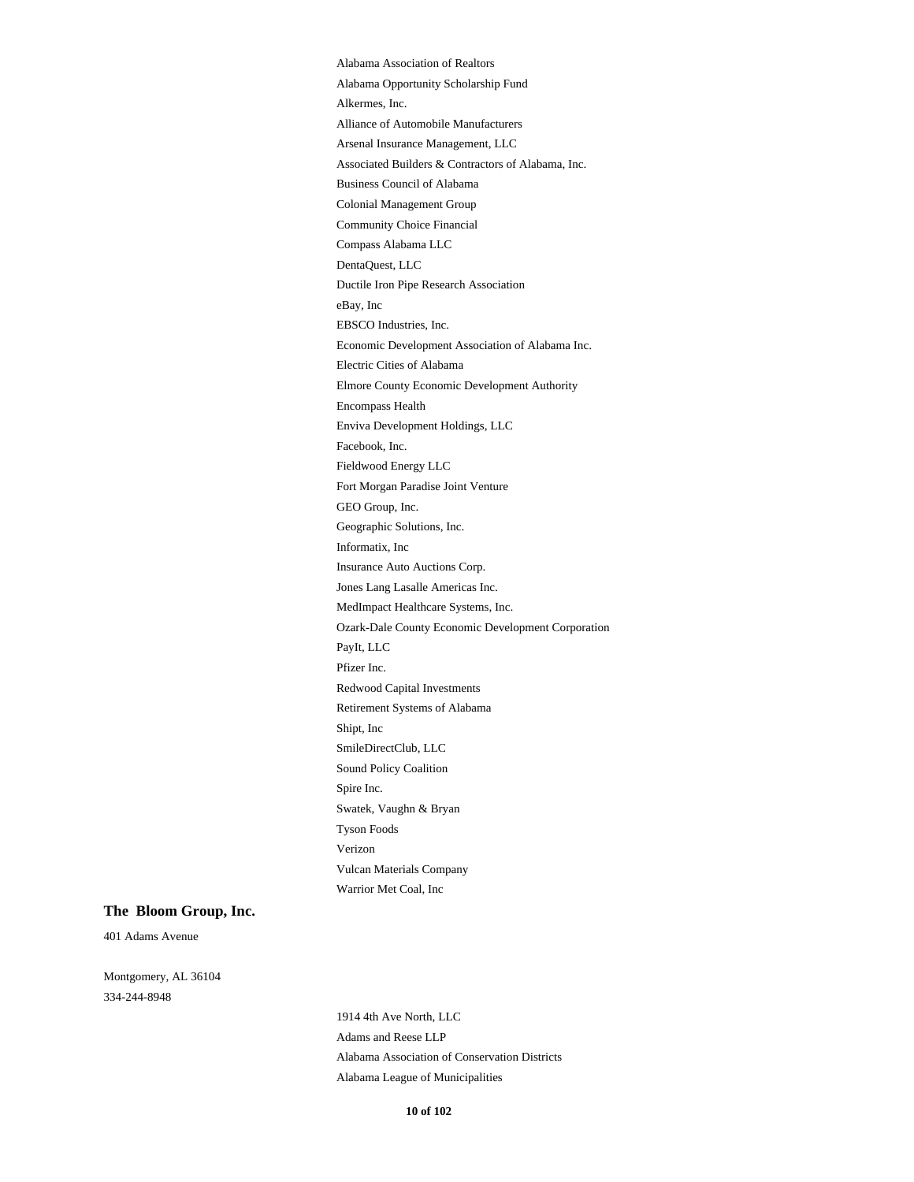Alabama Association of Realtors Alabama Opportunity Scholarship Fund Alkermes, Inc. Alliance of Automobile Manufacturers Arsenal Insurance Management, LLC Associated Builders & Contractors of Alabama, Inc. Business Council of Alabama Colonial Management Group Community Choice Financial Compass Alabama LLC DentaQuest, LLC Ductile Iron Pipe Research Association eBay, Inc EBSCO Industries, Inc. Economic Development Association of Alabama Inc. Electric Cities of Alabama Elmore County Economic Development Authority Encompass Health Enviva Development Holdings, LLC Facebook, Inc. Fieldwood Energy LLC Fort Morgan Paradise Joint Venture GEO Group, Inc. Geographic Solutions, Inc. Informatix, Inc Insurance Auto Auctions Corp. Jones Lang Lasalle Americas Inc. MedImpact Healthcare Systems, Inc. Ozark-Dale County Economic Development Corporation PayIt, LLC Pfizer Inc. Redwood Capital Investments Retirement Systems of Alabama Shipt, Inc SmileDirectClub, LLC Sound Policy Coalition Spire Inc. Swatek, Vaughn & Bryan Tyson Foods Verizon Vulcan Materials Company Warrior Met Coal, Inc

#### **The Bloom Group, Inc.**

401 Adams Avenue

Montgomery, AL 36104 334-244-8948

> 1914 4th Ave North, LLC Adams and Reese LLP Alabama Association of Conservation Districts Alabama League of Municipalities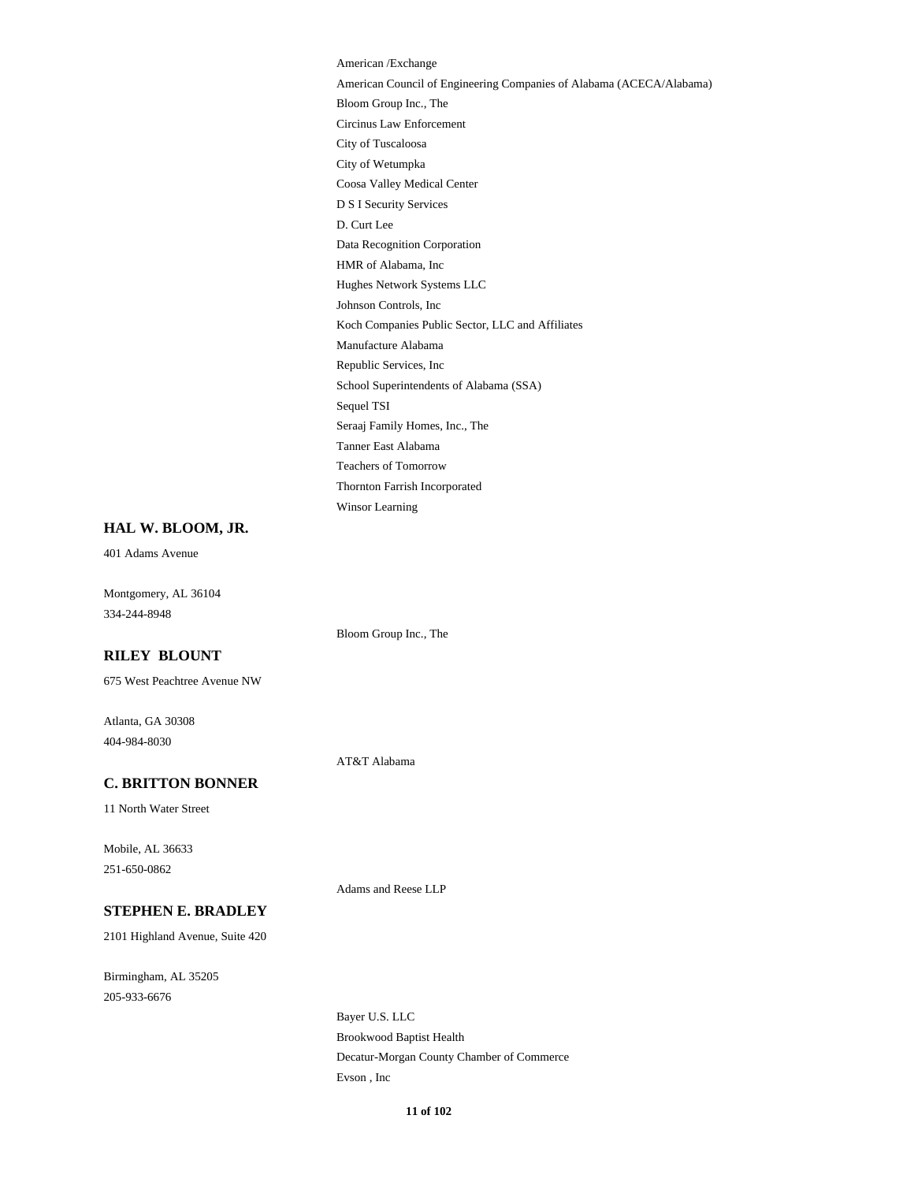American /Exchange American Council of Engineering Companies of Alabama (ACECA/Alabama) Bloom Group Inc., The Circinus Law Enforcement City of Tuscaloosa City of Wetumpka Coosa Valley Medical Center D S I Security Services D. Curt Lee Data Recognition Corporation HMR of Alabama, Inc Hughes Network Systems LLC Johnson Controls, Inc Koch Companies Public Sector, LLC and Affiliates Manufacture Alabama Republic Services, Inc School Superintendents of Alabama (SSA) Sequel TSI Seraaj Family Homes, Inc., The Tanner East Alabama Teachers of Tomorrow Thornton Farrish Incorporated Winsor Learning

#### **HAL W. BLOOM, JR.**

401 Adams Avenue

Montgomery, AL 36104 334-244-8948

Bloom Group Inc., The

### **RILEY BLOUNT**

675 West Peachtree Avenue NW

Atlanta, GA 30308 404-984-8030

AT&T Alabama

#### **C. BRITTON BONNER**

11 North Water Street

Mobile, AL 36633 251-650-0862

Adams and Reese LLP

# **STEPHEN E. BRADLEY**

2101 Highland Avenue, Suite 420

Birmingham, AL 35205 205-933-6676

> Bayer U.S. LLC Brookwood Baptist Health Decatur-Morgan County Chamber of Commerce Evson , Inc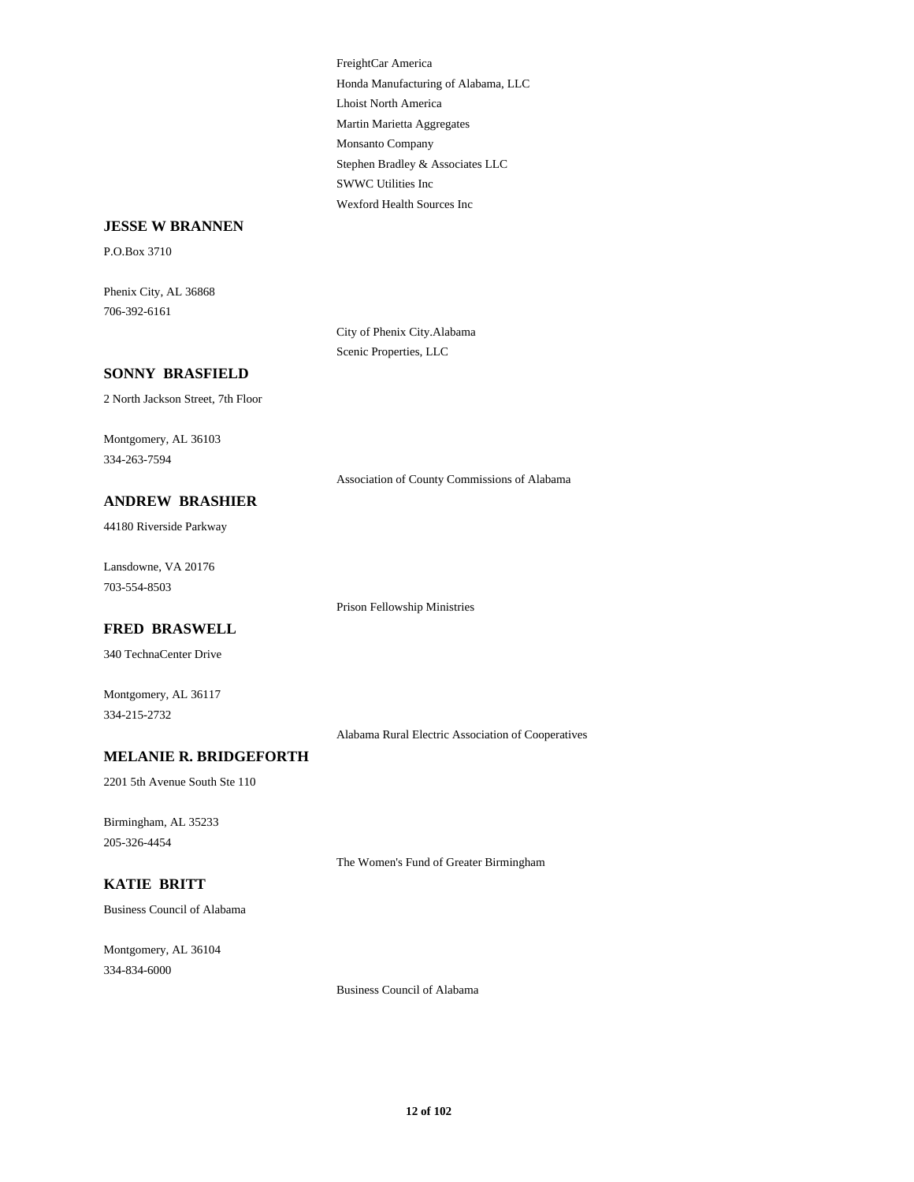FreightCar America Honda Manufacturing of Alabama, LLC Lhoist North America Martin Marietta Aggregates Monsanto Company Stephen Bradley & Associates LLC SWWC Utilities Inc Wexford Health Sources Inc

#### **JESSE W BRANNEN**

P.O.Box 3710

Phenix City, AL 36868 706-392-6161

> City of Phenix City.Alabama Scenic Properties, LLC

### **SONNY BRASFIELD**

2 North Jackson Street, 7th Floor

Montgomery, AL 36103 334-263-7594

#### **ANDREW BRASHIER**

44180 Riverside Parkway

Lansdowne, VA 20176 703-554-8503

Prison Fellowship Ministries

#### **FRED BRASWELL**

340 TechnaCenter Drive

Montgomery, AL 36117 334-215-2732

Alabama Rural Electric Association of Cooperatives

Association of County Commissions of Alabama

#### **MELANIE R. BRIDGEFORTH**

2201 5th Avenue South Ste 110

Birmingham, AL 35233 205-326-4454

The Women's Fund of Greater Birmingham

### **KATIE BRITT**

Business Council of Alabama

Montgomery, AL 36104 334-834-6000

Business Council of Alabama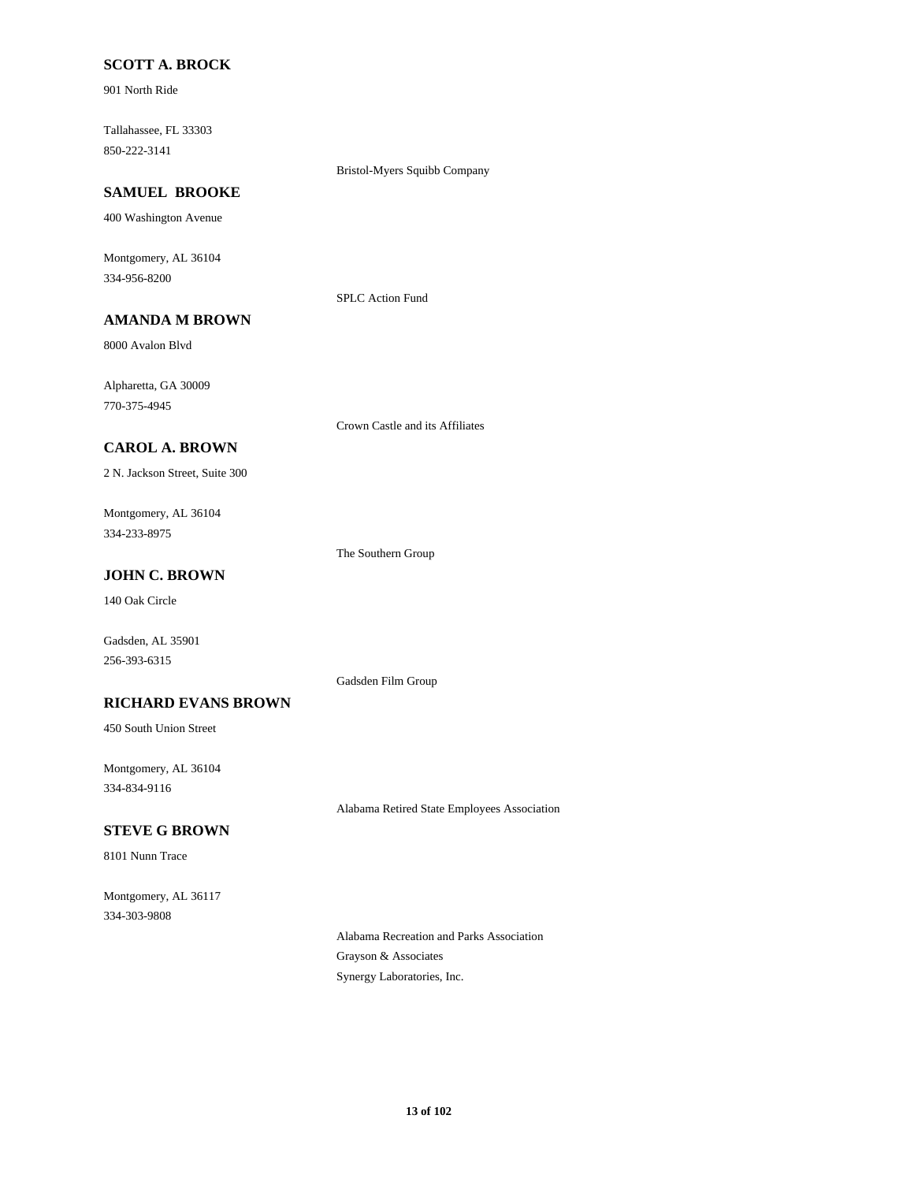### **SCOTT A. BROCK**

901 North Ride

Tallahassee, FL 33303 850-222-3141

#### Bristol-Myers Squibb Company

# **SAMUEL BROOKE**

400 Washington Avenue

Montgomery, AL 36104 334-956-8200

#### SPLC Action Fund

**AMANDA M BROWN**

8000 Avalon Blvd

Alpharetta, GA 30009 770-375-4945

Crown Castle and its Affiliates

### **CAROL A. BROWN**

2 N. Jackson Street, Suite 300

Montgomery, AL 36104 334-233-8975

The Southern Group

### **JOHN C. BROWN**

140 Oak Circle

Gadsden, AL 35901 256-393-6315

#### Gadsden Film Group

**RICHARD EVANS BROWN**

450 South Union Street

Montgomery, AL 36104 334-834-9116

Alabama Retired State Employees Association

### **STEVE G BROWN**

8101 Nunn Trace

Montgomery, AL 36117 334-303-9808

> Alabama Recreation and Parks Association Grayson & Associates Synergy Laboratories, Inc.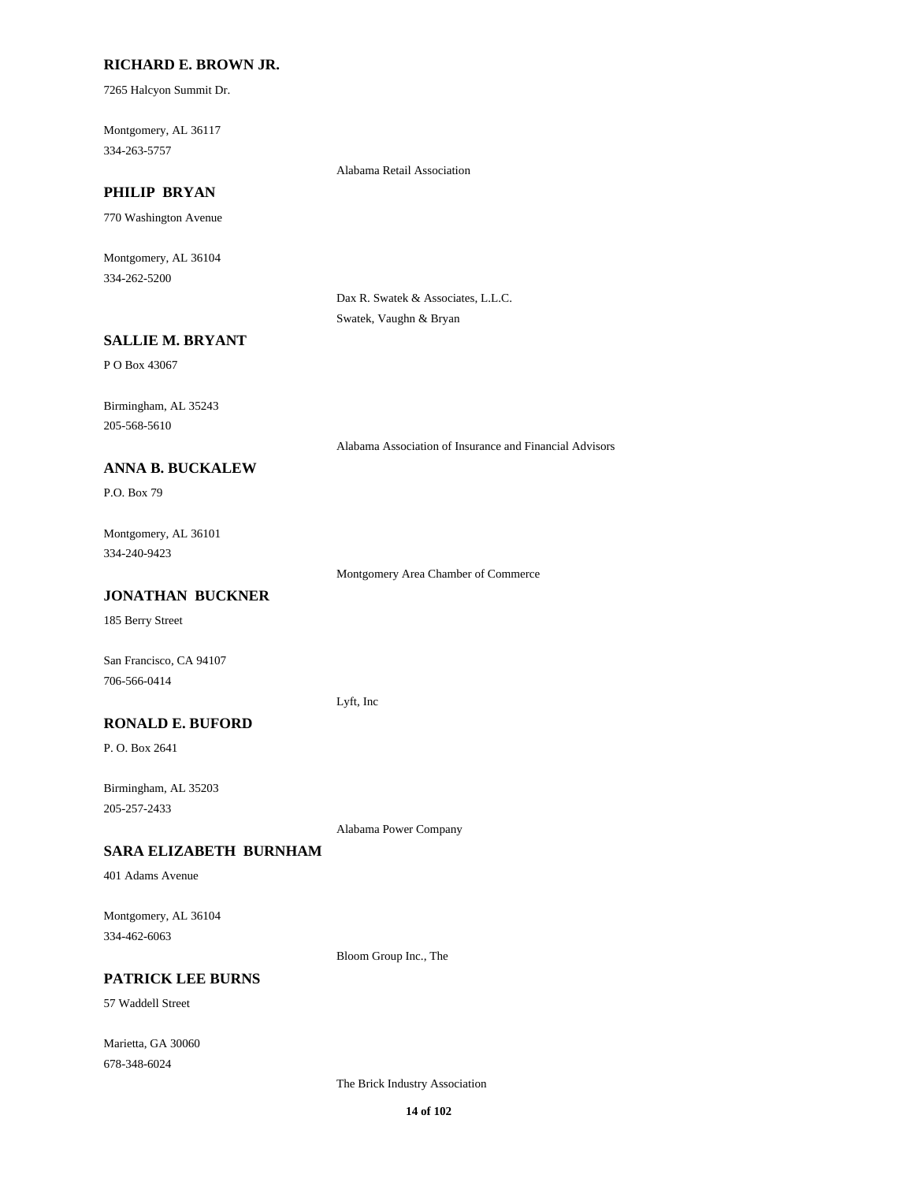### **RICHARD E. BROWN JR.**

7265 Halcyon Summit Dr.

Montgomery, AL 36117 334-263-5757

Alabama Retail Association

# **PHILIP BRYAN**

770 Washington Avenue

Montgomery, AL 36104 334-262-5200

> Dax R. Swatek & Associates, L.L.C. Swatek, Vaughn & Bryan

### **SALLIE M. BRYANT**

P O Box 43067

Birmingham, AL 35243 205-568-5610

Alabama Association of Insurance and Financial Advisors

### **ANNA B. BUCKALEW**

P.O. Box 79

Montgomery, AL 36101 334-240-9423

Montgomery Area Chamber of Commerce

### **JONATHAN BUCKNER**

185 Berry Street

San Francisco, CA 94107 706-566-0414

Lyft, Inc

### **RONALD E. BUFORD**

P. O. Box 2641

Birmingham, AL 35203 205-257-2433

Alabama Power Company

#### **SARA ELIZABETH BURNHAM**

401 Adams Avenue

Montgomery, AL 36104 334-462-6063

Bloom Group Inc., The

### **PATRICK LEE BURNS**

57 Waddell Street

Marietta, GA 30060 678-348-6024

The Brick Industry Association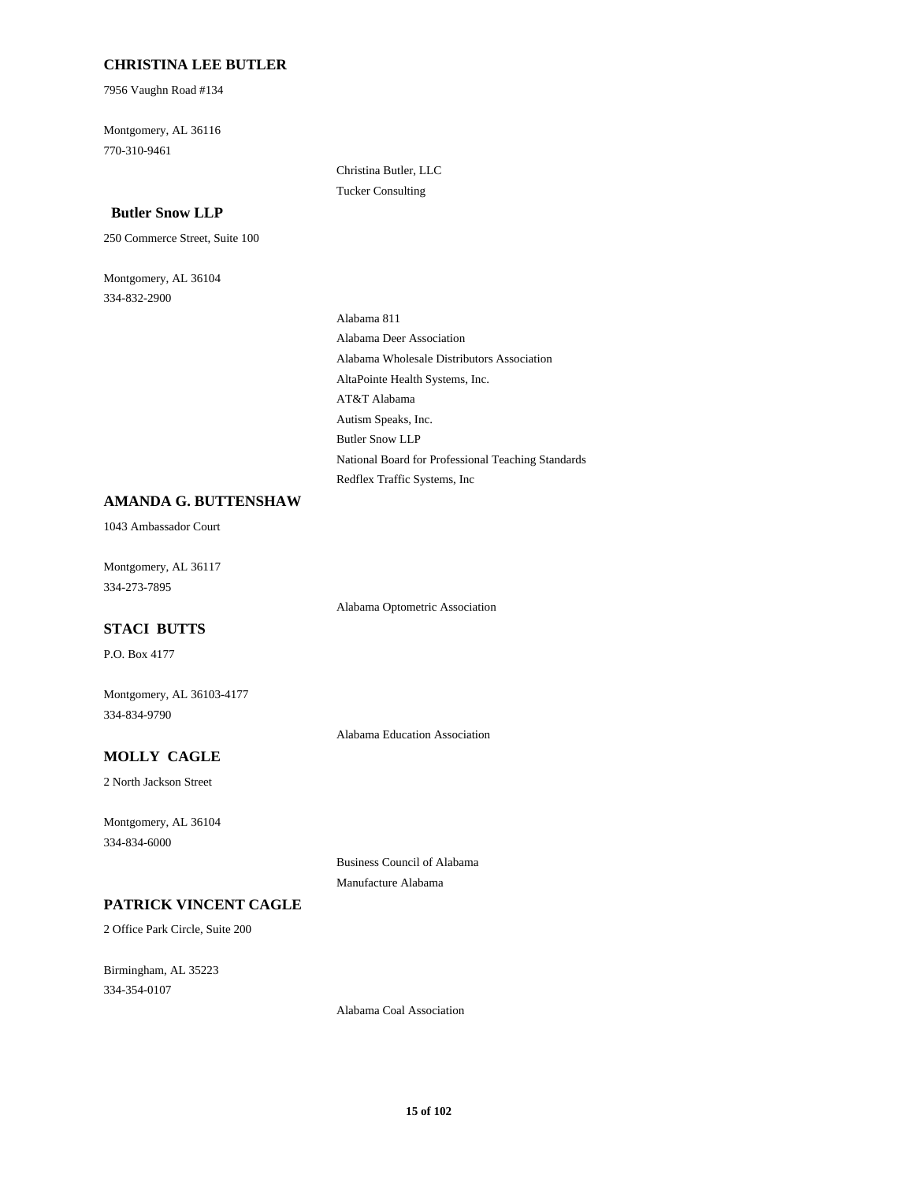### **CHRISTINA LEE BUTLER**

7956 Vaughn Road #134

Montgomery, AL 36116 770-310-9461

### **Butler Snow LLP**

250 Commerce Street, Suite 100

Montgomery, AL 36104 334-832-2900

Christina Butler, LLC Tucker Consulting

Alabama 811 Alabama Deer Association Alabama Wholesale Distributors Association AltaPointe Health Systems, Inc. AT&T Alabama Autism Speaks, Inc. Butler Snow LLP National Board for Professional Teaching Standards Redflex Traffic Systems, Inc

### **AMANDA G. BUTTENSHAW**

1043 Ambassador Court

Montgomery, AL 36117 334-273-7895

Alabama Optometric Association

#### **STACI BUTTS**

P.O. Box 4177

Montgomery, AL 36103-4177 334-834-9790

Alabama Education Association

### **MOLLY CAGLE**

2 North Jackson Street

Montgomery, AL 36104

334-834-6000

Business Council of Alabama Manufacture Alabama

### **PATRICK VINCENT CAGLE**

2 Office Park Circle, Suite 200

Birmingham, AL 35223 334-354-0107

Alabama Coal Association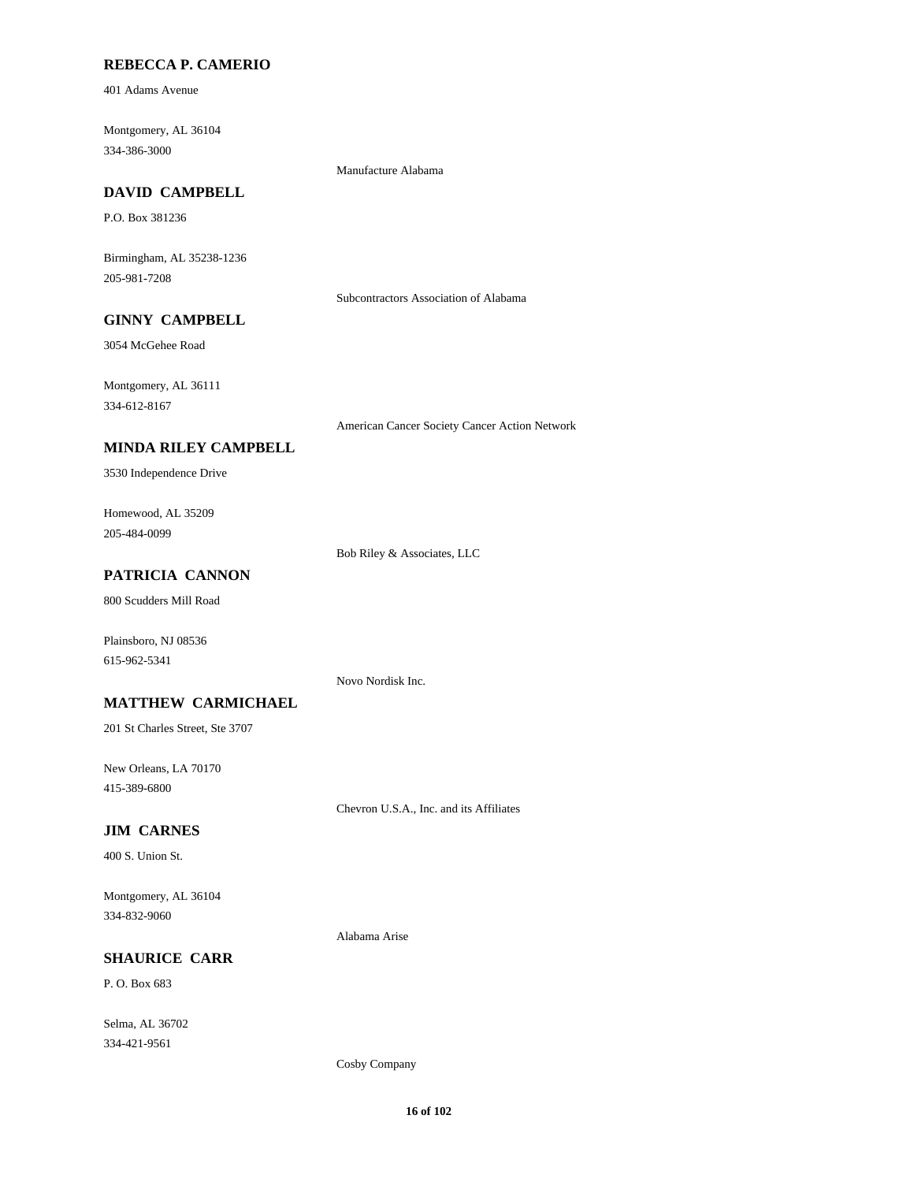### **REBECCA P. CAMERIO**

401 Adams Avenue

Montgomery, AL 36104 334-386-3000

Manufacture Alabama

# **DAVID CAMPBELL**

P.O. Box 381236

Birmingham, AL 35238-1236 205-981-7208

Subcontractors Association of Alabama

### **GINNY CAMPBELL**

3054 McGehee Road

Montgomery, AL 36111 334-612-8167

American Cancer Society Cancer Action Network

### **MINDA RILEY CAMPBELL**

3530 Independence Drive

Homewood, AL 35209 205-484-0099

Bob Riley & Associates, LLC

# **PATRICIA CANNON**

800 Scudders Mill Road

Plainsboro, NJ 08536 615-962-5341

Novo Nordisk Inc.

#### **MATTHEW CARMICHAEL**

201 St Charles Street, Ste 3707

New Orleans, LA 70170 415-389-6800

Chevron U.S.A., Inc. and its Affiliates

#### **JIM CARNES**

400 S. Union St.

Montgomery, AL 36104 334-832-9060

Alabama Arise

### **SHAURICE CARR**

P. O. Box 683

Selma, AL 36702 334-421-9561

Cosby Company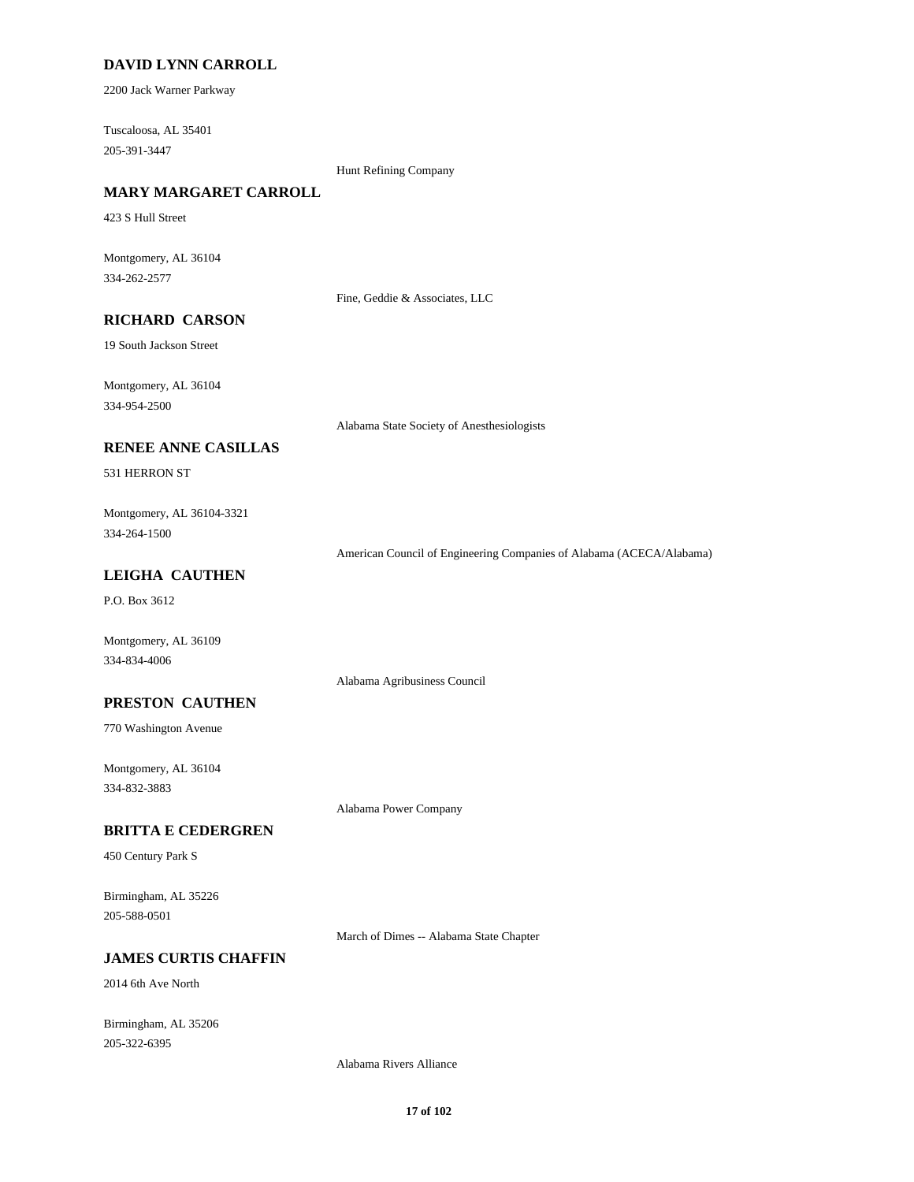### **DAVID LYNN CARROLL**

2200 Jack Warner Parkway

Tuscaloosa, AL 35401 205-391-3447

Hunt Refining Company

# **MARY MARGARET CARROLL**

423 S Hull Street

Montgomery, AL 36104 334-262-2577

Fine, Geddie & Associates, LLC

### **RICHARD CARSON**

19 South Jackson Street

Montgomery, AL 36104 334-954-2500

Alabama State Society of Anesthesiologists

#### **RENEE ANNE CASILLAS**

531 HERRON ST

Montgomery, AL 36104-3321 334-264-1500

American Council of Engineering Companies of Alabama (ACECA/Alabama)

### **LEIGHA CAUTHEN**

P.O. Box 3612

Montgomery, AL 36109 334-834-4006

#### **PRESTON CAUTHEN**

770 Washington Avenue

Montgomery, AL 36104 334-832-3883

Alabama Power Company

Alabama Agribusiness Council

### **BRITTA E CEDERGREN**

450 Century Park S

Birmingham, AL 35226 205-588-0501

March of Dimes -- Alabama State Chapter

### **JAMES CURTIS CHAFFIN**

2014 6th Ave North

Birmingham, AL 35206 205-322-6395

Alabama Rivers Alliance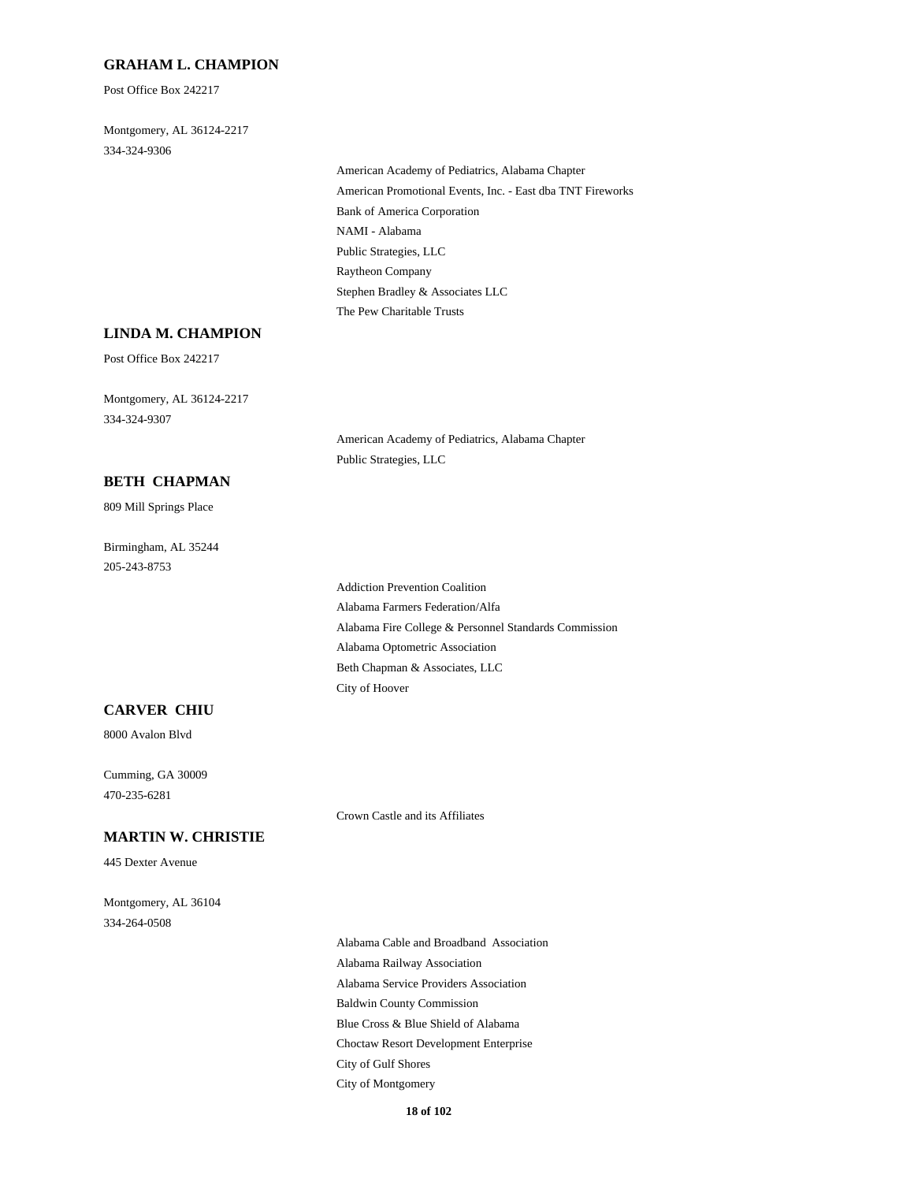### **GRAHAM L. CHAMPION**

Post Office Box 242217

Montgomery, AL 36124-2217 334-324-9306

> American Academy of Pediatrics, Alabama Chapter American Promotional Events, Inc. - East dba TNT Fireworks Bank of America Corporation NAMI - Alabama Public Strategies, LLC Raytheon Company Stephen Bradley & Associates LLC The Pew Charitable Trusts

#### **LINDA M. CHAMPION**

Post Office Box 242217

Montgomery, AL 36124-2217 334-324-9307

> American Academy of Pediatrics, Alabama Chapter Public Strategies, LLC

#### **BETH CHAPMAN**

809 Mill Springs Place

Birmingham, AL 35244 205-243-8753

> Addiction Prevention Coalition Alabama Farmers Federation/Alfa Alabama Fire College & Personnel Standards Commission Alabama Optometric Association Beth Chapman & Associates, LLC City of Hoover

### **CARVER CHIU**

8000 Avalon Blvd

Cumming, GA 30009 470-235-6281

445 Dexter Avenue

Crown Castle and its Affiliates

# Montgomery, AL 36104

**MARTIN W. CHRISTIE**

334-264-0508

Alabama Cable and Broadband Association Alabama Railway Association Alabama Service Providers Association Baldwin County Commission Blue Cross & Blue Shield of Alabama Choctaw Resort Development Enterprise City of Gulf Shores City of Montgomery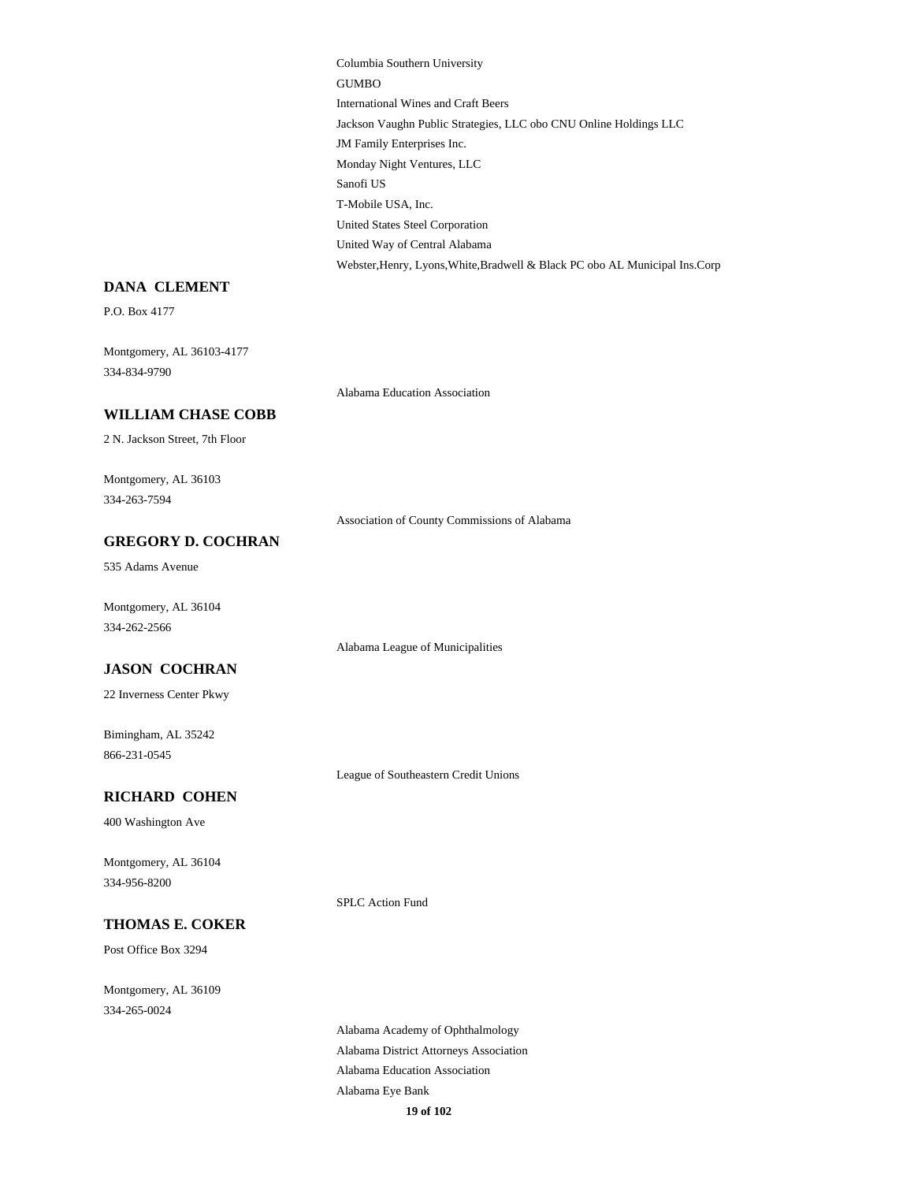Columbia Southern University GUMBO International Wines and Craft Beers Jackson Vaughn Public Strategies, LLC obo CNU Online Holdings LLC JM Family Enterprises Inc. Monday Night Ventures, LLC Sanofi US T-Mobile USA, Inc. United States Steel Corporation United Way of Central Alabama Webster,Henry, Lyons,White,Bradwell & Black PC obo AL Municipal Ins.Corp

#### **DANA CLEMENT**

P.O. Box 4177

Montgomery, AL 36103-4177 334-834-9790

Alabama Education Association

#### **WILLIAM CHASE COBB**

2 N. Jackson Street, 7th Floor

Montgomery, AL 36103 334-263-7594

Association of County Commissions of Alabama

# **GREGORY D. COCHRAN**

535 Adams Avenue

Montgomery, AL 36104 334-262-2566

Alabama League of Municipalities

#### **JASON COCHRAN**

22 Inverness Center Pkwy

Bimingham, AL 35242 866-231-0545

League of Southeastern Credit Unions

### **RICHARD COHEN**

400 Washington Ave

Montgomery, AL 36104 334-956-8200

SPLC Action Fund

#### **THOMAS E. COKER**

Post Office Box 3294

Montgomery, AL 36109 334-265-0024

> Alabama Academy of Ophthalmology Alabama District Attorneys Association Alabama Education Association Alabama Eye Bank **19 of 102**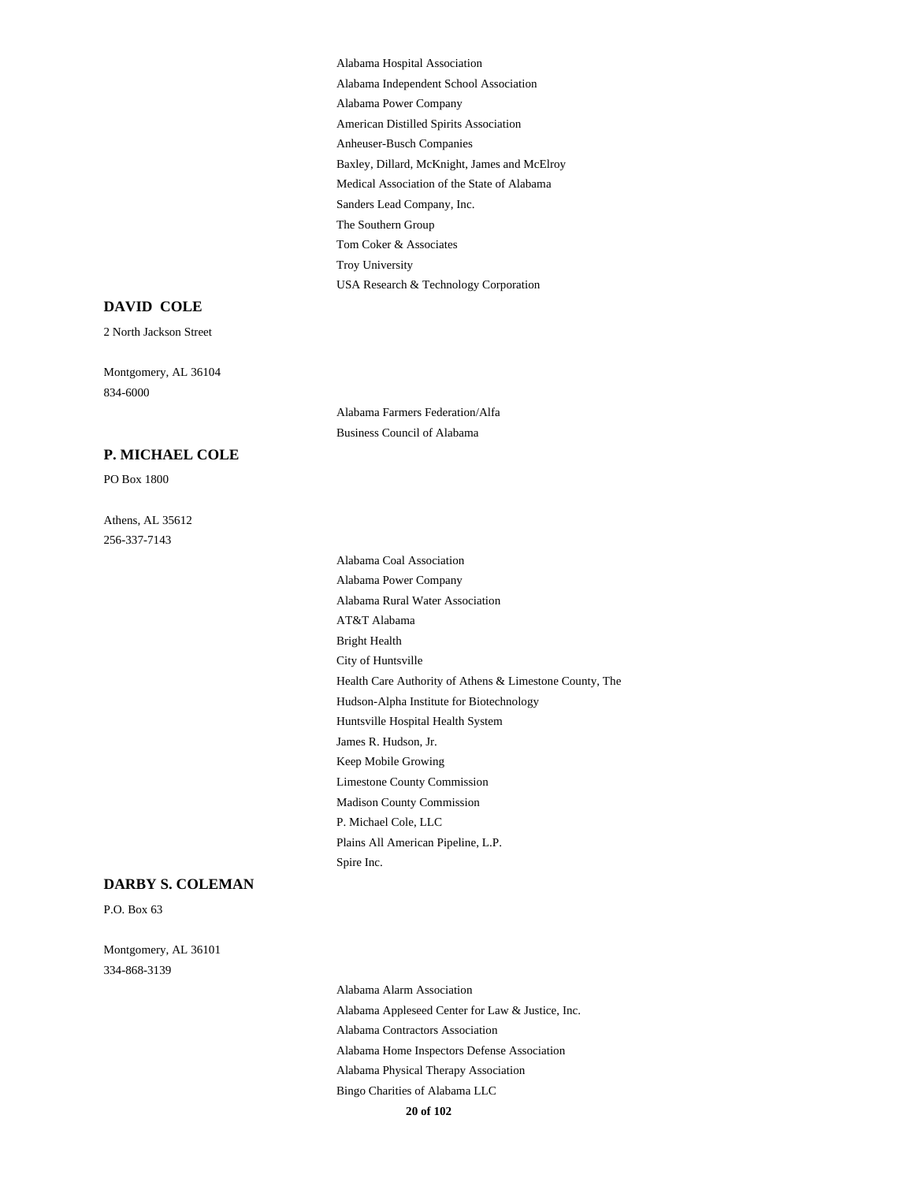Alabama Hospital Association Alabama Independent School Association Alabama Power Company American Distilled Spirits Association Anheuser-Busch Companies Baxley, Dillard, McKnight, James and McElroy Medical Association of the State of Alabama Sanders Lead Company, Inc. The Southern Group Tom Coker & Associates Troy University USA Research & Technology Corporation

Alabama Farmers Federation/Alfa Business Council of Alabama

#### **DAVID COLE**

2 North Jackson Street

Montgomery, AL 36104 834-6000

#### **P. MICHAEL COLE**

PO Box 1800

Athens, AL 35612 256-337-7143

> Alabama Coal Association Alabama Power Company Alabama Rural Water Association AT&T Alabama Bright Health City of Huntsville Health Care Authority of Athens & Limestone County, The Hudson-Alpha Institute for Biotechnology Huntsville Hospital Health System James R. Hudson, Jr. Keep Mobile Growing Limestone County Commission Madison County Commission P. Michael Cole, LLC Plains All American Pipeline, L.P. Spire Inc.

#### **DARBY S. COLEMAN**

P.O. Box 63

Montgomery, AL 36101 334-868-3139

> Alabama Alarm Association Alabama Appleseed Center for Law & Justice, Inc. Alabama Contractors Association Alabama Home Inspectors Defense Association Alabama Physical Therapy Association Bingo Charities of Alabama LLC

**20 of 102**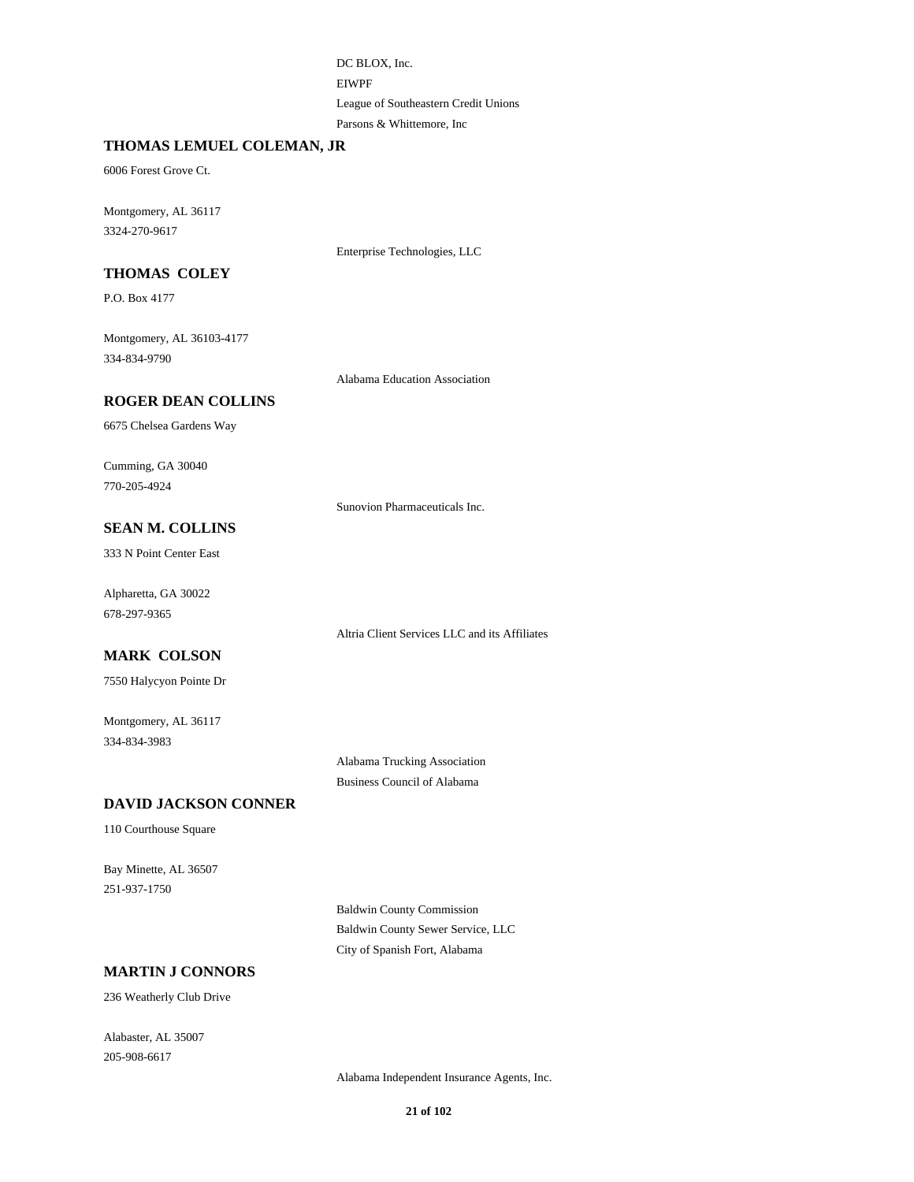DC BLOX, Inc. EIWPF League of Southeastern Credit Unions Parsons & Whittemore, Inc

#### **THOMAS LEMUEL COLEMAN, JR**

6006 Forest Grove Ct.

Montgomery, AL 36117 3324-270-9617

Enterprise Technologies, LLC

# **THOMAS COLEY**

P.O. Box 4177

Montgomery, AL 36103-4177 334-834-9790

Alabama Education Association

### **ROGER DEAN COLLINS**

6675 Chelsea Gardens Way

Cumming, GA 30040 770-205-4924

Sunovion Pharmaceuticals Inc.

### **SEAN M. COLLINS**

333 N Point Center East

Alpharetta, GA 30022 678-297-9365

Altria Client Services LLC and its Affiliates

# **MARK COLSON**

7550 Halycyon Pointe Dr

Montgomery, AL 36117 334-834-3983

> Alabama Trucking Association Business Council of Alabama

#### **DAVID JACKSON CONNER**

110 Courthouse Square

Bay Minette, AL 36507 251-937-1750

> Baldwin County Commission Baldwin County Sewer Service, LLC City of Spanish Fort, Alabama

### **MARTIN J CONNORS**

236 Weatherly Club Drive

Alabaster, AL 35007 205-908-6617

Alabama Independent Insurance Agents, Inc.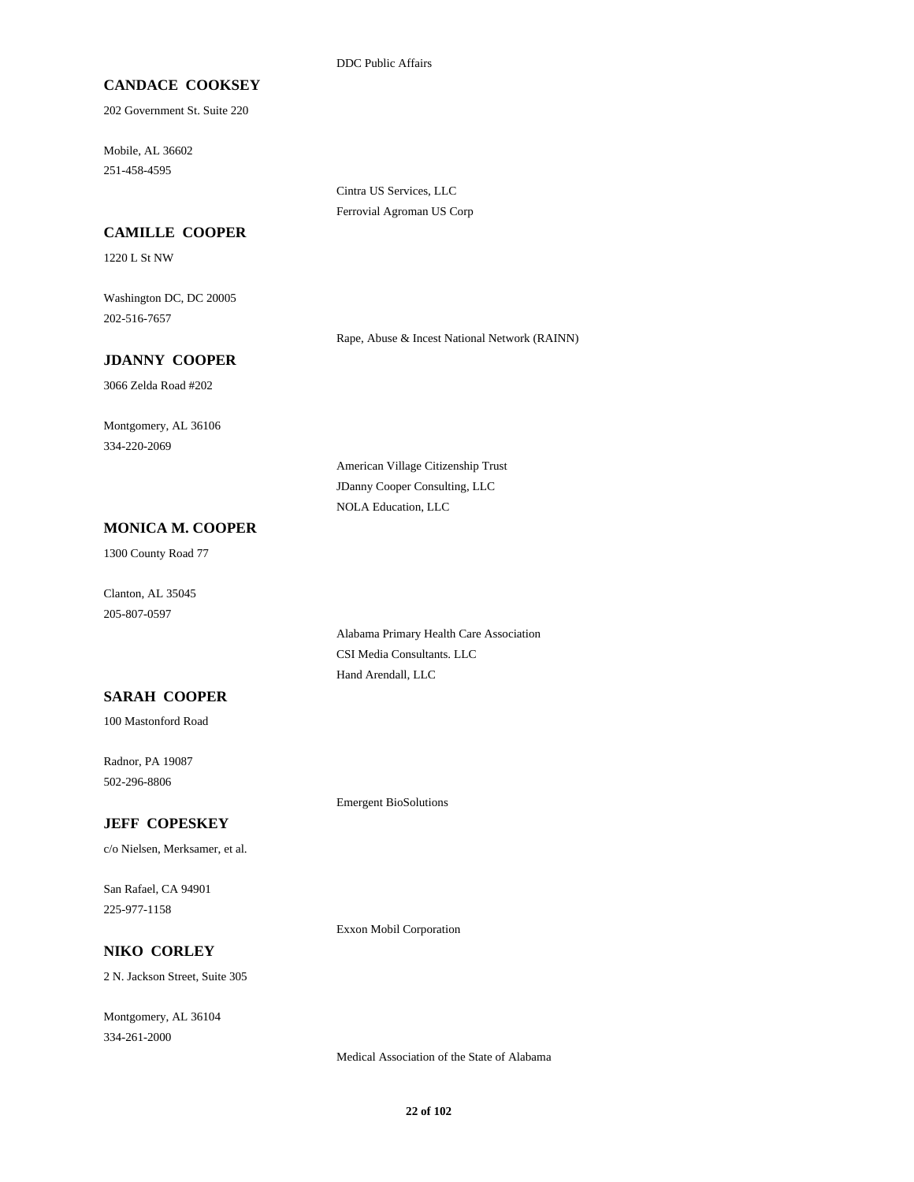DDC Public Affairs

### **CANDACE COOKSEY**

202 Government St. Suite 220

Mobile, AL 36602 251-458-4595

> Cintra US Services, LLC Ferrovial Agroman US Corp

#### **CAMILLE COOPER**

1220 L St NW

Washington DC, DC 20005 202-516-7657

Rape, Abuse & Incest National Network (RAINN)

### **JDANNY COOPER**

3066 Zelda Road #202

Montgomery, AL 36106 334-220-2069

> American Village Citizenship Trust JDanny Cooper Consulting, LLC NOLA Education, LLC

#### **MONICA M. COOPER**

1300 County Road 77

Clanton, AL 35045 205-807-0597

> Alabama Primary Health Care Association CSI Media Consultants. LLC Hand Arendall, LLC

### **SARAH COOPER**

100 Mastonford Road

Radnor, PA 19087 502-296-8806

**JEFF COPESKEY**

c/o Nielsen, Merksamer, et al.

San Rafael, CA 94901 225-977-1158

Exxon Mobil Corporation

Emergent BioSolutions

### **NIKO CORLEY**

2 N. Jackson Street, Suite 305

Montgomery, AL 36104 334-261-2000

Medical Association of the State of Alabama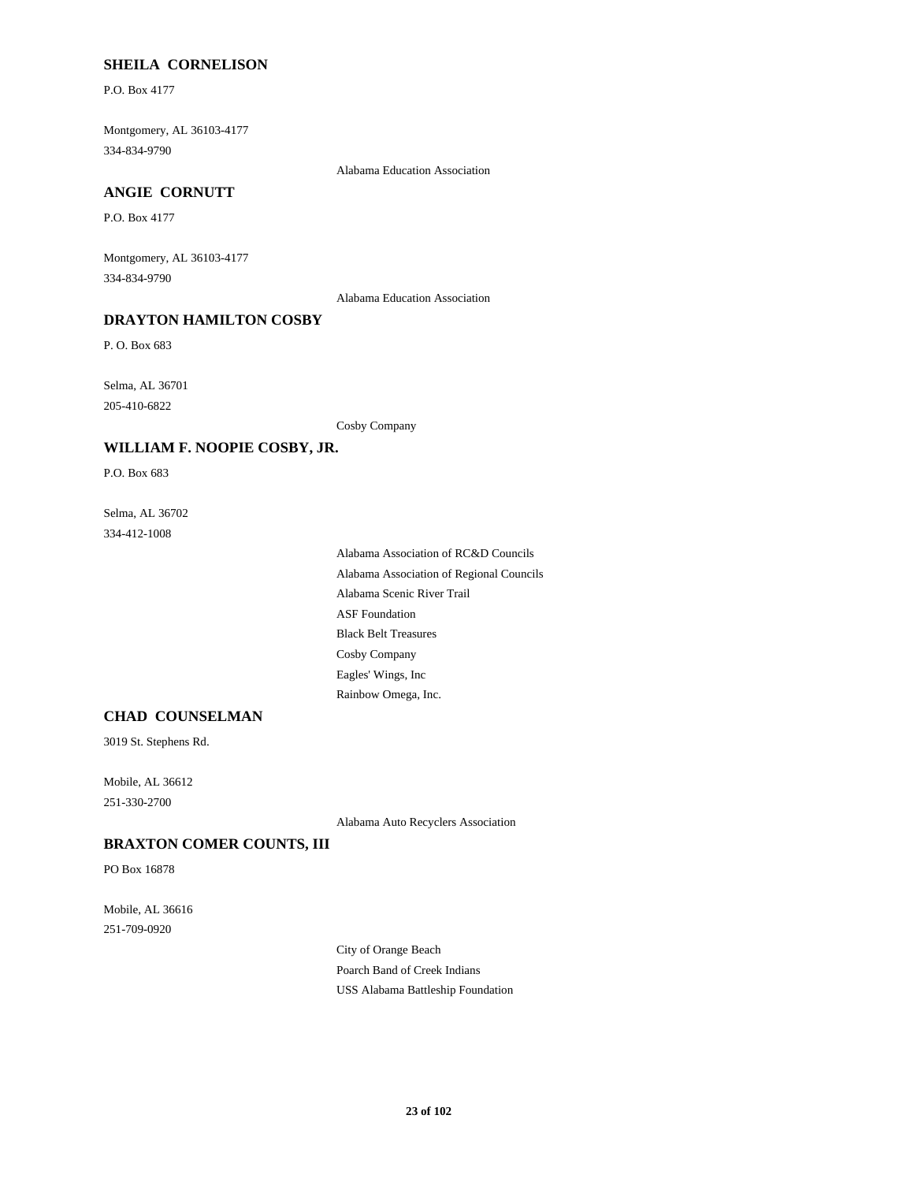#### **SHEILA CORNELISON**

P.O. Box 4177

Montgomery, AL 36103-4177 334-834-9790

Alabama Education Association

### **ANGIE CORNUTT**

P.O. Box 4177

Montgomery, AL 36103-4177 334-834-9790

Alabama Education Association

### **DRAYTON HAMILTON COSBY**

P. O. Box 683

Selma, AL 36701 205-410-6822

Cosby Company

#### **WILLIAM F. NOOPIE COSBY, JR.**

P.O. Box 683

Selma, AL 36702 334-412-1008

> Alabama Association of RC&D Councils Alabama Association of Regional Councils Alabama Scenic River Trail ASF Foundation Black Belt Treasures Cosby Company Eagles' Wings, Inc Rainbow Omega, Inc.

### **CHAD COUNSELMAN**

3019 St. Stephens Rd.

Mobile, AL 36612 251-330-2700

Alabama Auto Recyclers Association

#### **BRAXTON COMER COUNTS, III**

PO Box 16878

Mobile, AL 36616 251-709-0920

> City of Orange Beach Poarch Band of Creek Indians USS Alabama Battleship Foundation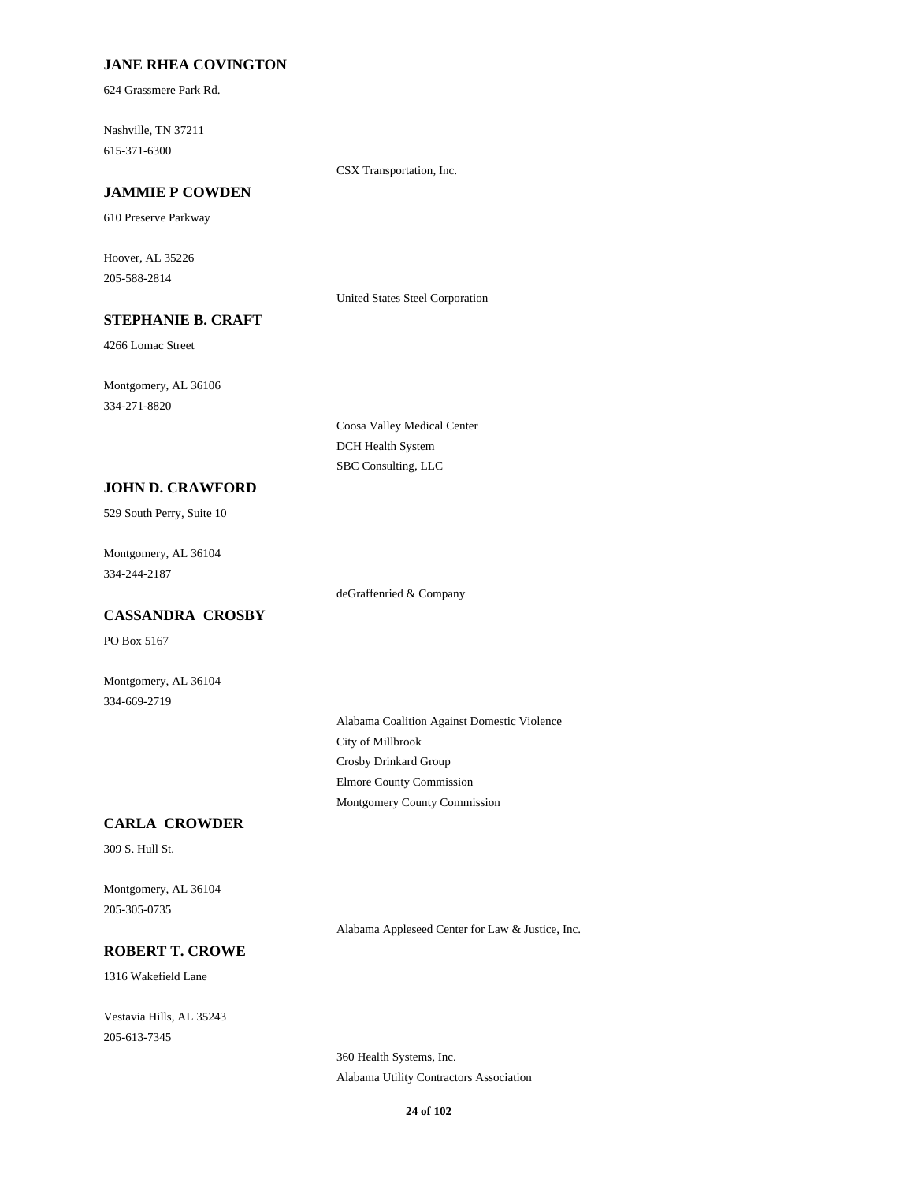### **JANE RHEA COVINGTON**

624 Grassmere Park Rd.

Nashville, TN 37211 615-371-6300

CSX Transportation, Inc.

### **JAMMIE P COWDEN**

610 Preserve Parkway

Hoover, AL 35226 205-588-2814

United States Steel Corporation

# **STEPHANIE B. CRAFT**

4266 Lomac Street

Montgomery, AL 36106 334-271-8820

> Coosa Valley Medical Center DCH Health System SBC Consulting, LLC

#### **JOHN D. CRAWFORD**

529 South Perry, Suite 10

Montgomery, AL 36104 334-244-2187

deGraffenried & Company

# **CASSANDRA CROSBY**

PO Box 5167

Montgomery, AL 36104 334-669-2719

> Alabama Coalition Against Domestic Violence City of Millbrook Crosby Drinkard Group Elmore County Commission Montgomery County Commission

#### **CARLA CROWDER**

309 S. Hull St.

Montgomery, AL 36104 205-305-0735

Alabama Appleseed Center for Law & Justice, Inc.

### **ROBERT T. CROWE**

1316 Wakefield Lane

Vestavia Hills, AL 35243 205-613-7345

> 360 Health Systems, Inc. Alabama Utility Contractors Association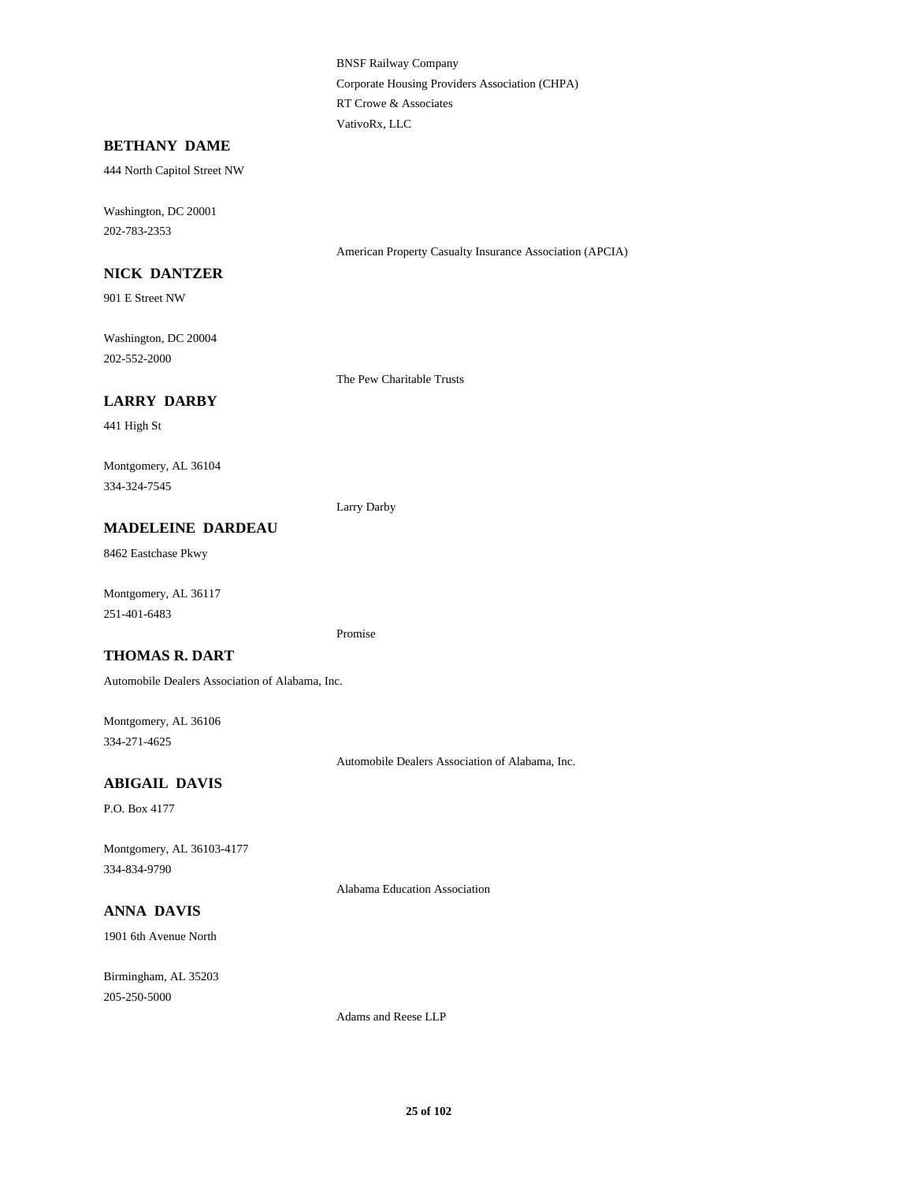BNSF Railway Company Corporate Housing Providers Association (CHPA) RT Crowe & Associates VativoRx, LLC

#### **BETHANY DAME**

444 North Capitol Street NW

Washington, DC 20001 202-783-2353

American Property Casualty Insurance Association (APCIA)

## **NICK DANTZER**

901 E Street NW

Washington, DC 20004 202-552-2000

The Pew Charitable Trusts

### **LARRY DARBY**

441 High St

Montgomery, AL 36104 334-324-7545

Larry Darby

### **MADELEINE DARDEAU**

8462 Eastchase Pkwy

Montgomery, AL 36117 251-401-6483

Promise

### **THOMAS R. DART**

Automobile Dealers Association of Alabama, Inc.

Montgomery, AL 36106 334-271-4625

Automobile Dealers Association of Alabama, Inc.

### **ABIGAIL DAVIS**

P.O. Box 4177

Montgomery, AL 36103-4177 334-834-9790

Alabama Education Association

# **ANNA DAVIS**

1901 6th Avenue North

Birmingham, AL 35203 205-250-5000

Adams and Reese LLP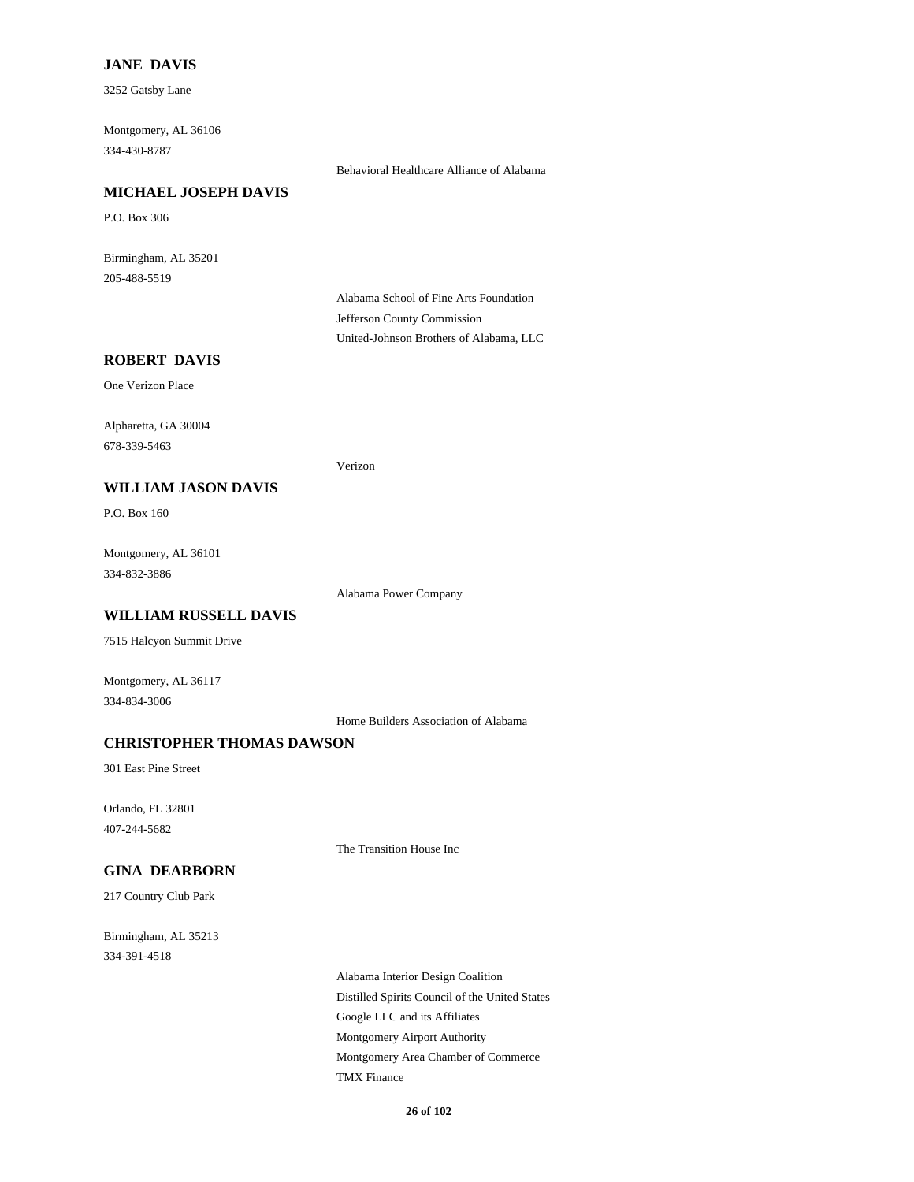### **JANE DAVIS**

3252 Gatsby Lane

Montgomery, AL 36106 334-430-8787

Behavioral Healthcare Alliance of Alabama

#### **MICHAEL JOSEPH DAVIS**

P.O. Box 306

Birmingham, AL 35201 205-488-5519

> Alabama School of Fine Arts Foundation Jefferson County Commission United-Johnson Brothers of Alabama, LLC

# **ROBERT DAVIS**

One Verizon Place

Alpharetta, GA 30004 678-339-5463

Verizon

### **WILLIAM JASON DAVIS**

P.O. Box 160

Montgomery, AL 36101 334-832-3886

Alabama Power Company

### **WILLIAM RUSSELL DAVIS**

7515 Halcyon Summit Drive

Montgomery, AL 36117 334-834-3006

Home Builders Association of Alabama

### **CHRISTOPHER THOMAS DAWSON**

301 East Pine Street

Orlando, FL 32801 407-244-5682

The Transition House Inc

### **GINA DEARBORN**

217 Country Club Park

Birmingham, AL 35213 334-391-4518

> Alabama Interior Design Coalition Distilled Spirits Council of the United States Google LLC and its Affiliates Montgomery Airport Authority Montgomery Area Chamber of Commerce TMX Finance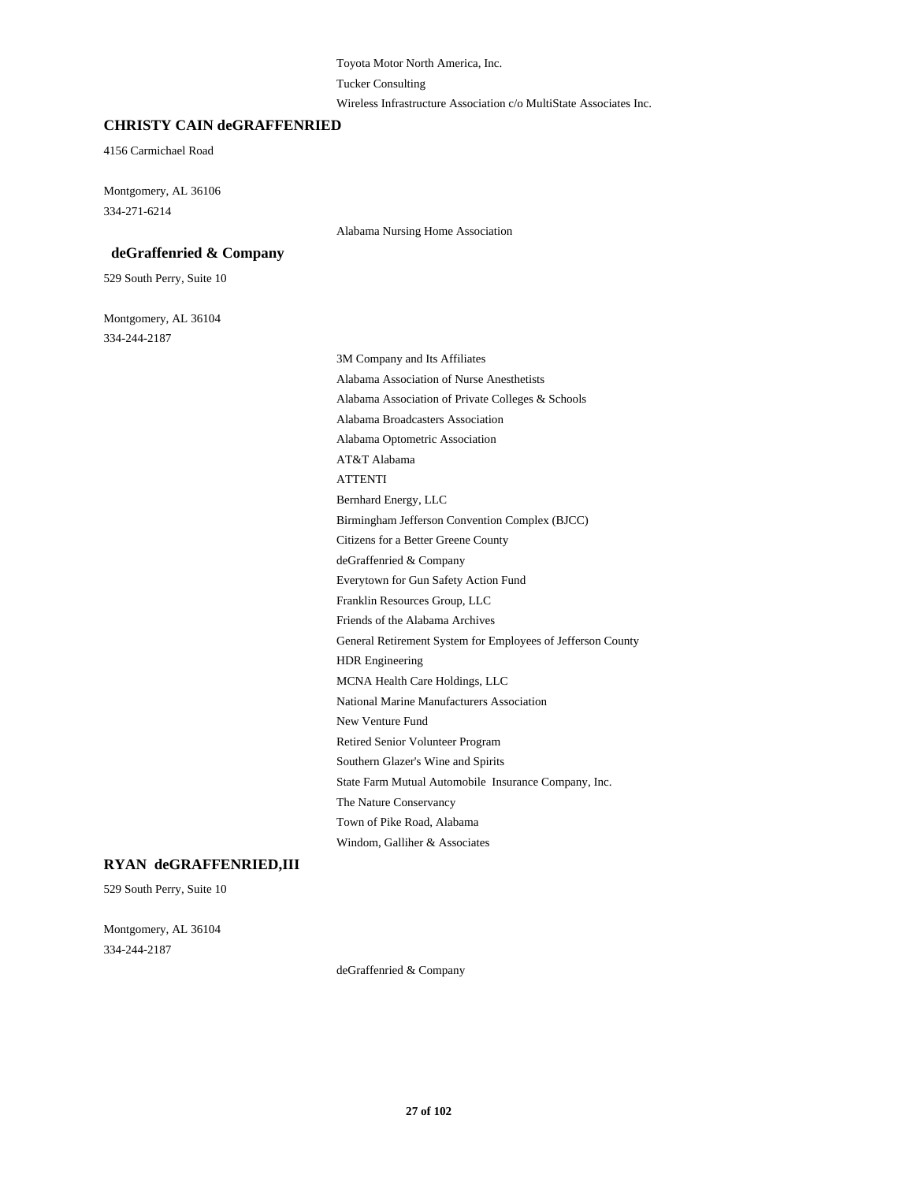Toyota Motor North America, Inc.

Tucker Consulting

Wireless Infrastructure Association c/o MultiState Associates Inc.

#### **CHRISTY CAIN deGRAFFENRIED**

4156 Carmichael Road

Montgomery, AL 36106 334-271-6214

Alabama Nursing Home Association

### **deGraffenried & Company**

529 South Perry, Suite 10

Montgomery, AL 36104 334-244-2187

> 3M Company and Its Affiliates Alabama Association of Nurse Anesthetists Alabama Association of Private Colleges & Schools Alabama Broadcasters Association Alabama Optometric Association AT&T Alabama ATTENTI Bernhard Energy, LLC Birmingham Jefferson Convention Complex (BJCC) Citizens for a Better Greene County deGraffenried & Company Everytown for Gun Safety Action Fund Franklin Resources Group, LLC Friends of the Alabama Archives General Retirement System for Employees of Jefferson County HDR Engineering MCNA Health Care Holdings, LLC National Marine Manufacturers Association New Venture Fund Retired Senior Volunteer Program Southern Glazer's Wine and Spirits State Farm Mutual Automobile Insurance Company, Inc. The Nature Conservancy Town of Pike Road, Alabama Windom, Galliher & Associates

### **RYAN deGRAFFENRIED,III**

529 South Perry, Suite 10

Montgomery, AL 36104 334-244-2187

deGraffenried & Company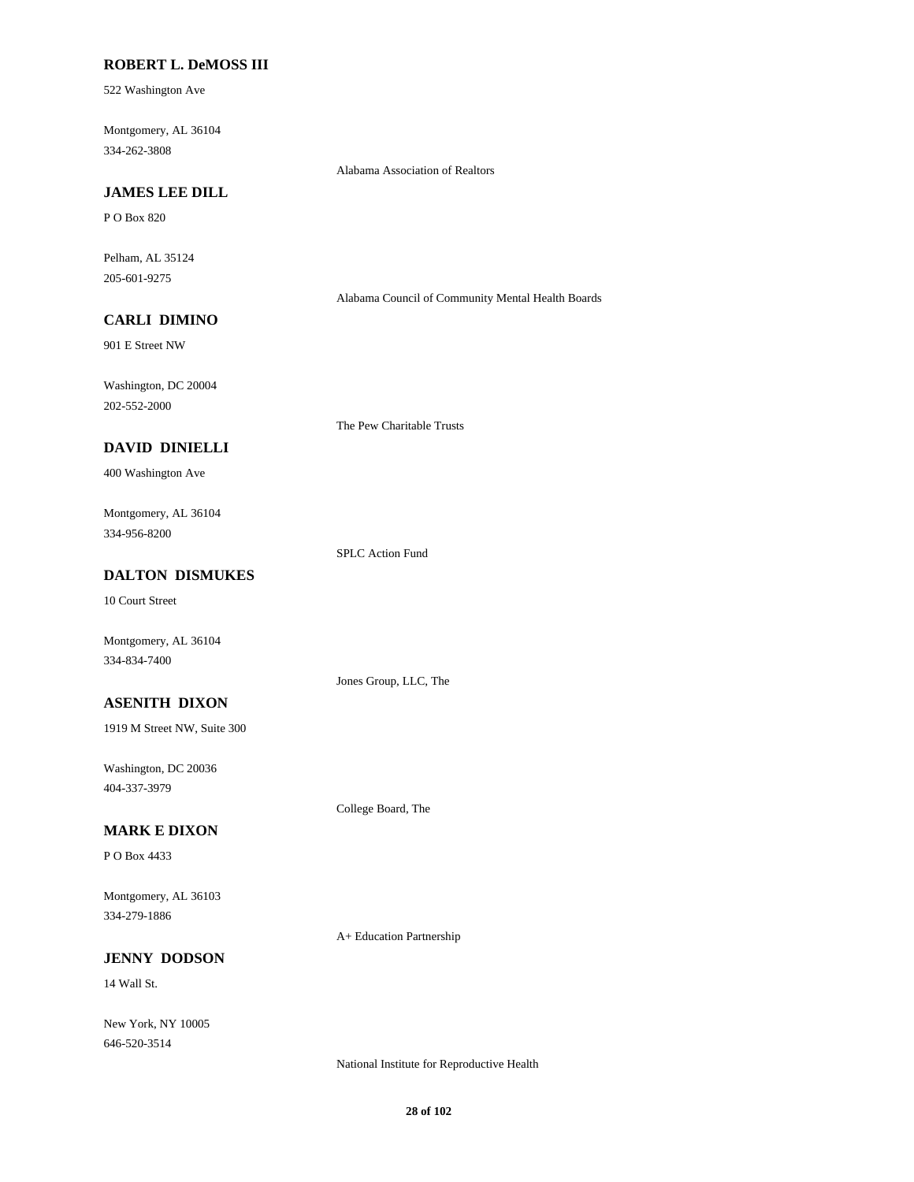### **ROBERT L. DeMOSS III**

522 Washington Ave

Montgomery, AL 36104 334-262-3808

Alabama Association of Realtors

# **JAMES LEE DILL**

P O Box 820

Pelham, AL 35124 205-601-9275

Alabama Council of Community Mental Health Boards

# **CARLI DIMINO**

901 E Street NW

Washington, DC 20004 202-552-2000

The Pew Charitable Trusts

### **DAVID DINIELLI**

400 Washington Ave

Montgomery, AL 36104 334-956-8200

SPLC Action Fund

Jones Group, LLC, The

College Board, The

# **DALTON DISMUKES**

10 Court Street

Montgomery, AL 36104 334-834-7400

**ASENITH DIXON**

1919 M Street NW, Suite 300

Washington, DC 20036 404-337-3979

### **MARK E DIXON**

P O Box 4433

Montgomery, AL 36103 334-279-1886

A+ Education Partnership

### **JENNY DODSON**

14 Wall St.

New York, NY 10005 646-520-3514

National Institute for Reproductive Health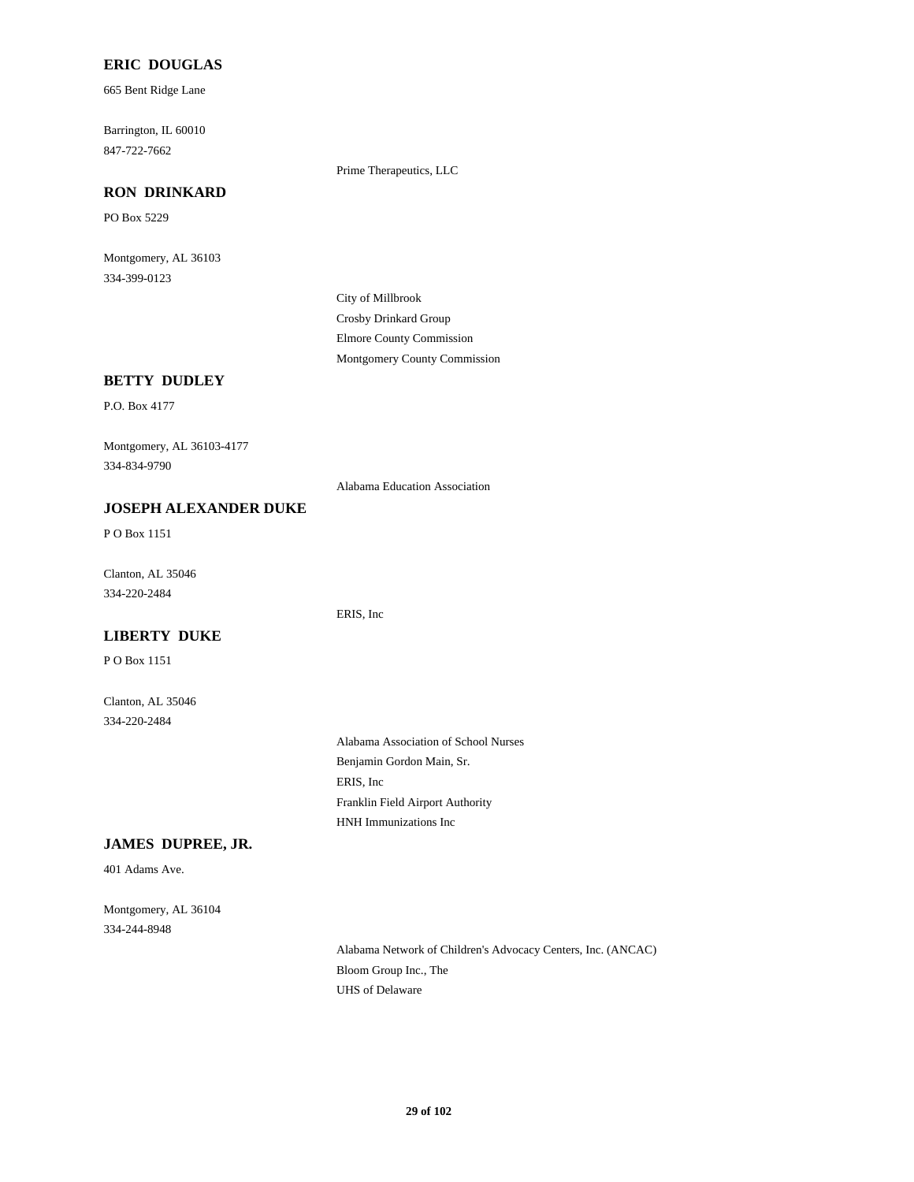### **ERIC DOUGLAS**

665 Bent Ridge Lane

Barrington, IL 60010 847-722-7662

Prime Therapeutics, LLC

#### **RON DRINKARD**

PO Box 5229

Montgomery, AL 36103 334-399-0123

> City of Millbrook Crosby Drinkard Group Elmore County Commission Montgomery County Commission

### **BETTY DUDLEY**

P.O. Box 4177

Montgomery, AL 36103-4177 334-834-9790

Alabama Education Association

ERIS, Inc

### **JOSEPH ALEXANDER DUKE**

P O Box 1151

Clanton, AL 35046 334-220-2484

### **LIBERTY DUKE**

P O Box 1151

Clanton, AL 35046 334-220-2484

> Alabama Association of School Nurses Benjamin Gordon Main, Sr. ERIS, Inc Franklin Field Airport Authority HNH Immunizations Inc

### **JAMES DUPREE, JR.**

401 Adams Ave.

Montgomery, AL 36104 334-244-8948

> Alabama Network of Children's Advocacy Centers, Inc. (ANCAC) Bloom Group Inc., The UHS of Delaware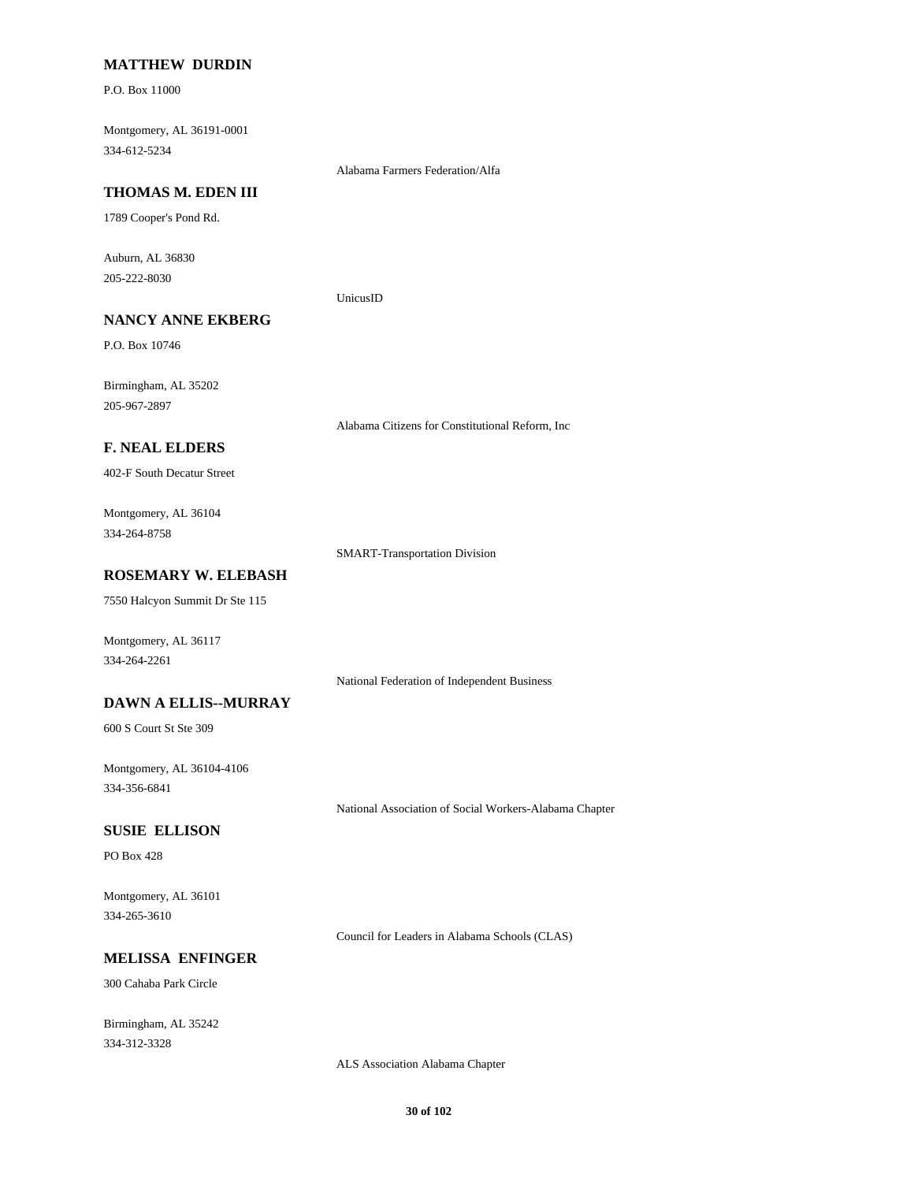#### **MATTHEW DURDIN**

P.O. Box 11000

Montgomery, AL 36191-0001 334-612-5234

Alabama Farmers Federation/Alfa

#### **THOMAS M. EDEN III**

1789 Cooper's Pond Rd.

Auburn, AL 36830 205-222-8030

UnicusID

# **NANCY ANNE EKBERG**

P.O. Box 10746

Birmingham, AL 35202 205-967-2897

Alabama Citizens for Constitutional Reform, Inc

### **F. NEAL ELDERS**

402-F South Decatur Street

Montgomery, AL 36104 334-264-8758

SMART-Transportation Division

### **ROSEMARY W. ELEBASH**

7550 Halcyon Summit Dr Ste 115

Montgomery, AL 36117 334-264-2261

National Federation of Independent Business

#### **DAWN A ELLIS--MURRAY**

600 S Court St Ste 309

Montgomery, AL 36104-4106 334-356-6841

National Association of Social Workers-Alabama Chapter

#### **SUSIE ELLISON**

PO Box 428

Montgomery, AL 36101 334-265-3610

Council for Leaders in Alabama Schools (CLAS)

#### **MELISSA ENFINGER**

300 Cahaba Park Circle

Birmingham, AL 35242 334-312-3328

ALS Association Alabama Chapter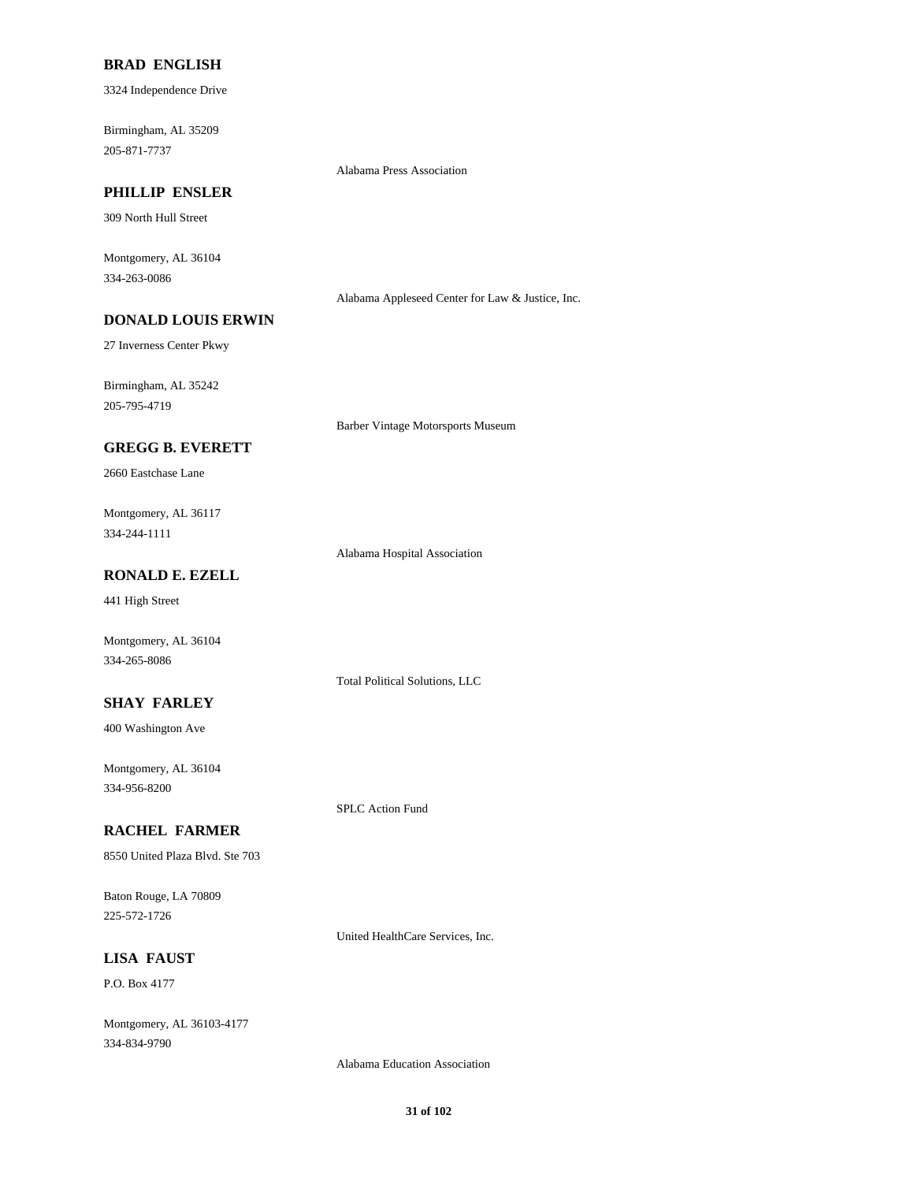### **BRAD ENGLISH**

3324 Independence Drive

Birmingham, AL 35209 205-871-7737

Alabama Press Association

# **PHILLIP ENSLER**

309 North Hull Street

Montgomery, AL 36104 334-263-0086

Alabama Appleseed Center for Law & Justice, Inc.

### **DONALD LOUIS ERWIN**

27 Inverness Center Pkwy

Birmingham, AL 35242 205-795-4719

Barber Vintage Motorsports Museum

### **GREGG B. EVERETT**

2660 Eastchase Lane

Montgomery, AL 36117 334-244-1111

Alabama Hospital Association

Total Political Solutions, LLC

SPLC Action Fund

### **RONALD E. EZELL**

441 High Street

Montgomery, AL 36104 334-265-8086

#### **SHAY FARLEY**

400 Washington Ave

Montgomery, AL 36104 334-956-8200

### **RACHEL FARMER**

8550 United Plaza Blvd. Ste 703

Baton Rouge, LA 70809 225-572-1726

United HealthCare Services, Inc.

### **LISA FAUST**

P.O. Box 4177

Montgomery, AL 36103-4177 334-834-9790

Alabama Education Association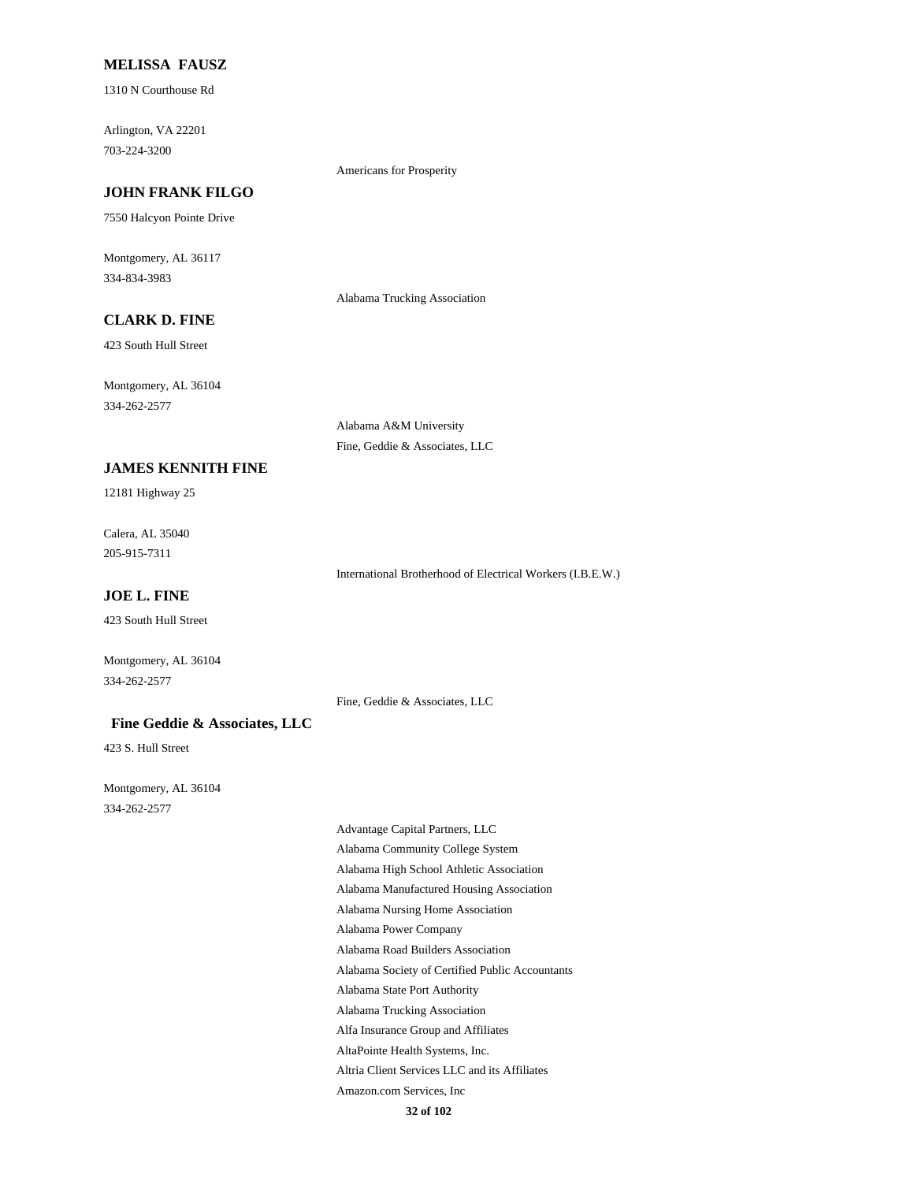### **MELISSA FAUSZ**

1310 N Courthouse Rd

Arlington, VA 22201 703-224-3200

Americans for Prosperity

### **JOHN FRANK FILGO**

7550 Halcyon Pointe Drive

Montgomery, AL 36117 334-834-3983

Alabama Trucking Association

Alabama A&M University Fine, Geddie & Associates, LLC

# **CLARK D. FINE**

423 South Hull Street

Montgomery, AL 36104 334-262-2577

**JAMES KENNITH FINE**

12181 Highway 25

Calera, AL 35040 205-915-7311

International Brotherhood of Electrical Workers (I.B.E.W.)

**JOE L. FINE**

423 South Hull Street

Montgomery, AL 36104 334-262-2577

Fine, Geddie & Associates, LLC

#### **Fine Geddie & Associates, LLC**

423 S. Hull Street

Montgomery, AL 36104 334-262-2577

> Advantage Capital Partners, LLC Alabama Community College System Alabama High School Athletic Association Alabama Manufactured Housing Association Alabama Nursing Home Association Alabama Power Company Alabama Road Builders Association Alabama Society of Certified Public Accountants Alabama State Port Authority Alabama Trucking Association Alfa Insurance Group and Affiliates AltaPointe Health Systems, Inc. Altria Client Services LLC and its Affiliates Amazon.com Services, Inc

**32 of 102**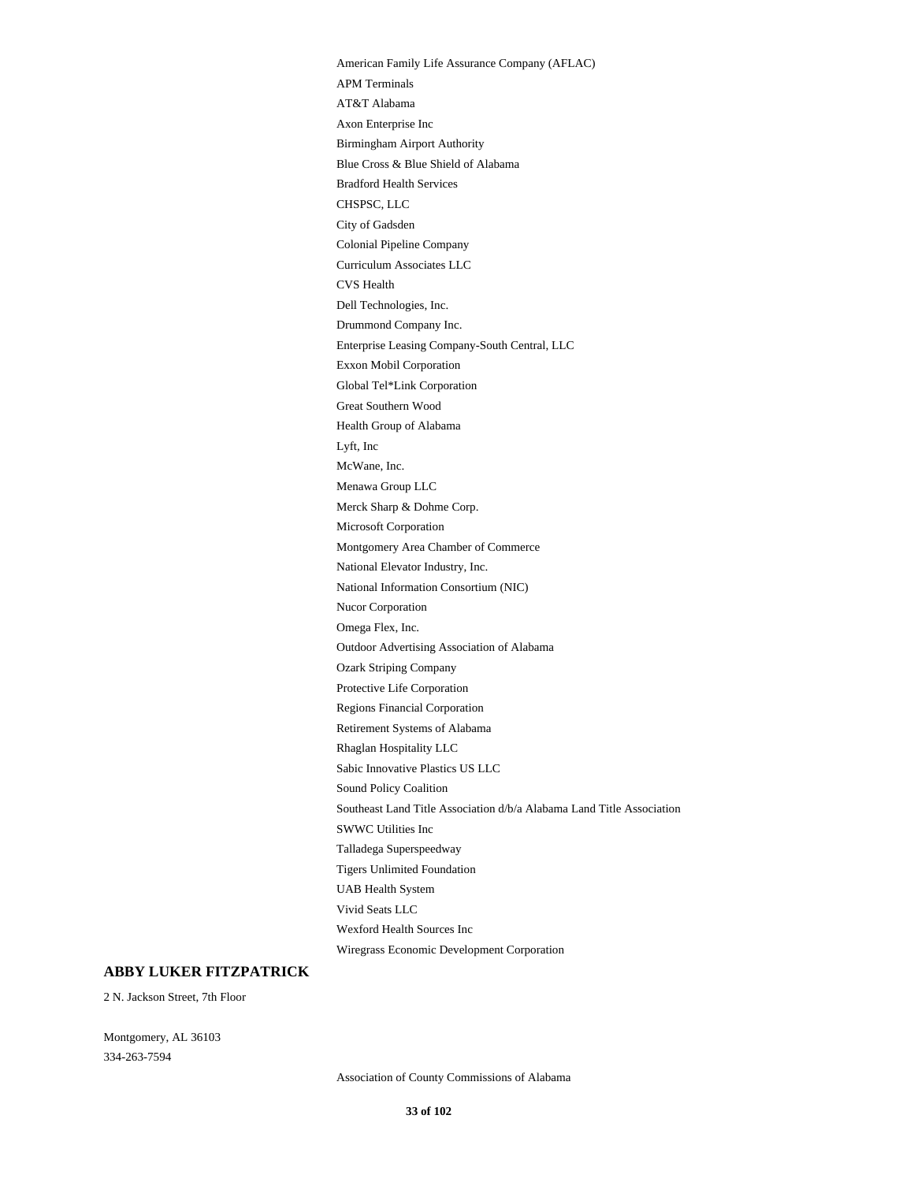American Family Life Assurance Company (AFLAC) APM Terminals AT&T Alabama Axon Enterprise Inc Birmingham Airport Authority Blue Cross & Blue Shield of Alabama Bradford Health Services CHSPSC, LLC City of Gadsden Colonial Pipeline Company Curriculum Associates LLC CVS Health Dell Technologies, Inc. Drummond Company Inc. Enterprise Leasing Company-South Central, LLC Exxon Mobil Corporation Global Tel\*Link Corporation Great Southern Wood Health Group of Alabama Lyft, Inc McWane, Inc. Menawa Group LLC Merck Sharp & Dohme Corp. Microsoft Corporation Montgomery Area Chamber of Commerce National Elevator Industry, Inc. National Information Consortium (NIC) Nucor Corporation Omega Flex, Inc. Outdoor Advertising Association of Alabama Ozark Striping Company Protective Life Corporation Regions Financial Corporation Retirement Systems of Alabama Rhaglan Hospitality LLC Sabic Innovative Plastics US LLC Sound Policy Coalition Southeast Land Title Association d/b/a Alabama Land Title Association SWWC Utilities Inc Talladega Superspeedway Tigers Unlimited Foundation UAB Health System Vivid Seats LLC Wexford Health Sources Inc Wiregrass Economic Development Corporation

#### **ABBY LUKER FITZPATRICK**

2 N. Jackson Street, 7th Floor

Montgomery, AL 36103 334-263-7594

Association of County Commissions of Alabama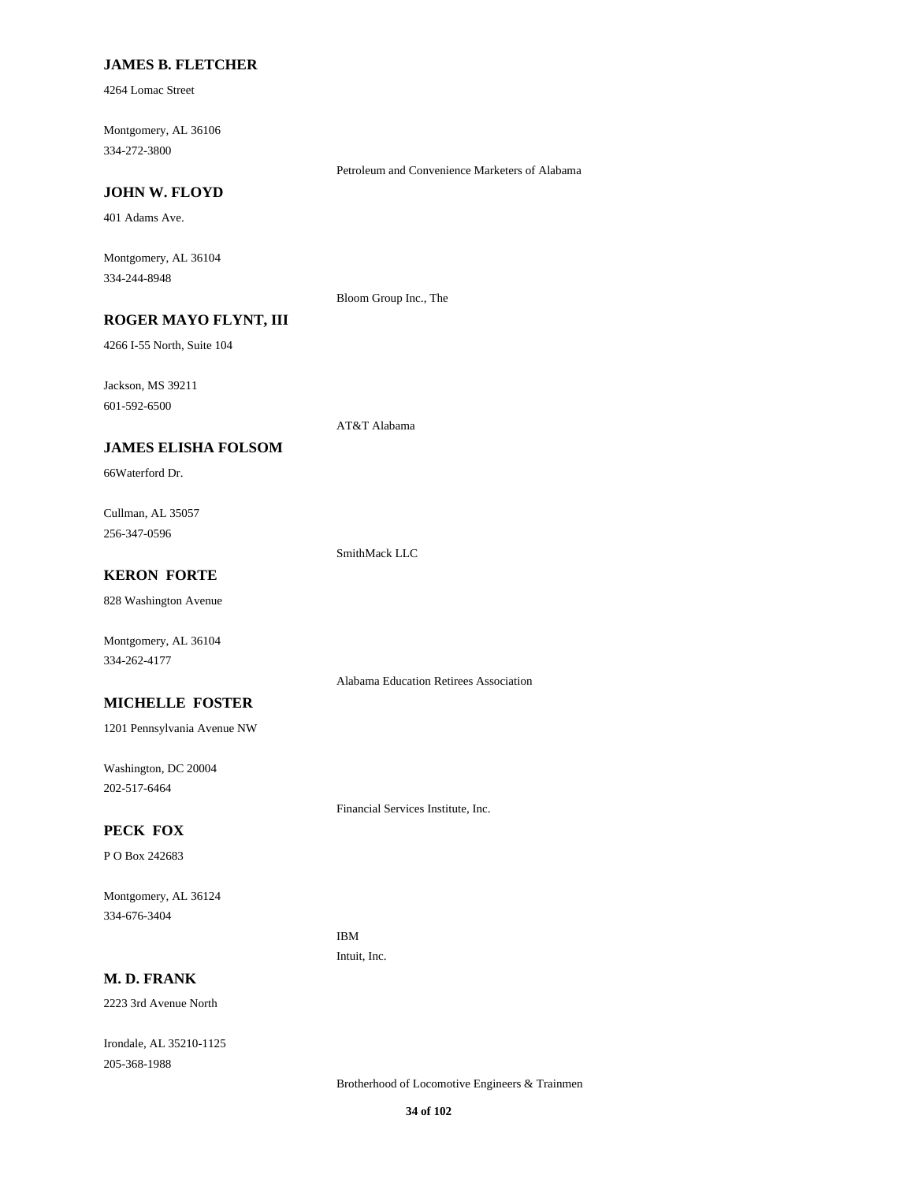#### **JAMES B. FLETCHER**

4264 Lomac Street

Montgomery, AL 36106 334-272-3800

Petroleum and Convenience Marketers of Alabama

#### **JOHN W. FLOYD**

401 Adams Ave.

Montgomery, AL 36104 334-244-8948

Bloom Group Inc., The

### **ROGER MAYO FLYNT, III**

4266 I-55 North, Suite 104

Jackson, MS 39211

601-592-6500

AT&T Alabama

### **JAMES ELISHA FOLSOM**

66Waterford Dr.

Cullman, AL 35057 256-347-0596

SmithMack LLC

Alabama Education Retirees Association

Financial Services Institute, Inc.

### **KERON FORTE**

828 Washington Avenue

Montgomery, AL 36104 334-262-4177

#### **MICHELLE FOSTER**

1201 Pennsylvania Avenue NW

Washington, DC 20004 202-517-6464

### **PECK FOX**

P O Box 242683

Montgomery, AL 36124 334-676-3404

> IBM Intuit, Inc.

### **M. D. FRANK**

2223 3rd Avenue North

Irondale, AL 35210-1125 205-368-1988

Brotherhood of Locomotive Engineers & Trainmen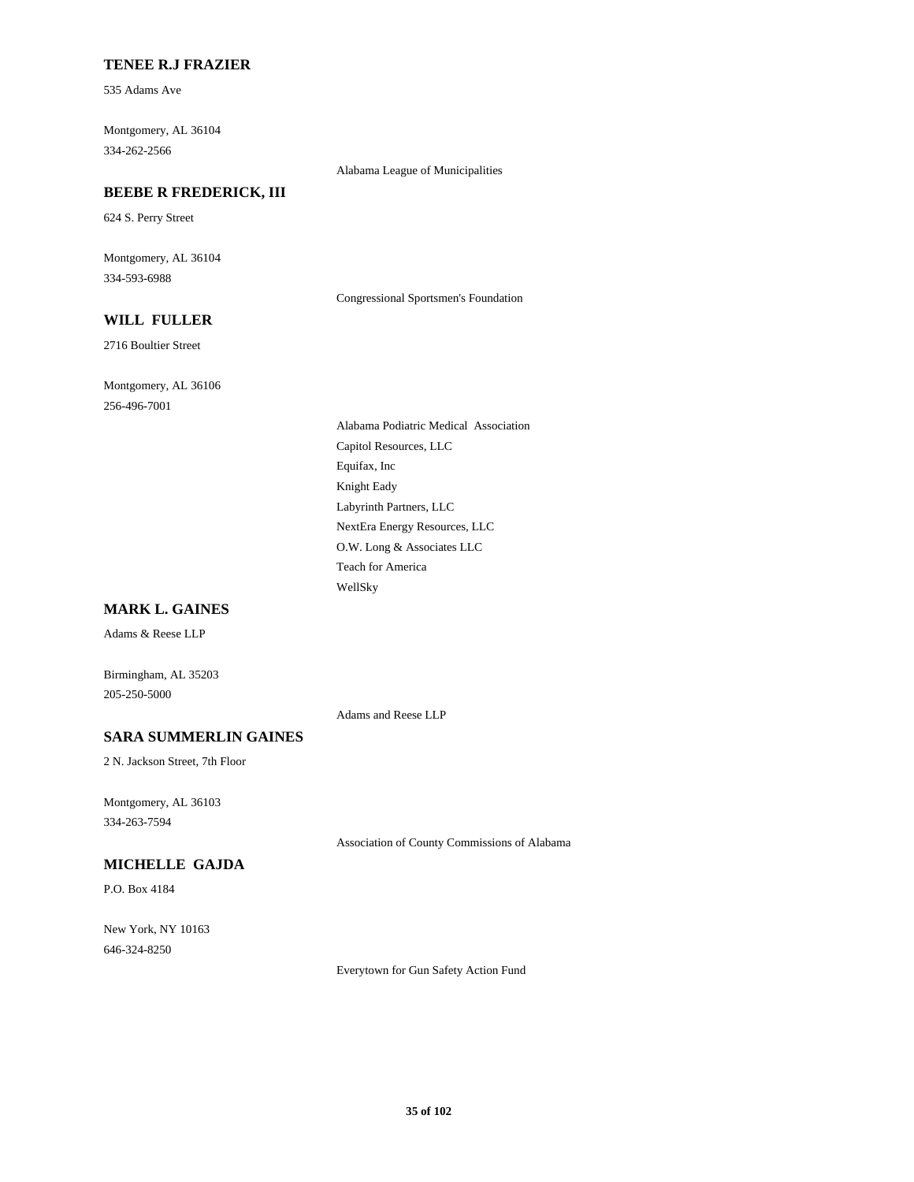### **TENEE R.J FRAZIER**

535 Adams Ave

Montgomery, AL 36104 334-262-2566

Alabama League of Municipalities

### **BEEBE R FREDERICK, III**

624 S. Perry Street

Montgomery, AL 36104 334-593-6988

Congressional Sportsmen's Foundation

# **WILL FULLER**

2716 Boultier Street

Montgomery, AL 36106 256-496-7001

> Alabama Podiatric Medical Association Capitol Resources, LLC Equifax, Inc Knight Eady Labyrinth Partners, LLC NextEra Energy Resources, LLC O.W. Long & Associates LLC Teach for America WellSky

### **MARK L. GAINES**

Adams & Reese LLP

Birmingham, AL 35203 205-250-5000

Adams and Reese LLP

### **SARA SUMMERLIN GAINES**

2 N. Jackson Street, 7th Floor

Montgomery, AL 36103 334-263-7594

Association of County Commissions of Alabama

# **MICHELLE GAJDA**

P.O. Box 4184

New York, NY 10163 646-324-8250

Everytown for Gun Safety Action Fund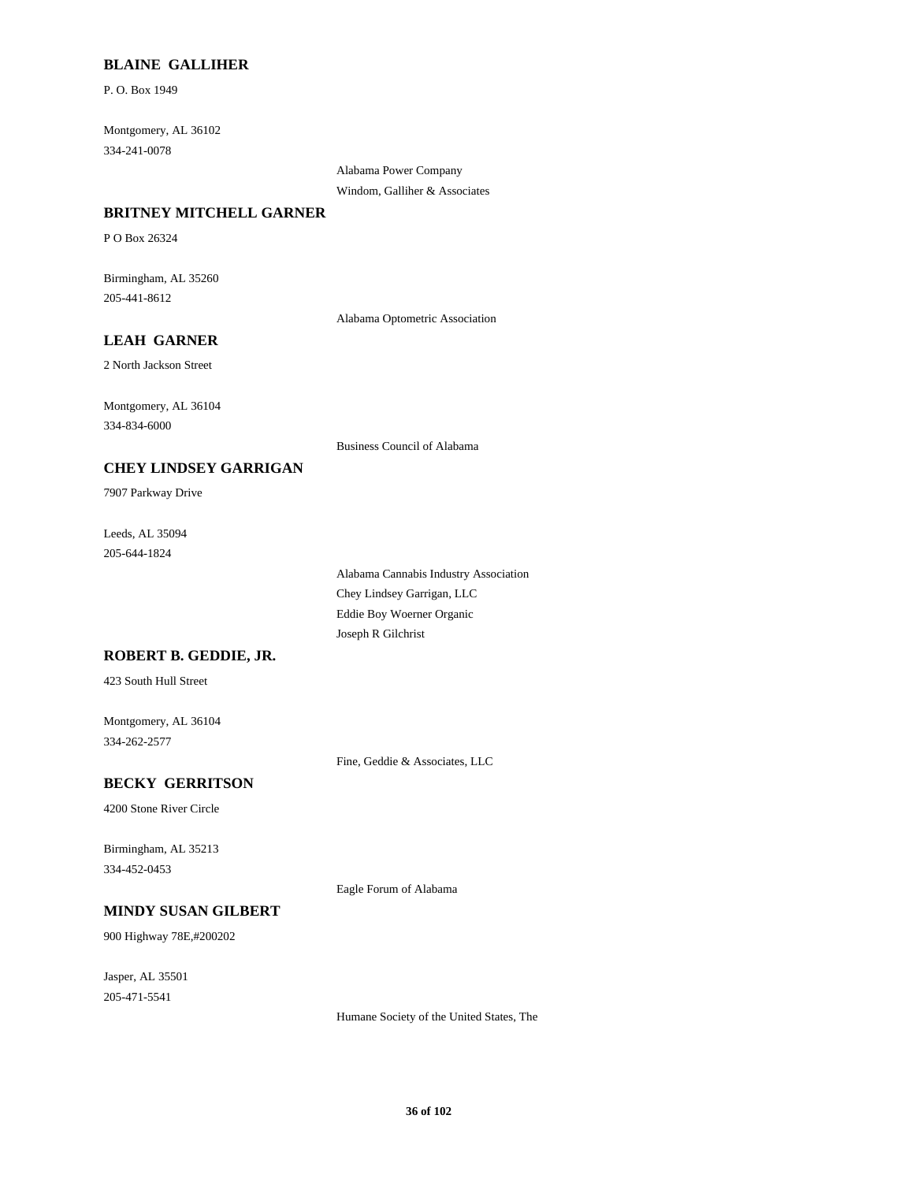### **BLAINE GALLIHER**

P. O. Box 1949

Montgomery, AL 36102 334-241-0078

> Alabama Power Company Windom, Galliher & Associates

#### **BRITNEY MITCHELL GARNER**

P O Box 26324

Birmingham, AL 35260 205-441-8612

Alabama Optometric Association

# **LEAH GARNER**

2 North Jackson Street

Montgomery, AL 36104 334-834-6000

Business Council of Alabama

### **CHEY LINDSEY GARRIGAN**

7907 Parkway Drive

Leeds, AL 35094 205-644-1824

> Alabama Cannabis Industry Association Chey Lindsey Garrigan, LLC Eddie Boy Woerner Organic Joseph R Gilchrist

### **ROBERT B. GEDDIE, JR.**

423 South Hull Street

Montgomery, AL 36104 334-262-2577

Fine, Geddie & Associates, LLC

### **BECKY GERRITSON**

4200 Stone River Circle

Birmingham, AL 35213 334-452-0453

Eagle Forum of Alabama

### **MINDY SUSAN GILBERT**

900 Highway 78E,#200202

Jasper, AL 35501 205-471-5541

Humane Society of the United States, The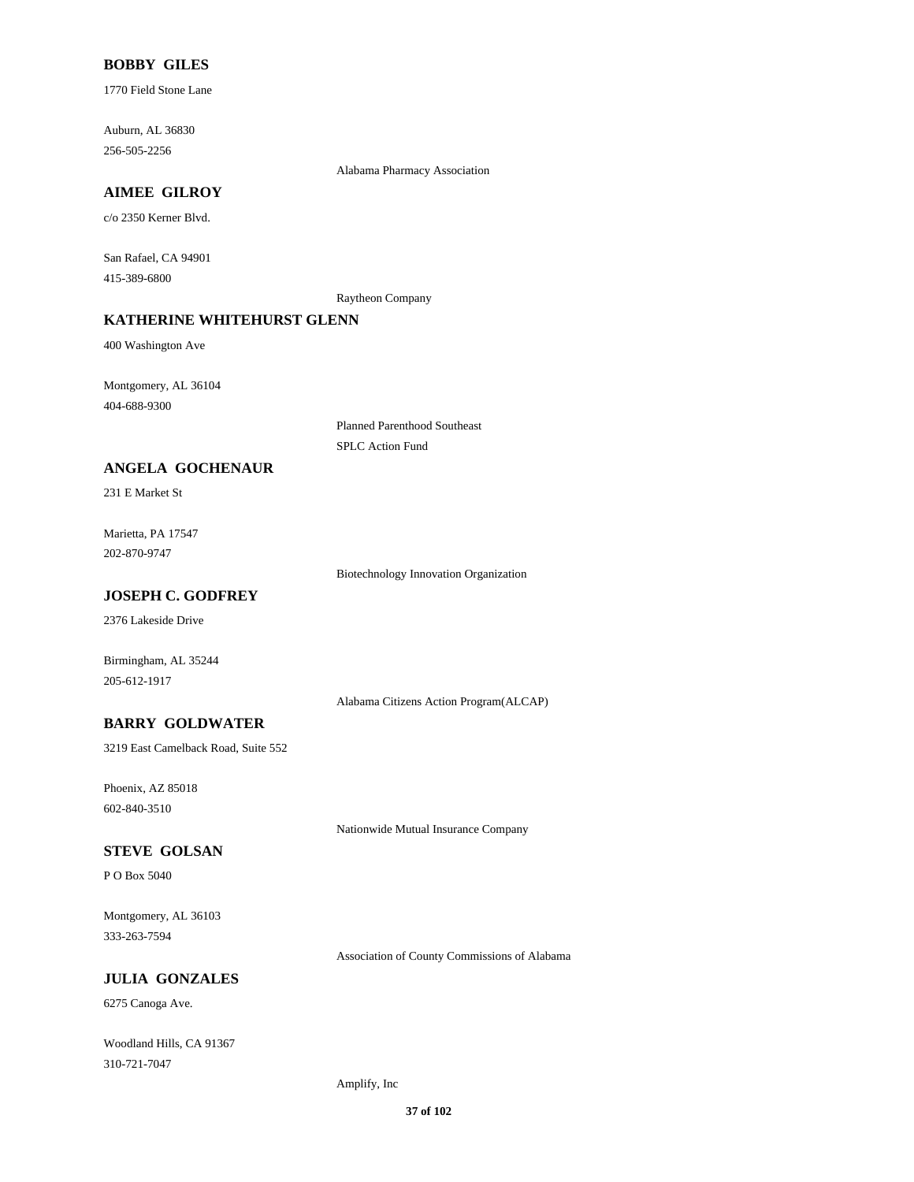# **BOBBY GILES**

1770 Field Stone Lane

Auburn, AL 36830 256-505-2256

Alabama Pharmacy Association

# **AIMEE GILROY**

c/o 2350 Kerner Blvd.

San Rafael, CA 94901 415-389-6800

Raytheon Company

# **KATHERINE WHITEHURST GLENN**

400 Washington Ave

Montgomery, AL 36104 404-688-9300

> Planned Parenthood Southeast SPLC Action Fund

# **ANGELA GOCHENAUR**

231 E Market St

Marietta, PA 17547 202-870-9747

Biotechnology Innovation Organization

# **JOSEPH C. GODFREY**

2376 Lakeside Drive

Birmingham, AL 35244 205-612-1917

Alabama Citizens Action Program(ALCAP)

# **BARRY GOLDWATER**

3219 East Camelback Road, Suite 552

Phoenix, AZ 85018 602-840-3510

Nationwide Mutual Insurance Company

#### **STEVE GOLSAN**

P O Box 5040

Montgomery, AL 36103 333-263-7594

Association of County Commissions of Alabama

# **JULIA GONZALES**

6275 Canoga Ave.

Woodland Hills, CA 91367 310-721-7047

Amplify, Inc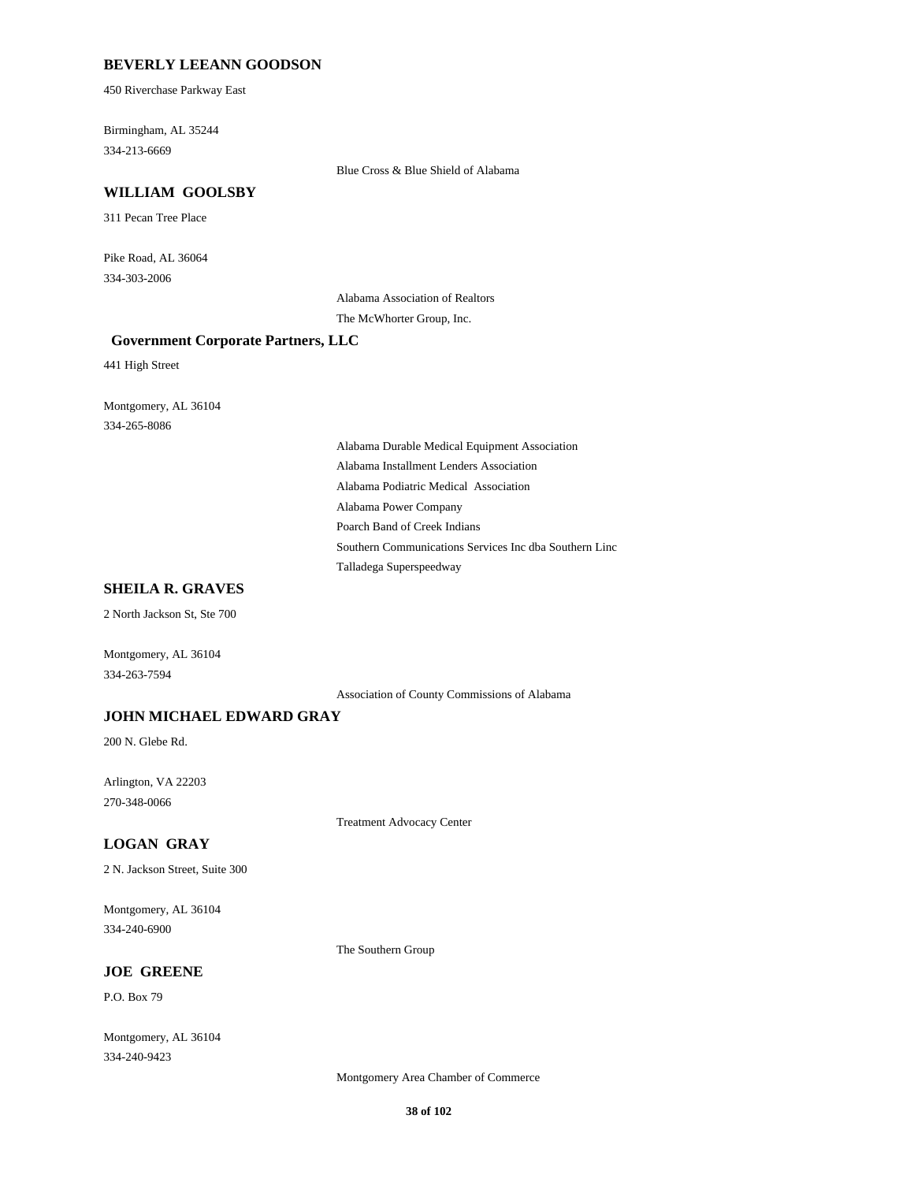## **BEVERLY LEEANN GOODSON**

450 Riverchase Parkway East

Birmingham, AL 35244 334-213-6669

Blue Cross & Blue Shield of Alabama

#### **WILLIAM GOOLSBY**

311 Pecan Tree Place

Pike Road, AL 36064 334-303-2006

> Alabama Association of Realtors The McWhorter Group, Inc.

#### **Government Corporate Partners, LLC**

441 High Street

Montgomery, AL 36104 334-265-8086

> Alabama Durable Medical Equipment Association Alabama Installment Lenders Association Alabama Podiatric Medical Association Alabama Power Company Poarch Band of Creek Indians Southern Communications Services Inc dba Southern Linc Talladega Superspeedway

# **SHEILA R. GRAVES**

2 North Jackson St, Ste 700

Montgomery, AL 36104 334-263-7594

Association of County Commissions of Alabama

# **JOHN MICHAEL EDWARD GRAY**

200 N. Glebe Rd.

Arlington, VA 22203 270-348-0066

Treatment Advocacy Center

# **LOGAN GRAY**

2 N. Jackson Street, Suite 300

Montgomery, AL 36104 334-240-6900

The Southern Group

## **JOE GREENE**

P.O. Box 79

Montgomery, AL 36104 334-240-9423

Montgomery Area Chamber of Commerce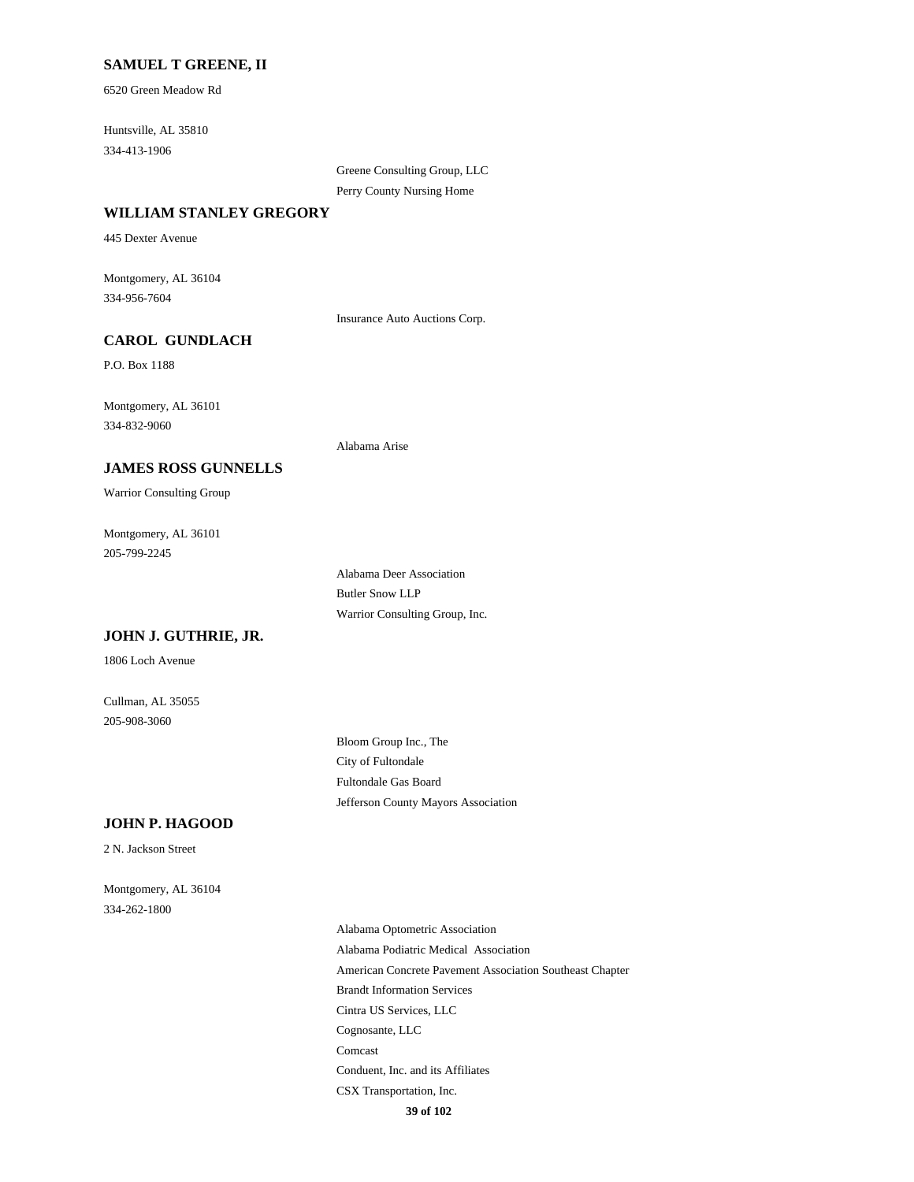# **SAMUEL T GREENE, II**

6520 Green Meadow Rd

Huntsville, AL 35810 334-413-1906

> Greene Consulting Group, LLC Perry County Nursing Home

#### **WILLIAM STANLEY GREGORY**

445 Dexter Avenue

Montgomery, AL 36104 334-956-7604

Insurance Auto Auctions Corp.

# **CAROL GUNDLACH**

P.O. Box 1188

Montgomery, AL 36101 334-832-9060

#### Alabama Arise

Warrior Consulting Group

**JAMES ROSS GUNNELLS**

Montgomery, AL 36101 205-799-2245

> Alabama Deer Association Butler Snow LLP Warrior Consulting Group, Inc.

#### **JOHN J. GUTHRIE, JR.**

1806 Loch Avenue

Cullman, AL 35055 205-908-3060

> Bloom Group Inc., The City of Fultondale Fultondale Gas Board Jefferson County Mayors Association

## **JOHN P. HAGOOD**

2 N. Jackson Street

Montgomery, AL 36104 334-262-1800

> Alabama Optometric Association Alabama Podiatric Medical Association American Concrete Pavement Association Southeast Chapter Brandt Information Services Cintra US Services, LLC Cognosante, LLC Comcast Conduent, Inc. and its Affiliates CSX Transportation, Inc. **39 of 102**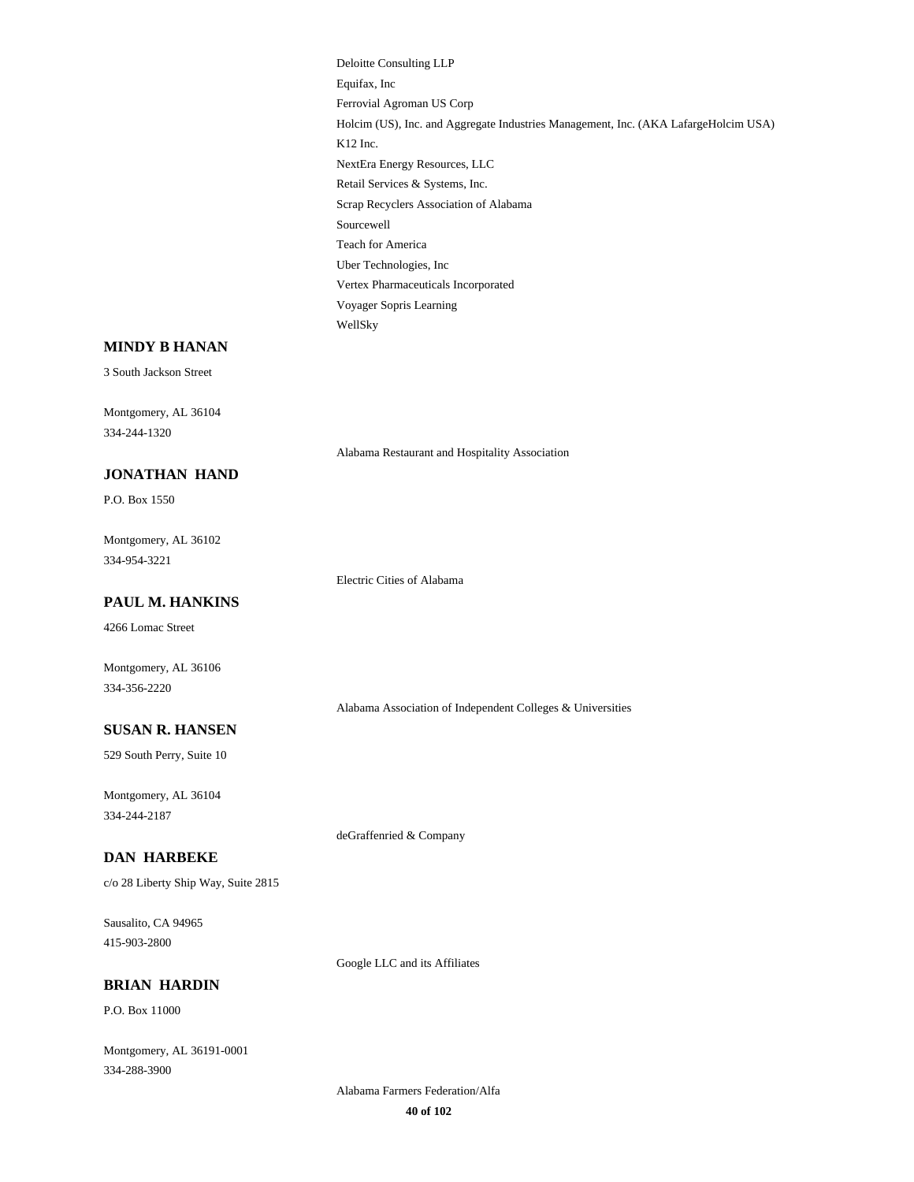Deloitte Consulting LLP Equifax, Inc Ferrovial Agroman US Corp Holcim (US), Inc. and Aggregate Industries Management, Inc. (AKA LafargeHolcim USA) K12 Inc. NextEra Energy Resources, LLC Retail Services & Systems, Inc. Scrap Recyclers Association of Alabama Sourcewell Teach for America Uber Technologies, Inc Vertex Pharmaceuticals Incorporated Voyager Sopris Learning WellSky

#### **MINDY B HANAN**

3 South Jackson Street

Montgomery, AL 36104 334-244-1320

Alabama Restaurant and Hospitality Association

# P.O. Box 1550

**JONATHAN HAND**

Montgomery, AL 36102 334-954-3221

Electric Cities of Alabama

# **PAUL M. HANKINS**

4266 Lomac Street

Montgomery, AL 36106 334-356-2220

Alabama Association of Independent Colleges & Universities

# **SUSAN R. HANSEN**

529 South Perry, Suite 10

Montgomery, AL 36104 334-244-2187

deGraffenried & Company

# **DAN HARBEKE**

c/o 28 Liberty Ship Way, Suite 2815

Sausalito, CA 94965 415-903-2800

Google LLC and its Affiliates

# **BRIAN HARDIN**

P.O. Box 11000

Montgomery, AL 36191-0001 334-288-3900

> Alabama Farmers Federation/Alfa **40 of 102**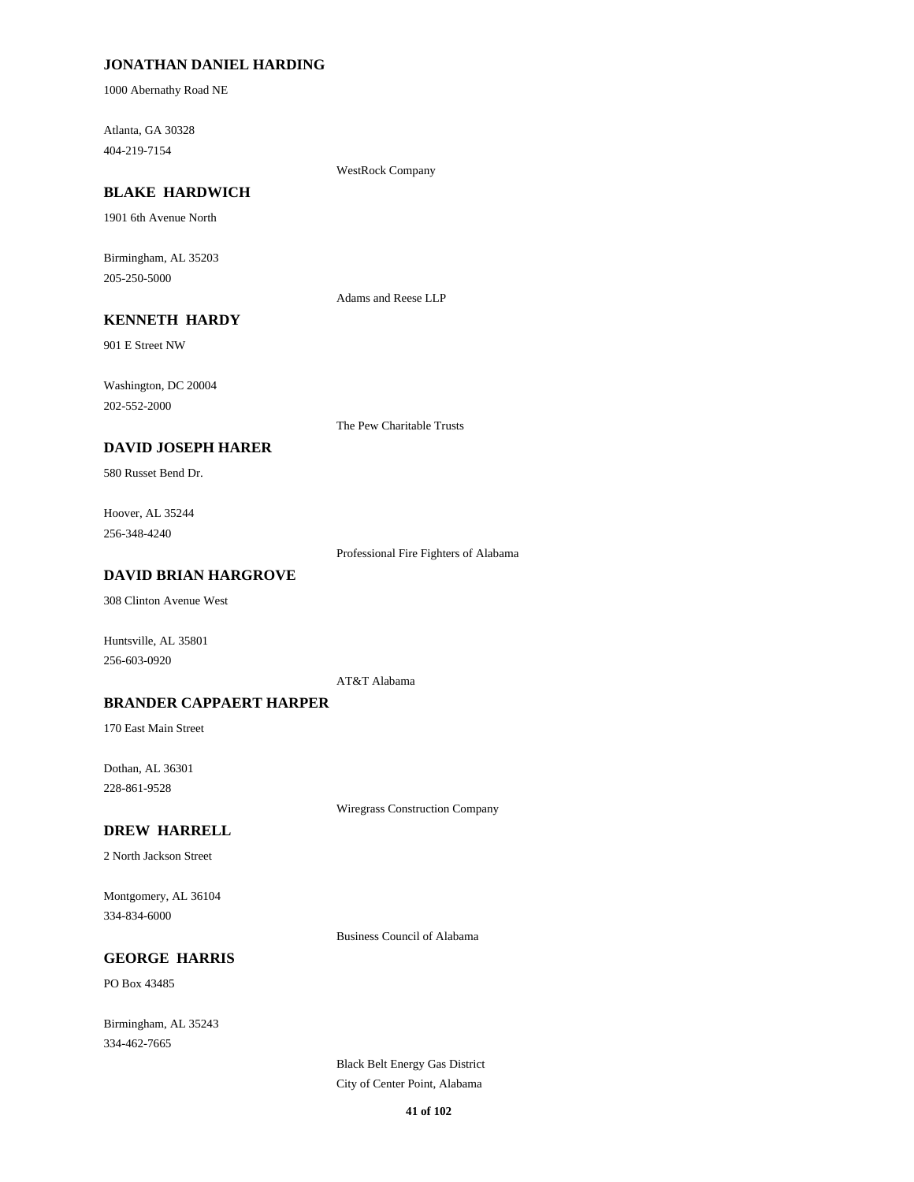# **JONATHAN DANIEL HARDING**

1000 Abernathy Road NE

Atlanta, GA 30328 404-219-7154

WestRock Company

# **BLAKE HARDWICH**

1901 6th Avenue North

Birmingham, AL 35203 205-250-5000

Adams and Reese LLP

# **KENNETH HARDY**

901 E Street NW

Washington, DC 20004 202-552-2000

The Pew Charitable Trusts

## **DAVID JOSEPH HARER**

580 Russet Bend Dr.

Hoover, AL 35244 256-348-4240

Professional Fire Fighters of Alabama

# **DAVID BRIAN HARGROVE**

308 Clinton Avenue West

Huntsville, AL 35801 256-603-0920

AT&T Alabama

#### **BRANDER CAPPAERT HARPER**

170 East Main Street

Dothan, AL 36301 228-861-9528

Wiregrass Construction Company

#### **DREW HARRELL**

2 North Jackson Street

Montgomery, AL 36104 334-834-6000

Business Council of Alabama

# **GEORGE HARRIS**

PO Box 43485

Birmingham, AL 35243 334-462-7665

> Black Belt Energy Gas District City of Center Point, Alabama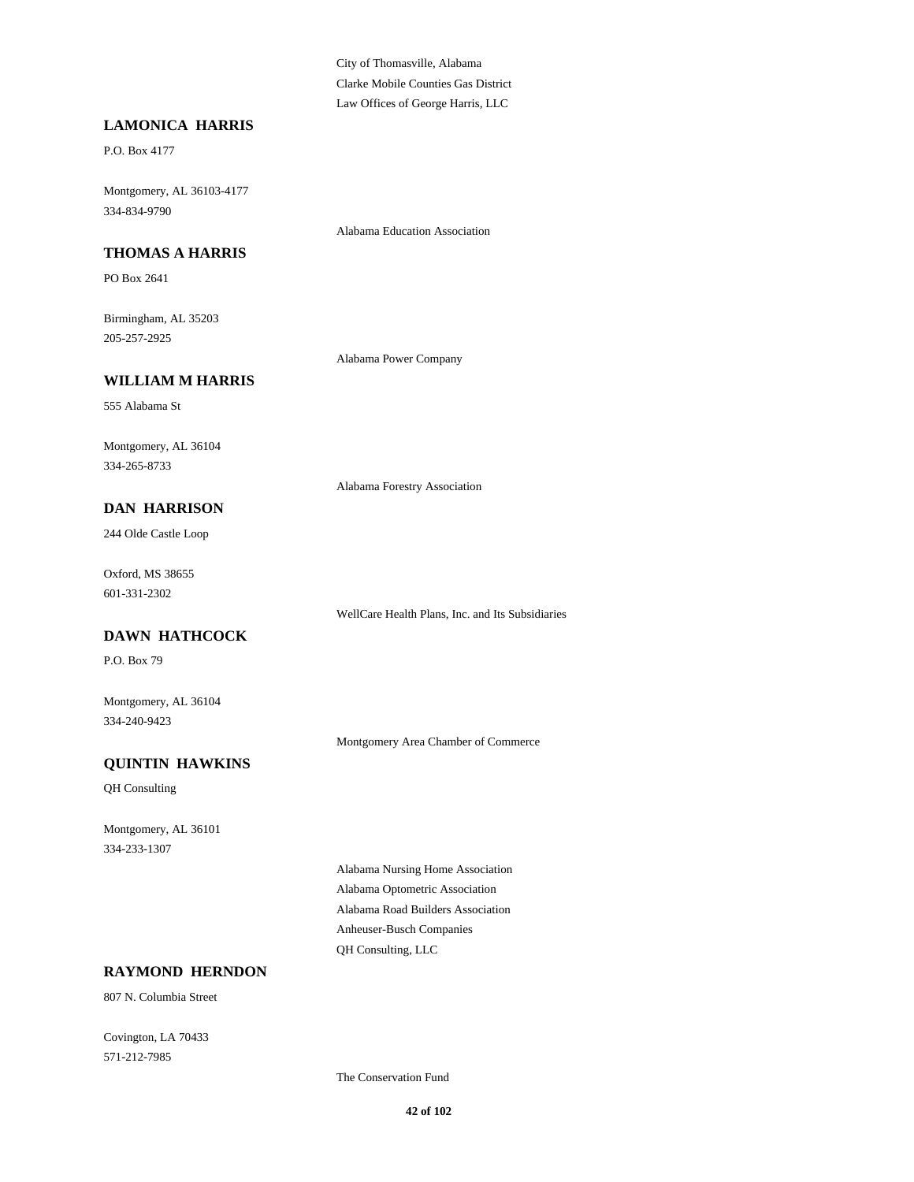City of Thomasville, Alabama Clarke Mobile Counties Gas District Law Offices of George Harris, LLC

Alabama Education Association

## **LAMONICA HARRIS**

P.O. Box 4177

Montgomery, AL 36103-4177 334-834-9790

**THOMAS A HARRIS**

PO Box 2641

Birmingham, AL 35203 205-257-2925

Alabama Power Company

# **WILLIAM M HARRIS**

555 Alabama St

Montgomery, AL 36104 334-265-8733

Alabama Forestry Association

**DAN HARRISON**

244 Olde Castle Loop

Oxford, MS 38655 601-331-2302

**DAWN HATHCOCK**

P.O. Box 79

Montgomery, AL 36104 334-240-9423

Montgomery Area Chamber of Commerce

WellCare Health Plans, Inc. and Its Subsidiaries

# **QUINTIN HAWKINS**

QH Consulting

Montgomery, AL 36101 334-233-1307

> Alabama Nursing Home Association Alabama Optometric Association Alabama Road Builders Association Anheuser-Busch Companies QH Consulting, LLC

# **RAYMOND HERNDON**

807 N. Columbia Street

Covington, LA 70433 571-212-7985

The Conservation Fund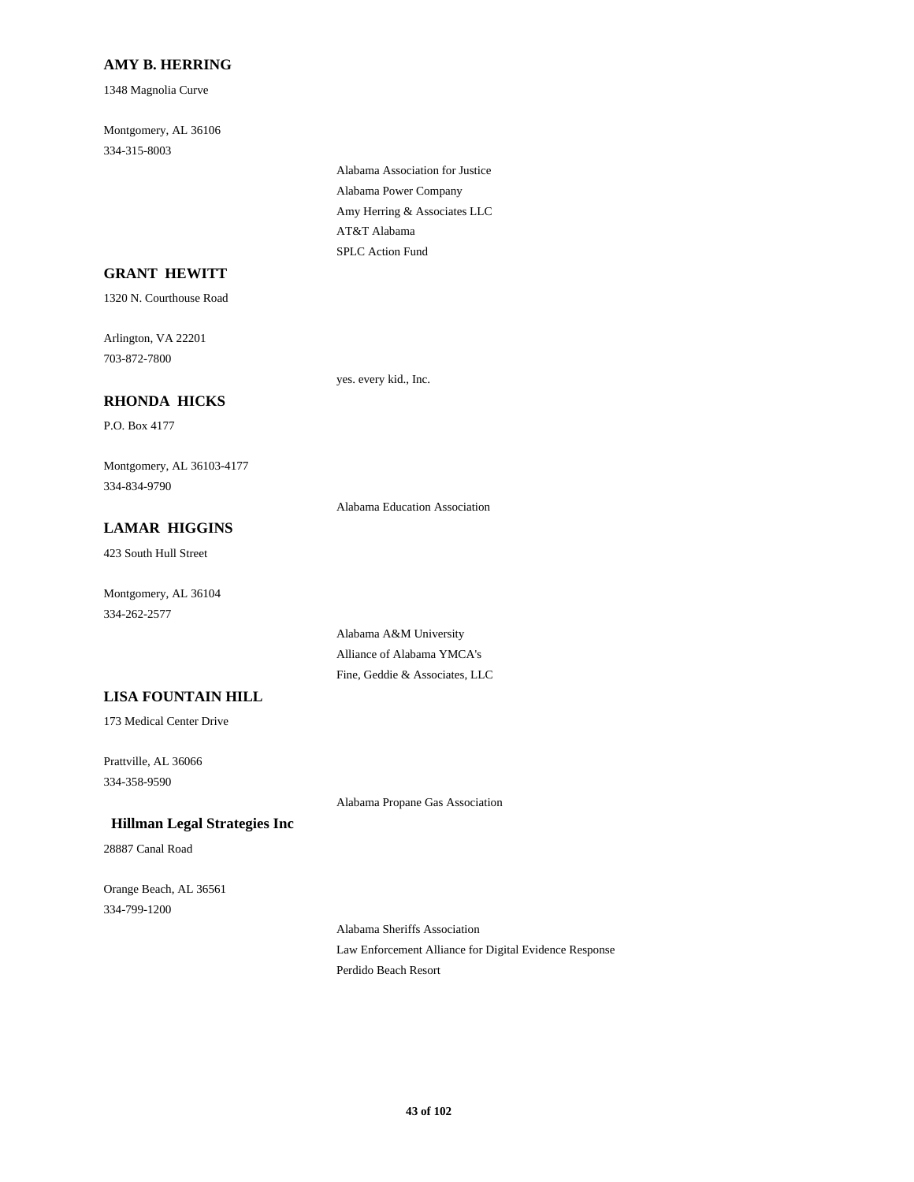# **AMY B. HERRING**

1348 Magnolia Curve

Montgomery, AL 36106 334-315-8003

> Alabama Association for Justice Alabama Power Company Amy Herring & Associates LLC AT&T Alabama SPLC Action Fund

# **GRANT HEWITT**

1320 N. Courthouse Road

Arlington, VA 22201 703-872-7800

yes. every kid., Inc.

# **RHONDA HICKS**

P.O. Box 4177

Montgomery, AL 36103-4177 334-834-9790

Alabama Education Association

# **LAMAR HIGGINS**

423 South Hull Street

Montgomery, AL 36104 334-262-2577

> Alabama A&M University Alliance of Alabama YMCA's Fine, Geddie & Associates, LLC

## **LISA FOUNTAIN HILL**

173 Medical Center Drive

Prattville, AL 36066 334-358-9590

Alabama Propane Gas Association

# **Hillman Legal Strategies Inc**

28887 Canal Road

Orange Beach, AL 36561 334-799-1200

> Alabama Sheriffs Association Law Enforcement Alliance for Digital Evidence Response Perdido Beach Resort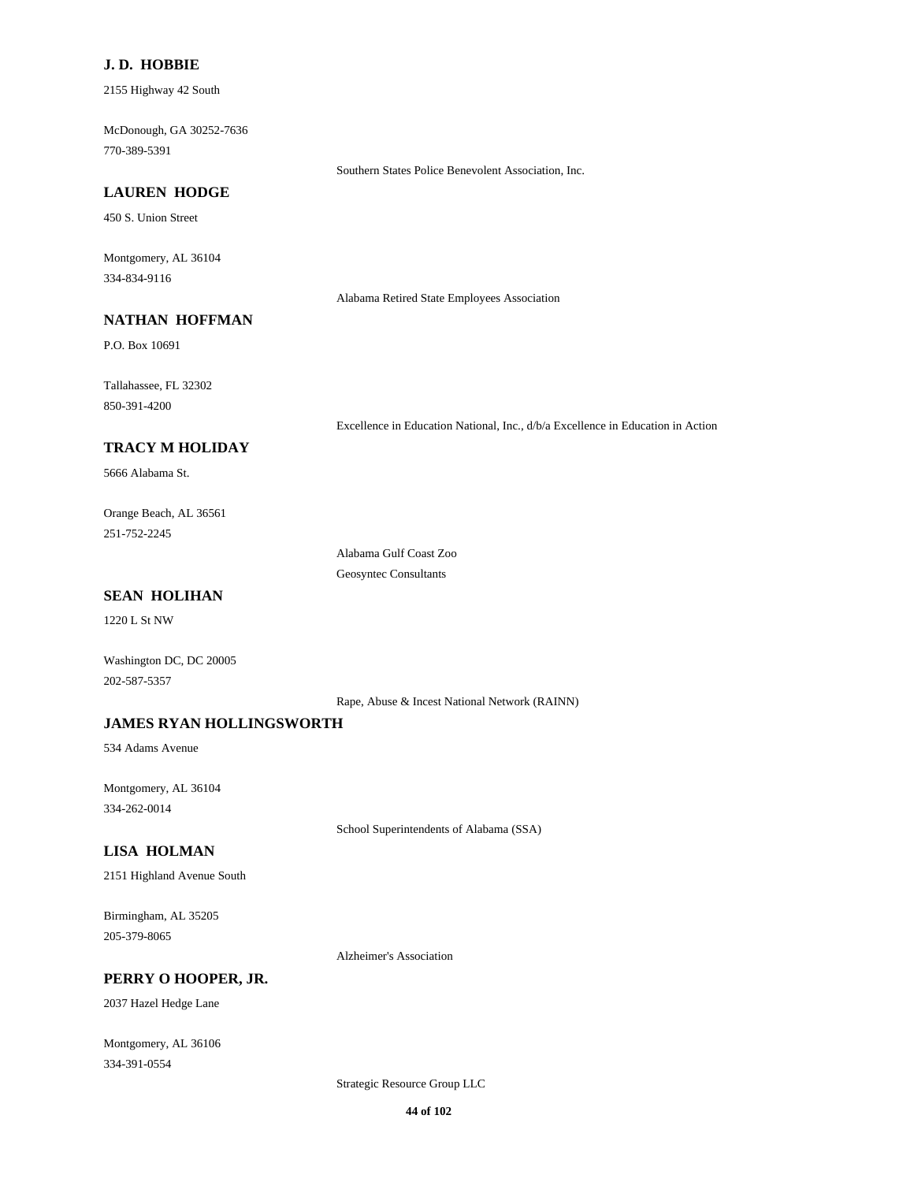# **J. D. HOBBIE**

2155 Highway 42 South

McDonough, GA 30252-7636 770-389-5391

Southern States Police Benevolent Association, Inc.

#### **LAUREN HODGE**

450 S. Union Street

Montgomery, AL 36104 334-834-9116

Alabama Retired State Employees Association

# **NATHAN HOFFMAN**

P.O. Box 10691

Tallahassee, FL 32302 850-391-4200

Excellence in Education National, Inc., d/b/a Excellence in Education in Action

# **TRACY M HOLIDAY**

5666 Alabama St.

Orange Beach, AL 36561 251-752-2245

> Alabama Gulf Coast Zoo Geosyntec Consultants

# **SEAN HOLIHAN**

1220 L St NW

Washington DC, DC 20005 202-587-5357

Rape, Abuse & Incest National Network (RAINN)

# **JAMES RYAN HOLLINGSWORTH**

534 Adams Avenue

Montgomery, AL 36104 334-262-0014

School Superintendents of Alabama (SSA)

#### **LISA HOLMAN**

2151 Highland Avenue South

## Birmingham, AL 35205 205-379-8065

Alzheimer's Association

## **PERRY O HOOPER, JR.**

2037 Hazel Hedge Lane

Montgomery, AL 36106 334-391-0554

Strategic Resource Group LLC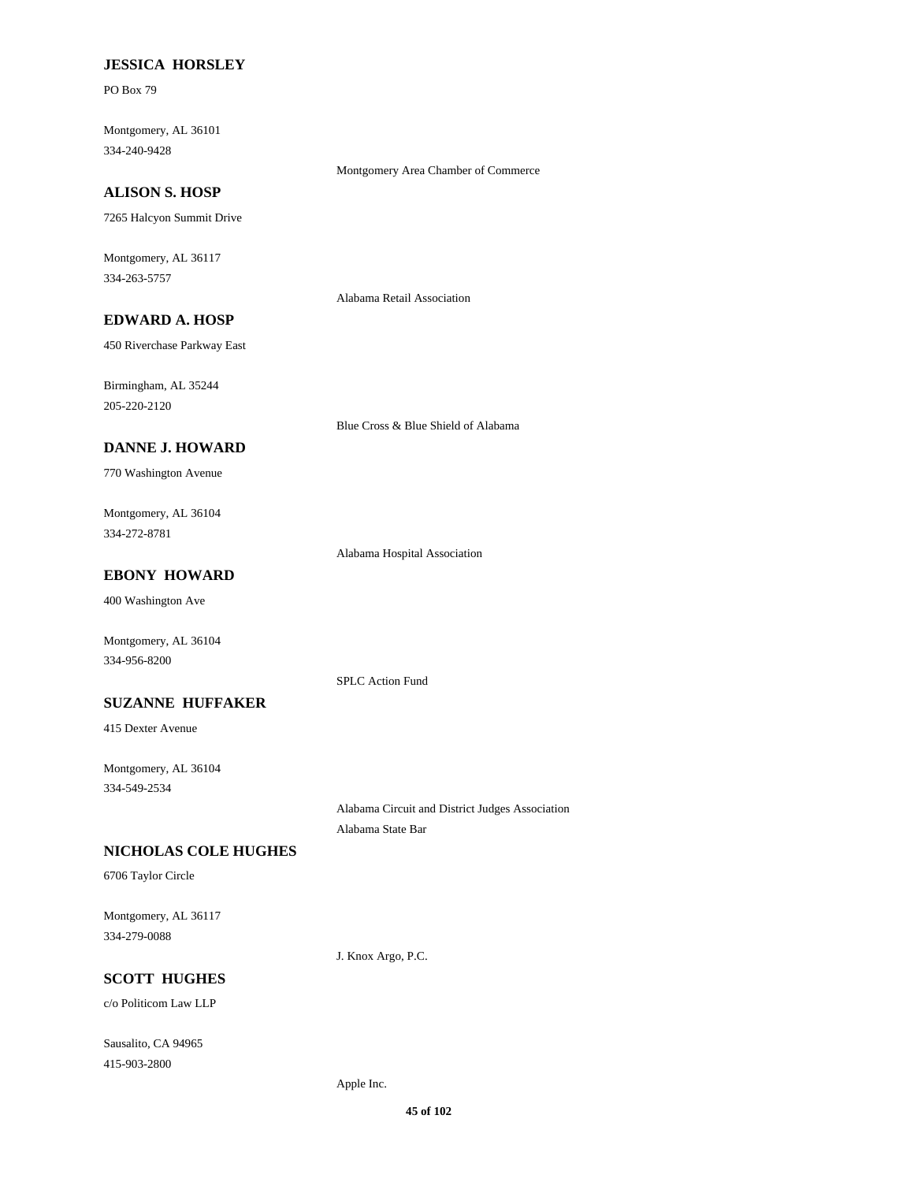## **JESSICA HORSLEY**

PO Box 79

Montgomery, AL 36101 334-240-9428

#### **ALISON S. HOSP**

7265 Halcyon Summit Drive

Montgomery, AL 36117 334-263-5757

Alabama Retail Association

Montgomery Area Chamber of Commerce

# **EDWARD A. HOSP**

450 Riverchase Parkway East

Birmingham, AL 35244 205-220-2120

Blue Cross & Blue Shield of Alabama

#### **DANNE J. HOWARD**

770 Washington Avenue

Montgomery, AL 36104 334-272-8781

Alabama Hospital Association

# **EBONY HOWARD**

400 Washington Ave

Montgomery, AL 36104 334-956-8200

SPLC Action Fund

## **SUZANNE HUFFAKER**

415 Dexter Avenue

Montgomery, AL 36104 334-549-2534

> Alabama Circuit and District Judges Association Alabama State Bar

#### **NICHOLAS COLE HUGHES**

6706 Taylor Circle

Montgomery, AL 36117 334-279-0088

J. Knox Argo, P.C.

# **SCOTT HUGHES**

c/o Politicom Law LLP

Sausalito, CA 94965 415-903-2800

Apple Inc.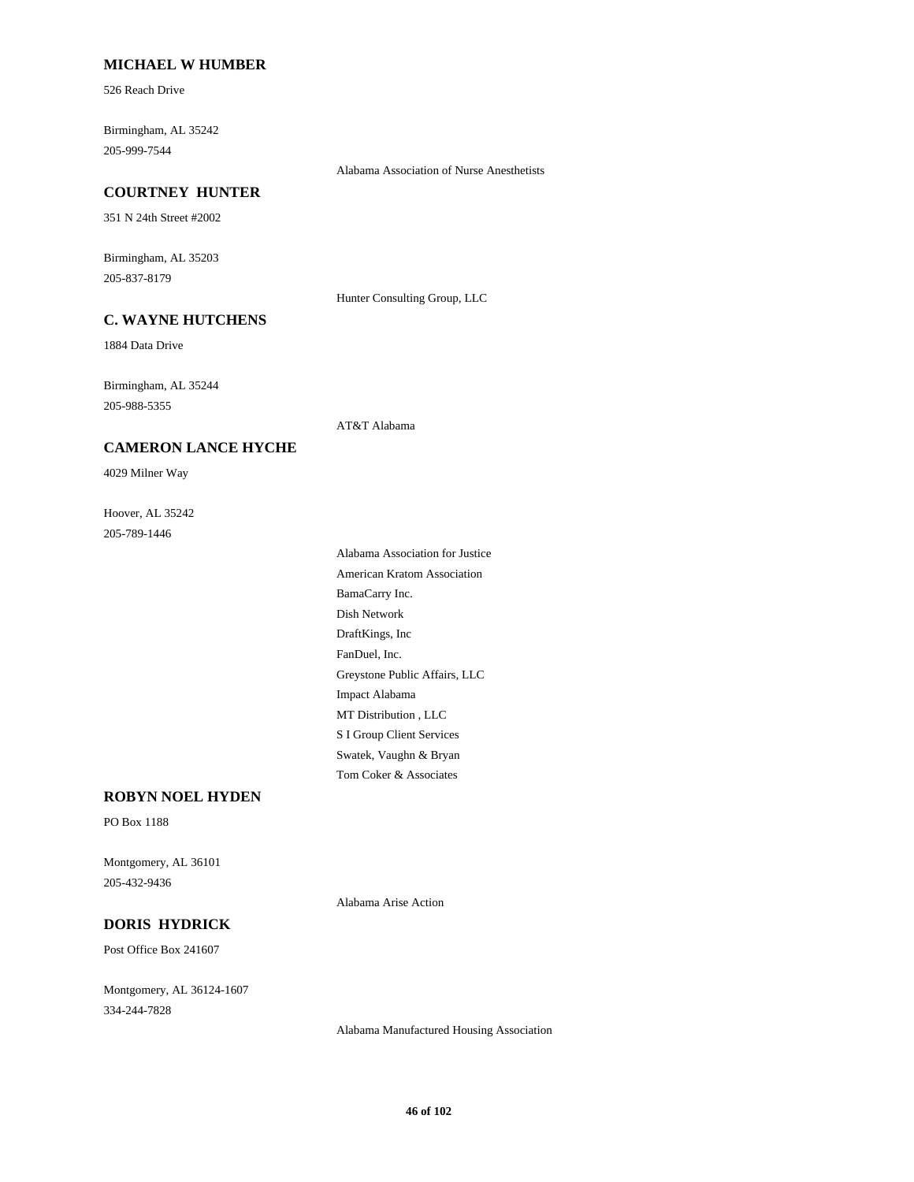## **MICHAEL W HUMBER**

526 Reach Drive

Birmingham, AL 35242 205-999-7544

Alabama Association of Nurse Anesthetists

#### **COURTNEY HUNTER**

351 N 24th Street #2002

Birmingham, AL 35203 205-837-8179

Hunter Consulting Group, LLC

# **C. WAYNE HUTCHENS**

1884 Data Drive

Birmingham, AL 35244 205-988-5355

AT&T Alabama

## **CAMERON LANCE HYCHE**

4029 Milner Way

Hoover, AL 35242 205-789-1446

> Alabama Association for Justice American Kratom Association BamaCarry Inc. Dish Network DraftKings, Inc FanDuel, Inc. Greystone Public Affairs, LLC Impact Alabama MT Distribution , LLC S I Group Client Services Swatek, Vaughn & Bryan Tom Coker & Associates

# **ROBYN NOEL HYDEN**

PO Box 1188

Montgomery, AL 36101 205-432-9436

Alabama Arise Action

# **DORIS HYDRICK**

Post Office Box 241607

Montgomery, AL 36124-1607 334-244-7828

Alabama Manufactured Housing Association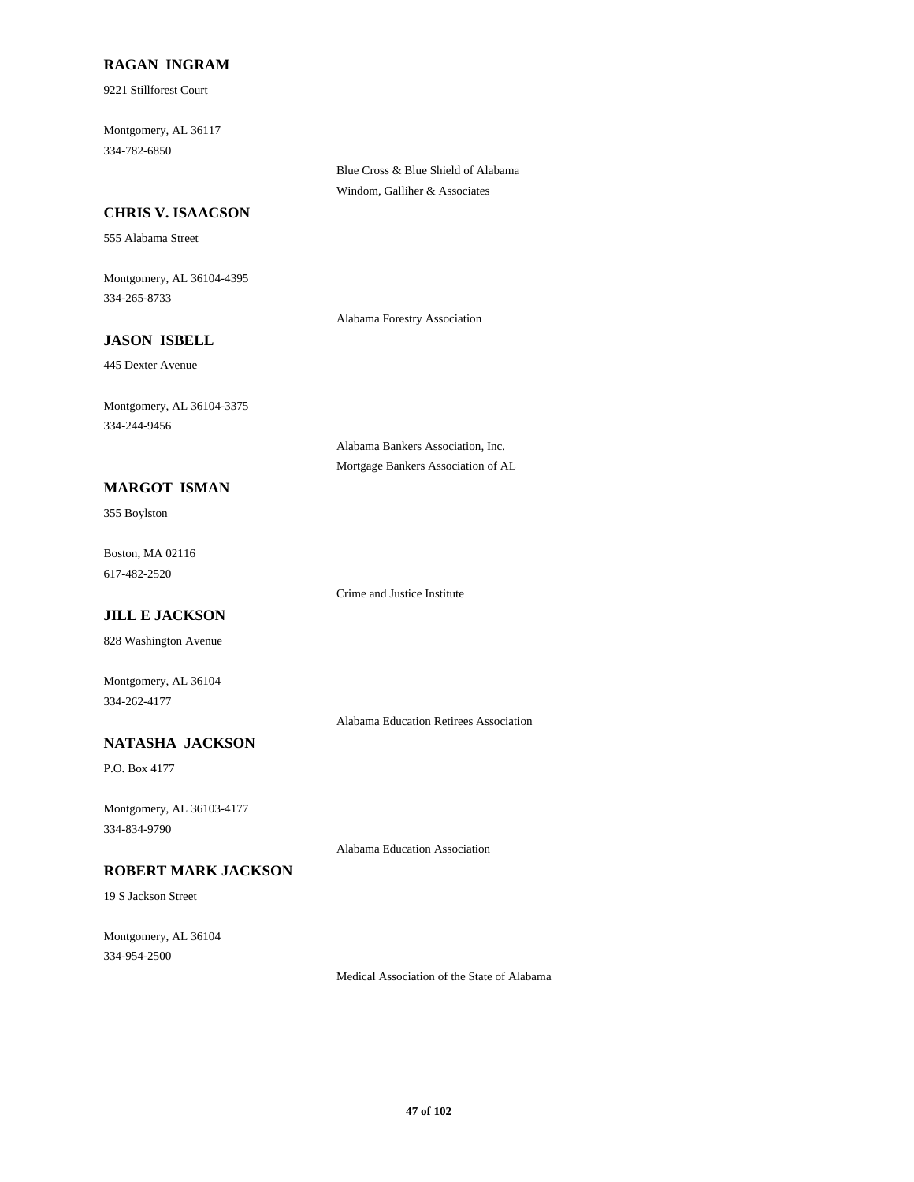# **RAGAN INGRAM**

9221 Stillforest Court

Montgomery, AL 36117 334-782-6850

**CHRIS V. ISAACSON**

555 Alabama Street

Montgomery, AL 36104-4395 334-265-8733

Alabama Forestry Association

Alabama Bankers Association, Inc. Mortgage Bankers Association of AL

Blue Cross & Blue Shield of Alabama Windom, Galliher & Associates

# **JASON ISBELL**

445 Dexter Avenue

Montgomery, AL 36104-3375 334-244-9456

**MARGOT ISMAN**

355 Boylston

Boston, MA 02116 617-482-2520

Crime and Justice Institute

# **JILL E JACKSON**

828 Washington Avenue

Montgomery, AL 36104 334-262-4177

Alabama Education Retirees Association

# **NATASHA JACKSON**

P.O. Box 4177

Montgomery, AL 36103-4177 334-834-9790

Alabama Education Association

# **ROBERT MARK JACKSON**

19 S Jackson Street

Montgomery, AL 36104 334-954-2500

Medical Association of the State of Alabama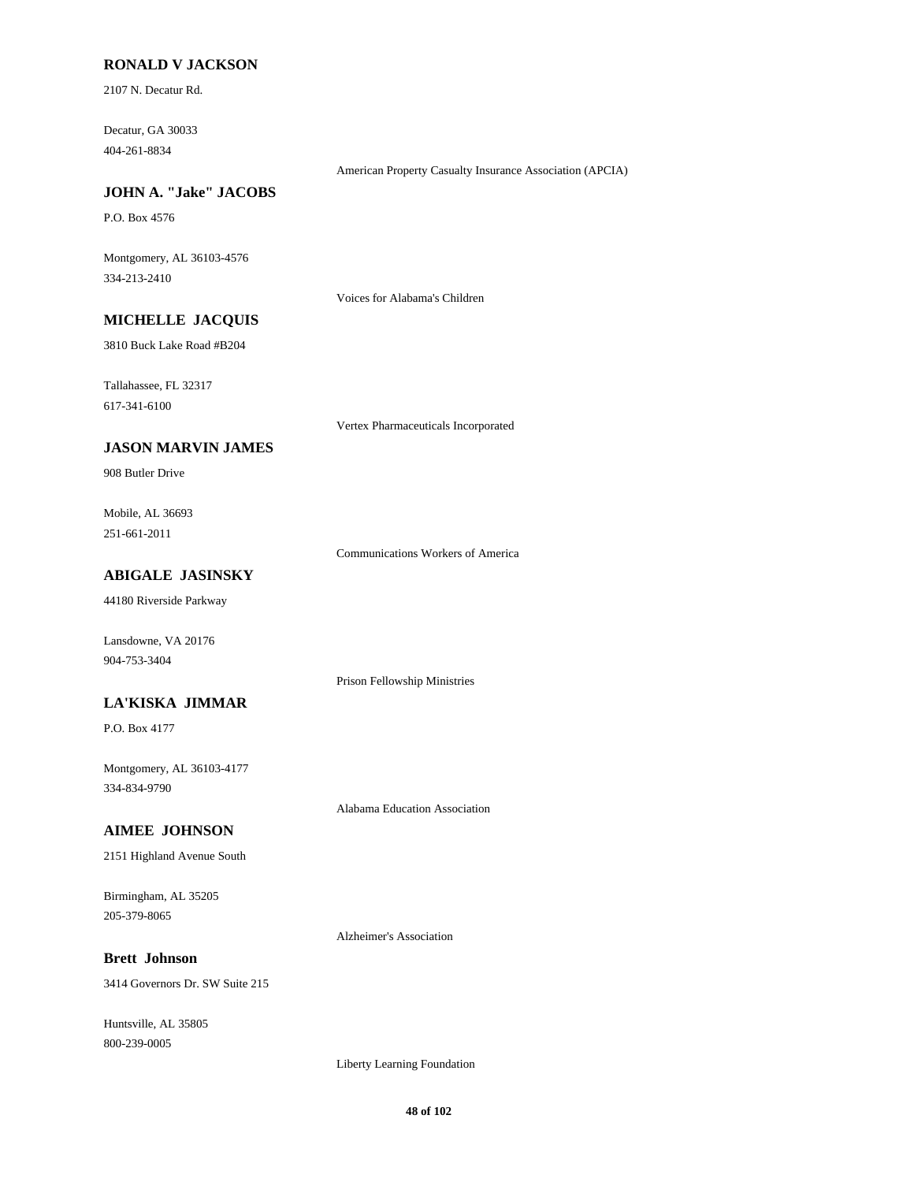## **RONALD V JACKSON**

2107 N. Decatur Rd.

Decatur, GA 30033 404-261-8834

American Property Casualty Insurance Association (APCIA)

# **JOHN A. "Jake" JACOBS**

P.O. Box 4576

Montgomery, AL 36103-4576 334-213-2410

Voices for Alabama's Children

# **MICHELLE JACQUIS**

3810 Buck Lake Road #B204

Tallahassee, FL 32317

617-341-6100

Vertex Pharmaceuticals Incorporated

# **JASON MARVIN JAMES**

908 Butler Drive

Mobile, AL 36693 251-661-2011

Communications Workers of America

Prison Fellowship Ministries

Alabama Education Association

# **ABIGALE JASINSKY**

44180 Riverside Parkway

Lansdowne, VA 20176 904-753-3404

#### **LA'KISKA JIMMAR**

P.O. Box 4177

Montgomery, AL 36103-4177 334-834-9790

#### **AIMEE JOHNSON**

2151 Highland Avenue South

Birmingham, AL 35205 205-379-8065

Alzheimer's Association

# **Brett Johnson**

3414 Governors Dr. SW Suite 215

Huntsville, AL 35805 800-239-0005

Liberty Learning Foundation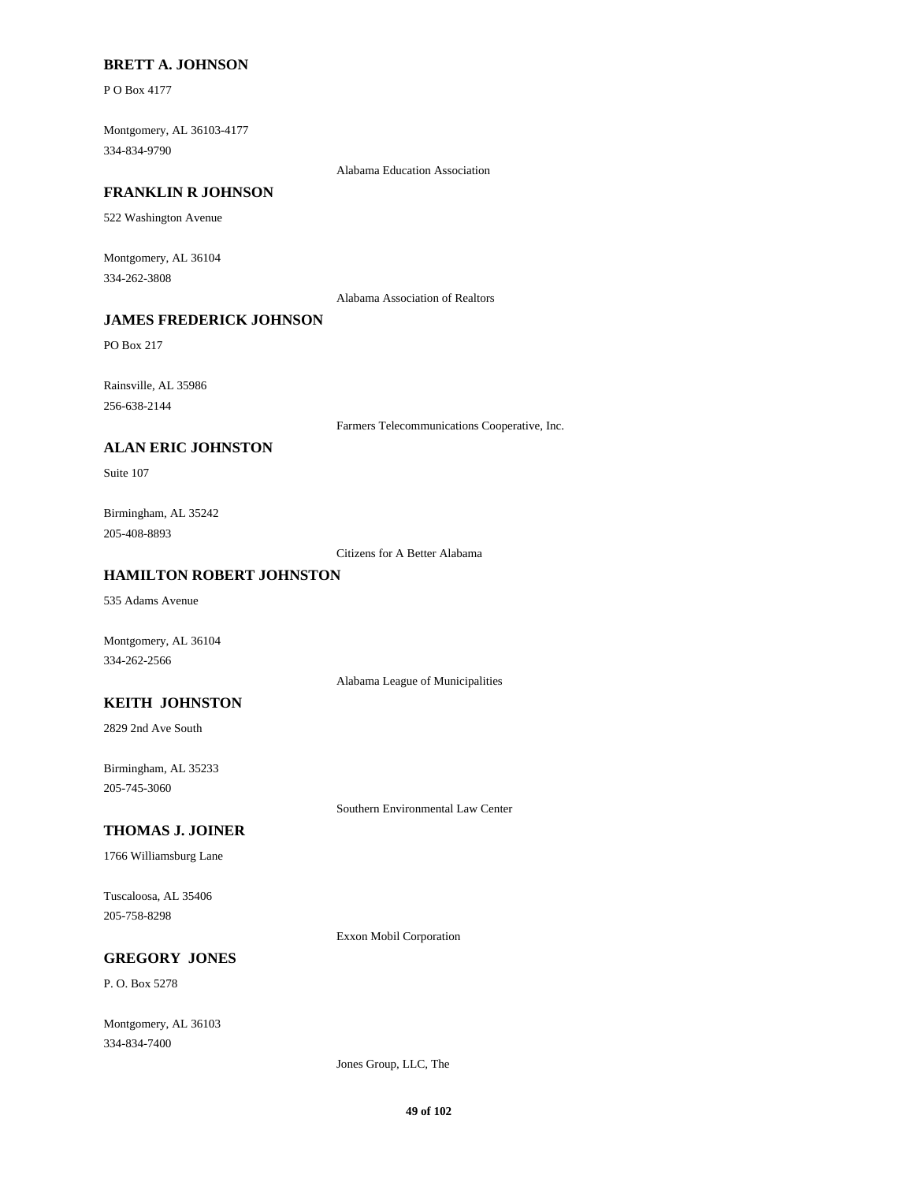#### **BRETT A. JOHNSON**

P O Box 4177

Montgomery, AL 36103-4177 334-834-9790

Alabama Education Association

#### **FRANKLIN R JOHNSON**

522 Washington Avenue

Montgomery, AL 36104 334-262-3808

Alabama Association of Realtors

# **JAMES FREDERICK JOHNSON**

PO Box 217

Rainsville, AL 35986 256-638-2144

Farmers Telecommunications Cooperative, Inc.

## **ALAN ERIC JOHNSTON**

Suite 107

Birmingham, AL 35242 205-408-8893

Citizens for A Better Alabama

## **HAMILTON ROBERT JOHNSTON**

535 Adams Avenue

Montgomery, AL 36104 334-262-2566

Alabama League of Municipalities

## **KEITH JOHNSTON**

2829 2nd Ave South

Birmingham, AL 35233 205-745-3060

Southern Environmental Law Center

#### **THOMAS J. JOINER**

1766 Williamsburg Lane

Tuscaloosa, AL 35406 205-758-8298

Exxon Mobil Corporation

# **GREGORY JONES**

P. O. Box 5278

Montgomery, AL 36103 334-834-7400

Jones Group, LLC, The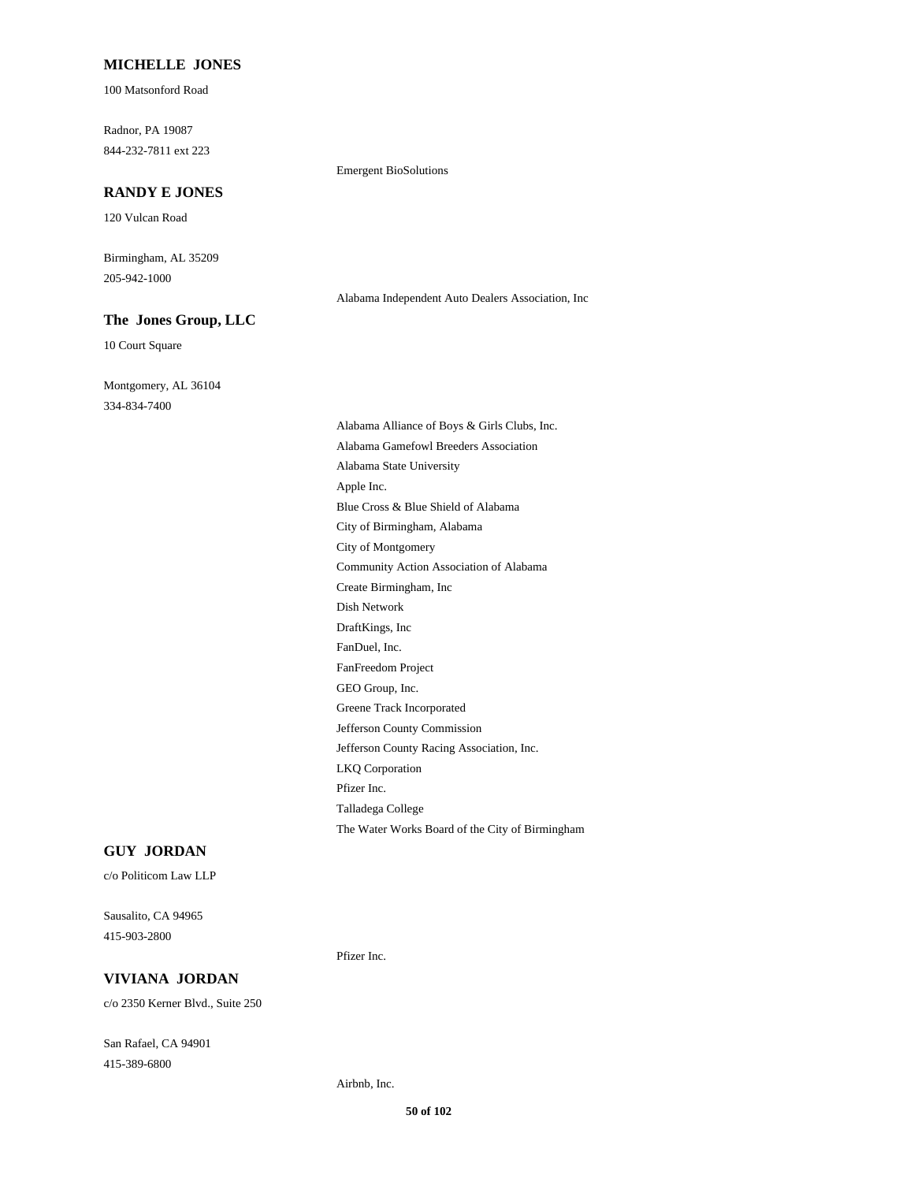## **MICHELLE JONES**

100 Matsonford Road

Radnor, PA 19087 844-232-7811 ext 223

#### **RANDY E JONES**

120 Vulcan Road

Birmingham, AL 35209 205-942-1000

#### **The Jones Group, LLC**

10 Court Square

Montgomery, AL 36104 334-834-7400

Emergent BioSolutions

Alabama Alliance of Boys & Girls Clubs, Inc. Alabama Gamefowl Breeders Association Alabama State University Apple Inc. Blue Cross & Blue Shield of Alabama City of Birmingham, Alabama City of Montgomery Community Action Association of Alabama Create Birmingham, Inc Dish Network DraftKings, Inc FanDuel, Inc. FanFreedom Project GEO Group, Inc. Greene Track Incorporated Jefferson County Commission Jefferson County Racing Association, Inc. LKQ Corporation Pfizer Inc. Talladega College The Water Works Board of the City of Birmingham

Alabama Independent Auto Dealers Association, Inc

## **GUY JORDAN**

c/o Politicom Law LLP

Sausalito, CA 94965 415-903-2800

# **VIVIANA JORDAN**

c/o 2350 Kerner Blvd., Suite 250

San Rafael, CA 94901 415-389-6800

Pfizer Inc.

Airbnb, Inc.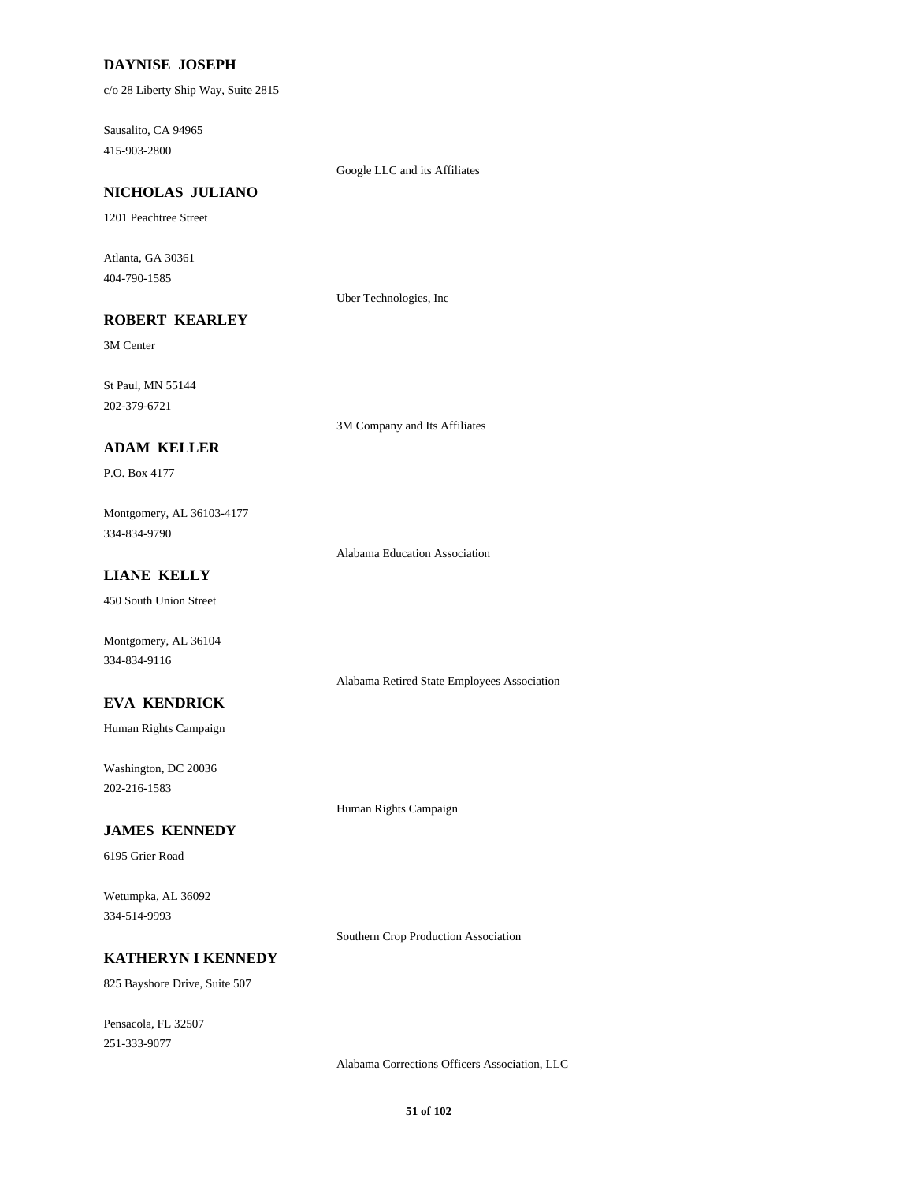# **DAYNISE JOSEPH**

c/o 28 Liberty Ship Way, Suite 2815

Sausalito, CA 94965 415-903-2800

Google LLC and its Affiliates

#### **NICHOLAS JULIANO**

1201 Peachtree Street

Atlanta, GA 30361 404-790-1585

Uber Technologies, Inc

# **ROBERT KEARLEY**

3M Center

St Paul, MN 55144 202-379-6721

3M Company and Its Affiliates

# **ADAM KELLER**

P.O. Box 4177

Montgomery, AL 36103-4177 334-834-9790

Alabama Education Association

# **LIANE KELLY**

450 South Union Street

Montgomery, AL 36104 334-834-9116

# Alabama Retired State Employees Association

**EVA KENDRICK**

Human Rights Campaign

Washington, DC 20036 202-216-1583

Human Rights Campaign

# **JAMES KENNEDY**

6195 Grier Road

Wetumpka, AL 36092 334-514-9993

Southern Crop Production Association

#### **KATHERYN I KENNEDY**

825 Bayshore Drive, Suite 507

Pensacola, FL 32507 251-333-9077

Alabama Corrections Officers Association, LLC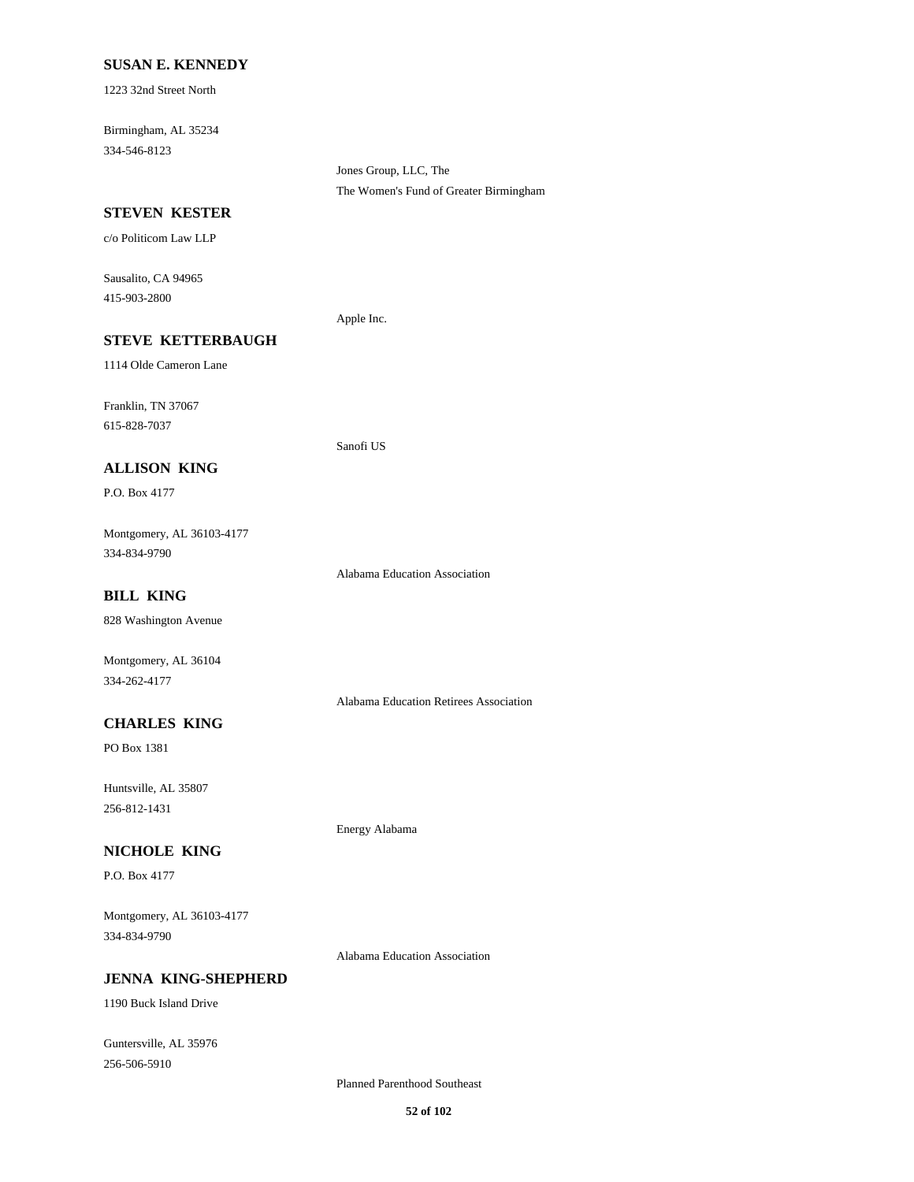## **SUSAN E. KENNEDY**

1223 32nd Street North

Birmingham, AL 35234 334-546-8123

> Jones Group, LLC, The The Women's Fund of Greater Birmingham

## **STEVEN KESTER**

c/o Politicom Law LLP

Sausalito, CA 94965 415-903-2800

# **STEVE KETTERBAUGH**

1114 Olde Cameron Lane

Franklin, TN 37067 615-828-7037

# **ALLISON KING**

P.O. Box 4177

Montgomery, AL 36103-4177 334-834-9790

Alabama Education Association

Apple Inc.

Sanofi US

# **BILL KING**

828 Washington Avenue

Montgomery, AL 36104 334-262-4177

Alabama Education Retirees Association

# **CHARLES KING**

PO Box 1381

Huntsville, AL 35807 256-812-1431

## **NICHOLE KING**

P.O. Box 4177

Montgomery, AL 36103-4177 334-834-9790

Alabama Education Association

Energy Alabama

# **JENNA KING-SHEPHERD**

1190 Buck Island Drive

Guntersville, AL 35976 256-506-5910

Planned Parenthood Southeast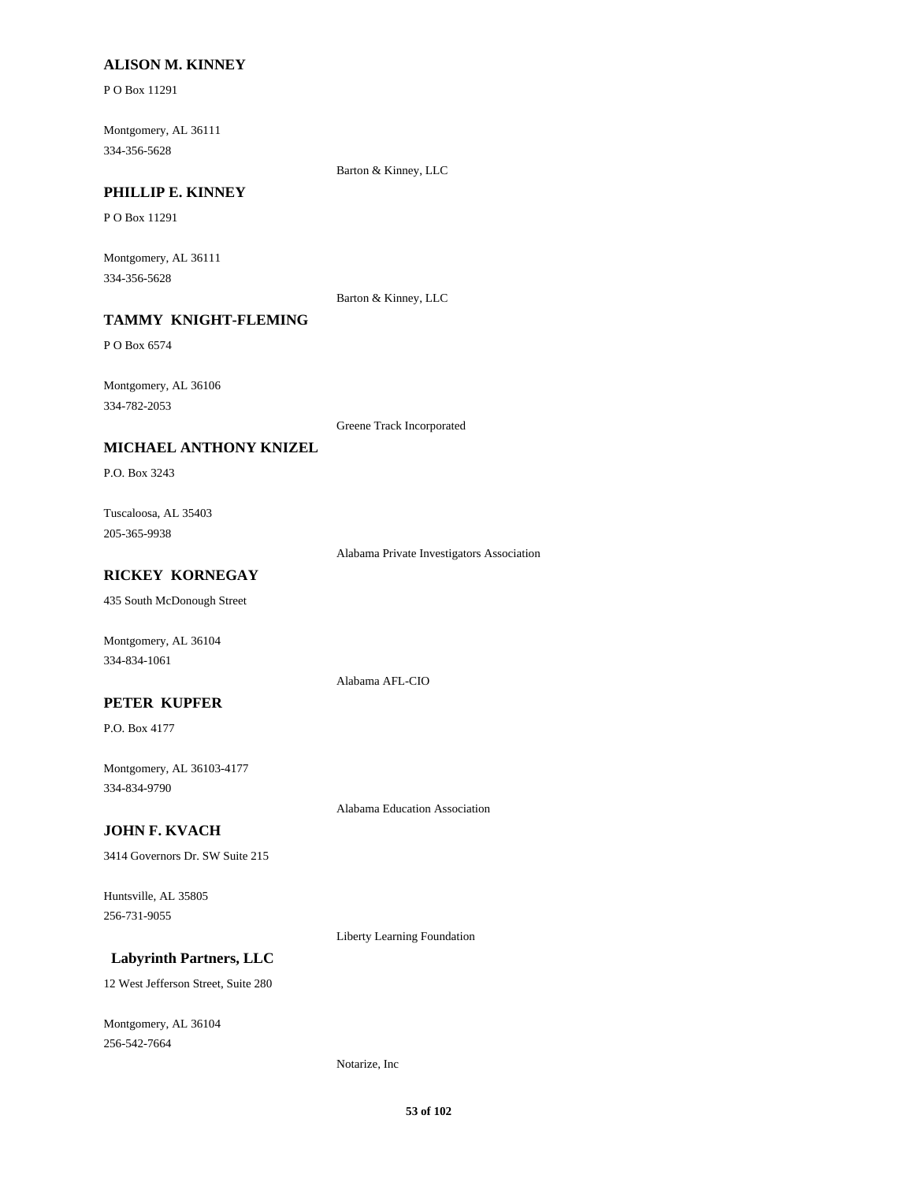## **ALISON M. KINNEY**

P O Box 11291

Montgomery, AL 36111 334-356-5628

Barton & Kinney, LLC

# **PHILLIP E. KINNEY**

P O Box 11291

Montgomery, AL 36111 334-356-5628

Barton & Kinney, LLC

# **TAMMY KNIGHT-FLEMING**

P O Box 6574

Montgomery, AL 36106 334-782-2053

Greene Track Incorporated

## **MICHAEL ANTHONY KNIZEL**

P.O. Box 3243

Tuscaloosa, AL 35403 205-365-9938

Alabama Private Investigators Association

# **RICKEY KORNEGAY**

435 South McDonough Street

Montgomery, AL 36104 334-834-1061

## **PETER KUPFER**

P.O. Box 4177

Montgomery, AL 36103-4177 334-834-9790

Alabama Education Association

Alabama AFL-CIO

# **JOHN F. KVACH**

3414 Governors Dr. SW Suite 215

Huntsville, AL 35805 256-731-9055

Liberty Learning Foundation

# **Labyrinth Partners, LLC**

12 West Jefferson Street, Suite 280

Montgomery, AL 36104 256-542-7664

#### Notarize, Inc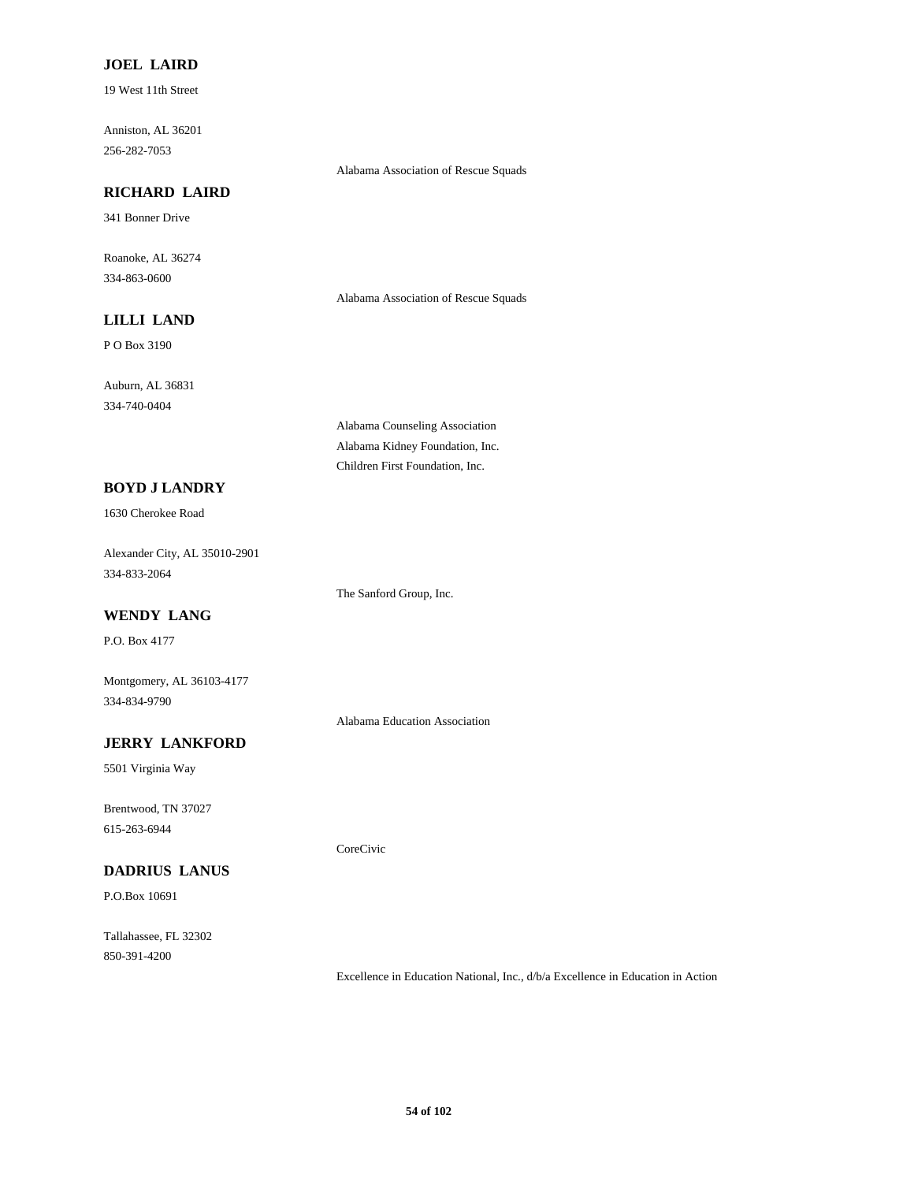# **JOEL LAIRD**

19 West 11th Street

Anniston, AL 36201 256-282-7053

Alabama Association of Rescue Squads

# **RICHARD LAIRD**

341 Bonner Drive

Roanoke, AL 36274 334-863-0600

Alabama Association of Rescue Squads

# **LILLI LAND**

P O Box 3190

Auburn, AL 36831 334-740-0404

> Alabama Counseling Association Alabama Kidney Foundation, Inc. Children First Foundation, Inc.

## **BOYD J LANDRY**

1630 Cherokee Road

Alexander City, AL 35010-2901 334-833-2064

The Sanford Group, Inc.

# **WENDY LANG** P.O. Box 4177

Montgomery, AL 36103-4177

334-834-9790

Alabama Education Association

CoreCivic

# **JERRY LANKFORD**

5501 Virginia Way

Brentwood, TN 37027 615-263-6944

# **DADRIUS LANUS**

P.O.Box 10691

Tallahassee, FL 32302 850-391-4200

Excellence in Education National, Inc., d/b/a Excellence in Education in Action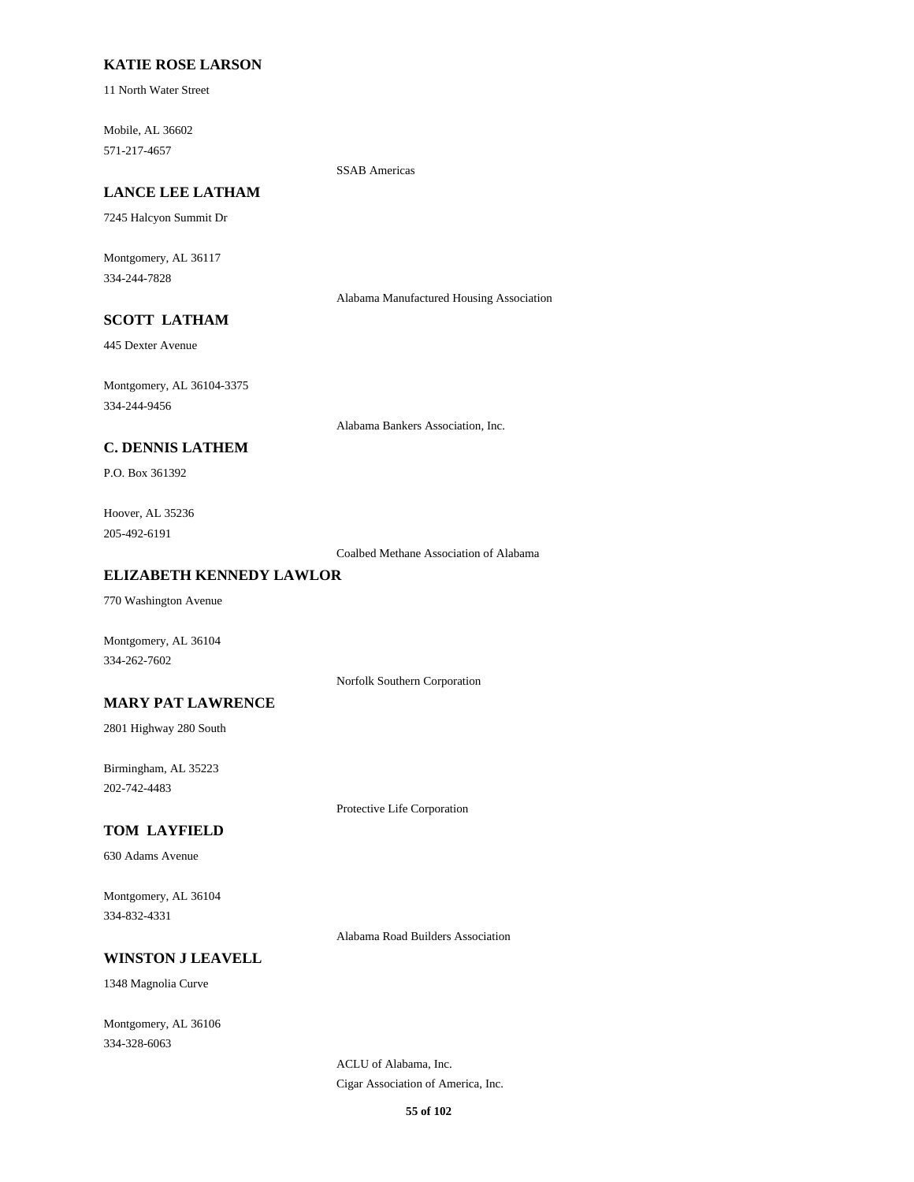# **KATIE ROSE LARSON**

11 North Water Street

Mobile, AL 36602 571-217-4657

SSAB Americas

# **LANCE LEE LATHAM**

7245 Halcyon Summit Dr

Montgomery, AL 36117 334-244-7828

Alabama Manufactured Housing Association

# **SCOTT LATHAM**

445 Dexter Avenue

Montgomery, AL 36104-3375 334-244-9456

Alabama Bankers Association, Inc.

# **C. DENNIS LATHEM**

P.O. Box 361392

Hoover, AL 35236 205-492-6191

Coalbed Methane Association of Alabama

# **ELIZABETH KENNEDY LAWLOR**

770 Washington Avenue

Montgomery, AL 36104 334-262-7602

Norfolk Southern Corporation

# **MARY PAT LAWRENCE**

2801 Highway 280 South

Birmingham, AL 35223 202-742-4483

Protective Life Corporation

# **TOM LAYFIELD**

630 Adams Avenue

Montgomery, AL 36104 334-832-4331

Alabama Road Builders Association

#### **WINSTON J LEAVELL**

1348 Magnolia Curve

Montgomery, AL 36106 334-328-6063

> ACLU of Alabama, Inc. Cigar Association of America, Inc.

> > **55 of 102**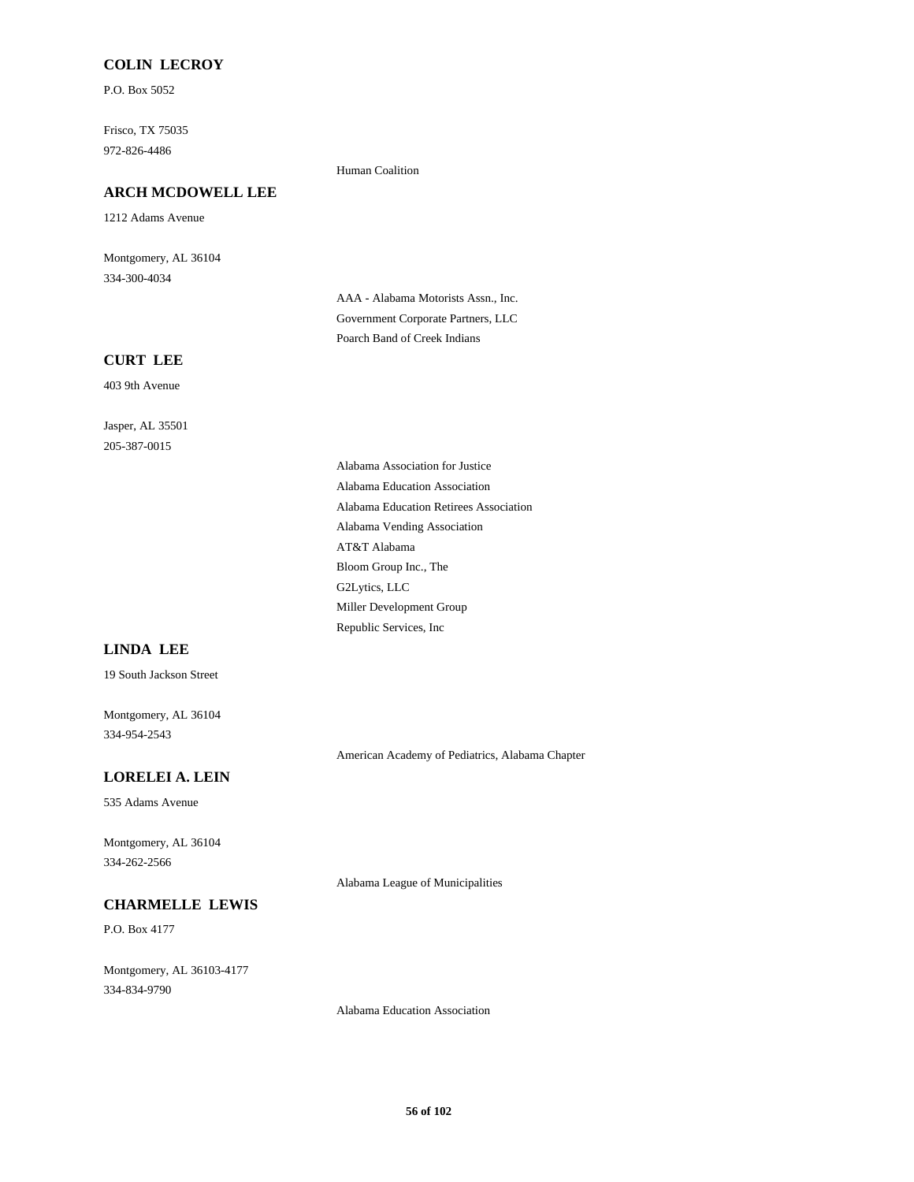# **COLIN LECROY**

P.O. Box 5052

Frisco, TX 75035 972-826-4486

# **ARCH MCDOWELL LEE**

1212 Adams Avenue

Montgomery, AL 36104 334-300-4034

**CURT LEE**

403 9th Avenue

Jasper, AL 35501 205-387-0015

Human Coalition

AAA - Alabama Motorists Assn., Inc. Government Corporate Partners, LLC Poarch Band of Creek Indians

Alabama Association for Justice Alabama Education Association Alabama Education Retirees Association Alabama Vending Association AT&T Alabama Bloom Group Inc., The G2Lytics, LLC Miller Development Group Republic Services, Inc

# **LINDA LEE**

19 South Jackson Street

Montgomery, AL 36104 334-954-2543

American Academy of Pediatrics, Alabama Chapter

# **LORELEI A. LEIN**

535 Adams Avenue

Montgomery, AL 36104 334-262-2566

Alabama League of Municipalities

# **CHARMELLE LEWIS**

P.O. Box 4177

Montgomery, AL 36103-4177 334-834-9790

Alabama Education Association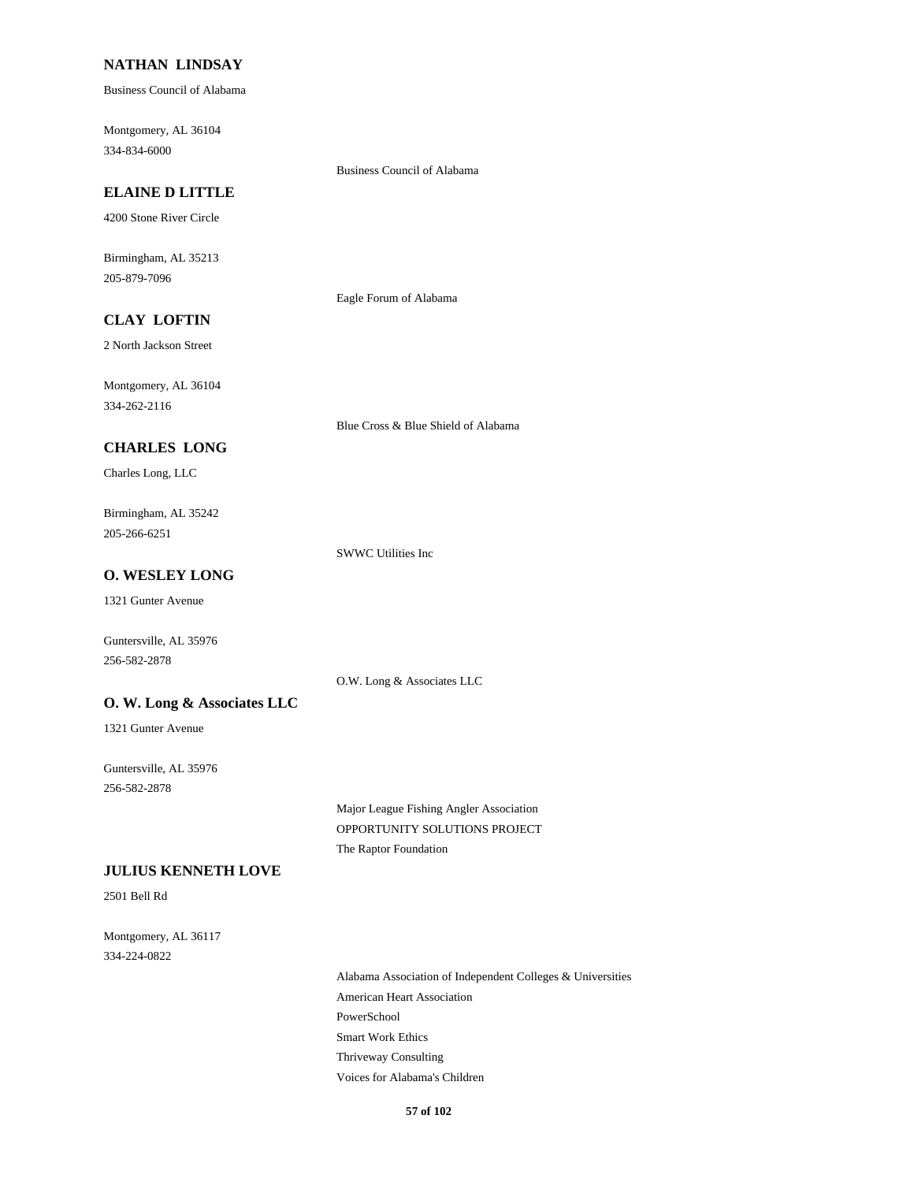# **NATHAN LINDSAY**

Business Council of Alabama

Montgomery, AL 36104 334-834-6000

#### Business Council of Alabama

# **ELAINE D LITTLE**

4200 Stone River Circle

Birmingham, AL 35213 205-879-7096

Eagle Forum of Alabama

Blue Cross & Blue Shield of Alabama

# **CLAY LOFTIN**

2 North Jackson Street

Montgomery, AL 36104 334-262-2116

# **CHARLES LONG**

Charles Long, LLC

Birmingham, AL 35242 205-266-6251

SWWC Utilities Inc

# **O. WESLEY LONG**

1321 Gunter Avenue

Guntersville, AL 35976 256-582-2878

O.W. Long & Associates LLC

## **O. W. Long & Associates LLC**

1321 Gunter Avenue

Guntersville, AL 35976 256-582-2878

> Major League Fishing Angler Association OPPORTUNITY SOLUTIONS PROJECT The Raptor Foundation

# **JULIUS KENNETH LOVE**

2501 Bell Rd

Montgomery, AL 36117 334-224-0822

> Alabama Association of Independent Colleges & Universities American Heart Association PowerSchool Smart Work Ethics Thriveway Consulting Voices for Alabama's Children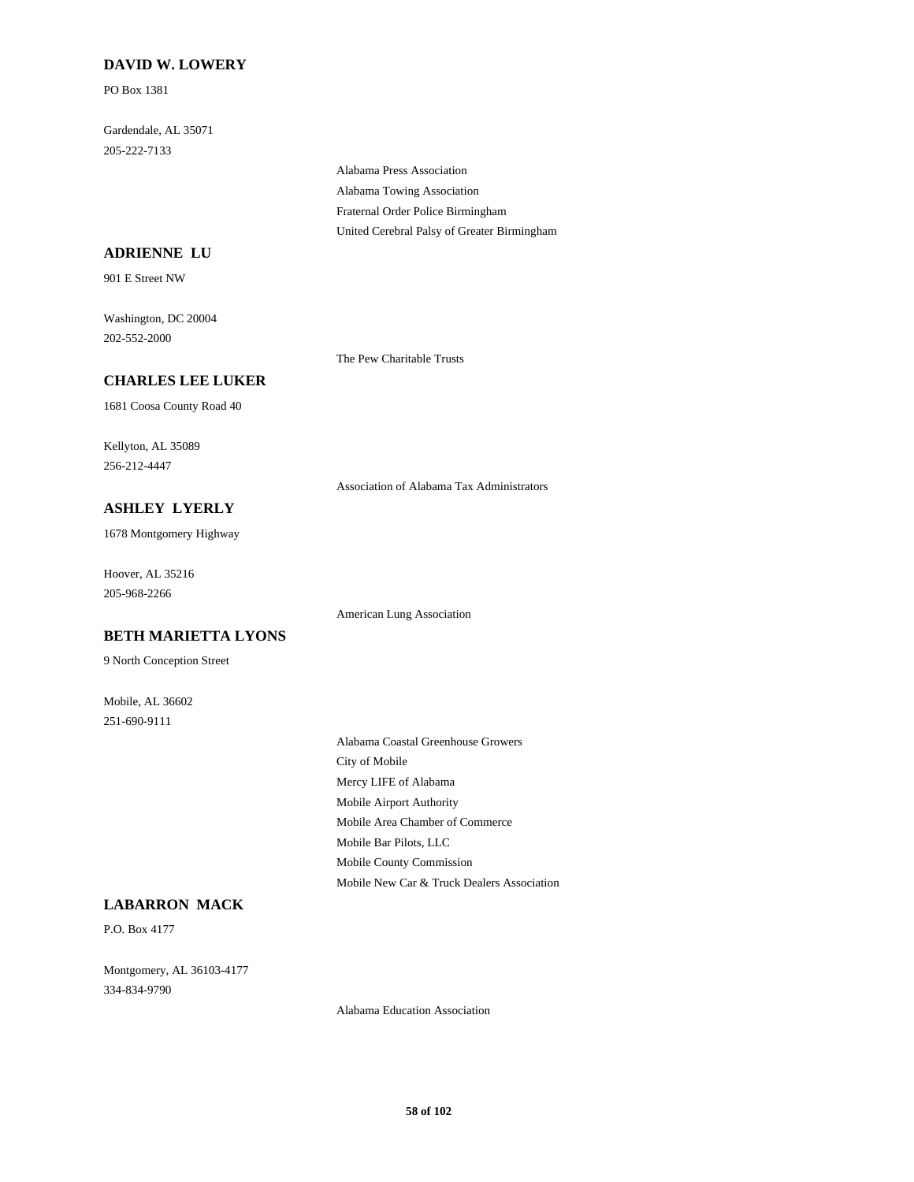# **DAVID W. LOWERY**

PO Box 1381

Gardendale, AL 35071 205-222-7133

> Alabama Press Association Alabama Towing Association Fraternal Order Police Birmingham United Cerebral Palsy of Greater Birmingham

## **ADRIENNE LU**

901 E Street NW

Washington, DC 20004 202-552-2000

The Pew Charitable Trusts

American Lung Association

# **CHARLES LEE LUKER**

1681 Coosa County Road 40

Kellyton, AL 35089 256-212-4447

Association of Alabama Tax Administrators

**ASHLEY LYERLY**

1678 Montgomery Highway

Hoover, AL 35216 205-968-2266

**BETH MARIETTA LYONS**

9 North Conception Street

Mobile, AL 36602 251-690-9111

Alabama Coastal Greenhouse Growers City of Mobile Mercy LIFE of Alabama Mobile Airport Authority Mobile Area Chamber of Commerce Mobile Bar Pilots, LLC Mobile County Commission Mobile New Car & Truck Dealers Association

# **LABARRON MACK**

P.O. Box 4177

Montgomery, AL 36103-4177 334-834-9790

Alabama Education Association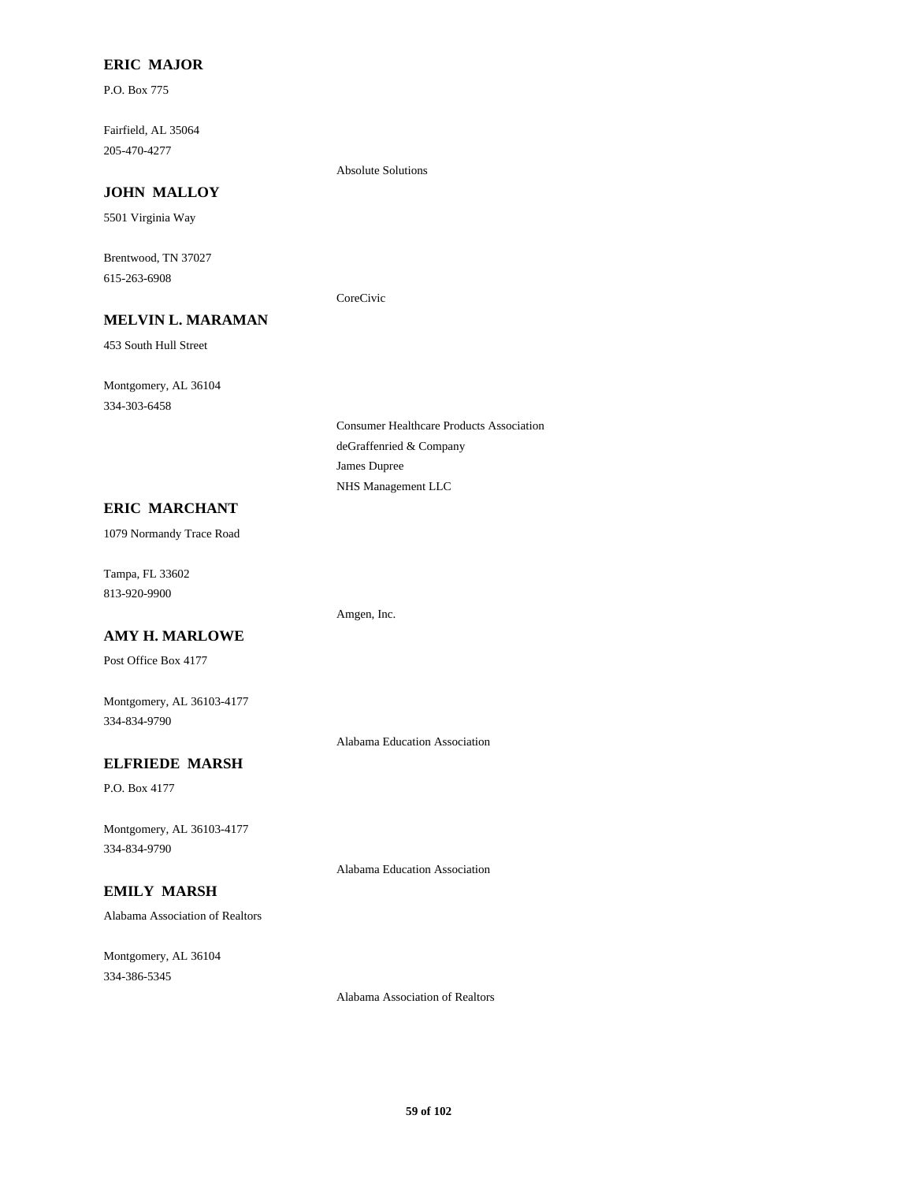# **ERIC MAJOR**

P.O. Box 775

Fairfield, AL 35064 205-470-4277

#### Absolute Solutions

CoreCivic

**JOHN MALLOY**

5501 Virginia Way

Brentwood, TN 37027 615-263-6908

# **MELVIN L. MARAMAN**

453 South Hull Street

Montgomery, AL 36104 334-303-6458

# **ERIC MARCHANT**

1079 Normandy Trace Road

Tampa, FL 33602 813-920-9900

# **AMY H. MARLOWE**

Post Office Box 4177

Montgomery, AL 36103-4177 334-834-9790

Alabama Education Association

Alabama Education Association

# **ELFRIEDE MARSH**

P.O. Box 4177

Montgomery, AL 36103-4177 334-834-9790

## **EMILY MARSH**

Alabama Association of Realtors

Montgomery, AL 36104 334-386-5345

Alabama Association of Realtors

Amgen, Inc.

Consumer Healthcare Products Association

deGraffenried & Company

NHS Management LLC

James Dupree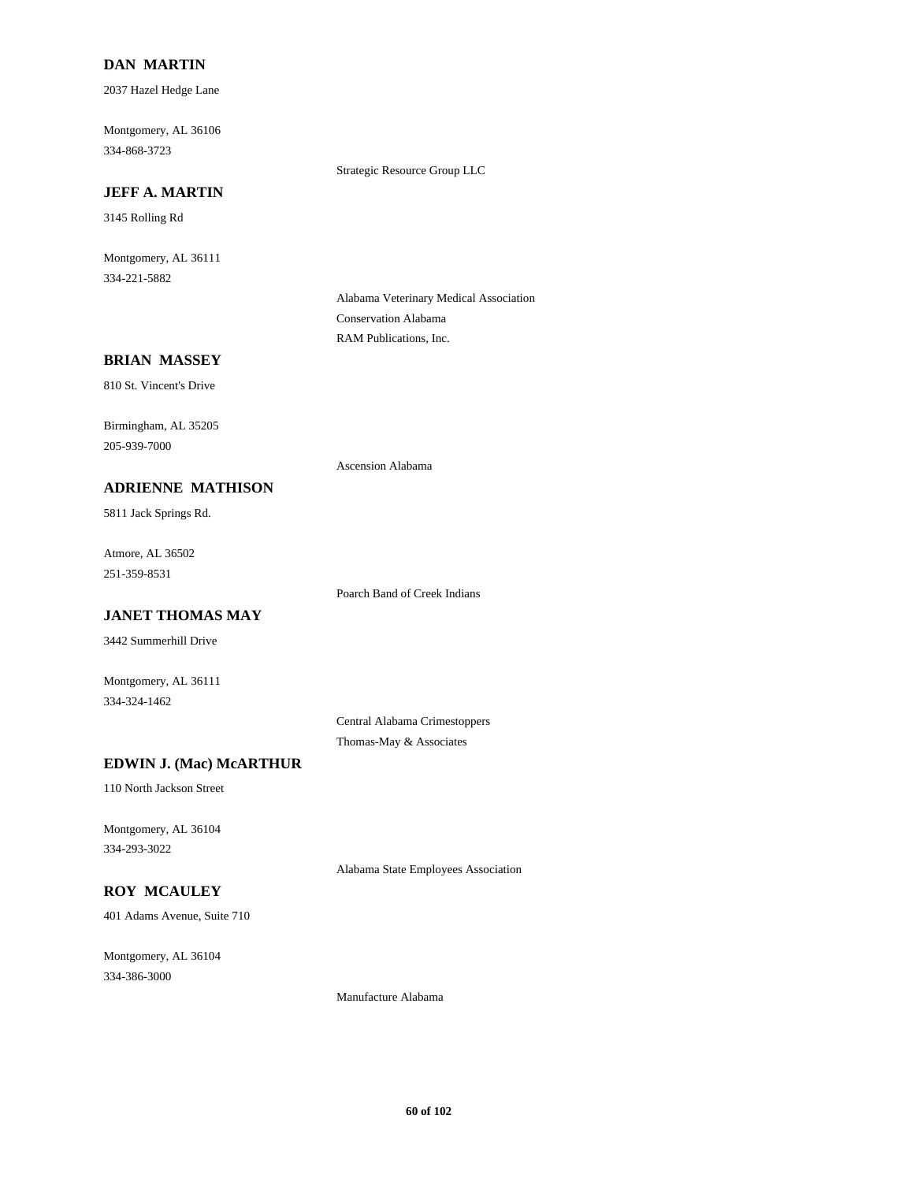# **DAN MARTIN**

2037 Hazel Hedge Lane

Montgomery, AL 36106 334-868-3723

Strategic Resource Group LLC

## **JEFF A. MARTIN**

3145 Rolling Rd

Montgomery, AL 36111 334-221-5882

> Alabama Veterinary Medical Association Conservation Alabama RAM Publications, Inc.

# **BRIAN MASSEY**

810 St. Vincent's Drive

Birmingham, AL 35205 205-939-7000

#### **ADRIENNE MATHISON**

5811 Jack Springs Rd.

Atmore, AL 36502 251-359-8531

Poarch Band of Creek Indians

Ascension Alabama

# **JANET THOMAS MAY**

3442 Summerhill Drive

Montgomery, AL 36111 334-324-1462

> Central Alabama Crimestoppers Thomas-May & Associates

Alabama State Employees Association

# **EDWIN J. (Mac) McARTHUR**

110 North Jackson Street

Montgomery, AL 36104 334-293-3022

# **ROY MCAULEY**

401 Adams Avenue, Suite 710

Montgomery, AL 36104 334-386-3000

Manufacture Alabama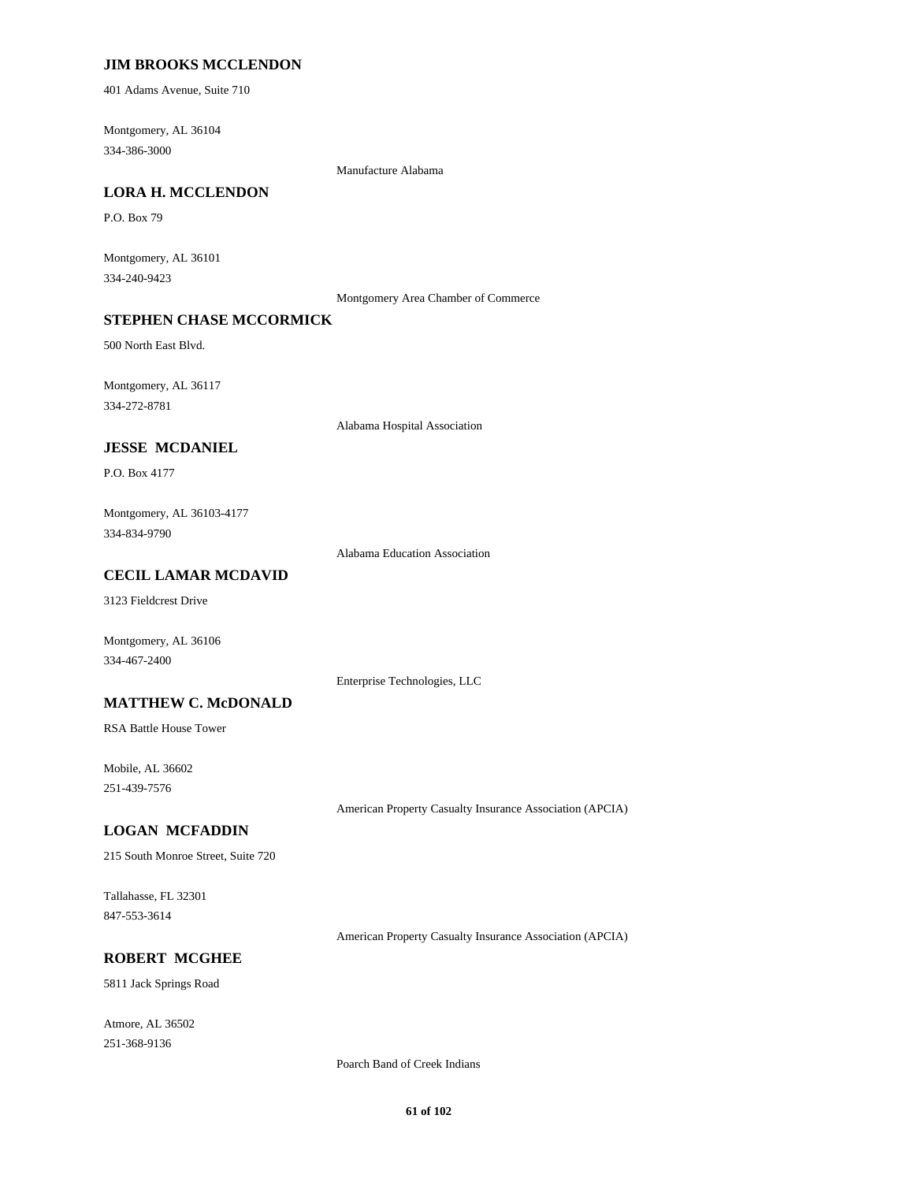## **JIM BROOKS MCCLENDON**

401 Adams Avenue, Suite 710

Montgomery, AL 36104 334-386-3000

Manufacture Alabama

#### **LORA H. MCCLENDON**

P.O. Box 79

Montgomery, AL 36101 334-240-9423

Montgomery Area Chamber of Commerce

# **STEPHEN CHASE MCCORMICK**

500 North East Blvd.

Montgomery, AL 36117 334-272-8781

Alabama Hospital Association

# **JESSE MCDANIEL**

P.O. Box 4177

Montgomery, AL 36103-4177 334-834-9790

Alabama Education Association

# **CECIL LAMAR MCDAVID**

3123 Fieldcrest Drive

Montgomery, AL 36106 334-467-2400

Enterprise Technologies, LLC

## **MATTHEW C. McDONALD**

RSA Battle House Tower

Mobile, AL 36602 251-439-7576

American Property Casualty Insurance Association (APCIA)

#### **LOGAN MCFADDIN**

215 South Monroe Street, Suite 720

Tallahasse, FL 32301 847-553-3614

American Property Casualty Insurance Association (APCIA)

## **ROBERT MCGHEE**

5811 Jack Springs Road

Atmore, AL 36502 251-368-9136

Poarch Band of Creek Indians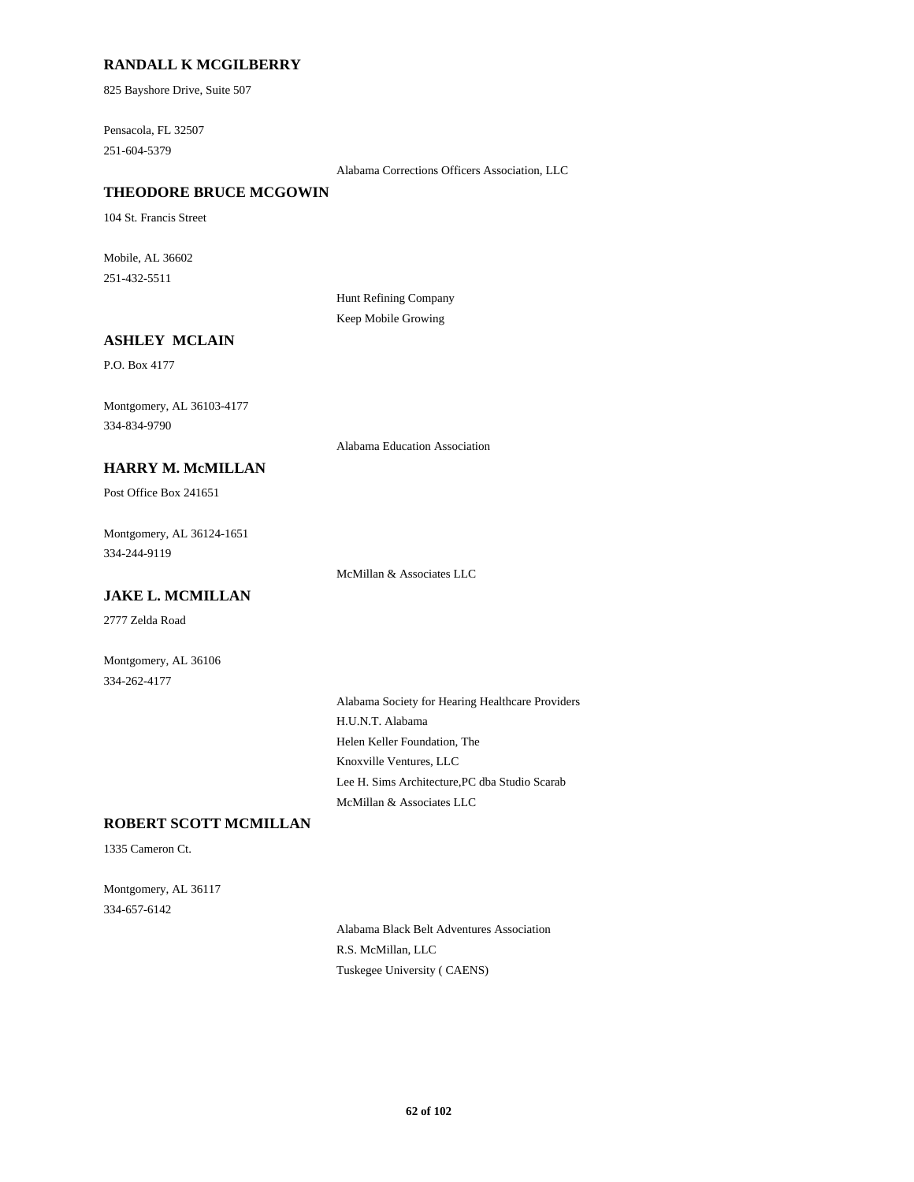## **RANDALL K MCGILBERRY**

825 Bayshore Drive, Suite 507

Pensacola, FL 32507 251-604-5379

Alabama Corrections Officers Association, LLC

# **THEODORE BRUCE MCGOWIN**

104 St. Francis Street

Mobile, AL 36602 251-432-5511

> Hunt Refining Company Keep Mobile Growing

# **ASHLEY MCLAIN**

P.O. Box 4177

Montgomery, AL 36103-4177 334-834-9790

Alabama Education Association

# **HARRY M. McMILLAN**

Post Office Box 241651

Montgomery, AL 36124-1651 334-244-9119

McMillan & Associates LLC

# **JAKE L. MCMILLAN**

2777 Zelda Road

Montgomery, AL 36106 334-262-4177

> Alabama Society for Hearing Healthcare Providers H.U.N.T. Alabama Helen Keller Foundation, The Knoxville Ventures, LLC Lee H. Sims Architecture,PC dba Studio Scarab McMillan & Associates LLC

# **ROBERT SCOTT MCMILLAN**

1335 Cameron Ct.

Montgomery, AL 36117 334-657-6142

> Alabama Black Belt Adventures Association R.S. McMillan, LLC Tuskegee University ( CAENS)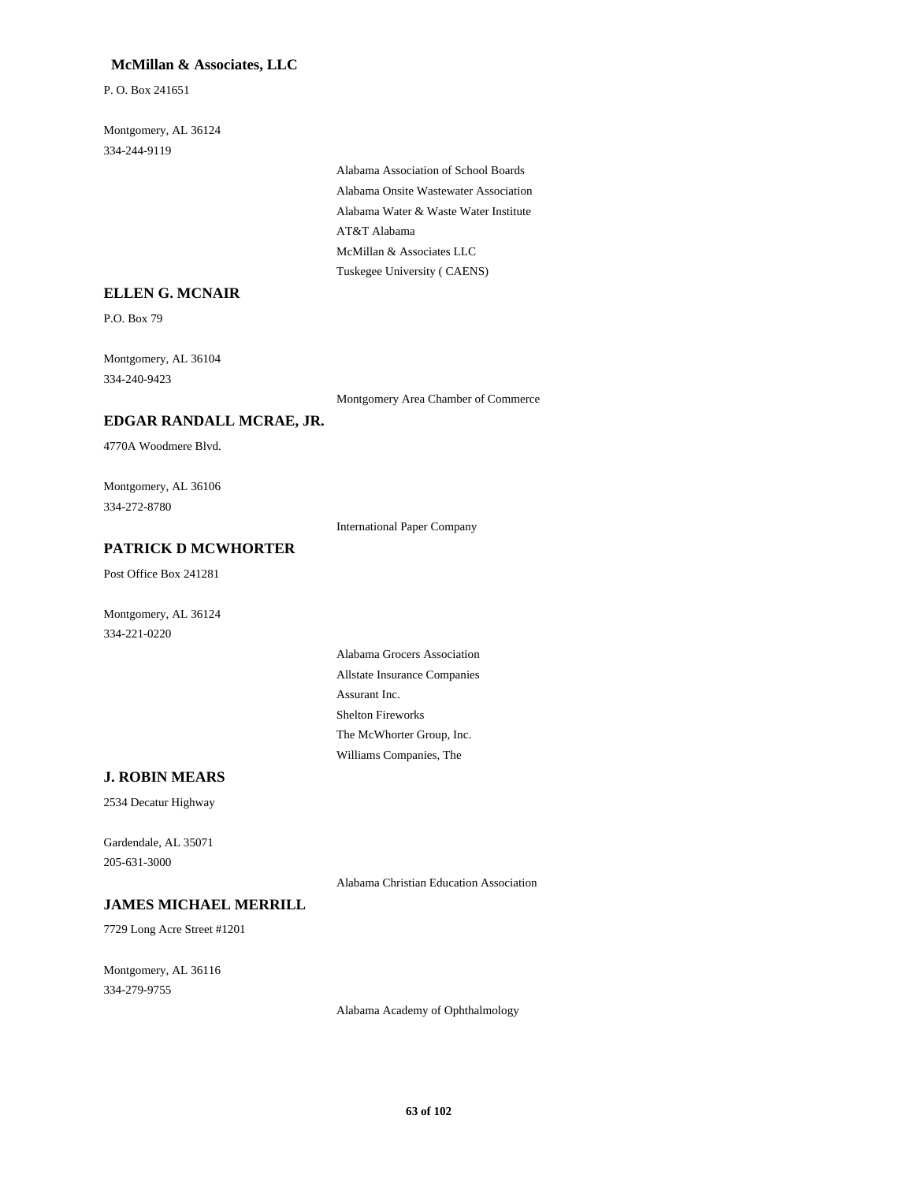#### **McMillan & Associates, LLC**

P. O. Box 241651

Montgomery, AL 36124 334-244-9119

> Alabama Association of School Boards Alabama Onsite Wastewater Association Alabama Water & Waste Water Institute AT&T Alabama McMillan & Associates LLC Tuskegee University ( CAENS)

#### **ELLEN G. MCNAIR**

P.O. Box 79

Montgomery, AL 36104 334-240-9423

Montgomery Area Chamber of Commerce

## **EDGAR RANDALL MCRAE, JR.**

4770A Woodmere Blvd.

Montgomery, AL 36106 334-272-8780

International Paper Company

# **PATRICK D MCWHORTER**

Post Office Box 241281

Montgomery, AL 36124 334-221-0220

> Alabama Grocers Association Allstate Insurance Companies Assurant Inc. Shelton Fireworks The McWhorter Group, Inc. Williams Companies, The

#### **J. ROBIN MEARS**

2534 Decatur Highway

Gardendale, AL 35071 205-631-3000

Alabama Christian Education Association

# **JAMES MICHAEL MERRILL**

7729 Long Acre Street #1201

Montgomery, AL 36116 334-279-9755

Alabama Academy of Ophthalmology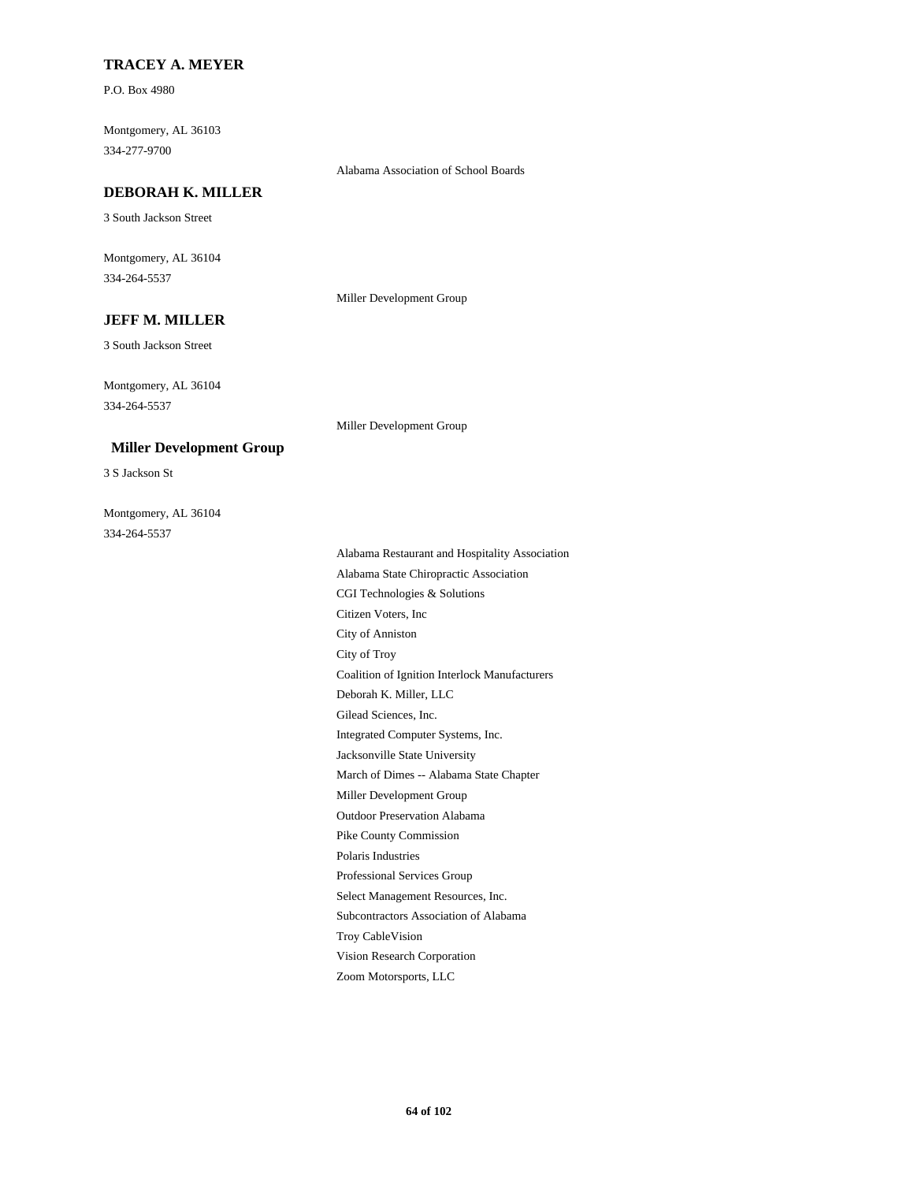## **TRACEY A. MEYER**

P.O. Box 4980

Montgomery, AL 36103 334-277-9700

Alabama Association of School Boards

## **DEBORAH K. MILLER**

3 South Jackson Street

Montgomery, AL 36104 334-264-5537

Miller Development Group

Miller Development Group

# **JEFF M. MILLER**

3 South Jackson Street

Montgomery, AL 36104 334-264-5537

#### **Miller Development Group**

3 S Jackson St

Montgomery, AL 36104 334-264-5537

> Alabama Restaurant and Hospitality Association Alabama State Chiropractic Association CGI Technologies & Solutions Citizen Voters, Inc City of Anniston City of Troy Coalition of Ignition Interlock Manufacturers Deborah K. Miller, LLC Gilead Sciences, Inc. Integrated Computer Systems, Inc. Jacksonville State University March of Dimes -- Alabama State Chapter Miller Development Group Outdoor Preservation Alabama Pike County Commission Polaris Industries Professional Services Group Select Management Resources, Inc. Subcontractors Association of Alabama Troy CableVision Vision Research Corporation Zoom Motorsports, LLC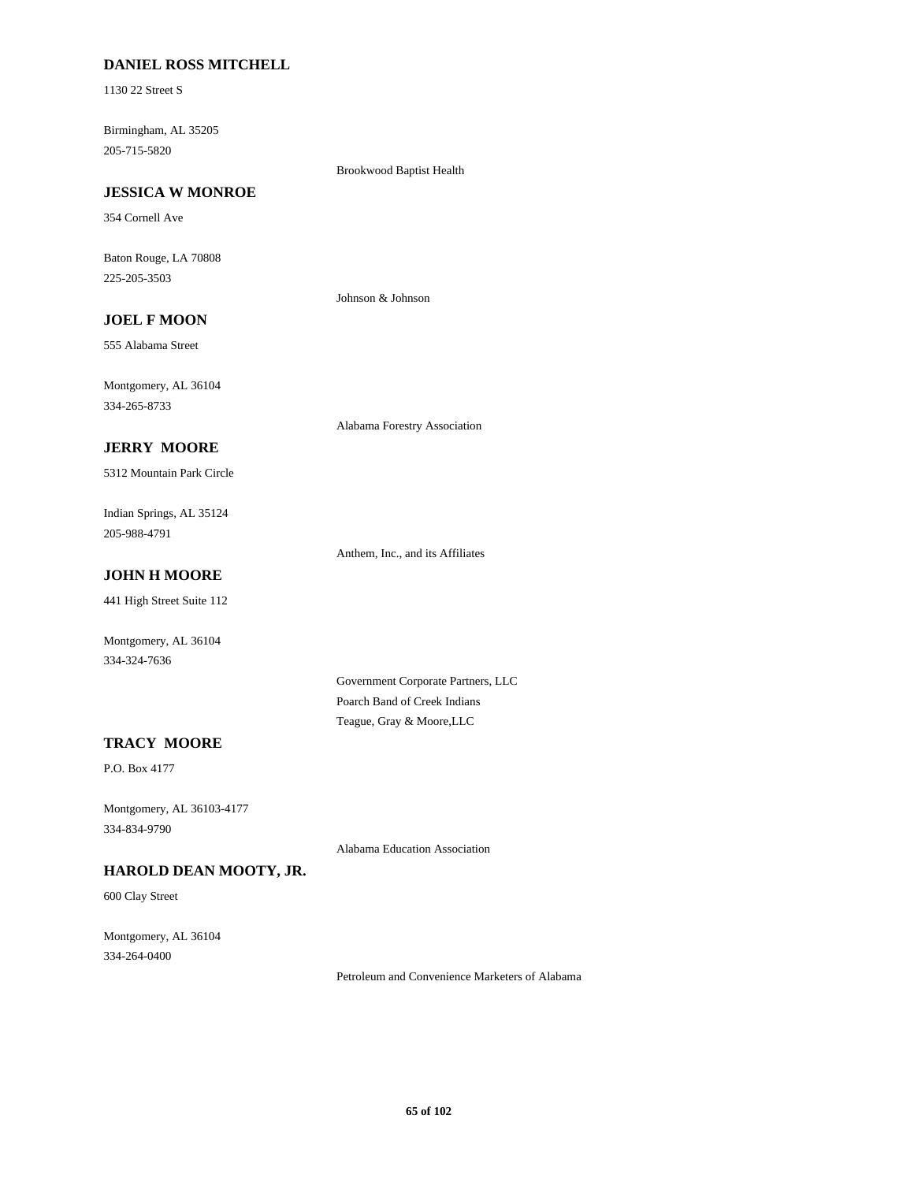# **DANIEL ROSS MITCHELL**

1130 22 Street S

Birmingham, AL 35205 205-715-5820

Brookwood Baptist Health

# **JESSICA W MONROE**

354 Cornell Ave

Baton Rouge, LA 70808 225-205-3503

Johnson & Johnson

# **JOEL F MOON**

555 Alabama Street

Montgomery, AL 36104 334-265-8733

Alabama Forestry Association

# **JERRY MOORE**

5312 Mountain Park Circle

Indian Springs, AL 35124 205-988-4791

Anthem, Inc., and its Affiliates

# **JOHN H MOORE**

441 High Street Suite 112

Montgomery, AL 36104 334-324-7636

> Government Corporate Partners, LLC Poarch Band of Creek Indians Teague, Gray & Moore,LLC

# **TRACY MOORE**

P.O. Box 4177

Montgomery, AL 36103-4177 334-834-9790

Alabama Education Association

# **HAROLD DEAN MOOTY, JR.**

600 Clay Street

Montgomery, AL 36104 334-264-0400

Petroleum and Convenience Marketers of Alabama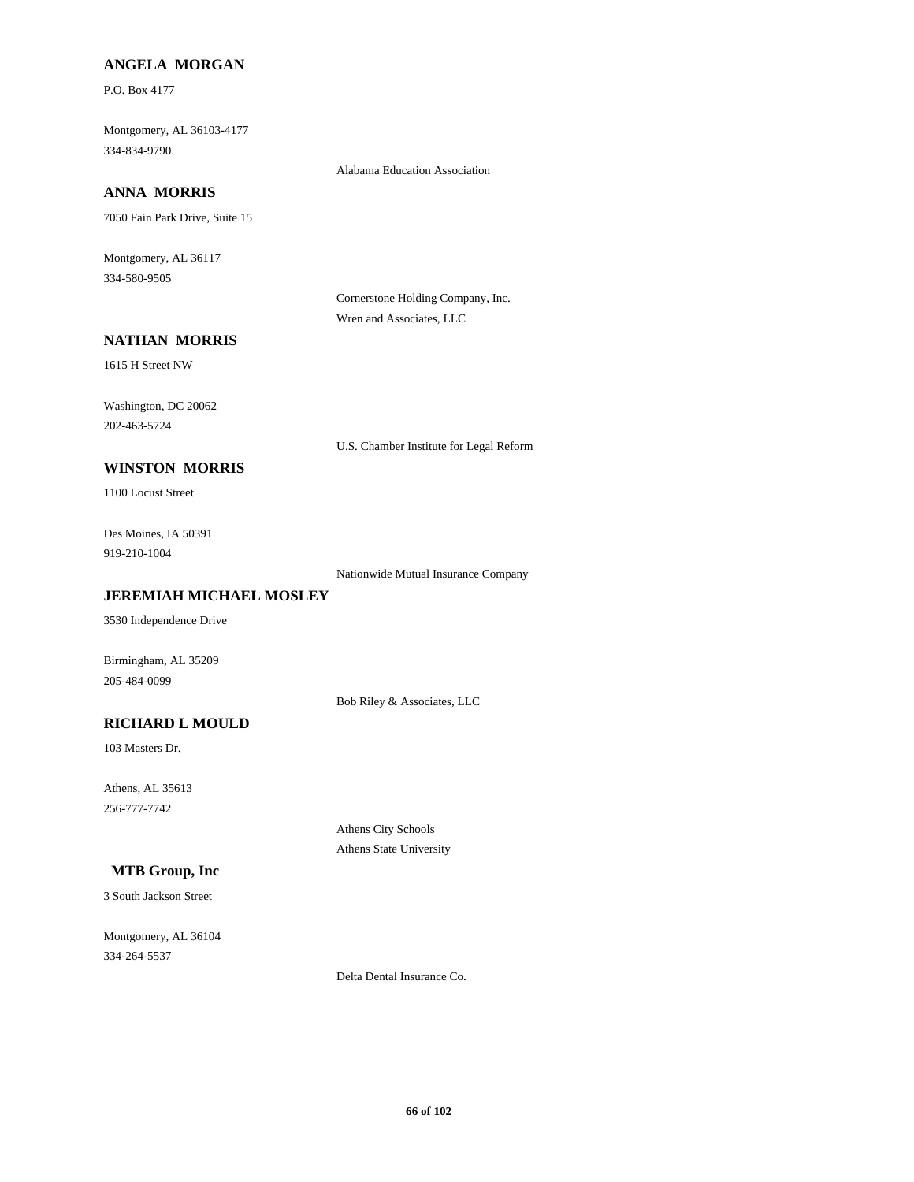## **ANGELA MORGAN**

P.O. Box 4177

Montgomery, AL 36103-4177 334-834-9790

Alabama Education Association

# **ANNA MORRIS**

7050 Fain Park Drive, Suite 15

Montgomery, AL 36117 334-580-9505

> Cornerstone Holding Company, Inc. Wren and Associates, LLC

# **NATHAN MORRIS**

1615 H Street NW

Washington, DC 20062 202-463-5724

U.S. Chamber Institute for Legal Reform

# **WINSTON MORRIS**

1100 Locust Street

Des Moines, IA 50391 919-210-1004

Nationwide Mutual Insurance Company

# **JEREMIAH MICHAEL MOSLEY**

3530 Independence Drive

Birmingham, AL 35209 205-484-0099

Bob Riley & Associates, LLC

# **RICHARD L MOULD**

103 Masters Dr.

Athens, AL 35613 256-777-7742

> Athens City Schools Athens State University

# **MTB Group, Inc**

3 South Jackson Street

Montgomery, AL 36104 334-264-5537

Delta Dental Insurance Co.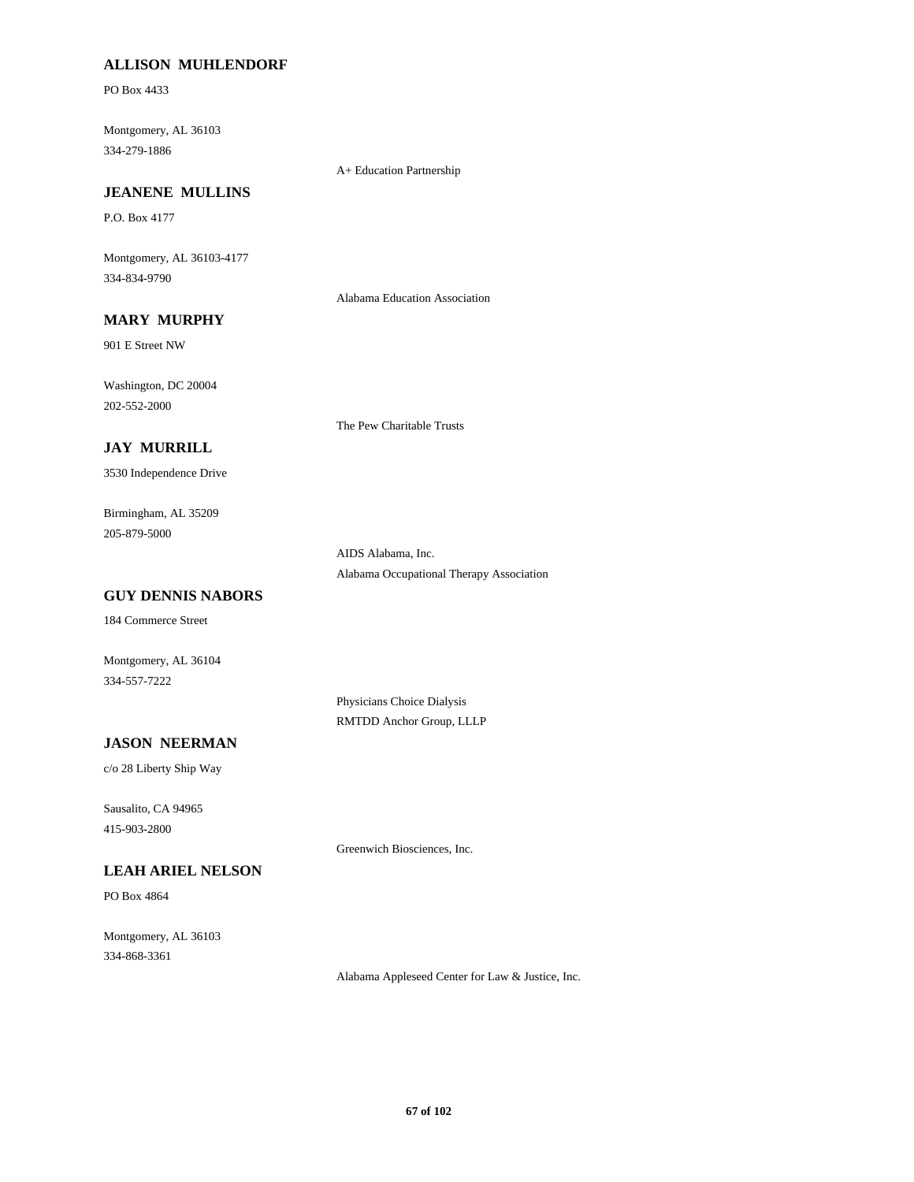# **ALLISON MUHLENDORF**

PO Box 4433

Montgomery, AL 36103 334-279-1886

A+ Education Partnership

# **JEANENE MULLINS**

P.O. Box 4177

Montgomery, AL 36103-4177 334-834-9790

Alabama Education Association

# **MARY MURPHY**

901 E Street NW

Washington, DC 20004 202-552-2000

The Pew Charitable Trusts

# **JAY MURRILL**

3530 Independence Drive

Birmingham, AL 35209 205-879-5000

> AIDS Alabama, Inc. Alabama Occupational Therapy Association

# **GUY DENNIS NABORS**

184 Commerce Street

Montgomery, AL 36104 334-557-7222

> Physicians Choice Dialysis RMTDD Anchor Group, LLLP

## **JASON NEERMAN**

c/o 28 Liberty Ship Way

Sausalito, CA 94965 415-903-2800

Greenwich Biosciences, Inc.

# **LEAH ARIEL NELSON**

PO Box 4864

Montgomery, AL 36103 334-868-3361

Alabama Appleseed Center for Law & Justice, Inc.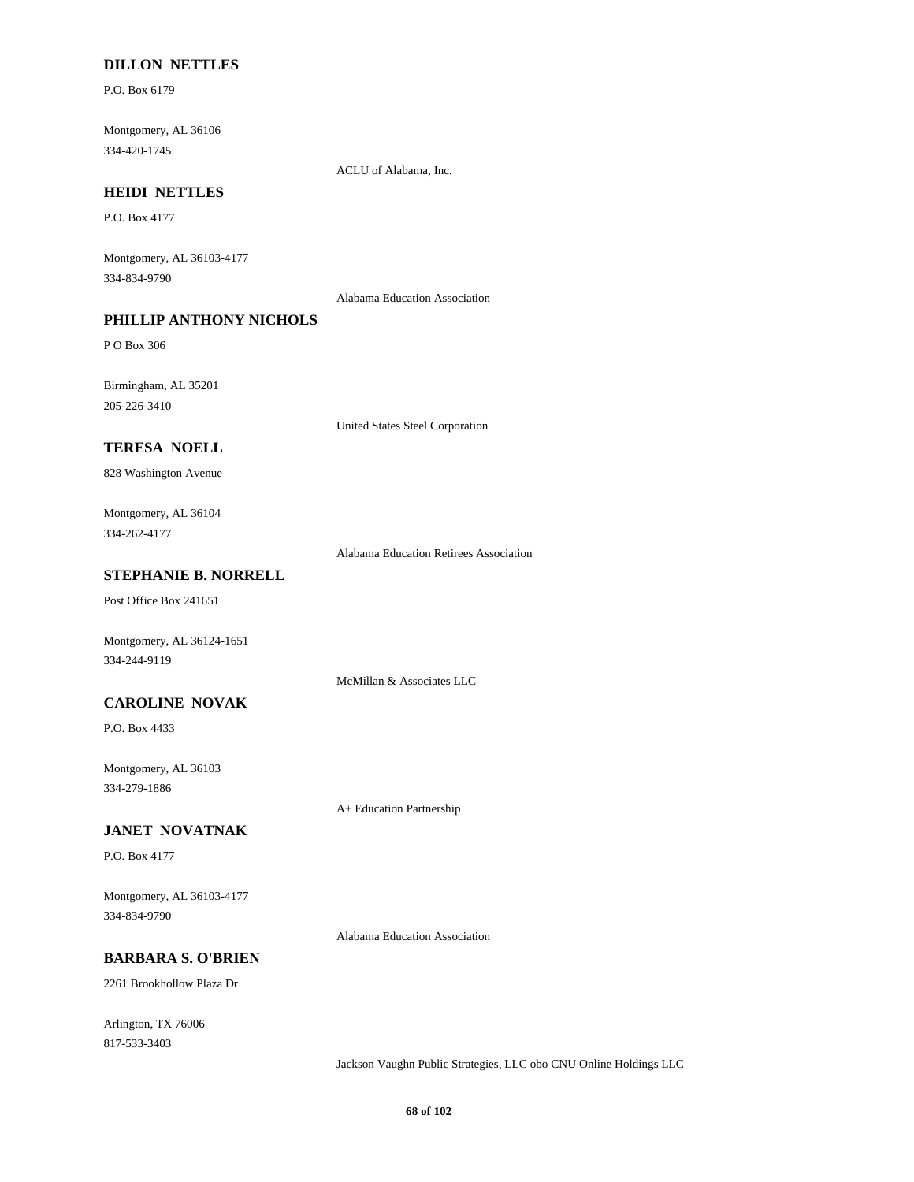# **DILLON NETTLES**

P.O. Box 6179

Montgomery, AL 36106 334-420-1745

ACLU of Alabama, Inc.

#### **HEIDI NETTLES**

P.O. Box 4177

Montgomery, AL 36103-4177 334-834-9790

Alabama Education Association

# **PHILLIP ANTHONY NICHOLS**

P O Box 306

Birmingham, AL 35201 205-226-3410

United States Steel Corporation

# **TERESA NOELL**

828 Washington Avenue

## Montgomery, AL 36104 334-262-4177

Alabama Education Retirees Association

# **STEPHANIE B. NORRELL**

Post Office Box 241651

Montgomery, AL 36124-1651 334-244-9119

McMillan & Associates LLC

## **CAROLINE NOVAK**

P.O. Box 4433

Montgomery, AL 36103 334-279-1886

A+ Education Partnership

## **JANET NOVATNAK**

P.O. Box 4177

Montgomery, AL 36103-4177 334-834-9790

Alabama Education Association

## **BARBARA S. O'BRIEN**

2261 Brookhollow Plaza Dr

Arlington, TX 76006 817-533-3403

Jackson Vaughn Public Strategies, LLC obo CNU Online Holdings LLC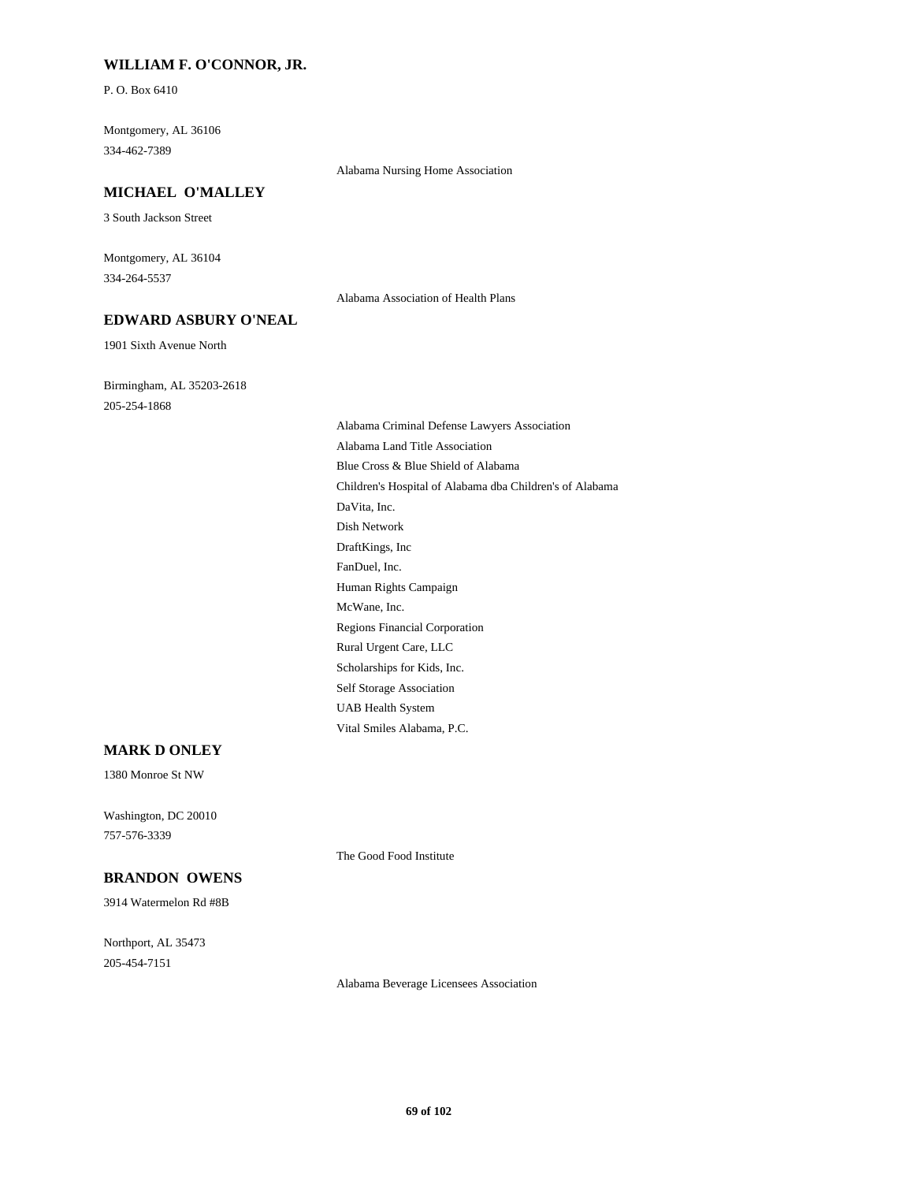# **WILLIAM F. O'CONNOR, JR.**

P. O. Box 6410

Montgomery, AL 36106 334-462-7389

#### Alabama Nursing Home Association

#### **MICHAEL O'MALLEY**

3 South Jackson Street

Montgomery, AL 36104 334-264-5537

Alabama Association of Health Plans

# **EDWARD ASBURY O'NEAL**

1901 Sixth Avenue North

Birmingham, AL 35203-2618 205-254-1868

> Alabama Criminal Defense Lawyers Association Alabama Land Title Association Blue Cross & Blue Shield of Alabama Children's Hospital of Alabama dba Children's of Alabama DaVita, Inc. Dish Network DraftKings, Inc FanDuel, Inc. Human Rights Campaign McWane, Inc. Regions Financial Corporation Rural Urgent Care, LLC Scholarships for Kids, Inc. Self Storage Association UAB Health System Vital Smiles Alabama, P.C.

# **MARK D ONLEY**

1380 Monroe St NW

Washington, DC 20010 757-576-3339

**BRANDON OWENS**

3914 Watermelon Rd #8B

Northport, AL 35473 205-454-7151

Alabama Beverage Licensees Association

The Good Food Institute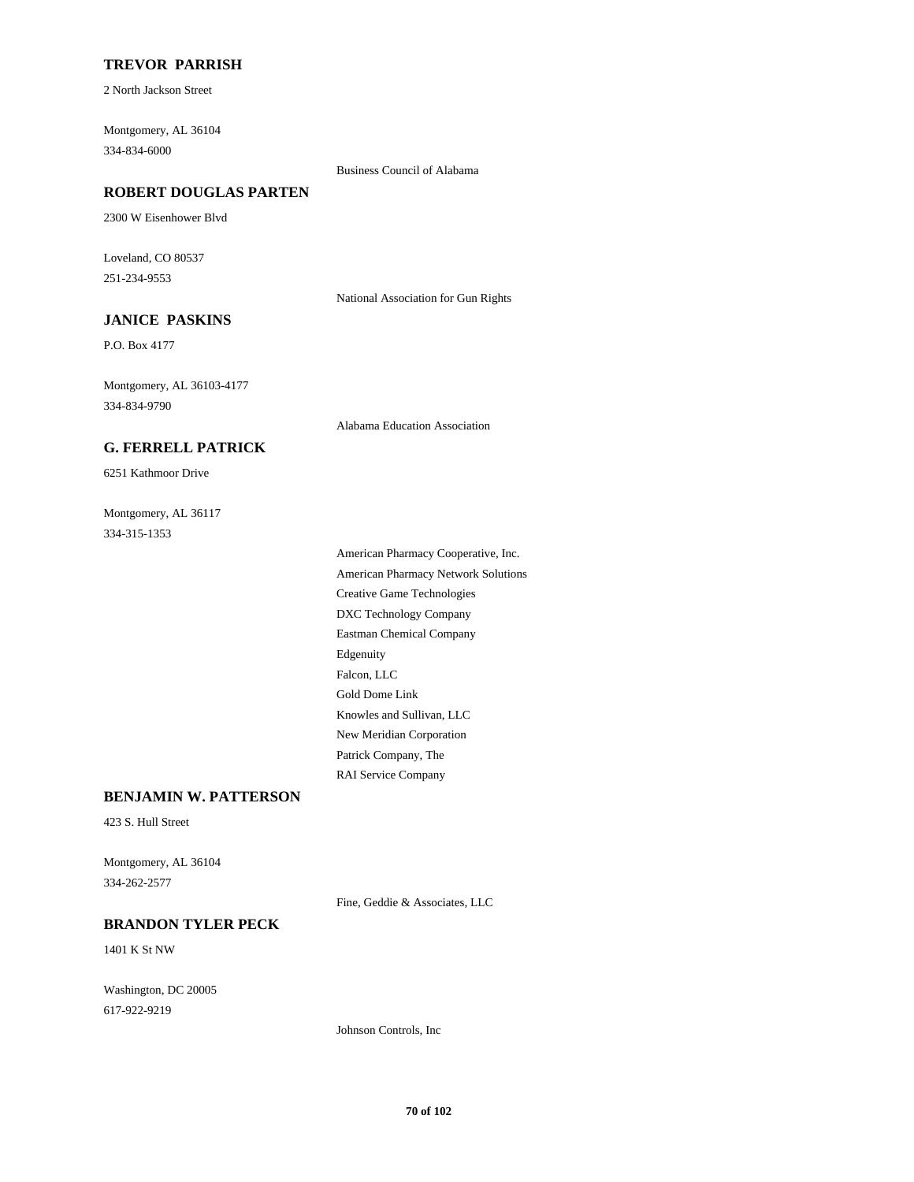# **TREVOR PARRISH**

2 North Jackson Street

Montgomery, AL 36104 334-834-6000

Business Council of Alabama

# **ROBERT DOUGLAS PARTEN**

2300 W Eisenhower Blvd

Loveland, CO 80537 251-234-9553

National Association for Gun Rights

# **JANICE PASKINS**

P.O. Box 4177

Montgomery, AL 36103-4177 334-834-9790

Alabama Education Association

# **G. FERRELL PATRICK**

6251 Kathmoor Drive

Montgomery, AL 36117 334-315-1353

> American Pharmacy Cooperative, Inc. American Pharmacy Network Solutions Creative Game Technologies DXC Technology Company Eastman Chemical Company Edgenuity Falcon, LLC Gold Dome Link Knowles and Sullivan, LLC New Meridian Corporation Patrick Company, The RAI Service Company

# **BENJAMIN W. PATTERSON**

423 S. Hull Street

Montgomery, AL 36104 334-262-2577

Fine, Geddie & Associates, LLC

#### **BRANDON TYLER PECK**

1401 K St NW

Washington, DC 20005 617-922-9219

Johnson Controls, Inc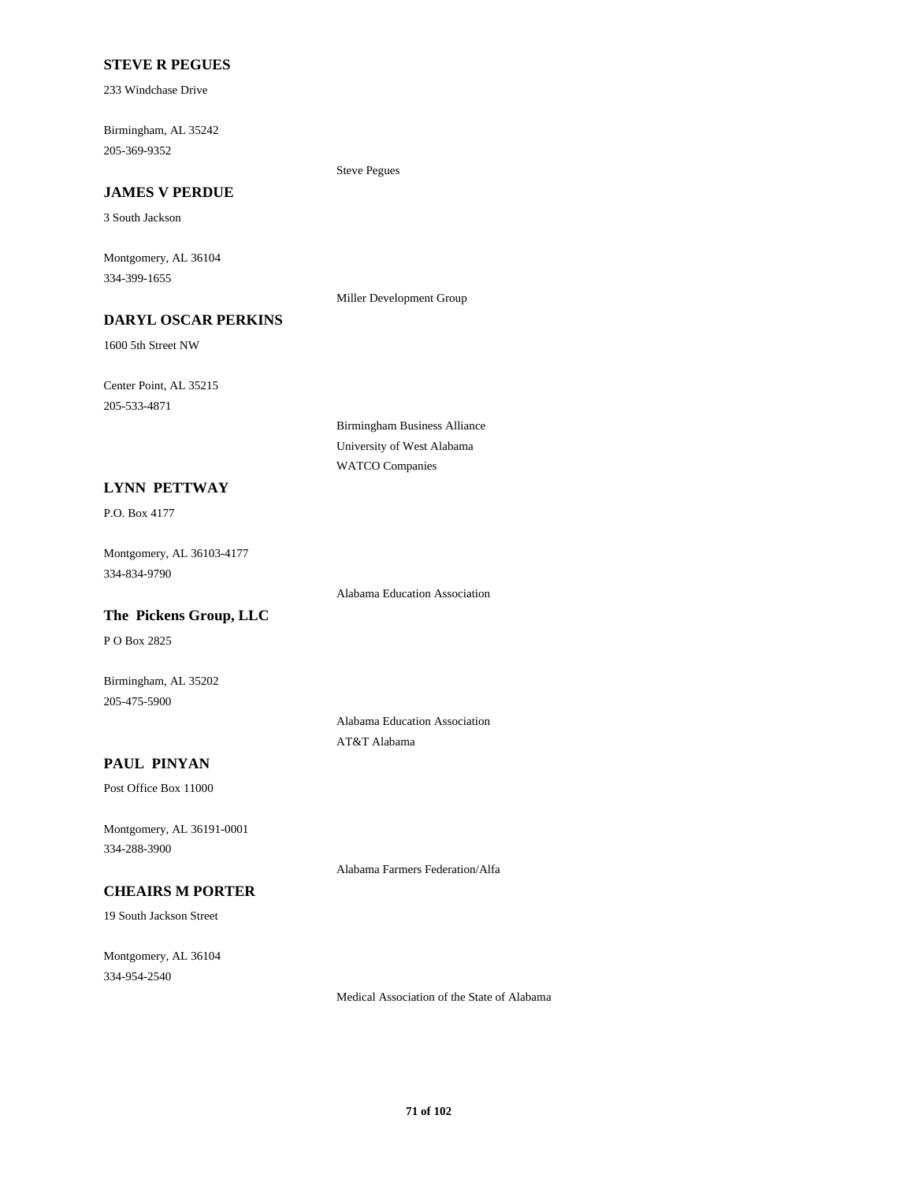# **STEVE R PEGUES**

233 Windchase Drive

Birmingham, AL 35242 205-369-9352

#### **JAMES V PERDUE**

3 South Jackson

Montgomery, AL 36104 334-399-1655

Miller Development Group

Steve Pegues

# **DARYL OSCAR PERKINS**

1600 5th Street NW

Center Point, AL 35215 205-533-4871

> Birmingham Business Alliance University of West Alabama WATCO Companies

#### **LYNN PETTWAY**

P.O. Box 4177

Montgomery, AL 36103-4177 334-834-9790

Alabama Education Association

# **The Pickens Group, LLC**

P O Box 2825

Birmingham, AL 35202 205-475-5900

> Alabama Education Association AT&T Alabama

Alabama Farmers Federation/Alfa

# **PAUL PINYAN**

Post Office Box 11000

Montgomery, AL 36191-0001 334-288-3900

# **CHEAIRS M PORTER**

19 South Jackson Street

Montgomery, AL 36104 334-954-2540

Medical Association of the State of Alabama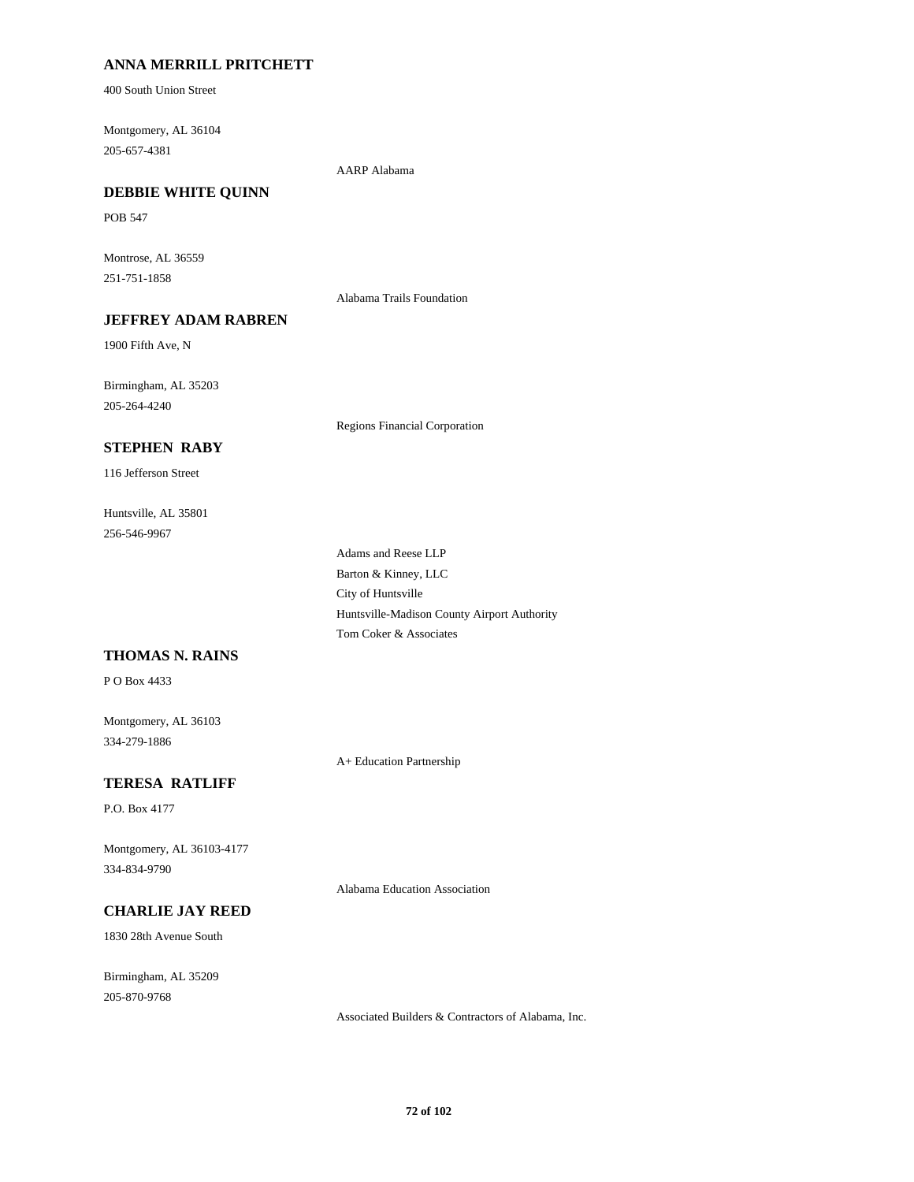# **ANNA MERRILL PRITCHETT**

400 South Union Street

Montgomery, AL 36104 205-657-4381

AARP Alabama

## **DEBBIE WHITE QUINN**

POB 547

Montrose, AL 36559 251-751-1858

Alabama Trails Foundation

# **JEFFREY ADAM RABREN**

1900 Fifth Ave, N

Birmingham, AL 35203 205-264-4240

Regions Financial Corporation

# **STEPHEN RABY**

116 Jefferson Street

Huntsville, AL 35801 256-546-9967

> Adams and Reese LLP Barton & Kinney, LLC City of Huntsville Huntsville-Madison County Airport Authority Tom Coker & Associates

# **THOMAS N. RAINS**

P O Box 4433

Montgomery, AL 36103 334-279-1886

A+ Education Partnership

## **TERESA RATLIFF**

P.O. Box 4177

Montgomery, AL 36103-4177 334-834-9790

Alabama Education Association

# **CHARLIE JAY REED**

1830 28th Avenue South

Birmingham, AL 35209 205-870-9768

Associated Builders & Contractors of Alabama, Inc.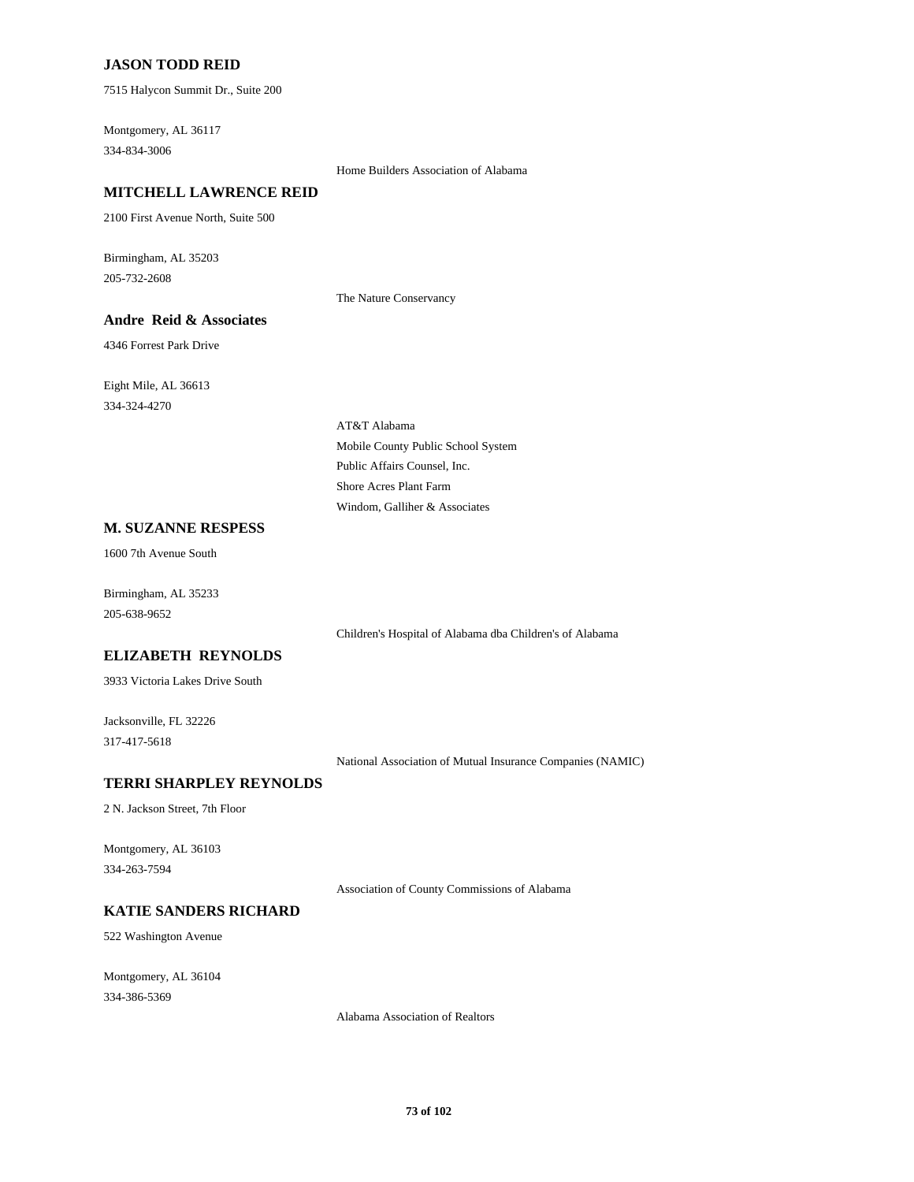## **JASON TODD REID**

7515 Halycon Summit Dr., Suite 200

Montgomery, AL 36117 334-834-3006

Home Builders Association of Alabama

## **MITCHELL LAWRENCE REID**

2100 First Avenue North, Suite 500

Birmingham, AL 35203 205-732-2608

The Nature Conservancy

## **Andre Reid & Associates**

4346 Forrest Park Drive

Eight Mile, AL 36613 334-324-4270

> AT&T Alabama Mobile County Public School System Public Affairs Counsel, Inc. Shore Acres Plant Farm Windom, Galliher & Associates

#### **M. SUZANNE RESPESS**

1600 7th Avenue South

Birmingham, AL 35233 205-638-9652

Children's Hospital of Alabama dba Children's of Alabama

#### **ELIZABETH REYNOLDS**

3933 Victoria Lakes Drive South

Jacksonville, FL 32226 317-417-5618

National Association of Mutual Insurance Companies (NAMIC)

#### **TERRI SHARPLEY REYNOLDS**

2 N. Jackson Street, 7th Floor

Montgomery, AL 36103 334-263-7594

Association of County Commissions of Alabama

# **KATIE SANDERS RICHARD**

522 Washington Avenue

Montgomery, AL 36104 334-386-5369

Alabama Association of Realtors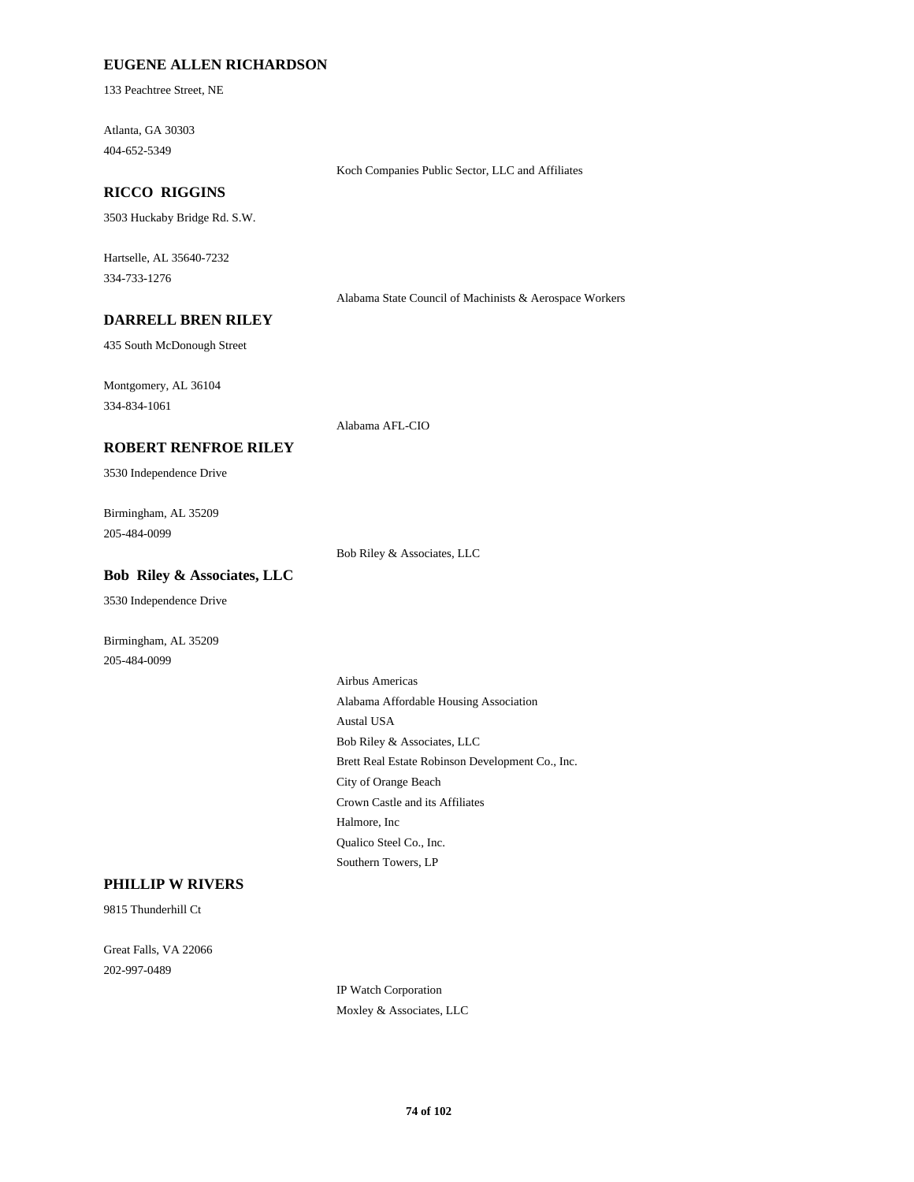## **EUGENE ALLEN RICHARDSON**

133 Peachtree Street, NE

Atlanta, GA 30303 404-652-5349

#### **RICCO RIGGINS**

3503 Huckaby Bridge Rd. S.W.

Hartselle, AL 35640-7232 334-733-1276

Alabama State Council of Machinists & Aerospace Workers

Koch Companies Public Sector, LLC and Affiliates

#### **DARRELL BREN RILEY**

435 South McDonough Street

Montgomery, AL 36104 334-834-1061

Alabama AFL-CIO

#### **ROBERT RENFROE RILEY**

3530 Independence Drive

Birmingham, AL 35209 205-484-0099

Bob Riley & Associates, LLC

## **Bob Riley & Associates, LLC**

3530 Independence Drive

Birmingham, AL 35209 205-484-0099

> Airbus Americas Alabama Affordable Housing Association Austal USA Bob Riley & Associates, LLC Brett Real Estate Robinson Development Co., Inc. City of Orange Beach Crown Castle and its Affiliates Halmore, Inc Qualico Steel Co., Inc. Southern Towers, LP

#### **PHILLIP W RIVERS**

9815 Thunderhill Ct

Great Falls, VA 22066 202-997-0489

> IP Watch Corporation Moxley & Associates, LLC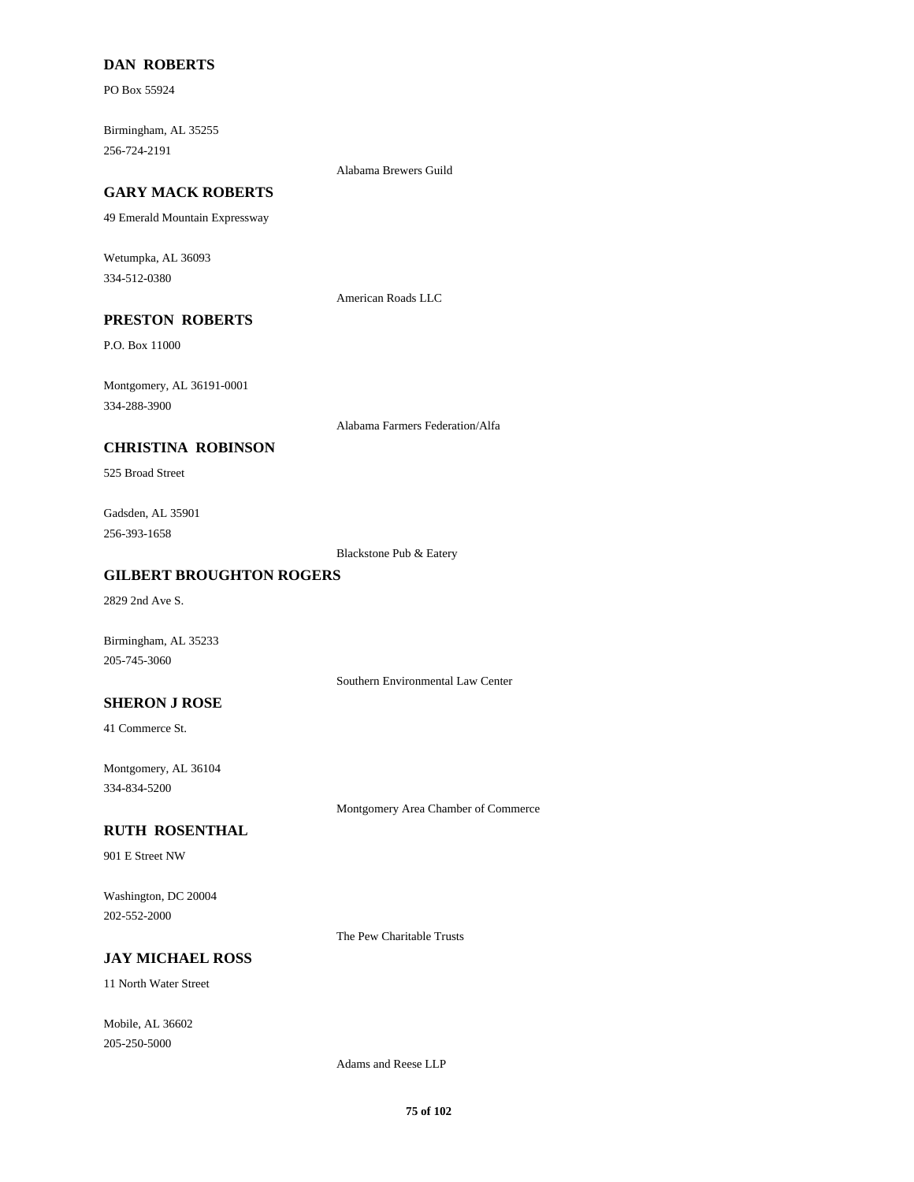### **DAN ROBERTS**

PO Box 55924

Birmingham, AL 35255 256-724-2191

Alabama Brewers Guild

## **GARY MACK ROBERTS**

49 Emerald Mountain Expressway

Wetumpka, AL 36093 334-512-0380

American Roads LLC

# **PRESTON ROBERTS**

P.O. Box 11000

Montgomery, AL 36191-0001 334-288-3900

Alabama Farmers Federation/Alfa

## **CHRISTINA ROBINSON**

525 Broad Street

Gadsden, AL 35901 256-393-1658

Blackstone Pub & Eatery

#### **GILBERT BROUGHTON ROGERS**

2829 2nd Ave S.

Birmingham, AL 35233 205-745-3060

Southern Environmental Law Center

**SHERON J ROSE**

41 Commerce St.

Montgomery, AL 36104 334-834-5200

Montgomery Area Chamber of Commerce

#### **RUTH ROSENTHAL**

901 E Street NW

Washington, DC 20004 202-552-2000

The Pew Charitable Trusts

#### **JAY MICHAEL ROSS**

11 North Water Street

Mobile, AL 36602 205-250-5000

Adams and Reese LLP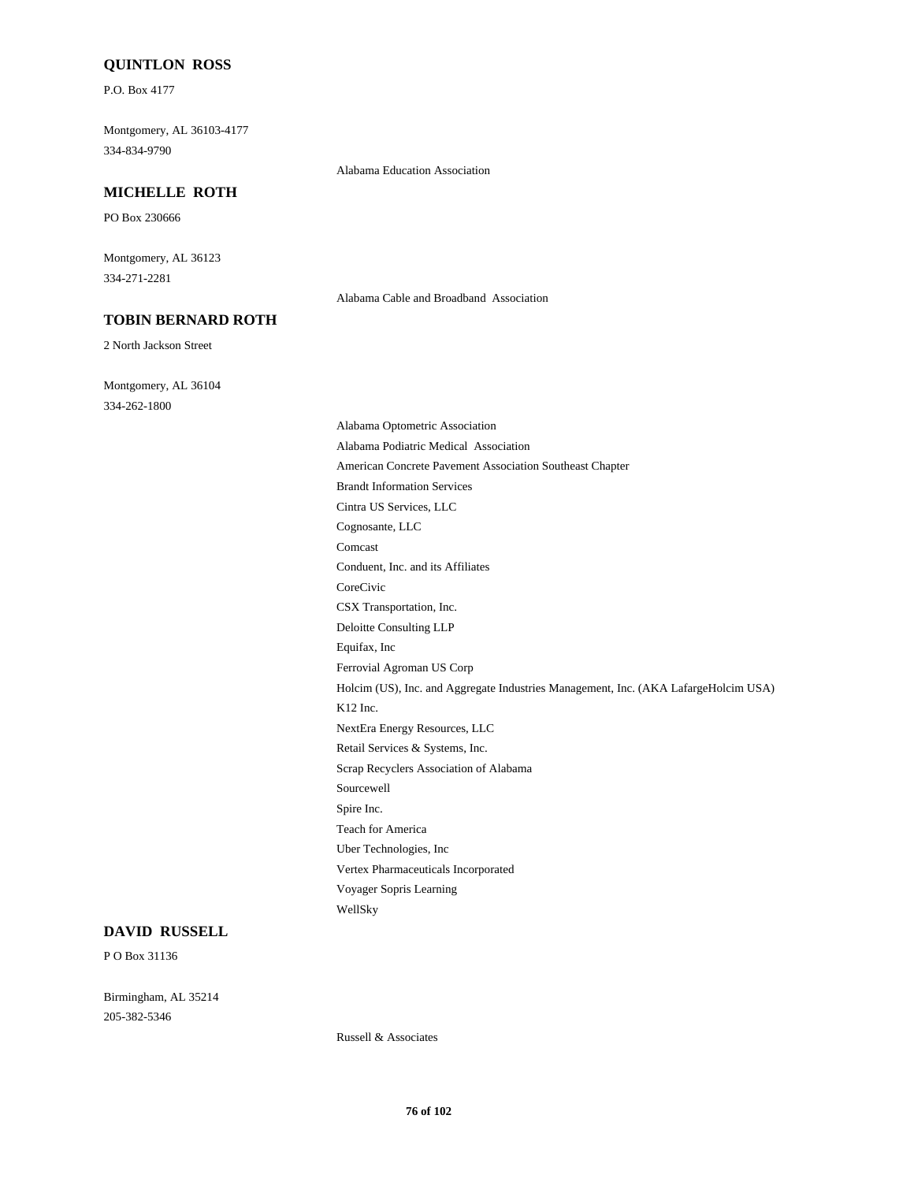#### **QUINTLON ROSS**

P.O. Box 4177

Montgomery, AL 36103-4177 334-834-9790

# Alabama Education Association

# **MICHELLE ROTH**

PO Box 230666

Montgomery, AL 36123 334-271-2281

**TOBIN BERNARD ROTH**

2 North Jackson Street

Montgomery, AL 36104 334-262-1800

Alabama Cable and Broadband Association

Alabama Optometric Association Alabama Podiatric Medical Association American Concrete Pavement Association Southeast Chapter Brandt Information Services Cintra US Services, LLC Cognosante, LLC Comcast Conduent, Inc. and its Affiliates CoreCivic CSX Transportation, Inc. Deloitte Consulting LLP Equifax, Inc Ferrovial Agroman US Corp Holcim (US), Inc. and Aggregate Industries Management, Inc. (AKA LafargeHolcim USA) K12 Inc. NextEra Energy Resources, LLC Retail Services & Systems, Inc. Scrap Recyclers Association of Alabama Sourcewell Spire Inc. Teach for America Uber Technologies, Inc Vertex Pharmaceuticals Incorporated Voyager Sopris Learning WellSky

#### **DAVID RUSSELL**

P O Box 31136

Birmingham, AL 35214 205-382-5346

Russell & Associates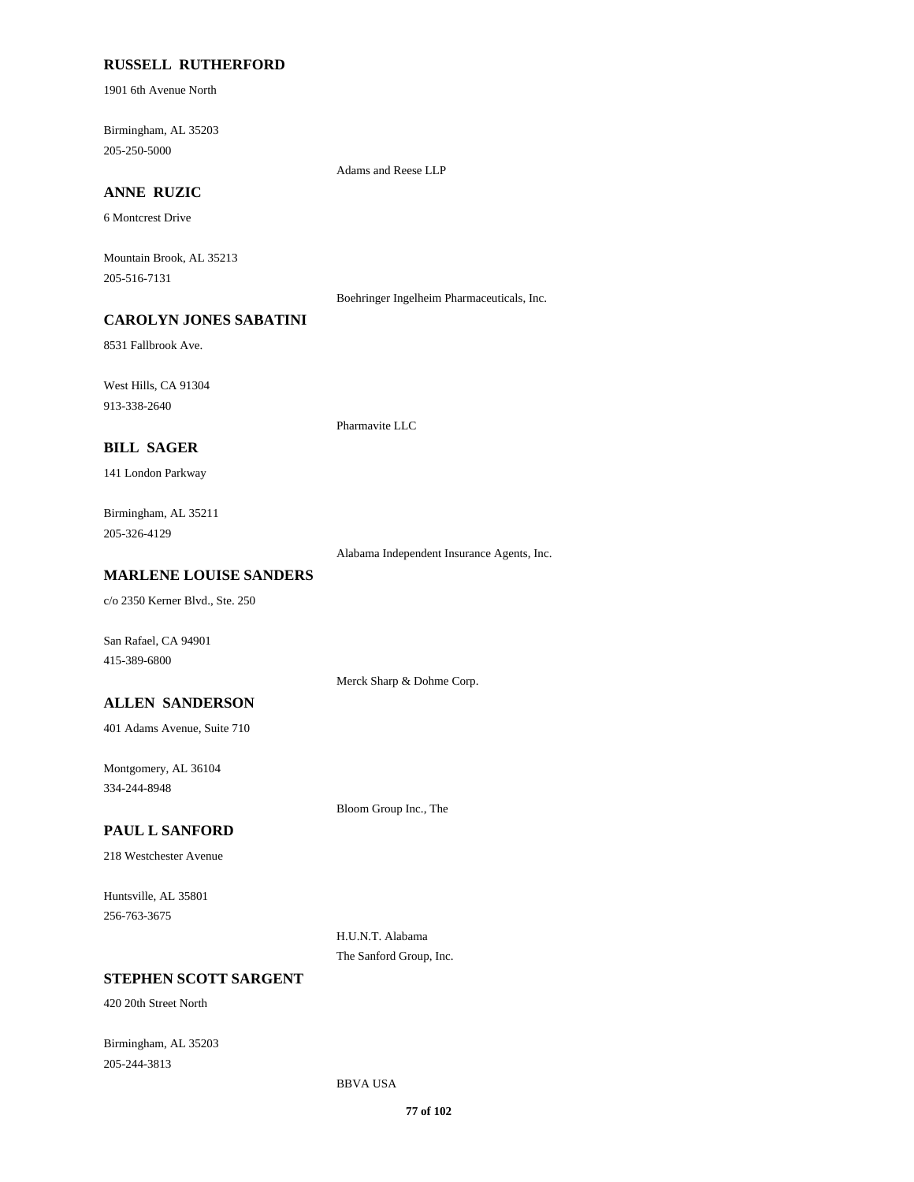#### **RUSSELL RUTHERFORD**

1901 6th Avenue North

Birmingham, AL 35203 205-250-5000

Adams and Reese LLP

# **ANNE RUZIC**

6 Montcrest Drive

Mountain Brook, AL 35213 205-516-7131

Boehringer Ingelheim Pharmaceuticals, Inc.

# **CAROLYN JONES SABATINI**

8531 Fallbrook Ave.

West Hills, CA 91304 913-338-2640

Pharmavite LLC

#### **BILL SAGER**

141 London Parkway

Birmingham, AL 35211 205-326-4129

Alabama Independent Insurance Agents, Inc.

#### **MARLENE LOUISE SANDERS**

c/o 2350 Kerner Blvd., Ste. 250

San Rafael, CA 94901 415-389-6800

Merck Sharp & Dohme Corp.

**ALLEN SANDERSON**

401 Adams Avenue, Suite 710

Montgomery, AL 36104 334-244-8948

Bloom Group Inc., The

## **PAUL L SANFORD**

218 Westchester Avenue

Huntsville, AL 35801 256-763-3675

> H.U.N.T. Alabama The Sanford Group, Inc.

# **STEPHEN SCOTT SARGENT**

420 20th Street North

Birmingham, AL 35203 205-244-3813

BBVA USA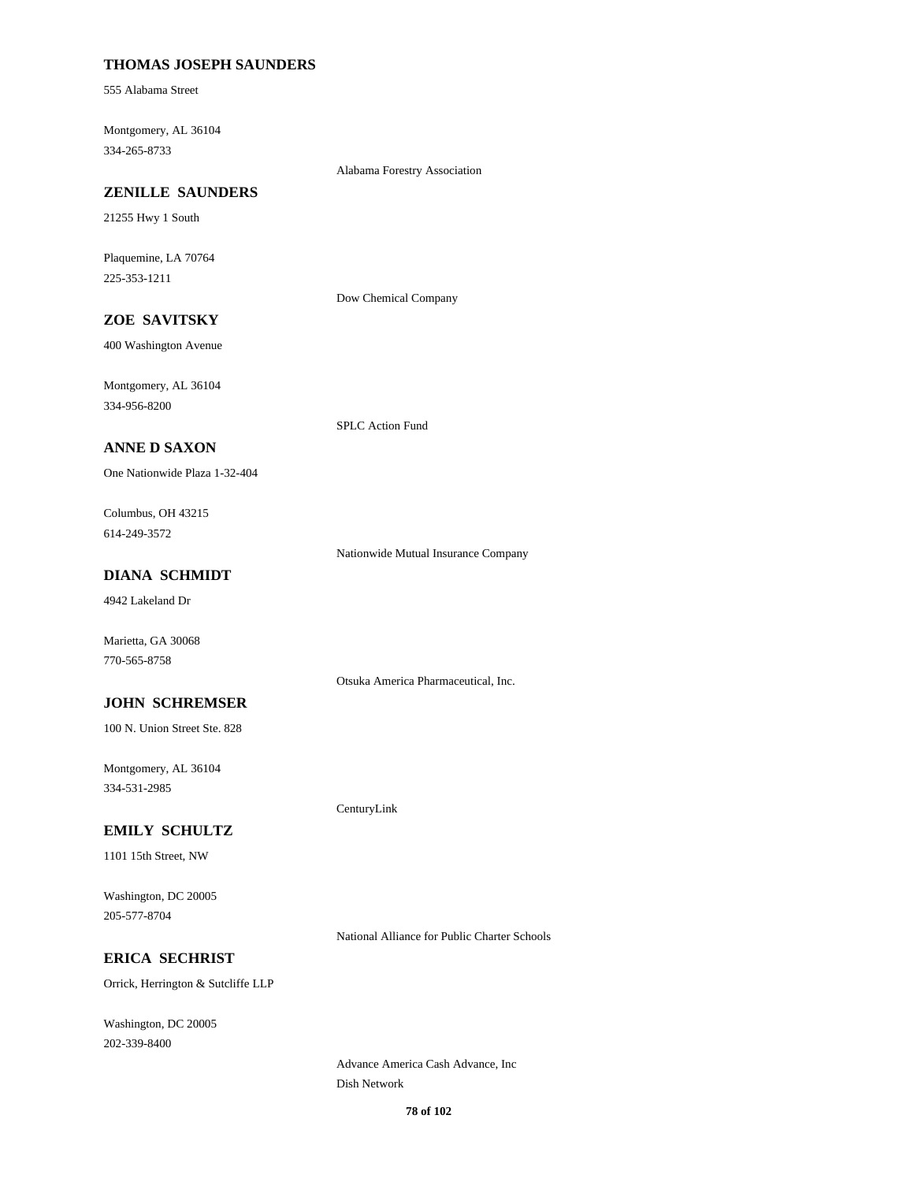## **THOMAS JOSEPH SAUNDERS**

555 Alabama Street

Montgomery, AL 36104 334-265-8733

Alabama Forestry Association

#### **ZENILLE SAUNDERS**

21255 Hwy 1 South

Plaquemine, LA 70764 225-353-1211

Dow Chemical Company

# **ZOE SAVITSKY**

400 Washington Avenue

Montgomery, AL 36104 334-956-8200

SPLC Action Fund

## **ANNE D SAXON**

One Nationwide Plaza 1-32-404

Columbus, OH 43215 614-249-3572

Nationwide Mutual Insurance Company

Otsuka America Pharmaceutical, Inc.

CenturyLink

# **DIANA SCHMIDT**

4942 Lakeland Dr

Marietta, GA 30068 770-565-8758

#### **JOHN SCHREMSER**

100 N. Union Street Ste. 828

Montgomery, AL 36104 334-531-2985

#### **EMILY SCHULTZ**

1101 15th Street, NW

Washington, DC 20005 205-577-8704

National Alliance for Public Charter Schools

## **ERICA SECHRIST**

Orrick, Herrington & Sutcliffe LLP

Washington, DC 20005 202-339-8400

> Advance America Cash Advance, Inc Dish Network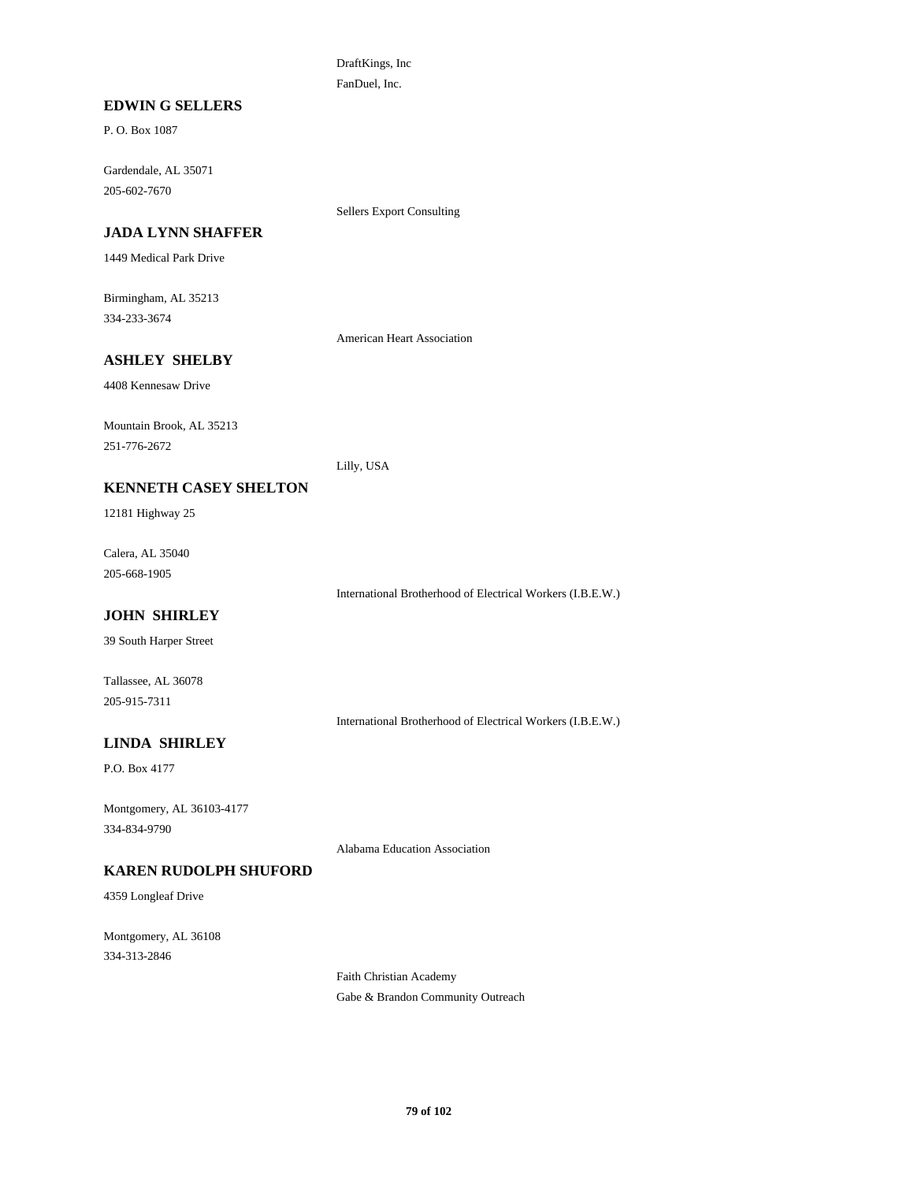DraftKings, Inc FanDuel, Inc.

## **EDWIN G SELLERS**

P. O. Box 1087

Gardendale, AL 35071 205-602-7670

Sellers Export Consulting

# **JADA LYNN SHAFFER**

1449 Medical Park Drive

Birmingham, AL 35213 334-233-3674

American Heart Association

# **ASHLEY SHELBY**

4408 Kennesaw Drive

Mountain Brook, AL 35213 251-776-2672

Lilly, USA

## **KENNETH CASEY SHELTON**

12181 Highway 25

Calera, AL 35040 205-668-1905

International Brotherhood of Electrical Workers (I.B.E.W.)

# **JOHN SHIRLEY**

39 South Harper Street

Tallassee, AL 36078 205-915-7311

International Brotherhood of Electrical Workers (I.B.E.W.)

# **LINDA SHIRLEY**

P.O. Box 4177

Montgomery, AL 36103-4177 334-834-9790

Alabama Education Association

## **KAREN RUDOLPH SHUFORD**

4359 Longleaf Drive

Montgomery, AL 36108 334-313-2846

> Faith Christian Academy Gabe & Brandon Community Outreach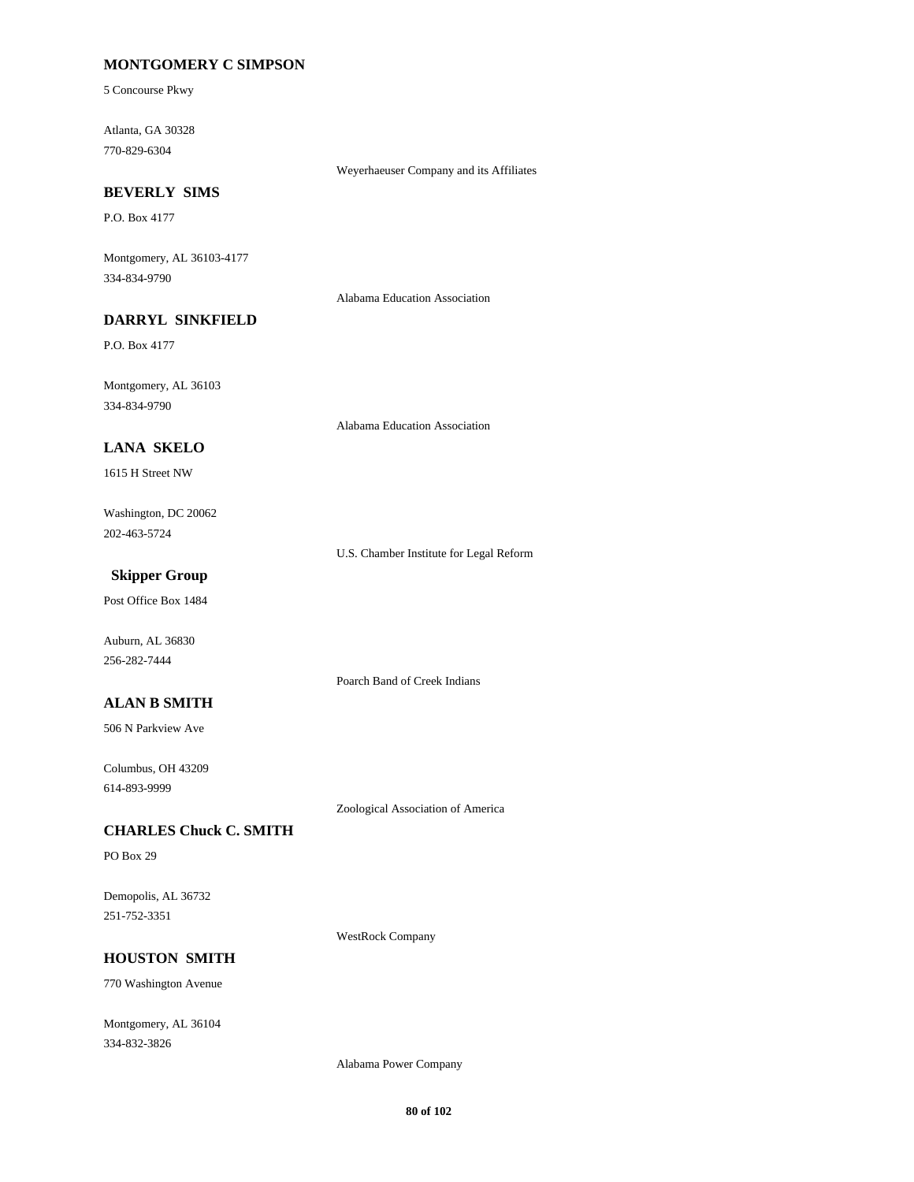## **MONTGOMERY C SIMPSON**

5 Concourse Pkwy

Atlanta, GA 30328 770-829-6304

Weyerhaeuser Company and its Affiliates

#### **BEVERLY SIMS**

P.O. Box 4177

Montgomery, AL 36103-4177 334-834-9790

Alabama Education Association

# **DARRYL SINKFIELD**

P.O. Box 4177

Montgomery, AL 36103 334-834-9790

Alabama Education Association

## **LANA SKELO**

1615 H Street NW

Washington, DC 20062 202-463-5724

U.S. Chamber Institute for Legal Reform

# **Skipper Group**

Post Office Box 1484

Auburn, AL 36830 256-282-7444

#### **ALAN B SMITH**

506 N Parkview Ave

Columbus, OH 43209 614-893-9999

Zoological Association of America

Poarch Band of Creek Indians

#### **CHARLES Chuck C. SMITH**

PO Box 29

Demopolis, AL 36732 251-752-3351

WestRock Company

#### **HOUSTON SMITH**

770 Washington Avenue

Montgomery, AL 36104 334-832-3826

Alabama Power Company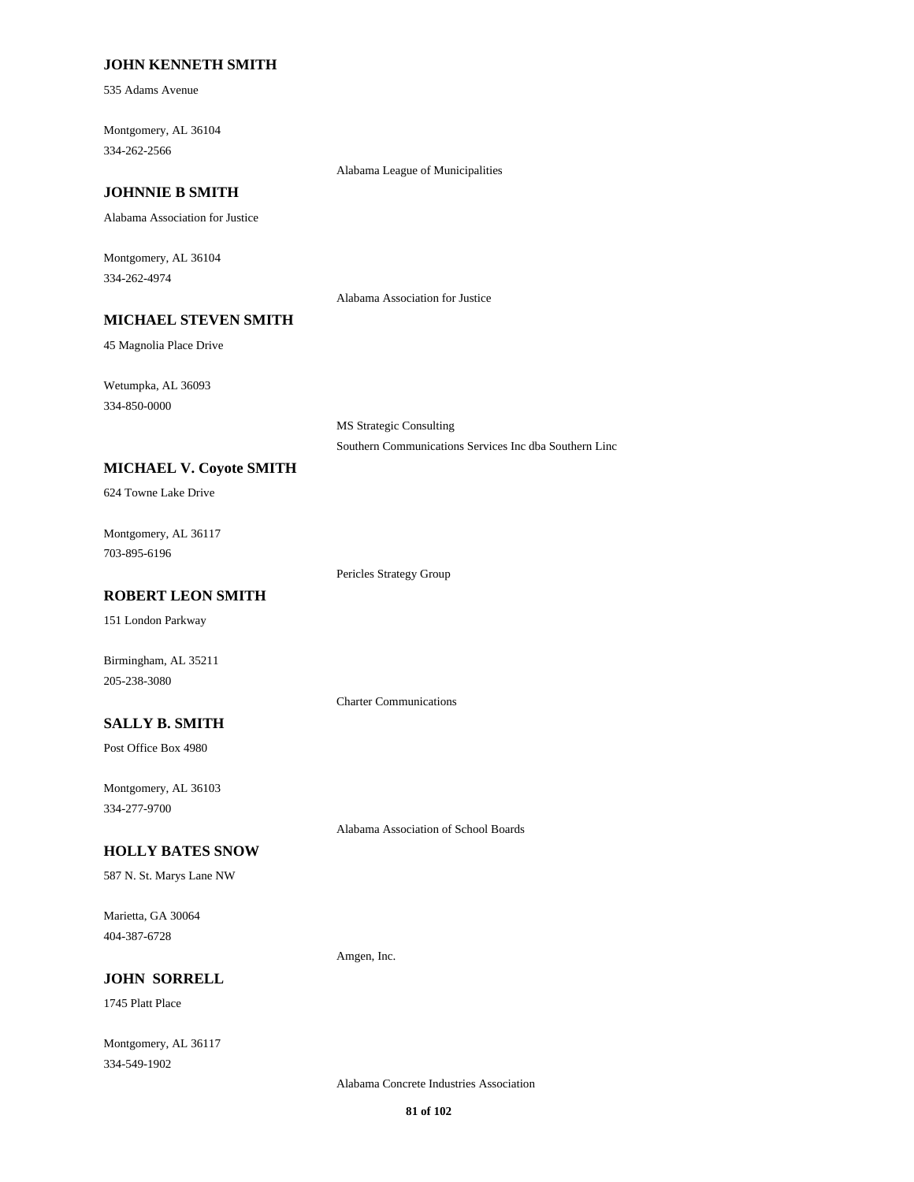#### **JOHN KENNETH SMITH**

535 Adams Avenue

Montgomery, AL 36104 334-262-2566

## **JOHNNIE B SMITH**

Alabama Association for Justice

Montgomery, AL 36104 334-262-4974

#### Alabama Association for Justice

Alabama League of Municipalities

45 Magnolia Place Drive

Wetumpka, AL 36093 334-850-0000

> MS Strategic Consulting Southern Communications Services Inc dba Southern Linc

## **MICHAEL V. Coyote SMITH**

**MICHAEL STEVEN SMITH**

624 Towne Lake Drive

Montgomery, AL 36117 703-895-6196

Pericles Strategy Group

## **ROBERT LEON SMITH**

151 London Parkway

Birmingham, AL 35211 205-238-3080

Charter Communications

# **SALLY B. SMITH**

Post Office Box 4980

Montgomery, AL 36103 334-277-9700

Alabama Association of School Boards

#### **HOLLY BATES SNOW**

587 N. St. Marys Lane NW

Marietta, GA 30064 404-387-6728

Amgen, Inc.

## **JOHN SORRELL**

1745 Platt Place

Montgomery, AL 36117 334-549-1902

Alabama Concrete Industries Association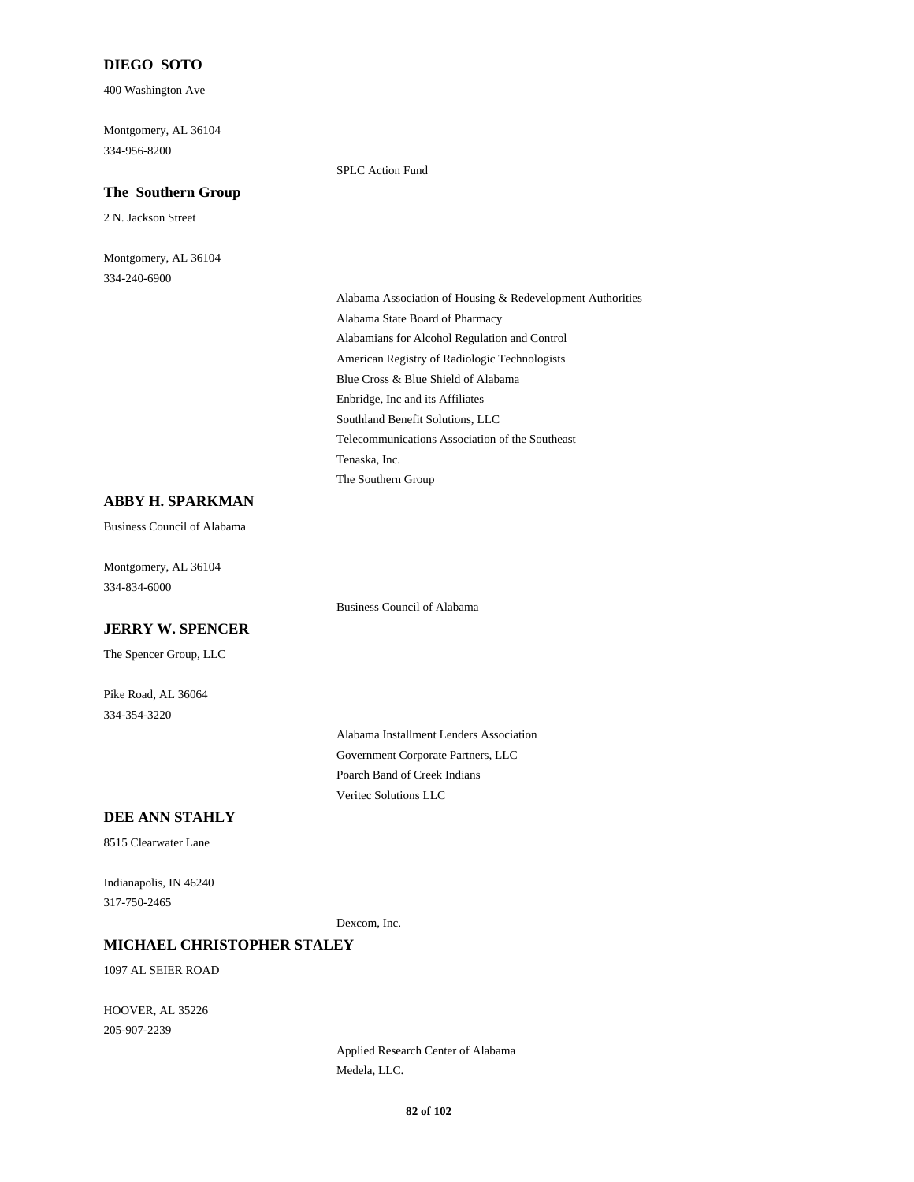## **DIEGO SOTO**

400 Washington Ave

Montgomery, AL 36104 334-956-8200

#### **The Southern Group**

2 N. Jackson Street

Montgomery, AL 36104 334-240-6900

SPLC Action Fund

Alabama Association of Housing & Redevelopment Authorities Alabama State Board of Pharmacy Alabamians for Alcohol Regulation and Control American Registry of Radiologic Technologists Blue Cross & Blue Shield of Alabama Enbridge, Inc and its Affiliates Southland Benefit Solutions, LLC Telecommunications Association of the Southeast Tenaska, Inc. The Southern Group

## **ABBY H. SPARKMAN**

Business Council of Alabama

Montgomery, AL 36104 334-834-6000

Business Council of Alabama

#### **JERRY W. SPENCER**

The Spencer Group, LLC

Pike Road, AL 36064 334-354-3220

> Alabama Installment Lenders Association Government Corporate Partners, LLC Poarch Band of Creek Indians Veritec Solutions LLC

#### **DEE ANN STAHLY**

8515 Clearwater Lane

Indianapolis, IN 46240 317-750-2465

Dexcom, Inc.

#### **MICHAEL CHRISTOPHER STALEY**

1097 AL SEIER ROAD

HOOVER, AL 35226 205-907-2239

> Applied Research Center of Alabama Medela, LLC.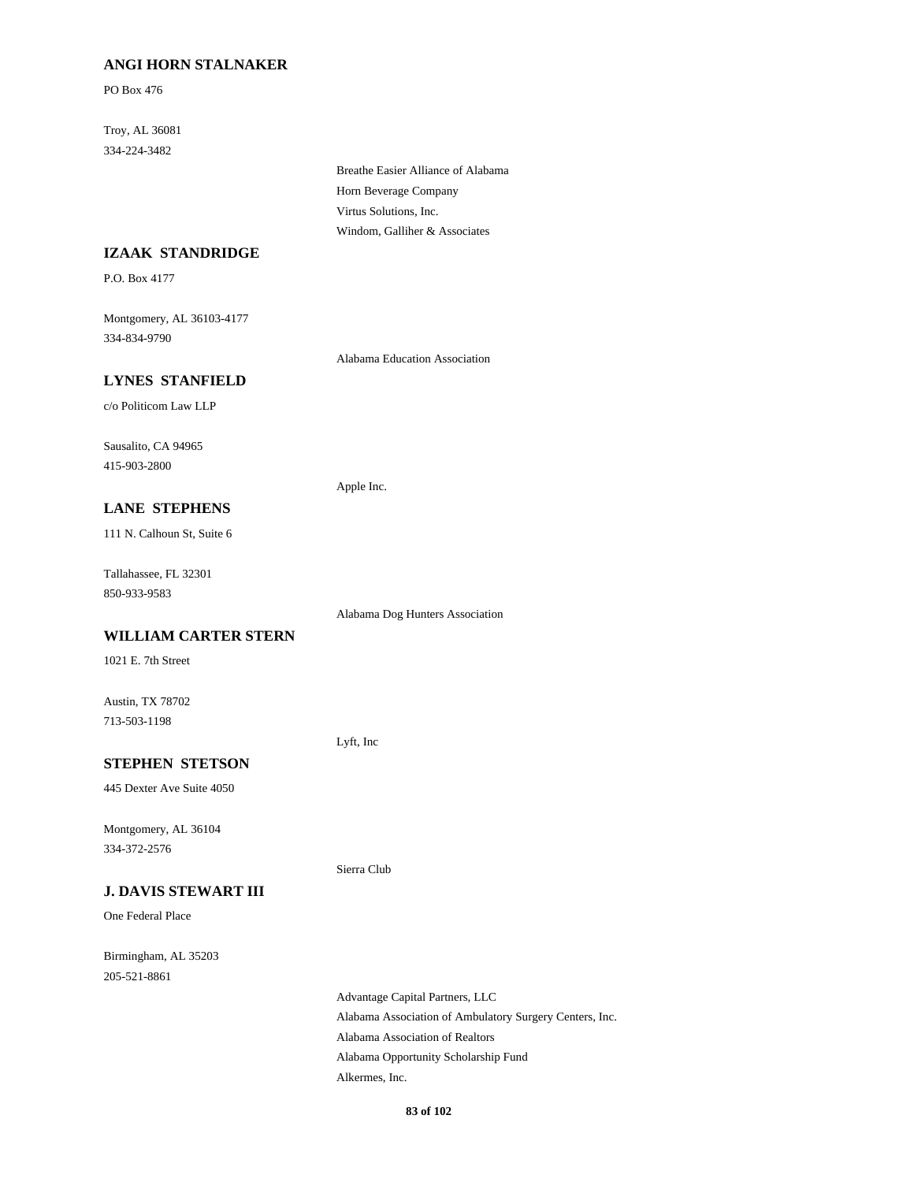## **ANGI HORN STALNAKER**

PO Box 476

Troy, AL 36081 334-224-3482

> Breathe Easier Alliance of Alabama Horn Beverage Company Virtus Solutions, Inc. Windom, Galliher & Associates

#### **IZAAK STANDRIDGE**

P.O. Box 4177

Montgomery, AL 36103-4177 334-834-9790

Alabama Education Association

Alabama Dog Hunters Association

# **LYNES STANFIELD**

c/o Politicom Law LLP

Sausalito, CA 94965 415-903-2800

#### Apple Inc.

**LANE STEPHENS**

111 N. Calhoun St, Suite 6

Tallahassee, FL 32301 850-933-9583

**WILLIAM CARTER STERN**

1021 E. 7th Street

Austin, TX 78702 713-503-1198

Lyft, Inc

Sierra Club

# **STEPHEN STETSON**

445 Dexter Ave Suite 4050

Montgomery, AL 36104 334-372-2576

#### **J. DAVIS STEWART III**

One Federal Place

Birmingham, AL 35203 205-521-8861

> Advantage Capital Partners, LLC Alabama Association of Ambulatory Surgery Centers, Inc. Alabama Association of Realtors Alabama Opportunity Scholarship Fund Alkermes, Inc.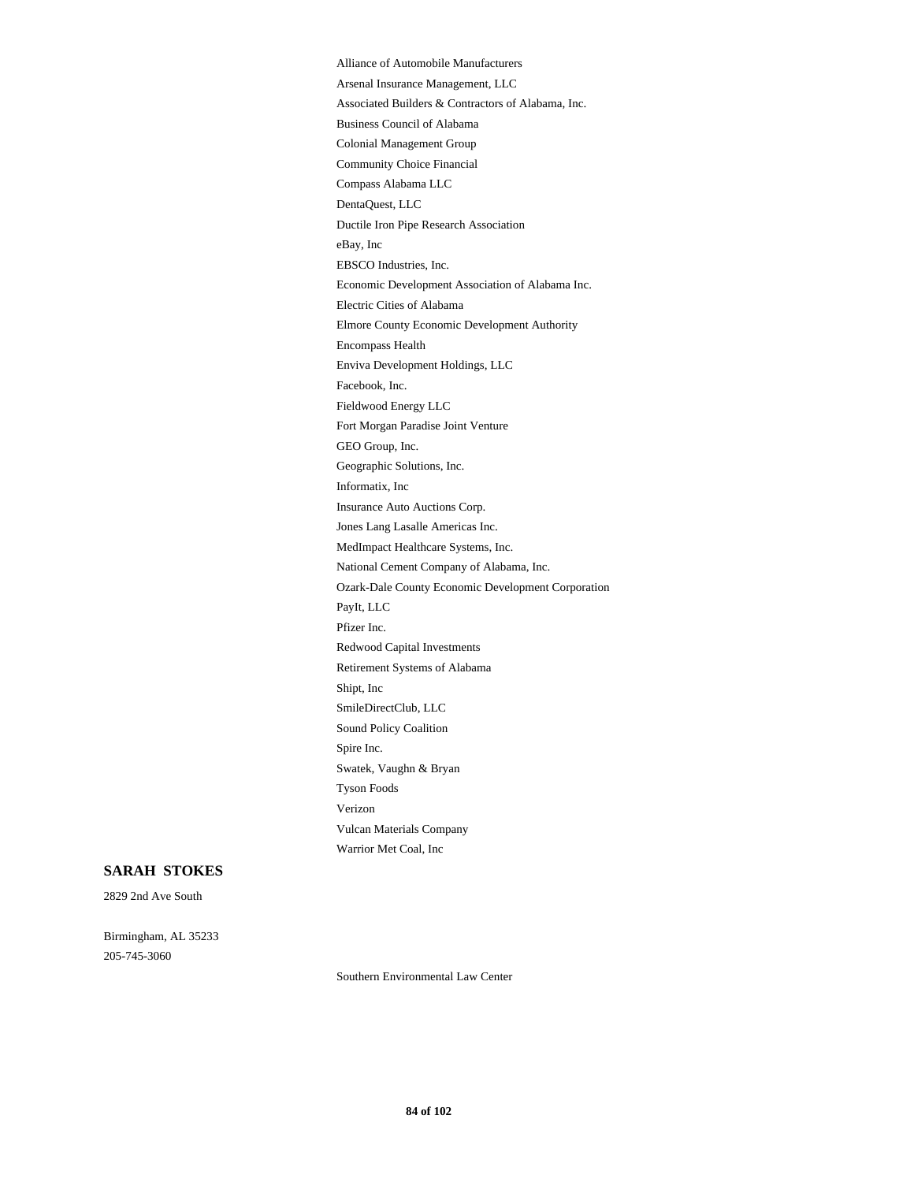Alliance of Automobile Manufacturers Arsenal Insurance Management, LLC Associated Builders & Contractors of Alabama, Inc. Business Council of Alabama Colonial Management Group Community Choice Financial Compass Alabama LLC DentaQuest, LLC Ductile Iron Pipe Research Association eBay, Inc EBSCO Industries, Inc. Economic Development Association of Alabama Inc. Electric Cities of Alabama Elmore County Economic Development Authority Encompass Health Enviva Development Holdings, LLC Facebook, Inc. Fieldwood Energy LLC Fort Morgan Paradise Joint Venture GEO Group, Inc. Geographic Solutions, Inc. Informatix, Inc Insurance Auto Auctions Corp. Jones Lang Lasalle Americas Inc. MedImpact Healthcare Systems, Inc. National Cement Company of Alabama, Inc. Ozark-Dale County Economic Development Corporation PayIt, LLC Pfizer Inc. Redwood Capital Investments Retirement Systems of Alabama Shipt, Inc SmileDirectClub, LLC Sound Policy Coalition Spire Inc. Swatek, Vaughn & Bryan Tyson Foods Verizon Vulcan Materials Company Warrior Met Coal, Inc

#### **SARAH STOKES**

2829 2nd Ave South

Birmingham, AL 35233 205-745-3060

Southern Environmental Law Center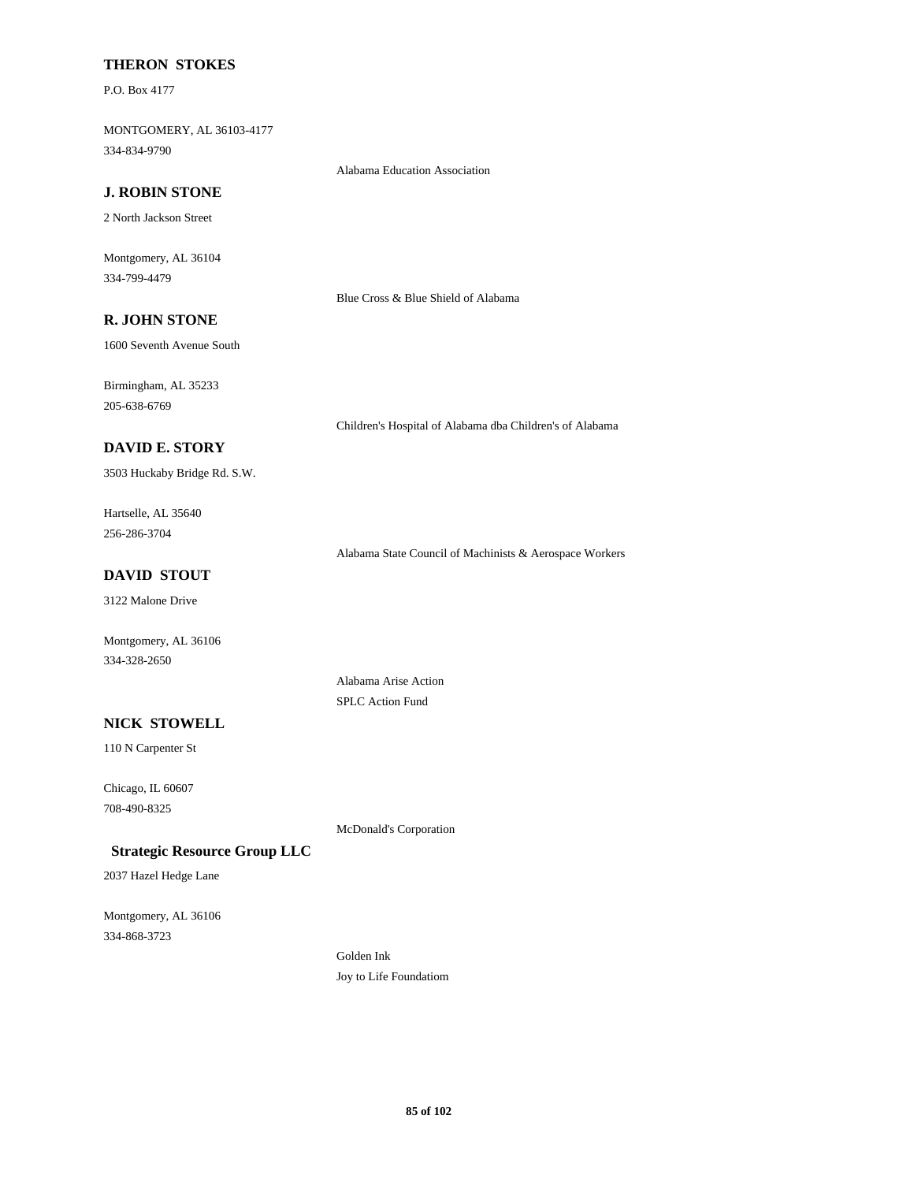#### **THERON STOKES**

P.O. Box 4177

MONTGOMERY, AL 36103-4177 334-834-9790

Alabama Education Association

## **J. ROBIN STONE**

2 North Jackson Street

Montgomery, AL 36104 334-799-4479

Blue Cross & Blue Shield of Alabama

# **R. JOHN STONE**

1600 Seventh Avenue South

Birmingham, AL 35233 205-638-6769

Children's Hospital of Alabama dba Children's of Alabama

## **DAVID E. STORY**

3503 Huckaby Bridge Rd. S.W.

Hartselle, AL 35640 256-286-3704

Alabama State Council of Machinists & Aerospace Workers

# **DAVID STOUT**

3122 Malone Drive

Montgomery, AL 36106 334-328-2650

> Alabama Arise Action SPLC Action Fund

# **NICK STOWELL**

110 N Carpenter St

Chicago, IL 60607 708-490-8325

McDonald's Corporation

#### **Strategic Resource Group LLC**

2037 Hazel Hedge Lane

Montgomery, AL 36106 334-868-3723

> Golden Ink Joy to Life Foundatiom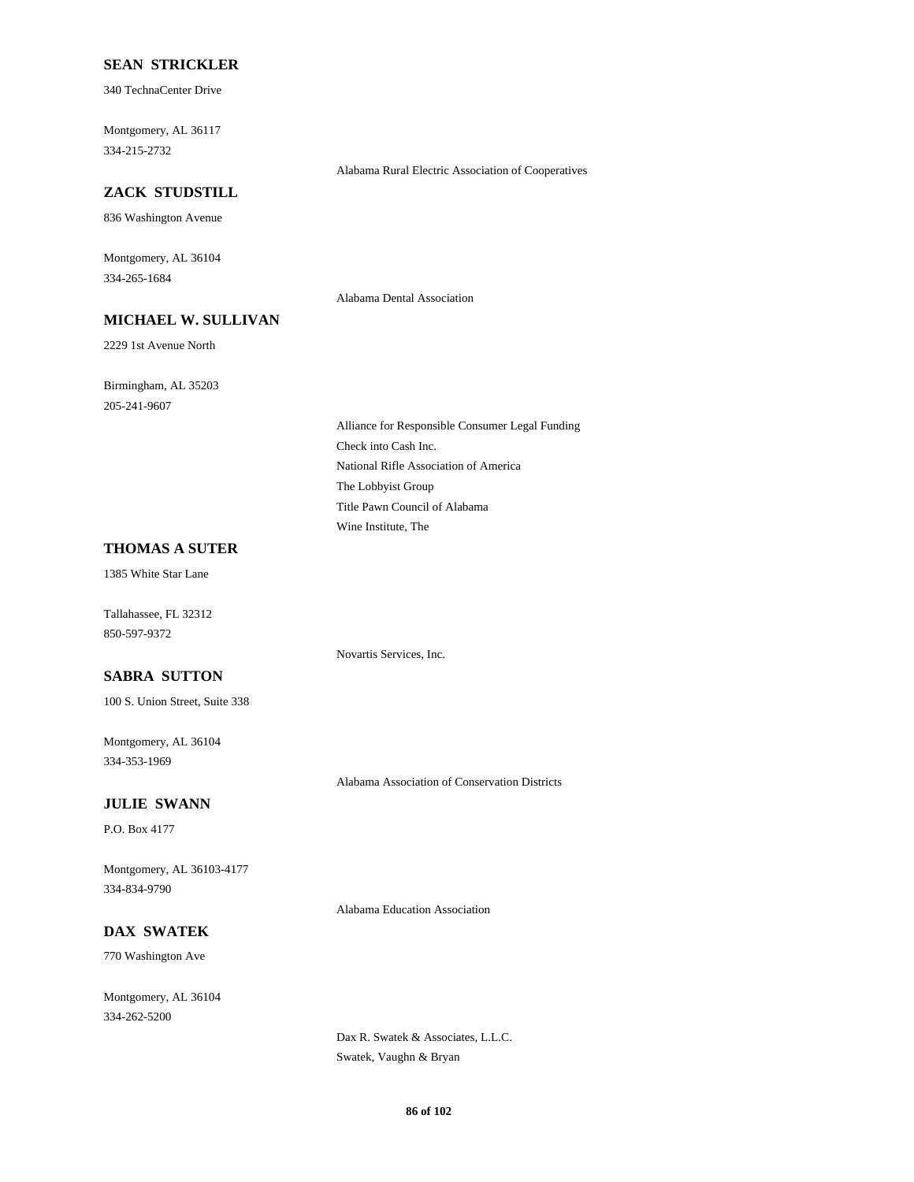#### **SEAN STRICKLER**

340 TechnaCenter Drive

Montgomery, AL 36117 334-215-2732

## **ZACK STUDSTILL**

836 Washington Avenue

Montgomery, AL 36104 334-265-1684

## **MICHAEL W. SULLIVAN**

2229 1st Avenue North

Birmingham, AL 35203 205-241-9607

> Alliance for Responsible Consumer Legal Funding Check into Cash Inc. National Rifle Association of America The Lobbyist Group Title Pawn Council of Alabama Wine Institute, The

Alabama Rural Electric Association of Cooperatives

Alabama Dental Association

#### **THOMAS A SUTER**

1385 White Star Lane

Tallahassee, FL 32312 850-597-9372

Novartis Services, Inc.

# **SABRA SUTTON**

100 S. Union Street, Suite 338

Montgomery, AL 36104 334-353-1969

Alabama Association of Conservation Districts

#### **JULIE SWANN**

P.O. Box 4177

Montgomery, AL 36103-4177 334-834-9790

Alabama Education Association

# **DAX SWATEK**

770 Washington Ave

Montgomery, AL 36104 334-262-5200

> Dax R. Swatek & Associates, L.L.C. Swatek, Vaughn & Bryan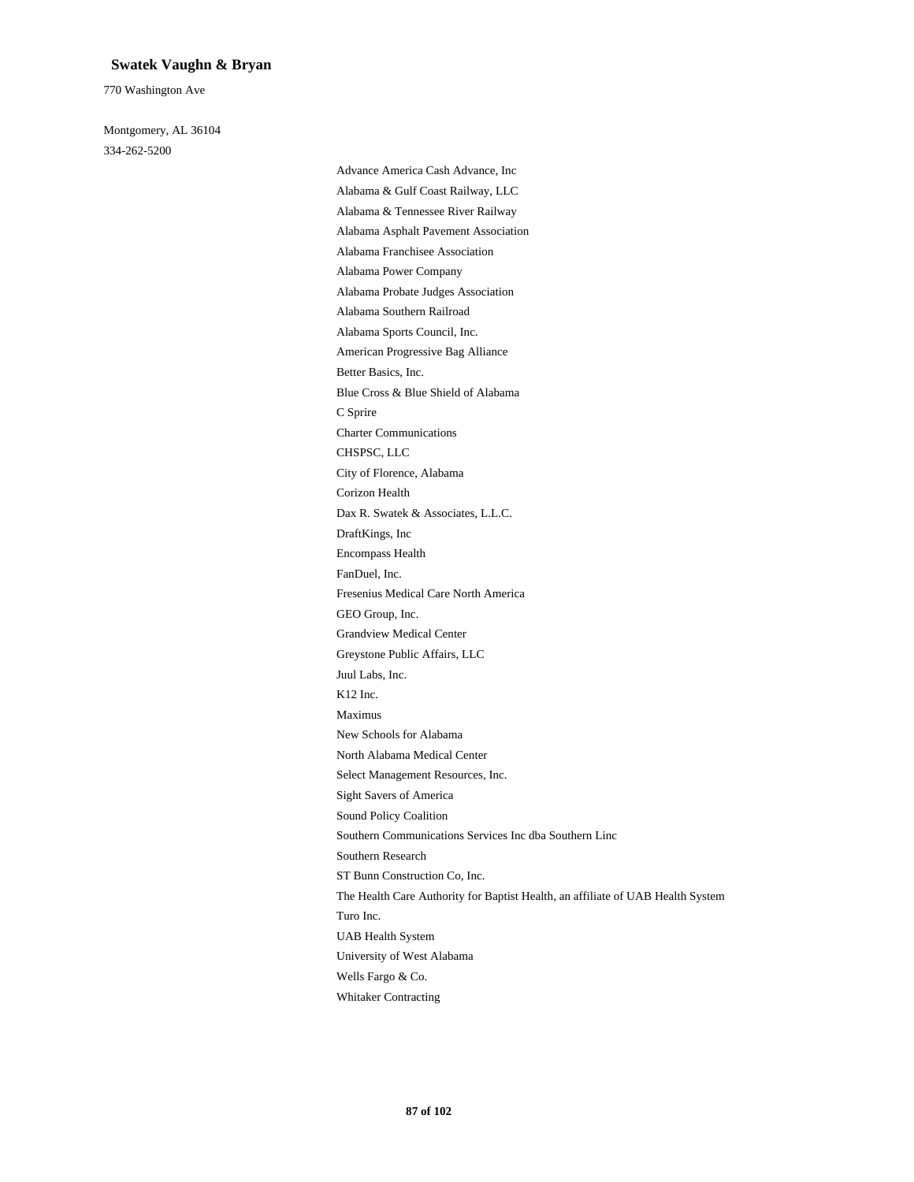#### **Swatek Vaughn & Bryan**

770 Washington Ave

Montgomery, AL 36104 334-262-5200

> Advance America Cash Advance, Inc Alabama & Gulf Coast Railway, LLC Alabama & Tennessee River Railway Alabama Asphalt Pavement Association Alabama Franchisee Association Alabama Power Company Alabama Probate Judges Association Alabama Southern Railroad Alabama Sports Council, Inc. American Progressive Bag Alliance Better Basics, Inc. Blue Cross & Blue Shield of Alabama C Sprire Charter Communications CHSPSC, LLC City of Florence, Alabama Corizon Health Dax R. Swatek & Associates, L.L.C. DraftKings, Inc Encompass Health FanDuel, Inc. Fresenius Medical Care North America GEO Group, Inc. Grandview Medical Center Greystone Public Affairs, LLC Juul Labs, Inc. K12 Inc. Maximus New Schools for Alabama North Alabama Medical Center Select Management Resources, Inc. Sight Savers of America Sound Policy Coalition Southern Communications Services Inc dba Southern Linc Southern Research ST Bunn Construction Co, Inc. The Health Care Authority for Baptist Health, an affiliate of UAB Health System Turo Inc. UAB Health System University of West Alabama Wells Fargo & Co. Whitaker Contracting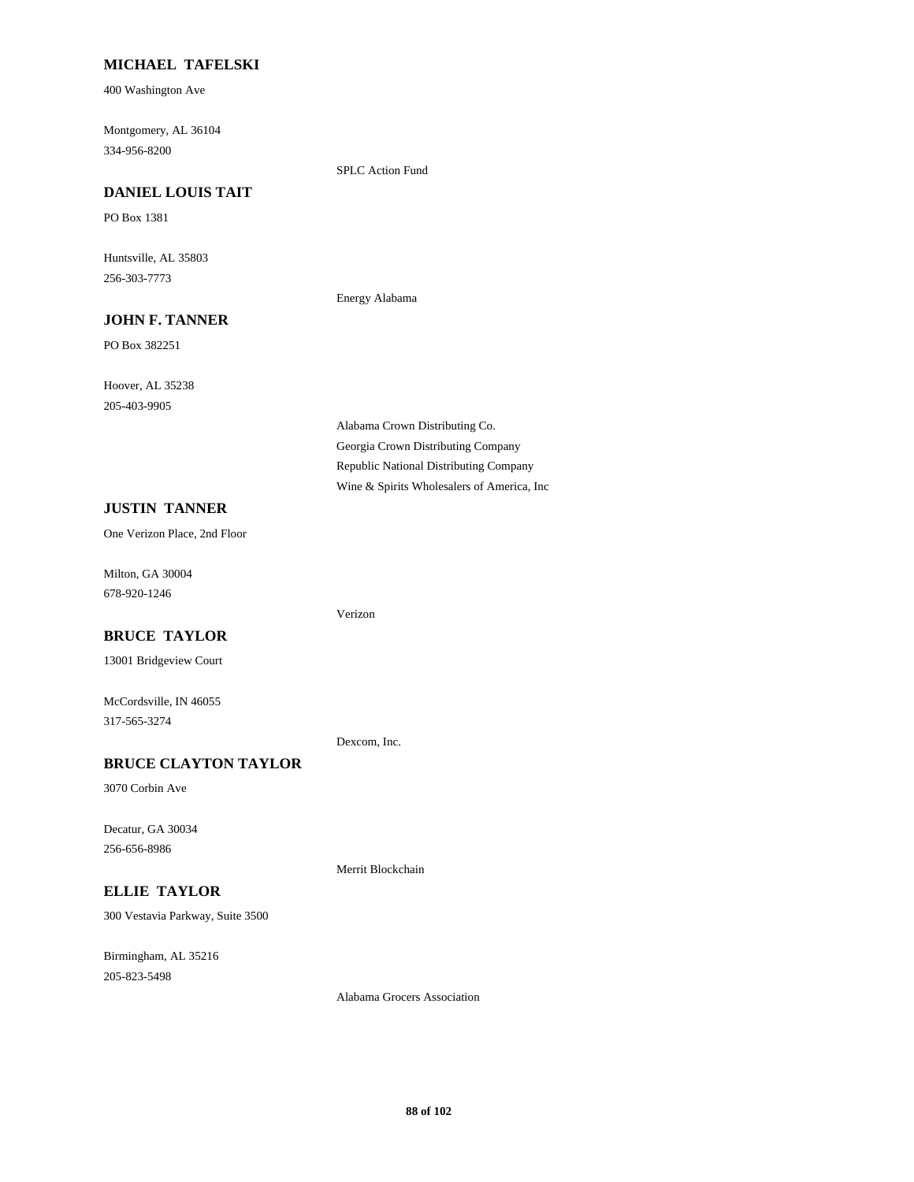## **MICHAEL TAFELSKI**

400 Washington Ave

Montgomery, AL 36104 334-956-8200

SPLC Action Fund

Energy Alabama

Verizon

Dexcom, Inc.

Merrit Blockchain

## **DANIEL LOUIS TAIT**

PO Box 1381

Huntsville, AL 35803 256-303-7773

#### **JOHN F. TANNER**

PO Box 382251

Hoover, AL 35238 205-403-9905

# **JUSTIN TANNER**

One Verizon Place, 2nd Floor

Milton, GA 30004 678-920-1246

#### **BRUCE TAYLOR**

13001 Bridgeview Court

McCordsville, IN 46055 317-565-3274

## **BRUCE CLAYTON TAYLOR**

3070 Corbin Ave

Decatur, GA 30034 256-656-8986

## **ELLIE TAYLOR**

300 Vestavia Parkway, Suite 3500

Birmingham, AL 35216 205-823-5498

Alabama Crown Distributing Co. Georgia Crown Distributing Company Republic National Distributing Company Wine & Spirits Wholesalers of America, Inc

Alabama Grocers Association

**88 of 102**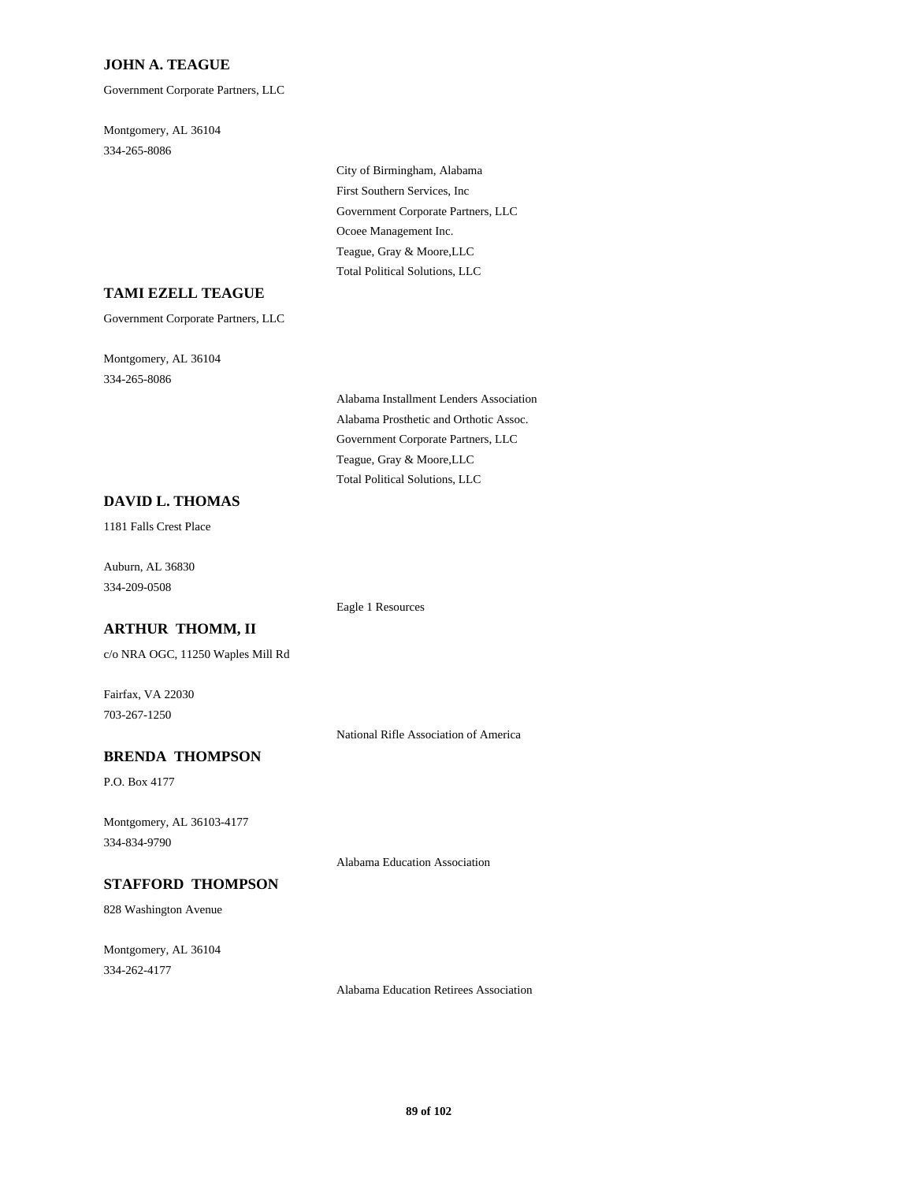## **JOHN A. TEAGUE**

Government Corporate Partners, LLC

Montgomery, AL 36104 334-265-8086

> City of Birmingham, Alabama First Southern Services, Inc Government Corporate Partners, LLC Ocoee Management Inc. Teague, Gray & Moore,LLC Total Political Solutions, LLC

#### **TAMI EZELL TEAGUE**

Government Corporate Partners, LLC

Montgomery, AL 36104 334-265-8086

> Alabama Installment Lenders Association Alabama Prosthetic and Orthotic Assoc. Government Corporate Partners, LLC Teague, Gray & Moore,LLC Total Political Solutions, LLC

## **DAVID L. THOMAS**

1181 Falls Crest Place

Auburn, AL 36830 334-209-0508

Eagle 1 Resources

#### **ARTHUR THOMM, II**

c/o NRA OGC, 11250 Waples Mill Rd

Fairfax, VA 22030 703-267-1250

National Rifle Association of America

#### **BRENDA THOMPSON**

P.O. Box 4177

Montgomery, AL 36103-4177 334-834-9790

Alabama Education Association

#### **STAFFORD THOMPSON**

828 Washington Avenue

Montgomery, AL 36104 334-262-4177

Alabama Education Retirees Association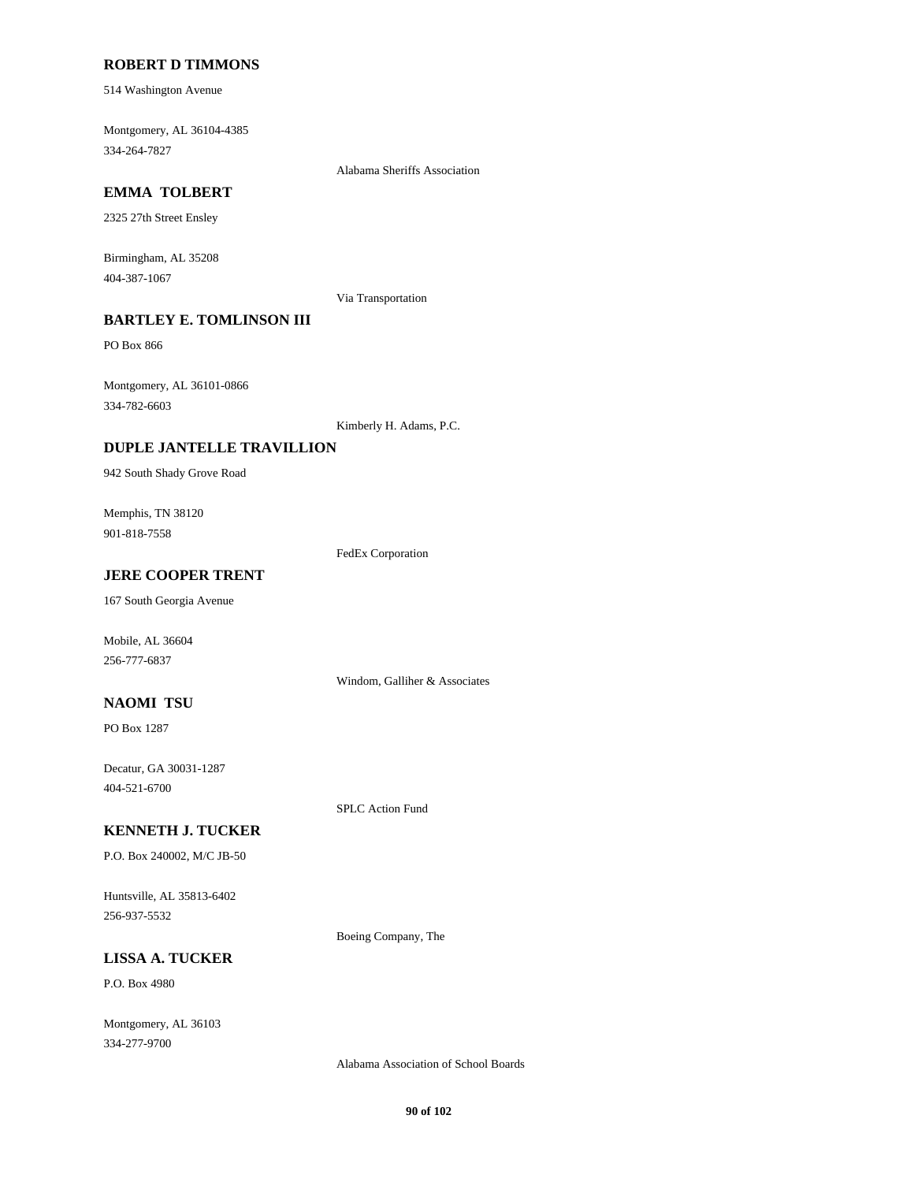#### **ROBERT D TIMMONS**

514 Washington Avenue

Montgomery, AL 36104-4385 334-264-7827

# **EMMA TOLBERT**

2325 27th Street Ensley

Birmingham, AL 35208 404-387-1067

Via Transportation

Alabama Sheriffs Association

# **BARTLEY E. TOMLINSON III**

PO Box 866

Montgomery, AL 36101-0866 334-782-6603

Kimberly H. Adams, P.C.

#### **DUPLE JANTELLE TRAVILLION**

942 South Shady Grove Road

Memphis, TN 38120 901-818-7558

FedEx Corporation

## **JERE COOPER TRENT**

167 South Georgia Avenue

Mobile, AL 36604 256-777-6837

#### **NAOMI TSU**

PO Box 1287

Decatur, GA 30031-1287 404-521-6700

SPLC Action Fund

Windom, Galliher & Associates

#### **KENNETH J. TUCKER**

P.O. Box 240002, M/C JB-50

Huntsville, AL 35813-6402 256-937-5532

Boeing Company, The

# **LISSA A. TUCKER**

P.O. Box 4980

Montgomery, AL 36103 334-277-9700

Alabama Association of School Boards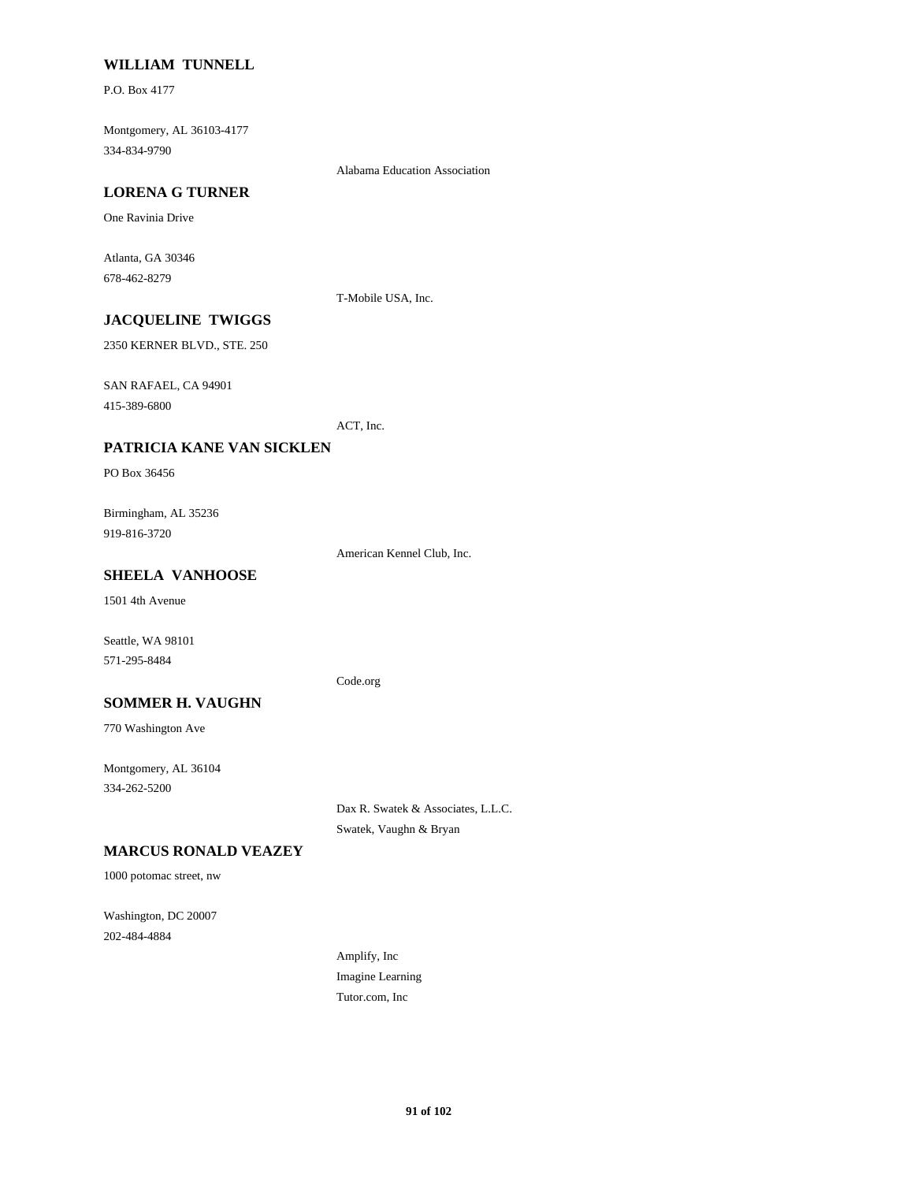#### **WILLIAM TUNNELL**

P.O. Box 4177

Montgomery, AL 36103-4177 334-834-9790

Alabama Education Association

## **LORENA G TURNER**

One Ravinia Drive

Atlanta, GA 30346 678-462-8279

T-Mobile USA, Inc.

# **JACQUELINE TWIGGS**

2350 KERNER BLVD., STE. 250

SAN RAFAEL, CA 94901

415-389-6800

ACT, Inc.

#### **PATRICIA KANE VAN SICKLEN**

PO Box 36456

Birmingham, AL 35236 919-816-3720

American Kennel Club, Inc.

# **SHEELA VANHOOSE**

1501 4th Avenue

Seattle, WA 98101 571-295-8484

Code.org

#### **SOMMER H. VAUGHN**

770 Washington Ave

Montgomery, AL 36104 334-262-5200

> Dax R. Swatek & Associates, L.L.C. Swatek, Vaughn & Bryan

#### **MARCUS RONALD VEAZEY**

1000 potomac street, nw

Washington, DC 20007 202-484-4884

> Amplify, Inc Imagine Learning Tutor.com, Inc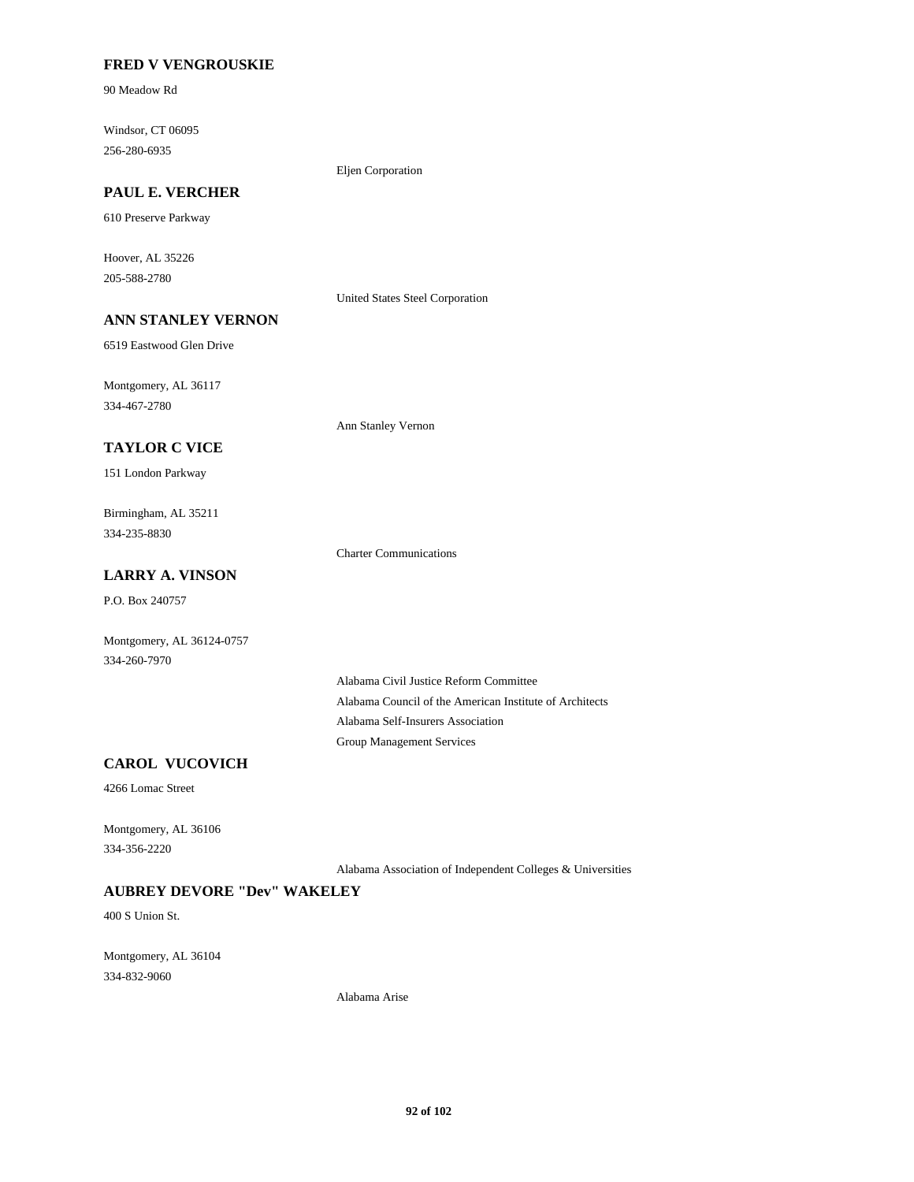## **FRED V VENGROUSKIE**

90 Meadow Rd

Windsor, CT 06095 256-280-6935

Eljen Corporation

# **PAUL E. VERCHER**

610 Preserve Parkway

Hoover, AL 35226 205-588-2780

United States Steel Corporation

# **ANN STANLEY VERNON**

6519 Eastwood Glen Drive

Montgomery, AL 36117 334-467-2780

**TAYLOR C VICE**

151 London Parkway

Birmingham, AL 35211 334-235-8830

Charter Communications

Ann Stanley Vernon

# **LARRY A. VINSON**

P.O. Box 240757

Montgomery, AL 36124-0757 334-260-7970

> Alabama Civil Justice Reform Committee Alabama Council of the American Institute of Architects Alabama Self-Insurers Association Group Management Services

# **CAROL VUCOVICH**

4266 Lomac Street

Montgomery, AL 36106 334-356-2220

Alabama Association of Independent Colleges & Universities

#### **AUBREY DEVORE "Dev" WAKELEY**

400 S Union St.

Montgomery, AL 36104 334-832-9060

Alabama Arise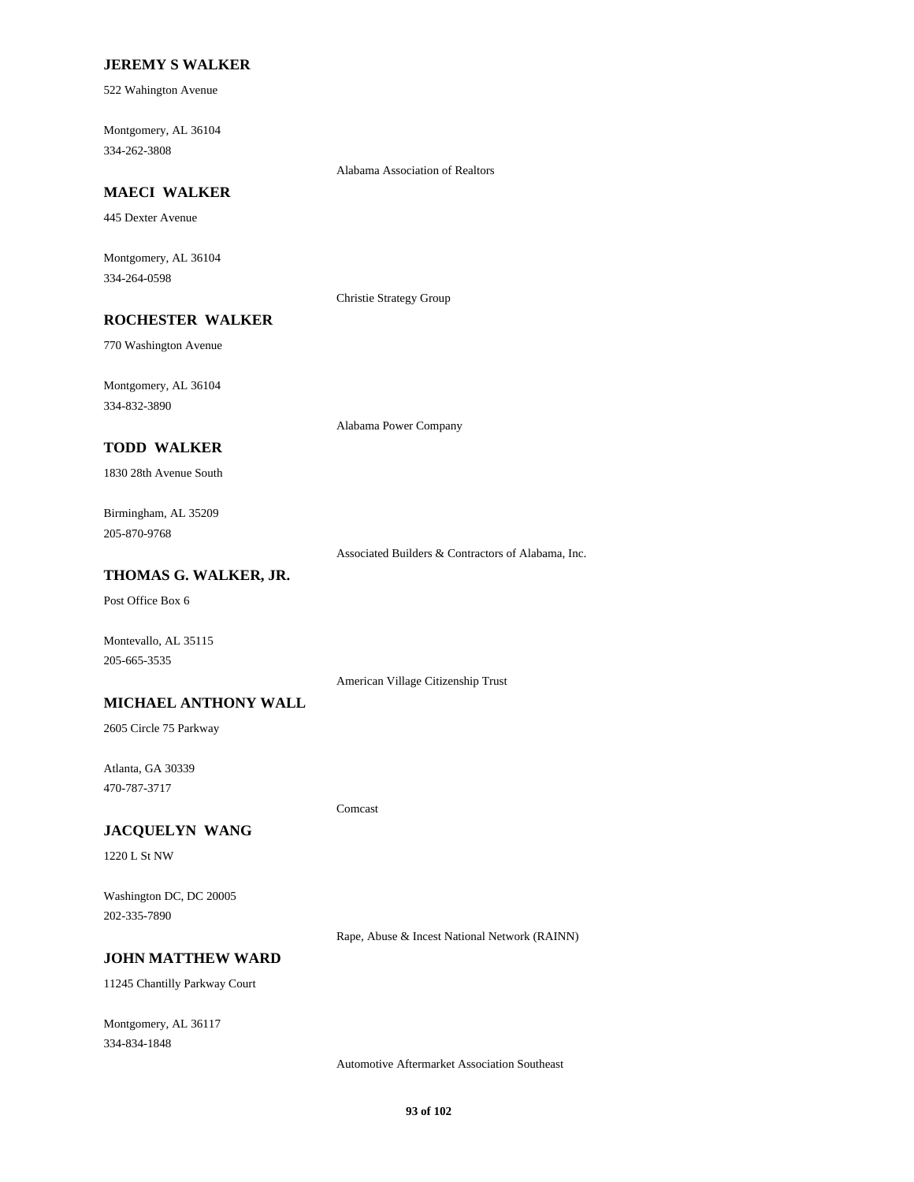#### **JEREMY S WALKER**

522 Wahington Avenue

Montgomery, AL 36104 334-262-3808

Alabama Association of Realtors

# **MAECI WALKER**

445 Dexter Avenue

Montgomery, AL 36104 334-264-0598

Christie Strategy Group

# **ROCHESTER WALKER**

770 Washington Avenue

Montgomery, AL 36104 334-832-3890

Alabama Power Company

## **TODD WALKER**

1830 28th Avenue South

## Birmingham, AL 35209 205-870-9768

Associated Builders & Contractors of Alabama, Inc.

## **THOMAS G. WALKER, JR.**

Post Office Box 6

Montevallo, AL 35115 205-665-3535

American Village Citizenship Trust

#### **MICHAEL ANTHONY WALL**

2605 Circle 75 Parkway

Atlanta, GA 30339 470-787-3717

Comcast

#### **JACQUELYN WANG**

1220 L St NW

Washington DC, DC 20005 202-335-7890

Rape, Abuse & Incest National Network (RAINN)

#### **JOHN MATTHEW WARD**

11245 Chantilly Parkway Court

Montgomery, AL 36117 334-834-1848

Automotive Aftermarket Association Southeast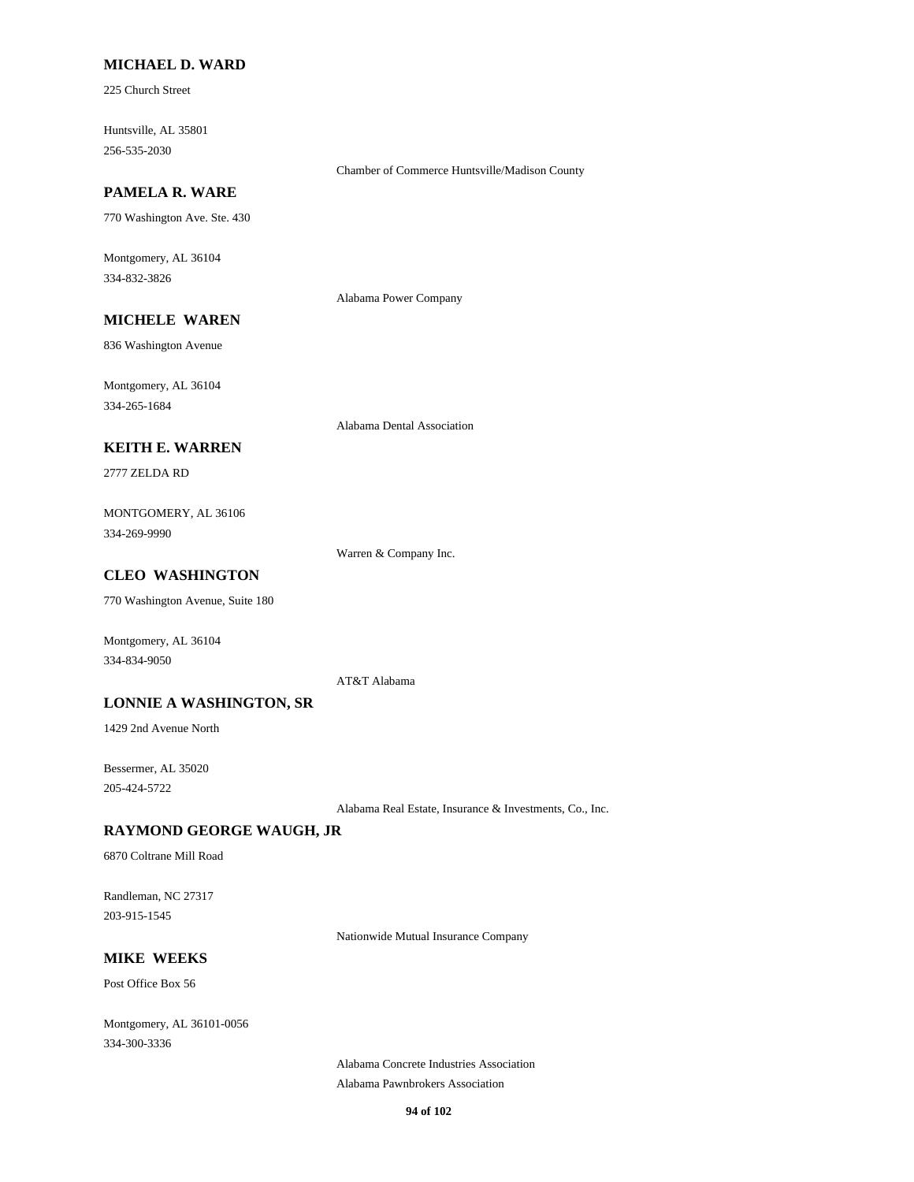## **MICHAEL D. WARD**

225 Church Street

Huntsville, AL 35801 256-535-2030

## **PAMELA R. WARE**

770 Washington Ave. Ste. 430

Montgomery, AL 36104 334-832-3826

Alabama Power Company

Chamber of Commerce Huntsville/Madison County

# **MICHELE WAREN**

836 Washington Avenue

Montgomery, AL 36104 334-265-1684

#### Alabama Dental Association

#### **KEITH E. WARREN**

2777 ZELDA RD

MONTGOMERY, AL 36106 334-269-9990

Warren & Company Inc.

## **CLEO WASHINGTON**

770 Washington Avenue, Suite 180

Montgomery, AL 36104 334-834-9050

AT&T Alabama

#### **LONNIE A WASHINGTON, SR**

1429 2nd Avenue North

Bessermer, AL 35020 205-424-5722

Alabama Real Estate, Insurance & Investments, Co., Inc.

#### **RAYMOND GEORGE WAUGH, JR**

6870 Coltrane Mill Road

Randleman, NC 27317 203-915-1545

Nationwide Mutual Insurance Company

## **MIKE WEEKS**

Post Office Box 56

Montgomery, AL 36101-0056 334-300-3336

> Alabama Concrete Industries Association Alabama Pawnbrokers Association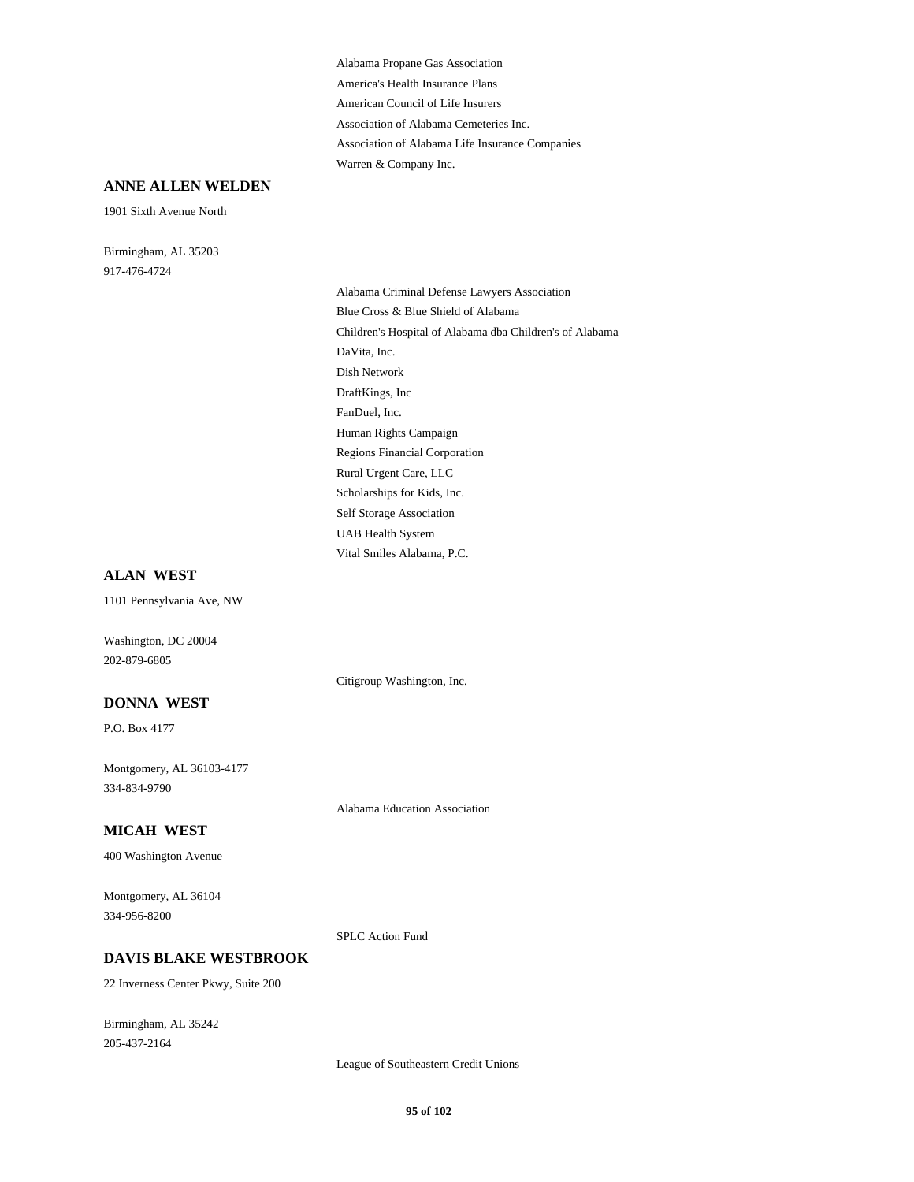Alabama Propane Gas Association America's Health Insurance Plans American Council of Life Insurers Association of Alabama Cemeteries Inc. Association of Alabama Life Insurance Companies Warren & Company Inc.

#### **ANNE ALLEN WELDEN**

1901 Sixth Avenue North

Birmingham, AL 35203 917-476-4724

Alabama Criminal Defense Lawyers Association Blue Cross & Blue Shield of Alabama Children's Hospital of Alabama dba Children's of Alabama DaVita, Inc. Dish Network DraftKings, Inc FanDuel, Inc. Human Rights Campaign Regions Financial Corporation Rural Urgent Care, LLC Scholarships for Kids, Inc. Self Storage Association UAB Health System Vital Smiles Alabama, P.C.

#### **ALAN WEST**

1101 Pennsylvania Ave, NW

Washington, DC 20004 202-879-6805

#### **DONNA WEST**

P.O. Box 4177

Montgomery, AL 36103-4177 334-834-9790

#### **MICAH WEST**

400 Washington Avenue

Montgomery, AL 36104 334-956-8200

#### **DAVIS BLAKE WESTBROOK**

22 Inverness Center Pkwy, Suite 200

Birmingham, AL 35242 205-437-2164

League of Southeastern Credit Unions

Citigroup Washington, Inc.

Alabama Education Association

SPLC Action Fund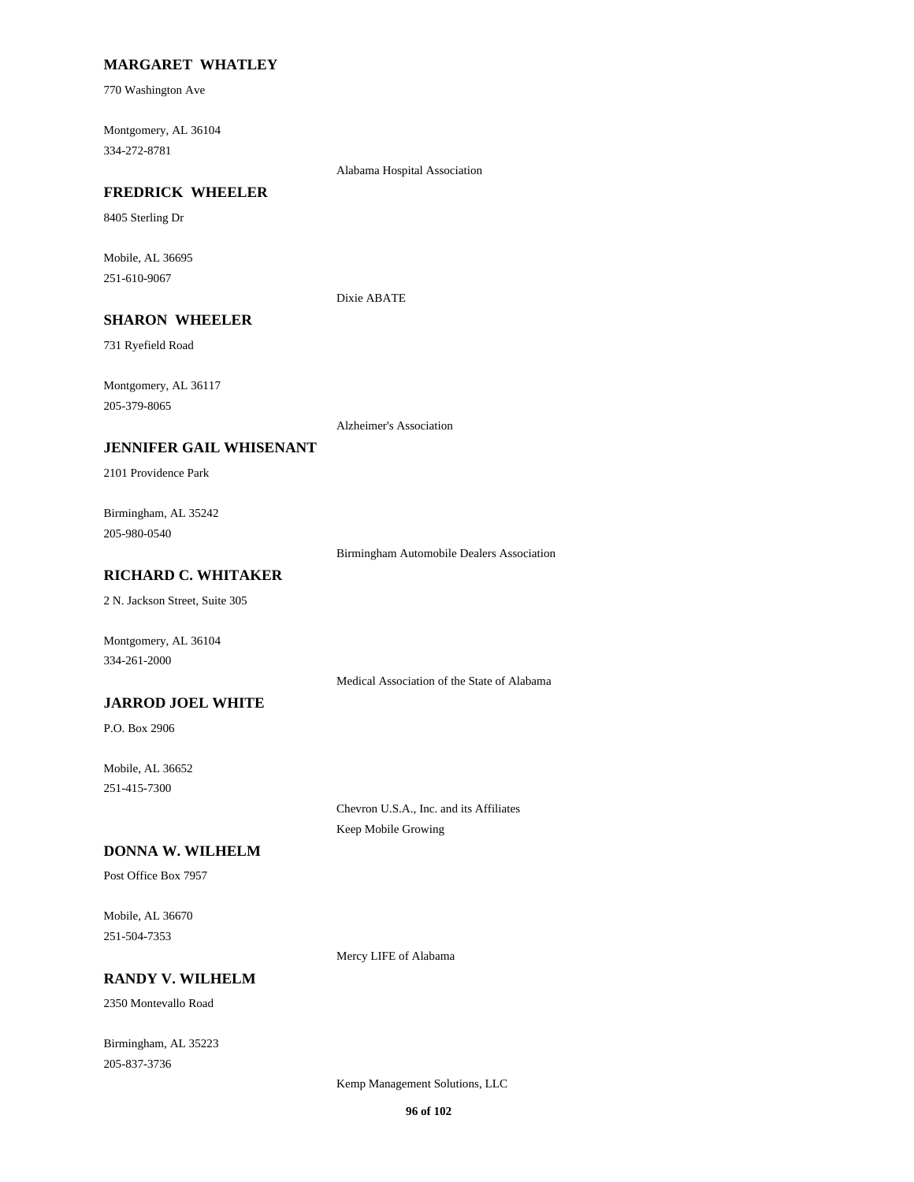## **MARGARET WHATLEY**

770 Washington Ave

Montgomery, AL 36104 334-272-8781

Alabama Hospital Association

#### **FREDRICK WHEELER**

8405 Sterling Dr

Mobile, AL 36695 251-610-9067

Dixie ABATE

# **SHARON WHEELER**

731 Ryefield Road

Montgomery, AL 36117 205-379-8065

Alzheimer's Association

#### **JENNIFER GAIL WHISENANT**

2101 Providence Park

Birmingham, AL 35242 205-980-0540

Birmingham Automobile Dealers Association

# **RICHARD C. WHITAKER**

2 N. Jackson Street, Suite 305

Montgomery, AL 36104 334-261-2000

Medical Association of the State of Alabama

## **JARROD JOEL WHITE**

P.O. Box 2906

Mobile, AL 36652 251-415-7300

> Chevron U.S.A., Inc. and its Affiliates Keep Mobile Growing

## **DONNA W. WILHELM**

Post Office Box 7957

Mobile, AL 36670 251-504-7353

Mercy LIFE of Alabama

## **RANDY V. WILHELM**

2350 Montevallo Road

Birmingham, AL 35223 205-837-3736

Kemp Management Solutions, LLC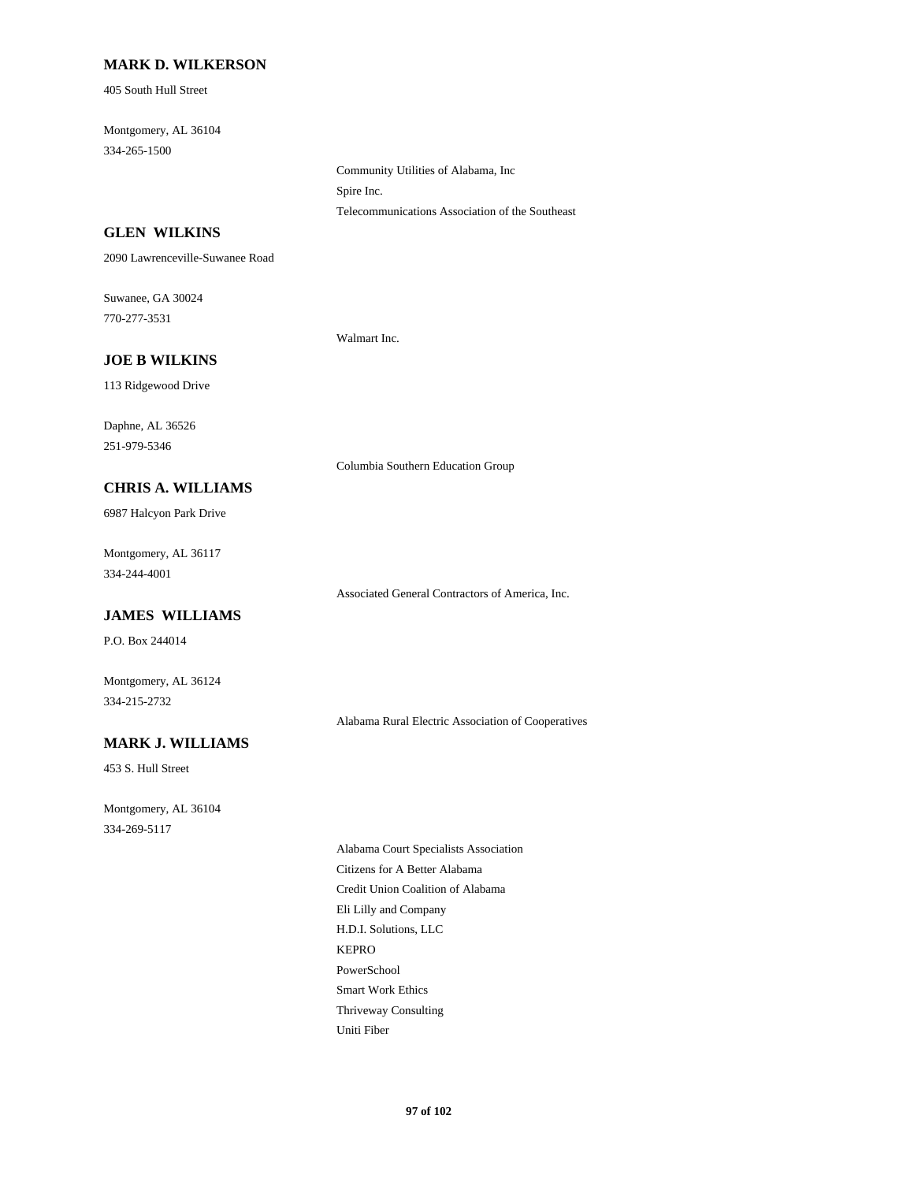#### **MARK D. WILKERSON**

405 South Hull Street

Montgomery, AL 36104 334-265-1500

> Community Utilities of Alabama, Inc Spire Inc. Telecommunications Association of the Southeast

## **GLEN WILKINS**

2090 Lawrenceville-Suwanee Road

Suwanee, GA 30024 770-277-3531

Walmart Inc.

# **JOE B WILKINS**

113 Ridgewood Drive

Daphne, AL 36526 251-979-5346

Columbia Southern Education Group

#### **CHRIS A. WILLIAMS**

6987 Halcyon Park Drive

Montgomery, AL 36117 334-244-4001

Associated General Contractors of America, Inc.

# **JAMES WILLIAMS**

P.O. Box 244014

Montgomery, AL 36124 334-215-2732

Alabama Rural Electric Association of Cooperatives

# **MARK J. WILLIAMS**

453 S. Hull Street

Montgomery, AL 36104 334-269-5117

> Alabama Court Specialists Association Citizens for A Better Alabama Credit Union Coalition of Alabama Eli Lilly and Company H.D.I. Solutions, LLC KEPRO PowerSchool Smart Work Ethics Thriveway Consulting Uniti Fiber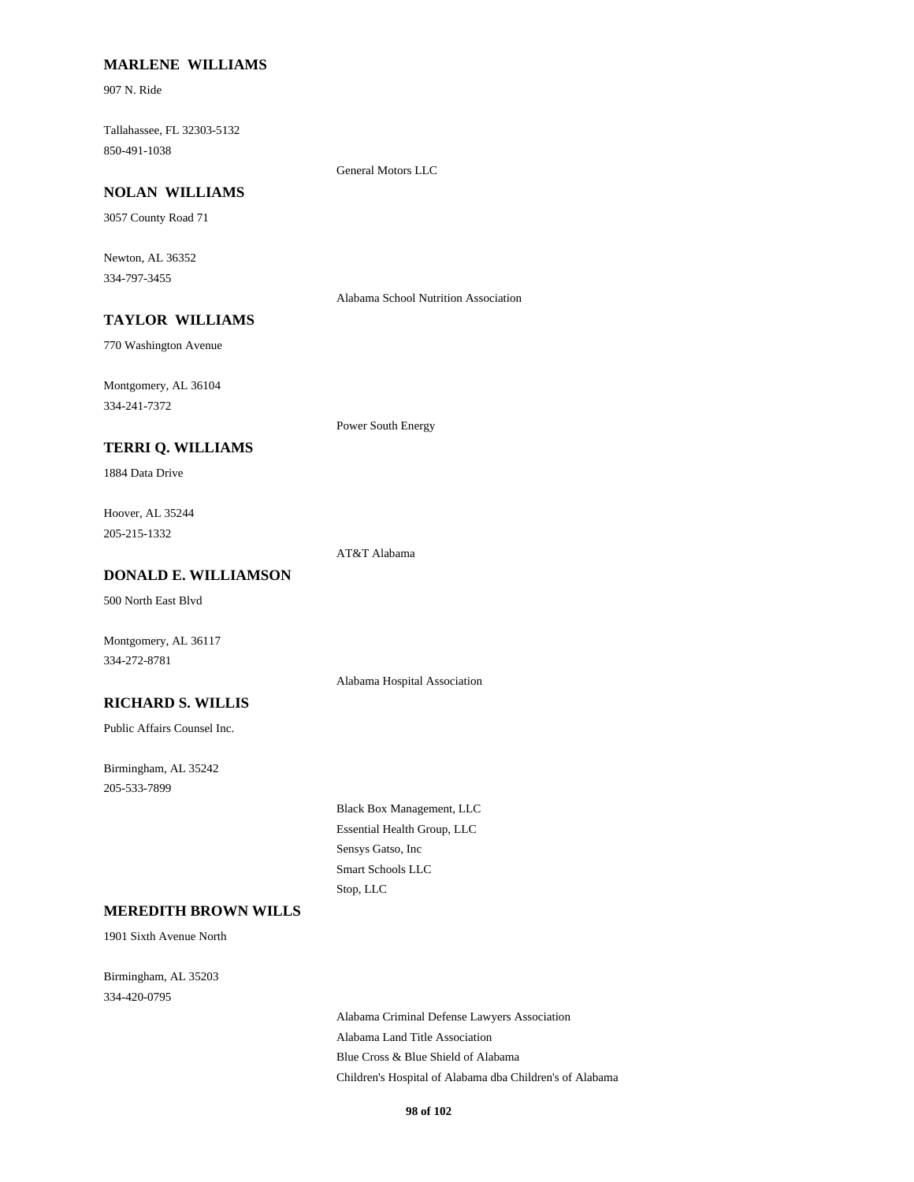#### **MARLENE WILLIAMS**

907 N. Ride

Tallahassee, FL 32303-5132 850-491-1038

General Motors LLC

# **NOLAN WILLIAMS**

3057 County Road 71

Newton, AL 36352 334-797-3455

Alabama School Nutrition Association

# **TAYLOR WILLIAMS**

770 Washington Avenue

Montgomery, AL 36104 334-241-7372

#### **TERRI Q. WILLIAMS**

1884 Data Drive

Hoover, AL 35244 205-215-1332

AT&T Alabama

Power South Energy

# **DONALD E. WILLIAMSON**

500 North East Blvd

Montgomery, AL 36117 334-272-8781

#### **RICHARD S. WILLIS**

Public Affairs Counsel Inc.

Birmingham, AL 35242 205-533-7899

> Black Box Management, LLC Essential Health Group, LLC Sensys Gatso, Inc Smart Schools LLC Stop, LLC

> Alabama Hospital Association

## **MEREDITH BROWN WILLS**

1901 Sixth Avenue North

Birmingham, AL 35203 334-420-0795

> Alabama Criminal Defense Lawyers Association Alabama Land Title Association Blue Cross & Blue Shield of Alabama Children's Hospital of Alabama dba Children's of Alabama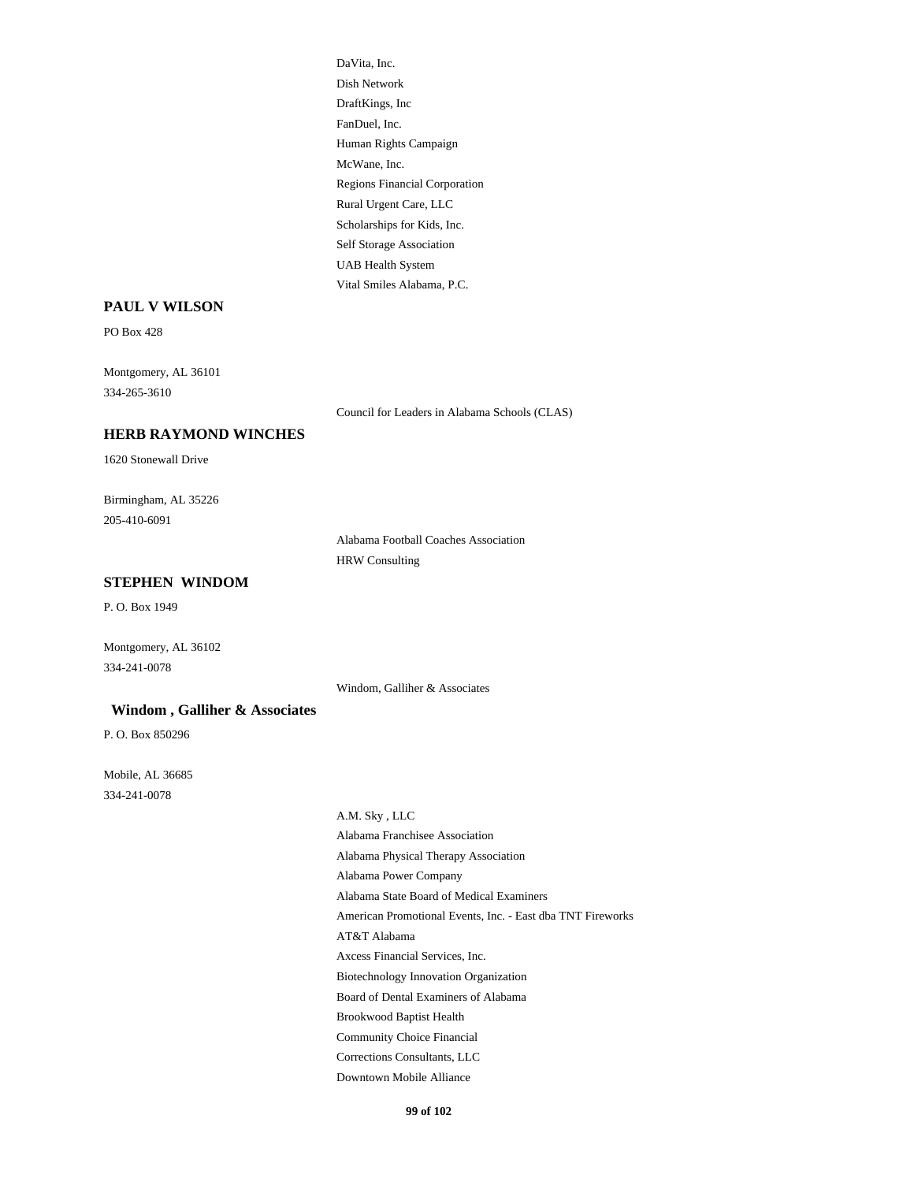DaVita, Inc. Dish Network DraftKings, Inc FanDuel, Inc. Human Rights Campaign McWane, Inc. Regions Financial Corporation Rural Urgent Care, LLC Scholarships for Kids, Inc. Self Storage Association UAB Health System Vital Smiles Alabama, P.C.

#### **PAUL V WILSON**

PO Box 428

Montgomery, AL 36101 334-265-3610

Council for Leaders in Alabama Schools (CLAS)

#### **HERB RAYMOND WINCHES**

1620 Stonewall Drive

Birmingham, AL 35226 205-410-6091

> Alabama Football Coaches Association HRW Consulting

## **STEPHEN WINDOM**

P. O. Box 1949

Montgomery, AL 36102 334-241-0078

Windom, Galliher & Associates

## **Windom , Galliher & Associates**

P. O. Box 850296

Mobile, AL 36685 334-241-0078

> A.M. Sky , LLC Alabama Franchisee Association Alabama Physical Therapy Association Alabama Power Company Alabama State Board of Medical Examiners American Promotional Events, Inc. - East dba TNT Fireworks AT&T Alabama Axcess Financial Services, Inc. Biotechnology Innovation Organization Board of Dental Examiners of Alabama Brookwood Baptist Health Community Choice Financial Corrections Consultants, LLC Downtown Mobile Alliance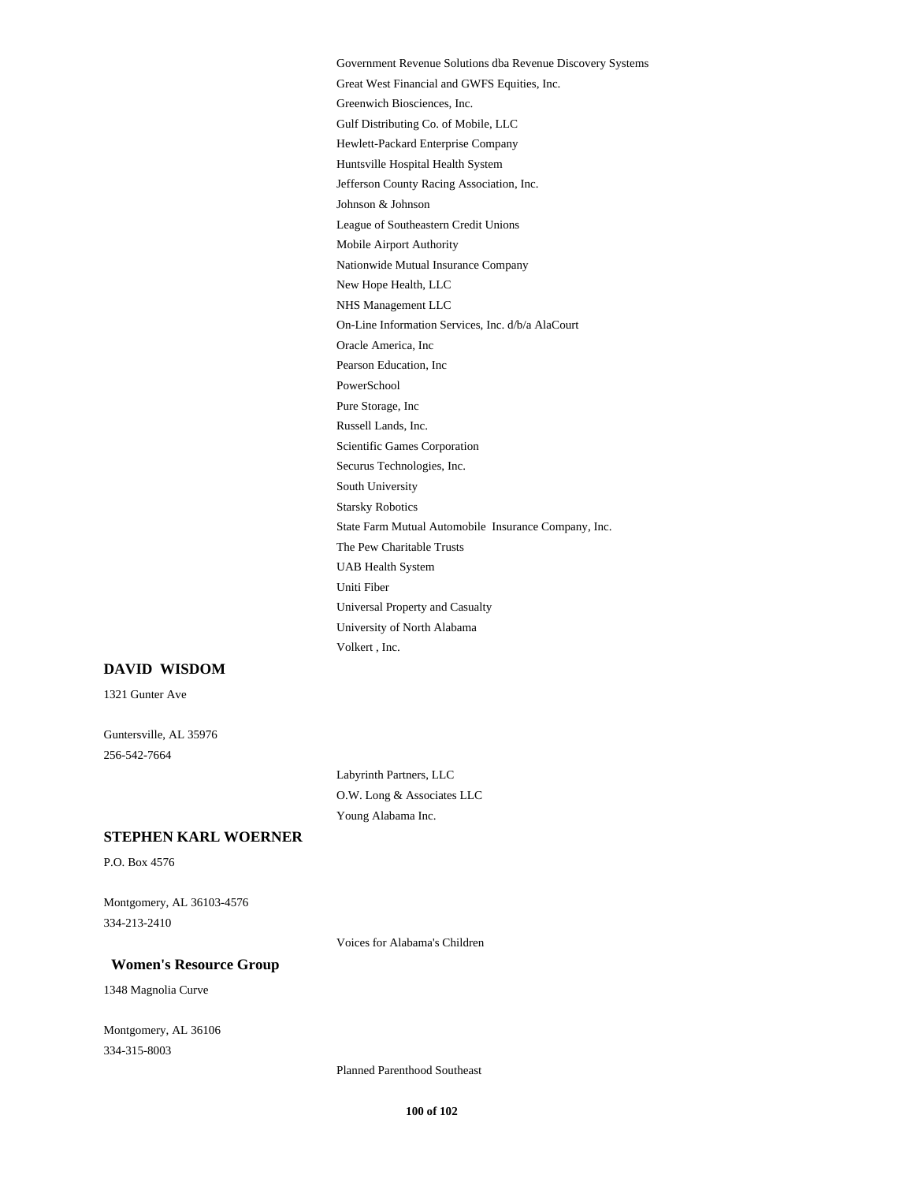Government Revenue Solutions dba Revenue Discovery Systems Great West Financial and GWFS Equities, Inc. Greenwich Biosciences, Inc. Gulf Distributing Co. of Mobile, LLC Hewlett-Packard Enterprise Company Huntsville Hospital Health System Jefferson County Racing Association, Inc. Johnson & Johnson League of Southeastern Credit Unions Mobile Airport Authority Nationwide Mutual Insurance Company New Hope Health, LLC NHS Management LLC On-Line Information Services, Inc. d/b/a AlaCourt Oracle America, Inc Pearson Education, Inc PowerSchool Pure Storage, Inc Russell Lands, Inc. Scientific Games Corporation Securus Technologies, Inc. South University Starsky Robotics State Farm Mutual Automobile Insurance Company, Inc. The Pew Charitable Trusts UAB Health System Uniti Fiber Universal Property and Casualty University of North Alabama Volkert , Inc.

#### **DAVID WISDOM**

1321 Gunter Ave

Guntersville, AL 35976 256-542-7664

> Labyrinth Partners, LLC O.W. Long & Associates LLC Young Alabama Inc.

# **STEPHEN KARL WOERNER**

P.O. Box 4576

Montgomery, AL 36103-4576 334-213-2410

Voices for Alabama's Children

#### **Women's Resource Group**

1348 Magnolia Curve

Montgomery, AL 36106 334-315-8003

Planned Parenthood Southeast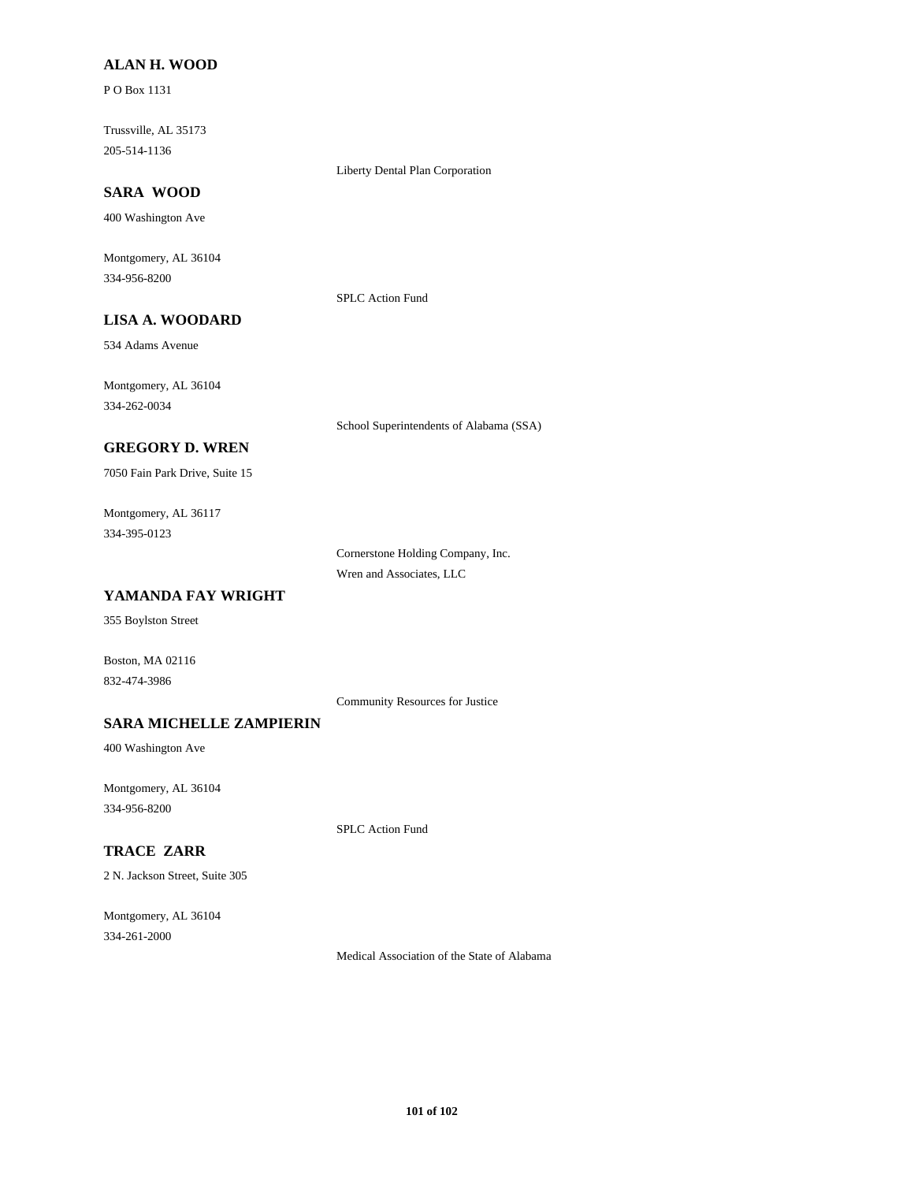## **ALAN H. WOOD**

P O Box 1131

Trussville, AL 35173 205-514-1136

Liberty Dental Plan Corporation

# **SARA WOOD**

400 Washington Ave

Montgomery, AL 36104 334-956-8200

SPLC Action Fund

# **LISA A. WOODARD**

534 Adams Avenue

Montgomery, AL 36104 334-262-0034

School Superintendents of Alabama (SSA)

# **GREGORY D. WREN**

7050 Fain Park Drive, Suite 15

Montgomery, AL 36117 334-395-0123

> Cornerstone Holding Company, Inc. Wren and Associates, LLC

# **YAMANDA FAY WRIGHT**

355 Boylston Street

Boston, MA 02116 832-474-3986

Community Resources for Justice

## **SARA MICHELLE ZAMPIERIN**

400 Washington Ave

Montgomery, AL 36104 334-956-8200

SPLC Action Fund

# **TRACE ZARR**

2 N. Jackson Street, Suite 305

Montgomery, AL 36104 334-261-2000

Medical Association of the State of Alabama